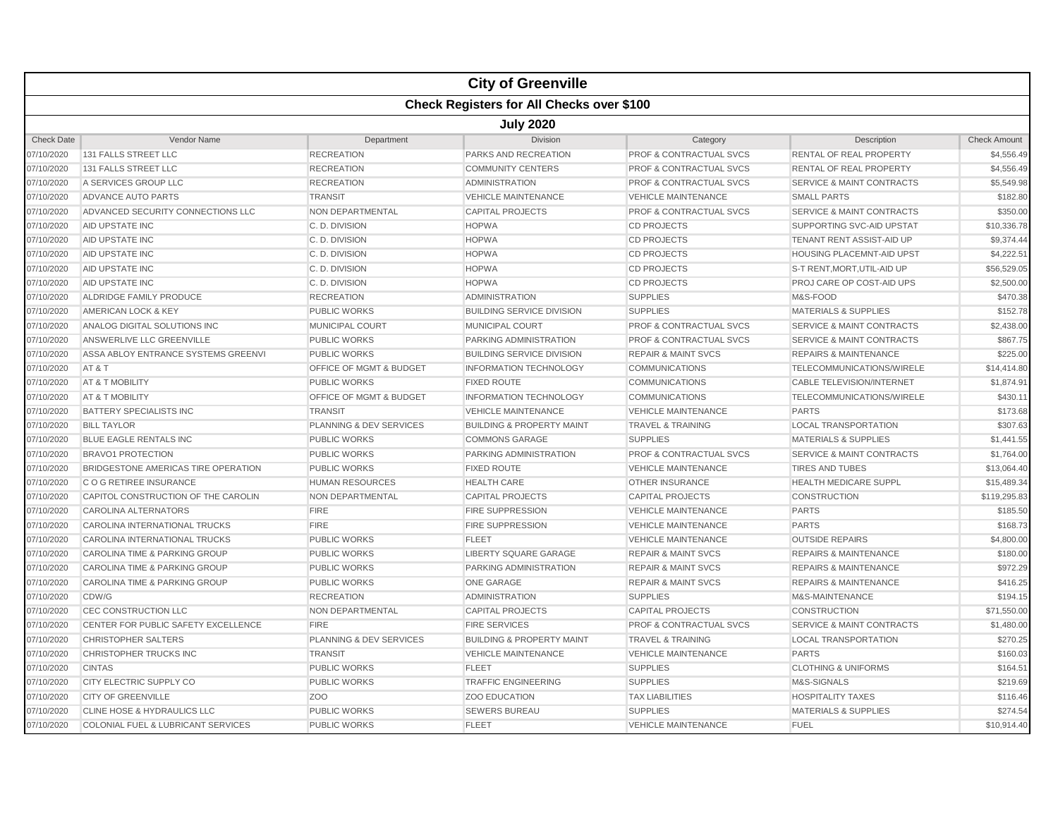|                   |                                                  |                         | <b>City of Greenville</b>            |                                    |                                      |                     |  |  |  |  |
|-------------------|--------------------------------------------------|-------------------------|--------------------------------------|------------------------------------|--------------------------------------|---------------------|--|--|--|--|
|                   | <b>Check Registers for All Checks over \$100</b> |                         |                                      |                                    |                                      |                     |  |  |  |  |
|                   | <b>July 2020</b>                                 |                         |                                      |                                    |                                      |                     |  |  |  |  |
| <b>Check Date</b> | Vendor Name                                      | Department              | Division                             | Category                           | Description                          | <b>Check Amount</b> |  |  |  |  |
| 07/10/2020        | 131 FALLS STREET LLC                             | <b>RECREATION</b>       | PARKS AND RECREATION                 | PROF & CONTRACTUAL SVCS            | RENTAL OF REAL PROPERTY              | \$4,556.49          |  |  |  |  |
| 07/10/2020        | 131 FALLS STREET LLC                             | <b>RECREATION</b>       | <b>COMMUNITY CENTERS</b>             | <b>PROF &amp; CONTRACTUAL SVCS</b> | <b>RENTAL OF REAL PROPERTY</b>       | \$4,556.49          |  |  |  |  |
| 07/10/2020        | A SERVICES GROUP LLC                             | <b>RECREATION</b>       | <b>ADMINISTRATION</b>                | <b>PROF &amp; CONTRACTUAL SVCS</b> | <b>SERVICE &amp; MAINT CONTRACTS</b> | \$5,549.98          |  |  |  |  |
| 07/10/2020        | <b>ADVANCE AUTO PARTS</b>                        | <b>TRANSIT</b>          | <b>VEHICLE MAINTENANCE</b>           | <b>VEHICLE MAINTENANCE</b>         | <b>SMALL PARTS</b>                   | \$182.80            |  |  |  |  |
| 07/10/2020        | ADVANCED SECURITY CONNECTIONS LLC                | <b>NON DEPARTMENTAL</b> | <b>CAPITAL PROJECTS</b>              | <b>PROF &amp; CONTRACTUAL SVCS</b> | <b>SERVICE &amp; MAINT CONTRACTS</b> | \$350.00            |  |  |  |  |
| 07/10/2020        | AID UPSTATE INC                                  | C.D. DIVISION           | <b>HOPWA</b>                         | <b>CD PROJECTS</b>                 | SUPPORTING SVC-AID UPSTAT            | \$10,336.78         |  |  |  |  |
| 07/10/2020        | AID UPSTATE INC                                  | C.D. DIVISION           | <b>HOPWA</b>                         | <b>CD PROJECTS</b>                 | TENANT RENT ASSIST-AID UP            | \$9.374.44          |  |  |  |  |
| 07/10/2020        | AID UPSTATE INC                                  | C.D. DIVISION           | <b>HOPWA</b>                         | <b>CD PROJECTS</b>                 | HOUSING PLACEMNT-AID UPST            | \$4,222.51          |  |  |  |  |
| 07/10/2020        | AID UPSTATE INC                                  | C.D. DIVISION           | <b>HOPWA</b>                         | <b>CD PROJECTS</b>                 | S-T RENT, MORT, UTIL-AID UP          | \$56,529.05         |  |  |  |  |
| 07/10/2020        | AID UPSTATE INC                                  | C.D. DIVISION           | <b>HOPWA</b>                         | <b>CD PROJECTS</b>                 | PROJ CARE OP COST-AID UPS            | \$2,500.00          |  |  |  |  |
| 07/10/2020        | ALDRIDGE FAMILY PRODUCE                          | <b>RECREATION</b>       | <b>ADMINISTRATION</b>                | <b>SUPPLIES</b>                    | M&S-FOOD                             | \$470.38            |  |  |  |  |
| 07/10/2020        | AMERICAN LOCK & KEY                              | <b>PUBLIC WORKS</b>     | <b>BUILDING SERVICE DIVISION</b>     | <b>SUPPLIES</b>                    | <b>MATERIALS &amp; SUPPLIES</b>      | \$152.78            |  |  |  |  |
| 07/10/2020        | ANALOG DIGITAL SOLUTIONS INC                     | MUNICIPAL COURT         | <b>MUNICIPAL COURT</b>               | PROF & CONTRACTUAL SVCS            | <b>SERVICE &amp; MAINT CONTRACTS</b> | \$2,438.00          |  |  |  |  |
| 07/10/2020        | ANSWERLIVE LLC GREENVILLE                        | <b>PUBLIC WORKS</b>     | <b>PARKING ADMINISTRATION</b>        | <b>PROF &amp; CONTRACTUAL SVCS</b> | <b>SERVICE &amp; MAINT CONTRACTS</b> | \$867.75            |  |  |  |  |
| 07/10/2020        | ASSA ABLOY ENTRANCE SYSTEMS GREENVI              | <b>PUBLIC WORKS</b>     | <b>BUILDING SERVICE DIVISION</b>     | <b>REPAIR &amp; MAINT SVCS</b>     | <b>REPAIRS &amp; MAINTENANCE</b>     | \$225.00            |  |  |  |  |
| 07/10/2020        | AT&T                                             | OFFICE OF MGMT & BUDGET | <b>INFORMATION TECHNOLOGY</b>        | <b>COMMUNICATIONS</b>              | TELECOMMUNICATIONS/WIRELE            | \$14,414.80         |  |  |  |  |
| 07/10/2020        | AT & T MOBILITY                                  | <b>PUBLIC WORKS</b>     | <b>FIXED ROUTE</b>                   | <b>COMMUNICATIONS</b>              | <b>CABLE TELEVISION/INTERNET</b>     | \$1,874.91          |  |  |  |  |
| 07/10/2020        | AT & T MOBILITY                                  | OFFICE OF MGMT & BUDGET | <b>INFORMATION TECHNOLOGY</b>        | <b>COMMUNICATIONS</b>              | TELECOMMUNICATIONS/WIRELE            | \$430.11            |  |  |  |  |
| 07/10/2020        | <b>BATTERY SPECIALISTS INC</b>                   | <b>TRANSIT</b>          | <b>VEHICLE MAINTENANCE</b>           | <b>VEHICLE MAINTENANCE</b>         | <b>PARTS</b>                         | \$173.68            |  |  |  |  |
| 07/10/2020        | <b>BILL TAYLOR</b>                               | PLANNING & DEV SERVICES | <b>BUILDING &amp; PROPERTY MAINT</b> | <b>TRAVEL &amp; TRAINING</b>       | <b>LOCAL TRANSPORTATION</b>          | \$307.63            |  |  |  |  |
| 07/10/2020        | <b>BLUE EAGLE RENTALS INC</b>                    | <b>PUBLIC WORKS</b>     | <b>COMMONS GARAGE</b>                | <b>SUPPLIES</b>                    | <b>MATERIALS &amp; SUPPLIES</b>      | \$1,441.55          |  |  |  |  |
| 07/10/2020        | <b>BRAVO1 PROTECTION</b>                         | <b>PUBLIC WORKS</b>     | PARKING ADMINISTRATION               | PROF & CONTRACTUAL SVCS            | <b>SERVICE &amp; MAINT CONTRACTS</b> | \$1,764.00          |  |  |  |  |
| 07/10/2020        | BRIDGESTONE AMERICAS TIRE OPERATION              | <b>PUBLIC WORKS</b>     | <b>FIXED ROUTE</b>                   | <b>VEHICLE MAINTENANCE</b>         | <b>TIRES AND TUBES</b>               | \$13,064.40         |  |  |  |  |
| 07/10/2020        | C O G RETIREE INSURANCE                          | <b>HUMAN RESOURCES</b>  | <b>HEALTH CARE</b>                   | <b>OTHER INSURANCE</b>             | <b>HEALTH MEDICARE SUPPL</b>         | \$15,489.34         |  |  |  |  |
| 07/10/2020        | CAPITOL CONSTRUCTION OF THE CAROLIN              | NON DEPARTMENTAL        | <b>CAPITAL PROJECTS</b>              | <b>CAPITAL PROJECTS</b>            | <b>CONSTRUCTION</b>                  | \$119,295.83        |  |  |  |  |
| 07/10/2020        | CAROLINA ALTERNATORS                             | <b>FIRE</b>             | <b>FIRE SUPPRESSION</b>              | <b>VEHICLE MAINTENANCE</b>         | <b>PARTS</b>                         | \$185.50            |  |  |  |  |
| 07/10/2020        | CAROLINA INTERNATIONAL TRUCKS                    | <b>FIRE</b>             | <b>FIRE SUPPRESSION</b>              | <b>VEHICLE MAINTENANCE</b>         | <b>PARTS</b>                         | \$168.73            |  |  |  |  |
| 07/10/2020        | CAROLINA INTERNATIONAL TRUCKS                    | <b>PUBLIC WORKS</b>     | <b>FLEET</b>                         | <b>VEHICLE MAINTENANCE</b>         | <b>OUTSIDE REPAIRS</b>               | \$4,800.00          |  |  |  |  |
| 07/10/2020        | CAROLINA TIME & PARKING GROUP                    | <b>PUBLIC WORKS</b>     | <b>LIBERTY SQUARE GARAGE</b>         | <b>REPAIR &amp; MAINT SVCS</b>     | <b>REPAIRS &amp; MAINTENANCE</b>     | \$180.00            |  |  |  |  |
| 07/10/2020        | CAROLINA TIME & PARKING GROUP                    | <b>PUBLIC WORKS</b>     | PARKING ADMINISTRATION               | <b>REPAIR &amp; MAINT SVCS</b>     | <b>REPAIRS &amp; MAINTENANCE</b>     | \$972.29            |  |  |  |  |
| 07/10/2020        | <b>CAROLINA TIME &amp; PARKING GROUP</b>         | <b>PUBLIC WORKS</b>     | <b>ONE GARAGE</b>                    | <b>REPAIR &amp; MAINT SVCS</b>     | <b>REPAIRS &amp; MAINTENANCE</b>     | \$416.25            |  |  |  |  |
| 07/10/2020        | CDW/G                                            | <b>RECREATION</b>       | <b>ADMINISTRATION</b>                | <b>SUPPLIES</b>                    | M&S-MAINTENANCE                      | \$194.15            |  |  |  |  |
| 07/10/2020        | CEC CONSTRUCTION LLC                             | NON DEPARTMENTAL        | <b>CAPITAL PROJECTS</b>              | <b>CAPITAL PROJECTS</b>            | <b>CONSTRUCTION</b>                  | \$71,550.00         |  |  |  |  |
| 07/10/2020        | CENTER FOR PUBLIC SAFETY EXCELLENCE              | <b>FIRE</b>             | <b>FIRE SERVICES</b>                 | <b>PROF &amp; CONTRACTUAL SVCS</b> | <b>SERVICE &amp; MAINT CONTRACTS</b> | \$1,480.00          |  |  |  |  |
| 07/10/2020        | <b>CHRISTOPHER SALTERS</b>                       | PLANNING & DEV SERVICES | <b>BUILDING &amp; PROPERTY MAINT</b> | <b>TRAVEL &amp; TRAINING</b>       | <b>LOCAL TRANSPORTATION</b>          | \$270.25            |  |  |  |  |
| 07/10/2020        | <b>CHRISTOPHER TRUCKS INC</b>                    | <b>TRANSIT</b>          | <b>VEHICLE MAINTENANCE</b>           | <b>VEHICLE MAINTENANCE</b>         | <b>PARTS</b>                         | \$160.03            |  |  |  |  |
| 07/10/2020        | <b>CINTAS</b>                                    | <b>PUBLIC WORKS</b>     | <b>FLEET</b>                         | <b>SUPPLIES</b>                    | <b>CLOTHING &amp; UNIFORMS</b>       | \$164.51            |  |  |  |  |
| 07/10/2020        | CITY ELECTRIC SUPPLY CO                          | <b>PUBLIC WORKS</b>     | <b>TRAFFIC ENGINEERING</b>           | <b>SUPPLIES</b>                    | M&S-SIGNALS                          | \$219.69            |  |  |  |  |
| 07/10/2020        | <b>CITY OF GREENVILLE</b>                        | Z <sub>O</sub> O        | <b>ZOO EDUCATION</b>                 | <b>TAX LIABILITIES</b>             | <b>HOSPITALITY TAXES</b>             | \$116.46            |  |  |  |  |
| 07/10/2020        | CLINE HOSE & HYDRAULICS LLC                      | <b>PUBLIC WORKS</b>     | <b>SEWERS BUREAU</b>                 | <b>SUPPLIES</b>                    | <b>MATERIALS &amp; SUPPLIES</b>      | \$274.54            |  |  |  |  |
| 07/10/2020        | COLONIAL FUEL & LUBRICANT SERVICES               | <b>PUBLIC WORKS</b>     | FLEET                                | <b>VEHICLE MAINTENANCE</b>         | <b>FUEL</b>                          | \$10,914.40         |  |  |  |  |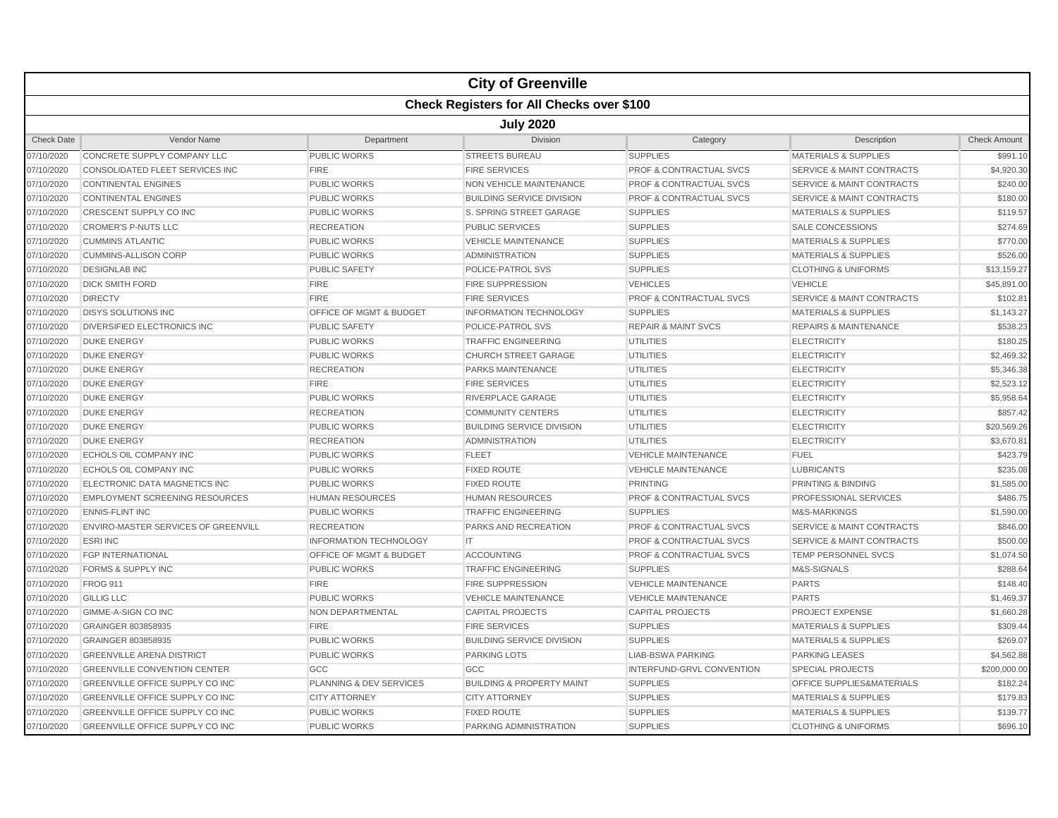|                   |                                                  |                                    | <b>City of Greenville</b>            |                                    |                                      |                     |  |  |  |  |
|-------------------|--------------------------------------------------|------------------------------------|--------------------------------------|------------------------------------|--------------------------------------|---------------------|--|--|--|--|
|                   | <b>Check Registers for All Checks over \$100</b> |                                    |                                      |                                    |                                      |                     |  |  |  |  |
|                   | <b>July 2020</b>                                 |                                    |                                      |                                    |                                      |                     |  |  |  |  |
| <b>Check Date</b> | <b>Vendor Name</b>                               | Department                         | <b>Division</b>                      | Category                           | Description                          | <b>Check Amount</b> |  |  |  |  |
| 07/10/2020        | CONCRETE SUPPLY COMPANY LLC                      | <b>PUBLIC WORKS</b>                | <b>STREETS BUREAU</b>                | <b>SUPPLIES</b>                    | <b>MATERIALS &amp; SUPPLIES</b>      | \$991.10            |  |  |  |  |
| 07/10/2020        | <b>CONSOLIDATED FLEET SERVICES INC</b>           | <b>FIRE</b>                        | <b>FIRE SERVICES</b>                 | <b>PROF &amp; CONTRACTUAL SVCS</b> | <b>SERVICE &amp; MAINT CONTRACTS</b> | \$4,920.30          |  |  |  |  |
| 07/10/2020        | <b>CONTINENTAL ENGINES</b>                       | <b>PUBLIC WORKS</b>                | <b>NON VEHICLE MAINTENANCE</b>       | PROF & CONTRACTUAL SVCS            | <b>SERVICE &amp; MAINT CONTRACTS</b> | \$240.00            |  |  |  |  |
| 07/10/2020        | <b>CONTINENTAL ENGINES</b>                       | <b>PUBLIC WORKS</b>                | <b>BUILDING SERVICE DIVISION</b>     | <b>PROF &amp; CONTRACTUAL SVCS</b> | <b>SERVICE &amp; MAINT CONTRACTS</b> | \$180.00            |  |  |  |  |
| 07/10/2020        | CRESCENT SUPPLY CO INC                           | <b>PUBLIC WORKS</b>                | S. SPRING STREET GARAGE              | <b>SUPPLIES</b>                    | <b>MATERIALS &amp; SUPPLIES</b>      | \$119.57            |  |  |  |  |
| 07/10/2020        | <b>CROMER'S P-NUTS LLC</b>                       | <b>RECREATION</b>                  | <b>PUBLIC SERVICES</b>               | <b>SUPPLIES</b>                    | <b>SALE CONCESSIONS</b>              | \$274.69            |  |  |  |  |
| 07/10/2020        | <b>CUMMINS ATLANTIC</b>                          | <b>PUBLIC WORKS</b>                | <b>VEHICLE MAINTENANCE</b>           | <b>SUPPLIES</b>                    | <b>MATERIALS &amp; SUPPLIES</b>      | \$770.00            |  |  |  |  |
| 07/10/2020        | <b>CUMMINS-ALLISON CORP</b>                      | <b>PUBLIC WORKS</b>                | <b>ADMINISTRATION</b>                | <b>SUPPLIES</b>                    | <b>MATERIALS &amp; SUPPLIES</b>      | \$526.00            |  |  |  |  |
| 07/10/2020        | <b>DESIGNLAB INC</b>                             | <b>PUBLIC SAFETY</b>               | POLICE-PATROL SVS                    | <b>SUPPLIES</b>                    | <b>CLOTHING &amp; UNIFORMS</b>       | \$13,159.27         |  |  |  |  |
| 07/10/2020        | <b>DICK SMITH FORD</b>                           | <b>FIRE</b>                        | <b>FIRE SUPPRESSION</b>              | <b>VEHICLES</b>                    | <b>VEHICLE</b>                       | \$45,891.00         |  |  |  |  |
| 07/10/2020        | <b>DIRECTV</b>                                   | <b>FIRE</b>                        | <b>FIRE SERVICES</b>                 | <b>PROF &amp; CONTRACTUAL SVCS</b> | <b>SERVICE &amp; MAINT CONTRACTS</b> | \$102.81            |  |  |  |  |
| 07/10/2020        | <b>DISYS SOLUTIONS INC</b>                       | OFFICE OF MGMT & BUDGET            | <b>INFORMATION TECHNOLOGY</b>        | <b>SUPPLIES</b>                    | <b>MATERIALS &amp; SUPPLIES</b>      | \$1,143.27          |  |  |  |  |
| 07/10/2020        | DIVERSIFIED ELECTRONICS INC                      | <b>PUBLIC SAFETY</b>               | POLICE-PATROL SVS                    | <b>REPAIR &amp; MAINT SVCS</b>     | <b>REPAIRS &amp; MAINTENANCE</b>     | \$538.23            |  |  |  |  |
| 07/10/2020        | <b>DUKE ENERGY</b>                               | <b>PUBLIC WORKS</b>                | <b>TRAFFIC ENGINEERING</b>           | <b>UTILITIES</b>                   | <b>ELECTRICITY</b>                   | \$180.25            |  |  |  |  |
| 07/10/2020        | <b>DUKE ENERGY</b>                               | <b>PUBLIC WORKS</b>                | <b>CHURCH STREET GARAGE</b>          | <b>UTILITIES</b>                   | <b>ELECTRICITY</b>                   | \$2,469.32          |  |  |  |  |
| 07/10/2020        | <b>DUKE ENERGY</b>                               | <b>RECREATION</b>                  | <b>PARKS MAINTENANCE</b>             | <b>UTILITIES</b>                   | <b>ELECTRICITY</b>                   | \$5,346.38          |  |  |  |  |
| 07/10/2020        | <b>DUKE ENERGY</b>                               | <b>FIRE</b>                        | <b>FIRE SERVICES</b>                 | <b>UTILITIES</b>                   | <b>ELECTRICITY</b>                   | \$2,523.12          |  |  |  |  |
| 07/10/2020        | <b>DUKE ENERGY</b>                               | <b>PUBLIC WORKS</b>                | RIVERPLACE GARAGE                    | <b>UTILITIES</b>                   | <b>ELECTRICITY</b>                   | \$5,958.64          |  |  |  |  |
| 07/10/2020        | <b>DUKE ENERGY</b>                               | <b>RECREATION</b>                  | <b>COMMUNITY CENTERS</b>             | <b>UTILITIES</b>                   | <b>ELECTRICITY</b>                   | \$857.42            |  |  |  |  |
| 07/10/2020        | <b>DUKE ENERGY</b>                               | PUBLIC WORKS                       | <b>BUILDING SERVICE DIVISION</b>     | <b>UTILITIES</b>                   | <b>ELECTRICITY</b>                   | \$20,569.26         |  |  |  |  |
| 07/10/2020        | <b>DUKE ENERGY</b>                               | <b>RECREATION</b>                  | <b>ADMINISTRATION</b>                | <b>UTILITIES</b>                   | <b>ELECTRICITY</b>                   | \$3.670.81          |  |  |  |  |
| 07/10/2020        | <b>ECHOLS OIL COMPANY INC</b>                    | <b>PUBLIC WORKS</b>                | <b>FLEET</b>                         | <b>VEHICLE MAINTENANCE</b>         | <b>FUEL</b>                          | \$423.79            |  |  |  |  |
| 07/10/2020        | <b>ECHOLS OIL COMPANY INC</b>                    | <b>PUBLIC WORKS</b>                | <b>FIXED ROUTE</b>                   | <b>VEHICLE MAINTENANCE</b>         | <b>LUBRICANTS</b>                    | \$235.08            |  |  |  |  |
| 07/10/2020        | <b>ELECTRONIC DATA MAGNETICS INC</b>             | <b>PUBLIC WORKS</b>                | <b>FIXED ROUTE</b>                   | <b>PRINTING</b>                    | PRINTING & BINDING                   | \$1,585.00          |  |  |  |  |
| 07/10/2020        | <b>EMPLOYMENT SCREENING RESOURCES</b>            | <b>HUMAN RESOURCES</b>             | <b>HUMAN RESOURCES</b>               | PROF & CONTRACTUAL SVCS            | PROFESSIONAL SERVICES                | \$486.75            |  |  |  |  |
| 07/10/2020        | <b>ENNIS-FLINT INC</b>                           | <b>PUBLIC WORKS</b>                | <b>TRAFFIC ENGINEERING</b>           | <b>SUPPLIES</b>                    | M&S-MARKINGS                         | \$1,590.00          |  |  |  |  |
| 07/10/2020        | ENVIRO-MASTER SERVICES OF GREENVILL              | <b>RECREATION</b>                  | PARKS AND RECREATION                 | <b>PROF &amp; CONTRACTUAL SVCS</b> | <b>SERVICE &amp; MAINT CONTRACTS</b> | \$846.00            |  |  |  |  |
| 07/10/2020        | <b>ESRI INC</b>                                  | <b>INFORMATION TECHNOLOGY</b>      | IT                                   | <b>PROF &amp; CONTRACTUAL SVCS</b> | <b>SERVICE &amp; MAINT CONTRACTS</b> | \$500.00            |  |  |  |  |
| 07/10/2020        | <b>FGP INTERNATIONAL</b>                         | <b>OFFICE OF MGMT &amp; BUDGET</b> | <b>ACCOUNTING</b>                    | <b>PROF &amp; CONTRACTUAL SVCS</b> | <b>TEMP PERSONNEL SVCS</b>           | \$1,074.50          |  |  |  |  |
| 07/10/2020        | FORMS & SUPPLY INC                               | <b>PUBLIC WORKS</b>                | <b>TRAFFIC ENGINEERING</b>           | <b>SUPPLIES</b>                    | M&S-SIGNALS                          | \$288.64            |  |  |  |  |
| 07/10/2020        | <b>FROG 911</b>                                  | <b>FIRE</b>                        | <b>FIRE SUPPRESSION</b>              | <b>VEHICLE MAINTENANCE</b>         | <b>PARTS</b>                         | \$148.40            |  |  |  |  |
| 07/10/2020        | <b>GILLIG LLC</b>                                | <b>PUBLIC WORKS</b>                | <b>VEHICLE MAINTENANCE</b>           | <b>VEHICLE MAINTENANCE</b>         | <b>PARTS</b>                         | \$1,469.37          |  |  |  |  |
| 07/10/2020        | GIMME-A-SIGN CO INC                              | NON DEPARTMENTAL                   | <b>CAPITAL PROJECTS</b>              | <b>CAPITAL PROJECTS</b>            | <b>PROJECT EXPENSE</b>               | \$1,660.28          |  |  |  |  |
| 07/10/2020        | GRAINGER 803858935                               | <b>FIRE</b>                        | <b>FIRE SERVICES</b>                 | <b>SUPPLIES</b>                    | <b>MATERIALS &amp; SUPPLIES</b>      | \$309.44            |  |  |  |  |
| 07/10/2020        | GRAINGER 803858935                               | PUBLIC WORKS                       | <b>BUILDING SERVICE DIVISION</b>     | <b>SUPPLIES</b>                    | <b>MATERIALS &amp; SUPPLIES</b>      | \$269.07            |  |  |  |  |
| 07/10/2020        | <b>GREENVILLE ARENA DISTRICT</b>                 | <b>PUBLIC WORKS</b>                | <b>PARKING LOTS</b>                  | <b>LIAB-BSWA PARKING</b>           | <b>PARKING LEASES</b>                | \$4,562.88          |  |  |  |  |
| 07/10/2020        | <b>GREENVILLE CONVENTION CENTER</b>              | GCC                                | GCC                                  | INTERFUND-GRVL CONVENTION          | <b>SPECIAL PROJECTS</b>              | \$200,000.00        |  |  |  |  |
| 07/10/2020        | GREENVILLE OFFICE SUPPLY CO INC                  | PLANNING & DEV SERVICES            | <b>BUILDING &amp; PROPERTY MAINT</b> | <b>SUPPLIES</b>                    | OFFICE SUPPLIES&MATERIALS            | \$182.24            |  |  |  |  |
| 07/10/2020        | <b>GREENVILLE OFFICE SUPPLY CO INC</b>           | <b>CITY ATTORNEY</b>               | <b>CITY ATTORNEY</b>                 | <b>SUPPLIES</b>                    | <b>MATERIALS &amp; SUPPLIES</b>      | \$179.83            |  |  |  |  |
| 07/10/2020        | GREENVILLE OFFICE SUPPLY CO INC                  | PUBLIC WORKS                       | <b>FIXED ROUTE</b>                   | <b>SUPPLIES</b>                    | <b>MATERIALS &amp; SUPPLIES</b>      | \$139.77            |  |  |  |  |
| 07/10/2020        | <b>GREENVILLE OFFICE SUPPLY CO INC</b>           | <b>PUBLIC WORKS</b>                | <b>PARKING ADMINISTRATION</b>        | <b>SUPPLIES</b>                    | <b>CLOTHING &amp; UNIFORMS</b>       | \$696.10            |  |  |  |  |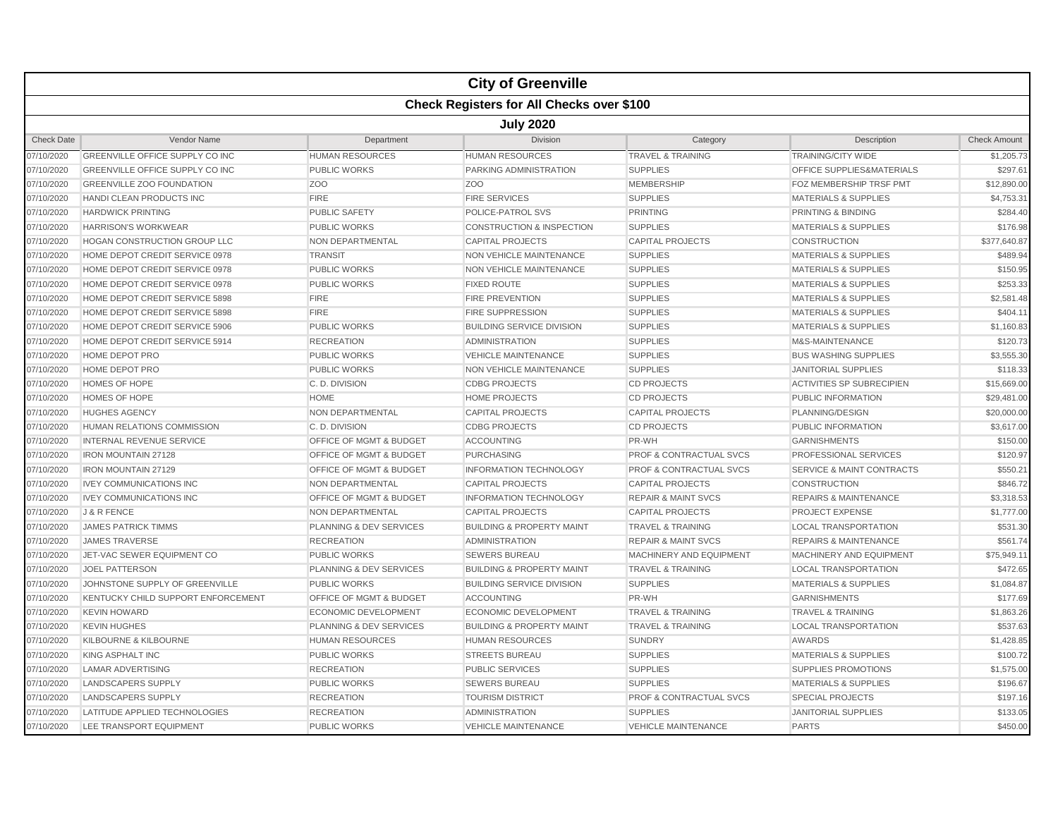|                   | <b>City of Greenville</b>                        |                                    |                                      |                                    |                                  |                     |  |  |  |  |
|-------------------|--------------------------------------------------|------------------------------------|--------------------------------------|------------------------------------|----------------------------------|---------------------|--|--|--|--|
|                   | <b>Check Registers for All Checks over \$100</b> |                                    |                                      |                                    |                                  |                     |  |  |  |  |
|                   | <b>July 2020</b>                                 |                                    |                                      |                                    |                                  |                     |  |  |  |  |
| <b>Check Date</b> | Vendor Name                                      | Department                         | <b>Division</b>                      | Category                           | Description                      | <b>Check Amount</b> |  |  |  |  |
| 07/10/2020        | GREENVILLE OFFICE SUPPLY CO INC                  | <b>HUMAN RESOURCES</b>             | <b>HUMAN RESOURCES</b>               | <b>TRAVEL &amp; TRAINING</b>       | <b>TRAINING/CITY WIDE</b>        | \$1,205.73          |  |  |  |  |
| 07/10/2020        | GREENVILLE OFFICE SUPPLY CO INC                  | <b>PUBLIC WORKS</b>                | PARKING ADMINISTRATION               | <b>SUPPLIES</b>                    | OFFICE SUPPLIES&MATERIALS        | \$297.61            |  |  |  |  |
| 07/10/2020        | <b>GREENVILLE ZOO FOUNDATION</b>                 | ZO <sub>O</sub>                    | Z <sub>O</sub> O                     | <b>MEMBERSHIP</b>                  | FOZ MEMBERSHIP TRSF PMT          | \$12,890.00         |  |  |  |  |
| 07/10/2020        | HANDI CLEAN PRODUCTS INC                         | <b>FIRE</b>                        | <b>FIRE SERVICES</b>                 | <b>SUPPLIES</b>                    | <b>MATERIALS &amp; SUPPLIES</b>  | \$4,753.31          |  |  |  |  |
| 07/10/2020        | <b>HARDWICK PRINTING</b>                         | <b>PUBLIC SAFETY</b>               | POLICE-PATROL SVS                    | <b>PRINTING</b>                    | <b>PRINTING &amp; BINDING</b>    | \$284.40            |  |  |  |  |
| 07/10/2020        | <b>HARRISON'S WORKWEAR</b>                       | <b>PUBLIC WORKS</b>                | <b>CONSTRUCTION &amp; INSPECTION</b> | <b>SUPPLIES</b>                    | <b>MATERIALS &amp; SUPPLIES</b>  | \$176.98            |  |  |  |  |
| 07/10/2020        | <b>HOGAN CONSTRUCTION GROUP LLC</b>              | <b>NON DEPARTMENTAL</b>            | <b>CAPITAL PROJECTS</b>              | <b>CAPITAL PROJECTS</b>            | <b>CONSTRUCTION</b>              | \$377,640.87        |  |  |  |  |
| 07/10/2020        | HOME DEPOT CREDIT SERVICE 0978                   | <b>TRANSIT</b>                     | <b>NON VEHICLE MAINTENANCE</b>       | <b>SUPPLIES</b>                    | <b>MATERIALS &amp; SUPPLIES</b>  | \$489.94            |  |  |  |  |
| 07/10/2020        | HOME DEPOT CREDIT SERVICE 0978                   | <b>PUBLIC WORKS</b>                | NON VEHICLE MAINTENANCE              | <b>SUPPLIES</b>                    | <b>MATERIALS &amp; SUPPLIES</b>  | \$150.95            |  |  |  |  |
| 07/10/2020        | HOME DEPOT CREDIT SERVICE 0978                   | <b>PUBLIC WORKS</b>                | <b>FIXED ROUTE</b>                   | <b>SUPPLIES</b>                    | <b>MATERIALS &amp; SUPPLIES</b>  | \$253.33            |  |  |  |  |
| 07/10/2020        | HOME DEPOT CREDIT SERVICE 5898                   | <b>FIRE</b>                        | <b>FIRE PREVENTION</b>               | <b>SUPPLIES</b>                    | <b>MATERIALS &amp; SUPPLIES</b>  | \$2,581.48          |  |  |  |  |
| 07/10/2020        | HOME DEPOT CREDIT SERVICE 5898                   | <b>FIRE</b>                        | <b>FIRE SUPPRESSION</b>              | <b>SUPPLIES</b>                    | <b>MATERIALS &amp; SUPPLIES</b>  | \$404.11            |  |  |  |  |
| 07/10/2020        | HOME DEPOT CREDIT SERVICE 5906                   | <b>PUBLIC WORKS</b>                | <b>BUILDING SERVICE DIVISION</b>     | <b>SUPPLIES</b>                    | <b>MATERIALS &amp; SUPPLIES</b>  | \$1,160.83          |  |  |  |  |
| 07/10/2020        | HOME DEPOT CREDIT SERVICE 5914                   | <b>RECREATION</b>                  | <b>ADMINISTRATION</b>                | <b>SUPPLIES</b>                    | M&S-MAINTENANCE                  | \$120.73            |  |  |  |  |
| 07/10/2020        | HOME DEPOT PRO                                   | <b>PUBLIC WORKS</b>                | <b>VEHICLE MAINTENANCE</b>           | <b>SUPPLIES</b>                    | <b>BUS WASHING SUPPLIES</b>      | \$3,555.30          |  |  |  |  |
| 07/10/2020        | HOME DEPOT PRO                                   | <b>PUBLIC WORKS</b>                | <b>NON VEHICLE MAINTENANCE</b>       | <b>SUPPLIES</b>                    | <b>JANITORIAL SUPPLIES</b>       | \$118.33            |  |  |  |  |
| 07/10/2020        | <b>HOMES OF HOPE</b>                             | C. D. DIVISION                     | <b>CDBG PROJECTS</b>                 | <b>CD PROJECTS</b>                 | <b>ACTIVITIES SP SUBRECIPIEN</b> | \$15,669.00         |  |  |  |  |
| 07/10/2020        | HOMES OF HOPE                                    | <b>HOME</b>                        | <b>HOME PROJECTS</b>                 | <b>CD PROJECTS</b>                 | PUBLIC INFORMATION               | \$29,481.00         |  |  |  |  |
| 07/10/2020        | <b>HUGHES AGENCY</b>                             | <b>NON DEPARTMENTAL</b>            | <b>CAPITAL PROJECTS</b>              | <b>CAPITAL PROJECTS</b>            | PLANNING/DESIGN                  | \$20,000.00         |  |  |  |  |
| 07/10/2020        | <b>HUMAN RELATIONS COMMISSION</b>                | C. D. DIVISION                     | <b>CDBG PROJECTS</b>                 | <b>CD PROJECTS</b>                 | PUBLIC INFORMATION               | \$3,617.00          |  |  |  |  |
| 07/10/2020        | <b>INTERNAL REVENUE SERVICE</b>                  | OFFICE OF MGMT & BUDGET            | <b>ACCOUNTING</b>                    | PR-WH                              | <b>GARNISHMENTS</b>              | \$150.00            |  |  |  |  |
| 07/10/2020        | <b>IRON MOUNTAIN 27128</b>                       | OFFICE OF MGMT & BUDGET            | <b>PURCHASING</b>                    | PROF & CONTRACTUAL SVCS            | <b>PROFESSIONAL SERVICES</b>     | \$120.97            |  |  |  |  |
| 07/10/2020        | <b>IRON MOUNTAIN 27129</b>                       | OFFICE OF MGMT & BUDGET            | <b>INFORMATION TECHNOLOGY</b>        | PROF & CONTRACTUAL SVCS            | SERVICE & MAINT CONTRACTS        | \$550.21            |  |  |  |  |
| 07/10/2020        | <b>IVEY COMMUNICATIONS INC</b>                   | NON DEPARTMENTAL                   | <b>CAPITAL PROJECTS</b>              | <b>CAPITAL PROJECTS</b>            | <b>CONSTRUCTION</b>              | \$846.72            |  |  |  |  |
| 07/10/2020        | <b>IVEY COMMUNICATIONS INC</b>                   | OFFICE OF MGMT & BUDGET            | <b>INFORMATION TECHNOLOGY</b>        | <b>REPAIR &amp; MAINT SVCS</b>     | <b>REPAIRS &amp; MAINTENANCE</b> | \$3,318.53          |  |  |  |  |
| 07/10/2020        | J & R FENCE                                      | <b>NON DEPARTMENTAL</b>            | CAPITAL PROJECTS                     | <b>CAPITAL PROJECTS</b>            | PROJECT EXPENSE                  | \$1,777.00          |  |  |  |  |
| 07/10/2020        | <b>JAMES PATRICK TIMMS</b>                       | PLANNING & DEV SERVICES            | <b>BUILDING &amp; PROPERTY MAINT</b> | <b>TRAVEL &amp; TRAINING</b>       | <b>LOCAL TRANSPORTATION</b>      | \$531.30            |  |  |  |  |
| 07/10/2020        | <b>JAMES TRAVERSE</b>                            | <b>RECREATION</b>                  | <b>ADMINISTRATION</b>                | <b>REPAIR &amp; MAINT SVCS</b>     | <b>REPAIRS &amp; MAINTENANCE</b> | \$561.74            |  |  |  |  |
| 07/10/2020        | JET-VAC SEWER EQUIPMENT CO                       | <b>PUBLIC WORKS</b>                | <b>SEWERS BUREAU</b>                 | MACHINERY AND EQUIPMENT            | MACHINERY AND EQUIPMENT          | \$75,949.11         |  |  |  |  |
| 07/10/2020        | <b>JOEL PATTERSON</b>                            | PLANNING & DEV SERVICES            | <b>BUILDING &amp; PROPERTY MAINT</b> | <b>TRAVEL &amp; TRAINING</b>       | <b>LOCAL TRANSPORTATION</b>      | \$472.65            |  |  |  |  |
| 07/10/2020        | JOHNSTONE SUPPLY OF GREENVILLE                   | <b>PUBLIC WORKS</b>                | <b>BUILDING SERVICE DIVISION</b>     | <b>SUPPLIES</b>                    | <b>MATERIALS &amp; SUPPLIES</b>  | \$1,084.87          |  |  |  |  |
| 07/10/2020        | KENTUCKY CHILD SUPPORT ENFORCEMENT               | OFFICE OF MGMT & BUDGET            | <b>ACCOUNTING</b>                    | PR-WH                              | <b>GARNISHMENTS</b>              | \$177.69            |  |  |  |  |
| 07/10/2020        | <b>KEVIN HOWARD</b>                              | <b>ECONOMIC DEVELOPMENT</b>        | <b>ECONOMIC DEVELOPMENT</b>          | <b>TRAVEL &amp; TRAINING</b>       | <b>TRAVEL &amp; TRAINING</b>     | \$1,863.26          |  |  |  |  |
| 07/10/2020        | <b>KEVIN HUGHES</b>                              | <b>PLANNING &amp; DEV SERVICES</b> | <b>BUILDING &amp; PROPERTY MAINT</b> | <b>TRAVEL &amp; TRAINING</b>       | <b>LOCAL TRANSPORTATION</b>      | \$537.63            |  |  |  |  |
| 07/10/2020        | KILBOURNE & KILBOURNE                            | <b>HUMAN RESOURCES</b>             | <b>HUMAN RESOURCES</b>               | <b>SUNDRY</b>                      | <b>AWARDS</b>                    | \$1,428.85          |  |  |  |  |
| 07/10/2020        | KING ASPHALT INC                                 | <b>PUBLIC WORKS</b>                | <b>STREETS BUREAU</b>                | <b>SUPPLIES</b>                    | <b>MATERIALS &amp; SUPPLIES</b>  | \$100.72            |  |  |  |  |
| 07/10/2020        | <b>LAMAR ADVERTISING</b>                         | <b>RECREATION</b>                  | <b>PUBLIC SERVICES</b>               | <b>SUPPLIES</b>                    | <b>SUPPLIES PROMOTIONS</b>       | \$1,575.00          |  |  |  |  |
| 07/10/2020        | <b>LANDSCAPERS SUPPLY</b>                        | <b>PUBLIC WORKS</b>                | <b>SEWERS BUREAU</b>                 | <b>SUPPLIES</b>                    | <b>MATERIALS &amp; SUPPLIES</b>  | \$196.67            |  |  |  |  |
| 07/10/2020        | <b>LANDSCAPERS SUPPLY</b>                        | <b>RECREATION</b>                  | <b>TOURISM DISTRICT</b>              | <b>PROF &amp; CONTRACTUAL SVCS</b> | <b>SPECIAL PROJECTS</b>          | \$197.16            |  |  |  |  |
| 07/10/2020        | LATITUDE APPLIED TECHNOLOGIES                    | <b>RECREATION</b>                  | <b>ADMINISTRATION</b>                | <b>SUPPLIES</b>                    | <b>JANITORIAL SUPPLIES</b>       | \$133.05            |  |  |  |  |
| 07/10/2020        | LEE TRANSPORT EQUIPMENT                          | <b>PUBLIC WORKS</b>                | <b>VEHICLE MAINTENANCE</b>           | <b>VEHICLE MAINTENANCE</b>         | <b>PARTS</b>                     | \$450.00            |  |  |  |  |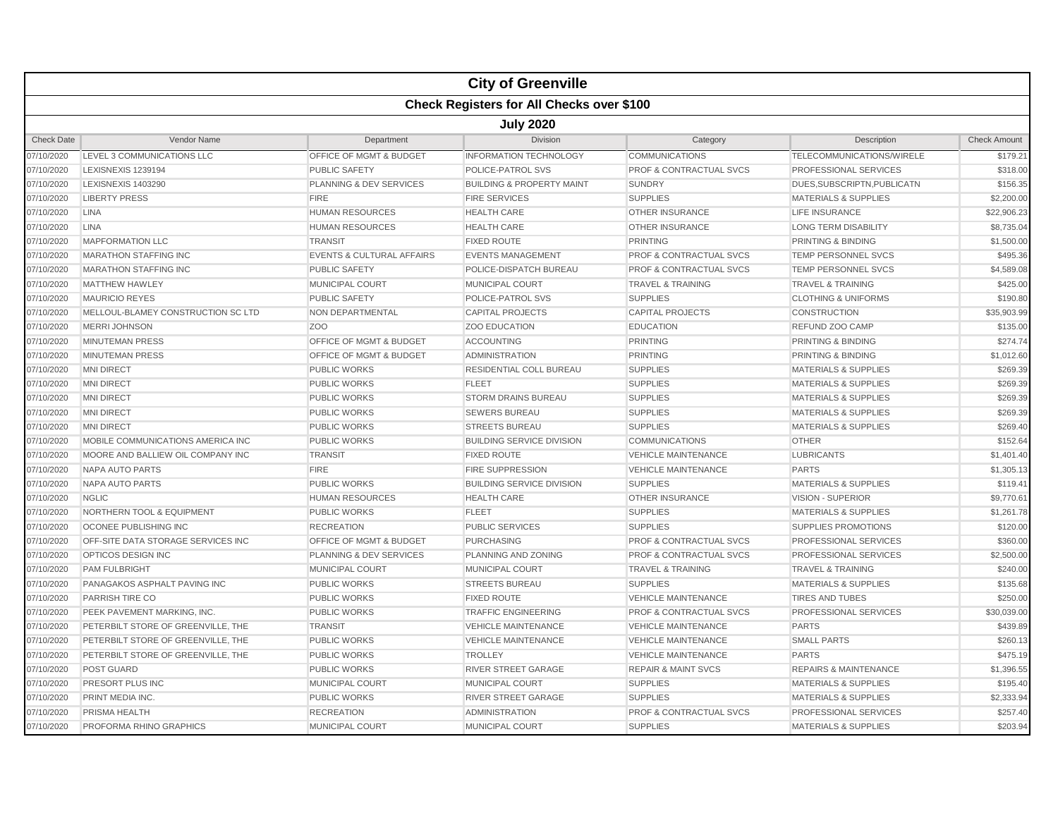|                   |                                                  |                                      | <b>City of Greenville</b>            |                                    |                                  |                     |  |  |  |
|-------------------|--------------------------------------------------|--------------------------------------|--------------------------------------|------------------------------------|----------------------------------|---------------------|--|--|--|
|                   | <b>Check Registers for All Checks over \$100</b> |                                      |                                      |                                    |                                  |                     |  |  |  |
|                   | <b>July 2020</b>                                 |                                      |                                      |                                    |                                  |                     |  |  |  |
| <b>Check Date</b> | Vendor Name                                      | Department                           | <b>Division</b>                      | Category                           | Description                      | <b>Check Amount</b> |  |  |  |
| 07/10/2020        | LEVEL 3 COMMUNICATIONS LLC                       | <b>OFFICE OF MGMT &amp; BUDGET</b>   | <b>INFORMATION TECHNOLOGY</b>        | <b>COMMUNICATIONS</b>              | TELECOMMUNICATIONS/WIRELE        | \$179.21            |  |  |  |
| 07/10/2020        | LEXISNEXIS 1239194                               | <b>PUBLIC SAFETY</b>                 | POLICE-PATROL SVS                    | <b>PROF &amp; CONTRACTUAL SVCS</b> | <b>PROFESSIONAL SERVICES</b>     | \$318.00            |  |  |  |
| 07/10/2020        | LEXISNEXIS 1403290                               | PLANNING & DEV SERVICES              | <b>BUILDING &amp; PROPERTY MAINT</b> | <b>SUNDRY</b>                      | DUES, SUBSCRIPTN, PUBLICATN      | \$156.35            |  |  |  |
| 07/10/2020        | <b>LIBERTY PRESS</b>                             | <b>FIRE</b>                          | <b>FIRE SERVICES</b>                 | <b>SUPPLIES</b>                    | <b>MATERIALS &amp; SUPPLIES</b>  | \$2,200.00          |  |  |  |
| 07/10/2020        | <b>LINA</b>                                      | <b>HUMAN RESOURCES</b>               | <b>HEALTH CARE</b>                   | OTHER INSURANCE                    | <b>LIFE INSURANCE</b>            | \$22,906.23         |  |  |  |
| 07/10/2020        | <b>LINA</b>                                      | <b>HUMAN RESOURCES</b>               | <b>HEALTH CARE</b>                   | <b>OTHER INSURANCE</b>             | <b>LONG TERM DISABILITY</b>      | \$8,735.04          |  |  |  |
| 07/10/2020        | <b>MAPFORMATION LLC</b>                          | <b>TRANSIT</b>                       | <b>FIXED ROUTE</b>                   | <b>PRINTING</b>                    | <b>PRINTING &amp; BINDING</b>    | \$1,500.00          |  |  |  |
| 07/10/2020        | <b>MARATHON STAFFING INC</b>                     | <b>EVENTS &amp; CULTURAL AFFAIRS</b> | <b>EVENTS MANAGEMENT</b>             | <b>PROF &amp; CONTRACTUAL SVCS</b> | TEMP PERSONNEL SVCS              | \$495.36            |  |  |  |
| 07/10/2020        | <b>MARATHON STAFFING INC</b>                     | <b>PUBLIC SAFETY</b>                 | POLICE-DISPATCH BUREAU               | <b>PROF &amp; CONTRACTUAL SVCS</b> | <b>TEMP PERSONNEL SVCS</b>       | \$4,589.08          |  |  |  |
| 07/10/2020        | <b>MATTHEW HAWLEY</b>                            | MUNICIPAL COURT                      | MUNICIPAL COURT                      | <b>TRAVEL &amp; TRAINING</b>       | <b>TRAVEL &amp; TRAINING</b>     | \$425.00            |  |  |  |
| 07/10/2020        | <b>MAURICIO REYES</b>                            | <b>PUBLIC SAFETY</b>                 | POLICE-PATROL SVS                    | <b>SUPPLIES</b>                    | <b>CLOTHING &amp; UNIFORMS</b>   | \$190.80            |  |  |  |
| 07/10/2020        | MELLOUL-BLAMEY CONSTRUCTION SC LTD               | NON DEPARTMENTAL                     | <b>CAPITAL PROJECTS</b>              | <b>CAPITAL PROJECTS</b>            | <b>CONSTRUCTION</b>              | \$35,903.99         |  |  |  |
| 07/10/2020        | <b>MERRI JOHNSON</b>                             | Z <sub>OO</sub>                      | <b>ZOO EDUCATION</b>                 | <b>EDUCATION</b>                   | REFUND ZOO CAMP                  | \$135.00            |  |  |  |
| 07/10/2020        | <b>MINUTEMAN PRESS</b>                           | <b>OFFICE OF MGMT &amp; BUDGET</b>   | <b>ACCOUNTING</b>                    | <b>PRINTING</b>                    | <b>PRINTING &amp; BINDING</b>    | \$274.74            |  |  |  |
| 07/10/2020        | <b>MINUTEMAN PRESS</b>                           | OFFICE OF MGMT & BUDGET              | <b>ADMINISTRATION</b>                | <b>PRINTING</b>                    | PRINTING & BINDING               | \$1,012.60          |  |  |  |
| 07/10/2020        | <b>MNI DIRECT</b>                                | <b>PUBLIC WORKS</b>                  | RESIDENTIAL COLL BUREAU              | <b>SUPPLIES</b>                    | <b>MATERIALS &amp; SUPPLIES</b>  | \$269.39            |  |  |  |
| 07/10/2020        | <b>MNI DIRECT</b>                                | <b>PUBLIC WORKS</b>                  | <b>FLEET</b>                         | <b>SUPPLIES</b>                    | <b>MATERIALS &amp; SUPPLIES</b>  | \$269.39            |  |  |  |
| 07/10/2020        | <b>MNI DIRECT</b>                                | <b>PUBLIC WORKS</b>                  | <b>STORM DRAINS BUREAU</b>           | <b>SUPPLIES</b>                    | <b>MATERIALS &amp; SUPPLIES</b>  | \$269.39            |  |  |  |
| 07/10/2020        | <b>MNI DIRECT</b>                                | <b>PUBLIC WORKS</b>                  | <b>SEWERS BUREAU</b>                 | <b>SUPPLIES</b>                    | <b>MATERIALS &amp; SUPPLIES</b>  | \$269.39            |  |  |  |
| 07/10/2020        | <b>MNI DIRECT</b>                                | <b>PUBLIC WORKS</b>                  | <b>STREETS BUREAU</b>                | <b>SUPPLIES</b>                    | <b>MATERIALS &amp; SUPPLIES</b>  | \$269.40            |  |  |  |
| 07/10/2020        | MOBILE COMMUNICATIONS AMERICA INC                | <b>PUBLIC WORKS</b>                  | <b>BUILDING SERVICE DIVISION</b>     | <b>COMMUNICATIONS</b>              | <b>OTHER</b>                     | \$152.64            |  |  |  |
| 07/10/2020        | MOORE AND BALLIEW OIL COMPANY INC                | <b>TRANSIT</b>                       | <b>FIXED ROUTE</b>                   | <b>VEHICLE MAINTENANCE</b>         | <b>LUBRICANTS</b>                | \$1,401.40          |  |  |  |
| 07/10/2020        | <b>NAPA AUTO PARTS</b>                           | <b>FIRE</b>                          | <b>FIRE SUPPRESSION</b>              | <b>VEHICLE MAINTENANCE</b>         | <b>PARTS</b>                     | \$1,305.13          |  |  |  |
| 07/10/2020        | <b>NAPA AUTO PARTS</b>                           | <b>PUBLIC WORKS</b>                  | <b>BUILDING SERVICE DIVISION</b>     | <b>SUPPLIES</b>                    | <b>MATERIALS &amp; SUPPLIES</b>  | \$119.41            |  |  |  |
| 07/10/2020        | <b>NGLIC</b>                                     | <b>HUMAN RESOURCES</b>               | <b>HEALTH CARE</b>                   | <b>OTHER INSURANCE</b>             | <b>VISION - SUPERIOR</b>         | \$9,770.61          |  |  |  |
| 07/10/2020        | <b>NORTHERN TOOL &amp; EQUIPMENT</b>             | <b>PUBLIC WORKS</b>                  | <b>FLEET</b>                         | <b>SUPPLIES</b>                    | <b>MATERIALS &amp; SUPPLIES</b>  | \$1,261.78          |  |  |  |
| 07/10/2020        | OCONEE PUBLISHING INC                            | <b>RECREATION</b>                    | <b>PUBLIC SERVICES</b>               | <b>SUPPLIES</b>                    | <b>SUPPLIES PROMOTIONS</b>       | \$120.00            |  |  |  |
| 07/10/2020        | OFF-SITE DATA STORAGE SERVICES INC               | <b>OFFICE OF MGMT &amp; BUDGET</b>   | <b>PURCHASING</b>                    | <b>PROF &amp; CONTRACTUAL SVCS</b> | <b>PROFESSIONAL SERVICES</b>     | \$360.00            |  |  |  |
| 07/10/2020        | OPTICOS DESIGN INC                               | PLANNING & DEV SERVICES              | PLANNING AND ZONING                  | <b>PROF &amp; CONTRACTUAL SVCS</b> | <b>PROFESSIONAL SERVICES</b>     | \$2,500.00          |  |  |  |
| 07/10/2020        | <b>PAM FULBRIGHT</b>                             | <b>MUNICIPAL COURT</b>               | <b>MUNICIPAL COURT</b>               | <b>TRAVEL &amp; TRAINING</b>       | <b>TRAVEL &amp; TRAINING</b>     | \$240.00            |  |  |  |
| 07/10/2020        | PANAGAKOS ASPHALT PAVING INC                     | <b>PUBLIC WORKS</b>                  | <b>STREETS BUREAU</b>                | <b>SUPPLIES</b>                    | <b>MATERIALS &amp; SUPPLIES</b>  | \$135.68            |  |  |  |
| 07/10/2020        | PARRISH TIRE CO                                  | <b>PUBLIC WORKS</b>                  | <b>FIXED ROUTE</b>                   | <b>VEHICLE MAINTENANCE</b>         | <b>TIRES AND TUBES</b>           | \$250.00            |  |  |  |
| 07/10/2020        | PEEK PAVEMENT MARKING. INC.                      | PUBLIC WORKS                         | <b>TRAFFIC ENGINEERING</b>           | <b>PROF &amp; CONTRACTUAL SVCS</b> | PROFESSIONAL SERVICES            | \$30,039.00         |  |  |  |
| 07/10/2020        | PETERBILT STORE OF GREENVILLE. THE               | <b>TRANSIT</b>                       | <b>VEHICLE MAINTENANCE</b>           | <b>VEHICLE MAINTENANCE</b>         | <b>PARTS</b>                     | \$439.89            |  |  |  |
| 07/10/2020        | PETERBILT STORE OF GREENVILLE, THE               | <b>PUBLIC WORKS</b>                  | <b>VEHICLE MAINTENANCE</b>           | <b>VEHICLE MAINTENANCE</b>         | <b>SMALL PARTS</b>               | \$260.13            |  |  |  |
| 07/10/2020        | PETERBILT STORE OF GREENVILLE. THE               | <b>PUBLIC WORKS</b>                  | <b>TROLLEY</b>                       | <b>VEHICLE MAINTENANCE</b>         | <b>PARTS</b>                     | \$475.19            |  |  |  |
| 07/10/2020        | POST GUARD                                       | <b>PUBLIC WORKS</b>                  | <b>RIVER STREET GARAGE</b>           | <b>REPAIR &amp; MAINT SVCS</b>     | <b>REPAIRS &amp; MAINTENANCE</b> | \$1,396.55          |  |  |  |
| 07/10/2020        | PRESORT PLUS INC                                 | MUNICIPAL COURT                      | MUNICIPAL COURT                      | <b>SUPPLIES</b>                    | <b>MATERIALS &amp; SUPPLIES</b>  | \$195.40            |  |  |  |
| 07/10/2020        | PRINT MEDIA INC                                  | <b>PUBLIC WORKS</b>                  | <b>RIVER STREET GARAGE</b>           | <b>SUPPLIES</b>                    | <b>MATERIALS &amp; SUPPLIES</b>  | \$2,333.94          |  |  |  |
| 07/10/2020        | PRISMA HEALTH                                    | <b>RECREATION</b>                    | <b>ADMINISTRATION</b>                | <b>PROF &amp; CONTRACTUAL SVCS</b> | PROFESSIONAL SERVICES            | \$257.40            |  |  |  |
| 07/10/2020        | PROFORMA RHINO GRAPHICS                          | <b>MUNICIPAL COURT</b>               | <b>MUNICIPAL COURT</b>               | <b>SUPPLIES</b>                    | <b>MATERIALS &amp; SUPPLIES</b>  | \$203.94            |  |  |  |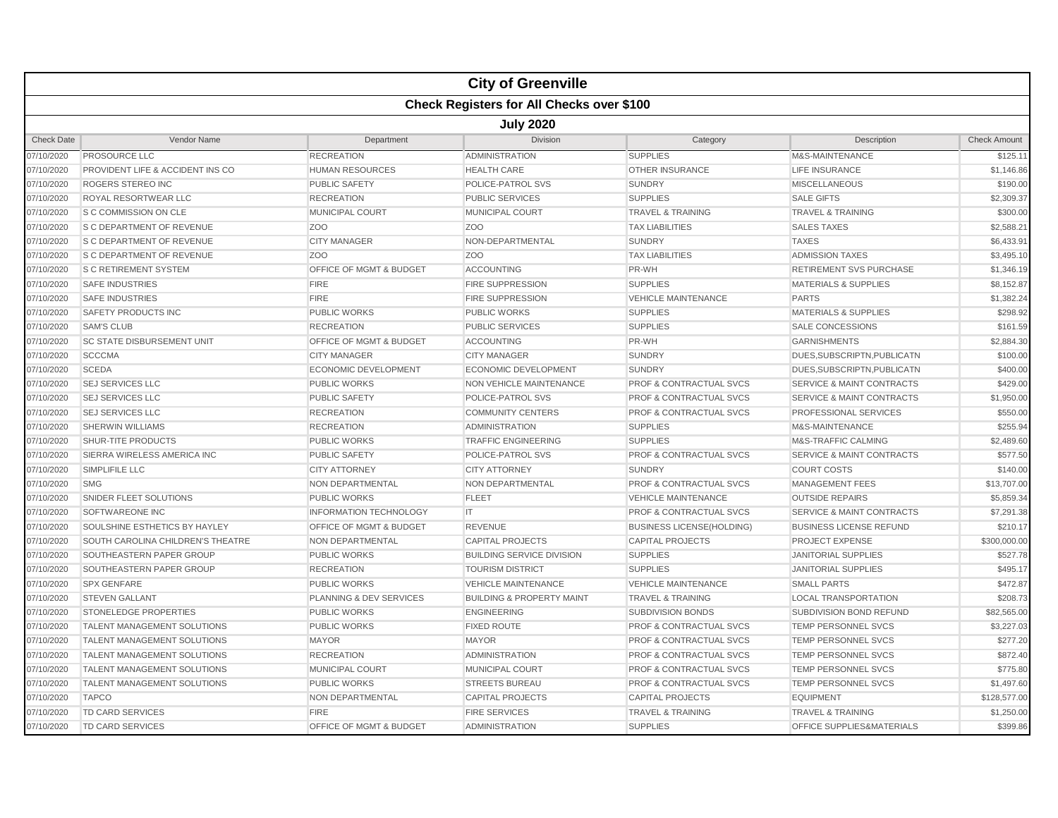|                   |                                                  |                                    | <b>City of Greenville</b>            |                                    |                                      |                     |  |  |  |
|-------------------|--------------------------------------------------|------------------------------------|--------------------------------------|------------------------------------|--------------------------------------|---------------------|--|--|--|
|                   | <b>Check Registers for All Checks over \$100</b> |                                    |                                      |                                    |                                      |                     |  |  |  |
|                   | <b>July 2020</b>                                 |                                    |                                      |                                    |                                      |                     |  |  |  |
| <b>Check Date</b> | Vendor Name                                      | Department                         | <b>Division</b>                      | Category                           | Description                          | <b>Check Amount</b> |  |  |  |
| 07/10/2020        | <b>PROSOURCE LLC</b>                             | <b>RECREATION</b>                  | <b>ADMINISTRATION</b>                | <b>SUPPLIES</b>                    | M&S-MAINTENANCE                      | \$125.11            |  |  |  |
| 07/10/2020        | PROVIDENT LIFE & ACCIDENT INS CO                 | <b>HUMAN RESOURCES</b>             | <b>HEALTH CARE</b>                   | <b>OTHER INSURANCE</b>             | <b>LIFE INSURANCE</b>                | \$1,146.86          |  |  |  |
| 07/10/2020        | ROGERS STEREO INC                                | <b>PUBLIC SAFETY</b>               | POLICE-PATROL SVS                    | <b>SUNDRY</b>                      | <b>MISCELLANEOUS</b>                 | \$190.00            |  |  |  |
| 07/10/2020        | ROYAL RESORTWEAR LLC                             | <b>RECREATION</b>                  | <b>PUBLIC SERVICES</b>               | <b>SUPPLIES</b>                    | <b>SALE GIFTS</b>                    | \$2,309.37          |  |  |  |
| 07/10/2020        | S C COMMISSION ON CLE                            | MUNICIPAL COURT                    | MUNICIPAL COURT                      | <b>TRAVEL &amp; TRAINING</b>       | <b>TRAVEL &amp; TRAINING</b>         | \$300.00            |  |  |  |
| 07/10/2020        | S C DEPARTMENT OF REVENUE                        | Z <sub>O</sub> O                   | Z <sub>OO</sub>                      | <b>TAX LIABILITIES</b>             | <b>SALES TAXES</b>                   | \$2,588.21          |  |  |  |
| 07/10/2020        | <b>S C DEPARTMENT OF REVENUE</b>                 | <b>CITY MANAGER</b>                | NON-DEPARTMENTAL                     | <b>SUNDRY</b>                      | <b>TAXES</b>                         | \$6,433.91          |  |  |  |
| 07/10/2020        | <b>S C DEPARTMENT OF REVENUE</b>                 | Z <sub>OO</sub>                    | Z <sub>OO</sub>                      | <b>TAX LIABILITIES</b>             | <b>ADMISSION TAXES</b>               | \$3,495.10          |  |  |  |
| 07/10/2020        | <b>S C RETIREMENT SYSTEM</b>                     | <b>OFFICE OF MGMT &amp; BUDGET</b> | <b>ACCOUNTING</b>                    | PR-WH                              | <b>RETIREMENT SVS PURCHASE</b>       | \$1,346.19          |  |  |  |
| 07/10/2020        | <b>SAFE INDUSTRIES</b>                           | <b>FIRE</b>                        | <b>FIRE SUPPRESSION</b>              | <b>SUPPLIES</b>                    | <b>MATERIALS &amp; SUPPLIES</b>      | \$8,152.87          |  |  |  |
| 07/10/2020        | <b>SAFE INDUSTRIES</b>                           | <b>FIRE</b>                        | <b>FIRE SUPPRESSION</b>              | <b>VEHICLE MAINTENANCE</b>         | <b>PARTS</b>                         | \$1,382.24          |  |  |  |
| 07/10/2020        | SAFETY PRODUCTS INC                              | <b>PUBLIC WORKS</b>                | <b>PUBLIC WORKS</b>                  | <b>SUPPLIES</b>                    | <b>MATERIALS &amp; SUPPLIES</b>      | \$298.92            |  |  |  |
| 07/10/2020        | <b>SAM'S CLUB</b>                                | <b>RECREATION</b>                  | <b>PUBLIC SERVICES</b>               | <b>SUPPLIES</b>                    | <b>SALE CONCESSIONS</b>              | \$161.59            |  |  |  |
| 07/10/2020        | <b>SC STATE DISBURSEMENT UNIT</b>                | OFFICE OF MGMT & BUDGET            | <b>ACCOUNTING</b>                    | PR-WH                              | <b>GARNISHMENTS</b>                  | \$2,884.30          |  |  |  |
| 07/10/2020        | <b>SCCCMA</b>                                    | <b>CITY MANAGER</b>                | <b>CITY MANAGER</b>                  | <b>SUNDRY</b>                      | DUES, SUBSCRIPTN, PUBLICATN          | \$100.00            |  |  |  |
| 07/10/2020        | <b>SCEDA</b>                                     | <b>ECONOMIC DEVELOPMENT</b>        | <b>ECONOMIC DEVELOPMENT</b>          | <b>SUNDRY</b>                      | DUES, SUBSCRIPTN, PUBLICATN          | \$400.00            |  |  |  |
| 07/10/2020        | <b>SEJ SERVICES LLC</b>                          | <b>PUBLIC WORKS</b>                | <b>NON VEHICLE MAINTENANCE</b>       | PROF & CONTRACTUAL SVCS            | <b>SERVICE &amp; MAINT CONTRACTS</b> | \$429.00            |  |  |  |
| 07/10/2020        | <b>SEJ SERVICES LLC</b>                          | <b>PUBLIC SAFETY</b>               | POLICE-PATROL SVS                    | PROF & CONTRACTUAL SVCS            | <b>SERVICE &amp; MAINT CONTRACTS</b> | \$1,950.00          |  |  |  |
| 07/10/2020        | <b>SEJ SERVICES LLC</b>                          | <b>RECREATION</b>                  | <b>COMMUNITY CENTERS</b>             | <b>PROF &amp; CONTRACTUAL SVCS</b> | <b>PROFESSIONAL SERVICES</b>         | \$550.00            |  |  |  |
| 07/10/2020        | <b>SHERWIN WILLIAMS</b>                          | <b>RECREATION</b>                  | <b>ADMINISTRATION</b>                | <b>SUPPLIES</b>                    | M&S-MAINTENANCE                      | \$255.94            |  |  |  |
| 07/10/2020        | SHUR-TITE PRODUCTS                               | <b>PUBLIC WORKS</b>                | <b>TRAFFIC ENGINEERING</b>           | <b>SUPPLIES</b>                    | M&S-TRAFFIC CALMING                  | \$2,489.60          |  |  |  |
| 07/10/2020        | SIERRA WIRELESS AMERICA INC                      | <b>PUBLIC SAFETY</b>               | POLICE-PATROL SVS                    | PROF & CONTRACTUAL SVCS            | <b>SERVICE &amp; MAINT CONTRACTS</b> | \$577.50            |  |  |  |
| 07/10/2020        | SIMPLIFILE LLC                                   | <b>CITY ATTORNEY</b>               | <b>CITY ATTORNEY</b>                 | <b>SUNDRY</b>                      | <b>COURT COSTS</b>                   | \$140.00            |  |  |  |
| 07/10/2020        | <b>SMG</b>                                       | <b>NON DEPARTMENTAL</b>            | <b>NON DEPARTMENTAL</b>              | <b>PROF &amp; CONTRACTUAL SVCS</b> | <b>MANAGEMENT FEES</b>               | \$13,707.00         |  |  |  |
| 07/10/2020        | SNIDER FLEET SOLUTIONS                           | <b>PUBLIC WORKS</b>                | <b>FLEET</b>                         | <b>VEHICLE MAINTENANCE</b>         | <b>OUTSIDE REPAIRS</b>               | \$5,859.34          |  |  |  |
| 07/10/2020        | SOFTWAREONE INC                                  | <b>INFORMATION TECHNOLOGY</b>      | IT.                                  | <b>PROF &amp; CONTRACTUAL SVCS</b> | <b>SERVICE &amp; MAINT CONTRACTS</b> | \$7,291.38          |  |  |  |
| 07/10/2020        | SOULSHINE ESTHETICS BY HAYLEY                    | OFFICE OF MGMT & BUDGET            | <b>REVENUE</b>                       | <b>BUSINESS LICENSE(HOLDING)</b>   | <b>BUSINESS LICENSE REFUND</b>       | \$210.17            |  |  |  |
| 07/10/2020        | SOUTH CAROLINA CHILDREN'S THEATRE                | <b>NON DEPARTMENTAL</b>            | <b>CAPITAL PROJECTS</b>              | <b>CAPITAL PROJECTS</b>            | <b>PROJECT EXPENSE</b>               | \$300,000.00        |  |  |  |
| 07/10/2020        | SOUTHEASTERN PAPER GROUP                         | <b>PUBLIC WORKS</b>                | <b>BUILDING SERVICE DIVISION</b>     | <b>SUPPLIES</b>                    | <b>JANITORIAL SUPPLIES</b>           | \$527.78            |  |  |  |
| 07/10/2020        | SOUTHEASTERN PAPER GROUP                         | <b>RECREATION</b>                  | <b>TOURISM DISTRICT</b>              | <b>SUPPLIES</b>                    | <b>JANITORIAL SUPPLIES</b>           | \$495.17            |  |  |  |
| 07/10/2020        | <b>SPX GENFARE</b>                               | <b>PUBLIC WORKS</b>                | <b>VEHICLE MAINTENANCE</b>           | <b>VEHICLE MAINTENANCE</b>         | <b>SMALL PARTS</b>                   | \$472.87            |  |  |  |
| 07/10/2020        | <b>STEVEN GALLANT</b>                            | PLANNING & DEV SERVICES            | <b>BUILDING &amp; PROPERTY MAINT</b> | <b>TRAVEL &amp; TRAINING</b>       | <b>LOCAL TRANSPORTATION</b>          | \$208.73            |  |  |  |
| 07/10/2020        | STONELEDGE PROPERTIES                            | <b>PUBLIC WORKS</b>                | <b>ENGINEERING</b>                   | <b>SUBDIVISION BONDS</b>           | SUBDIVISION BOND REFUND              | \$82,565.00         |  |  |  |
| 07/10/2020        | <b>TALENT MANAGEMENT SOLUTIONS</b>               | <b>PUBLIC WORKS</b>                | <b>FIXED ROUTE</b>                   | <b>PROF &amp; CONTRACTUAL SVCS</b> | <b>TEMP PERSONNEL SVCS</b>           | \$3,227.03          |  |  |  |
| 07/10/2020        | <b>TALENT MANAGEMENT SOLUTIONS</b>               | <b>MAYOR</b>                       | <b>MAYOR</b>                         | <b>PROF &amp; CONTRACTUAL SVCS</b> | <b>TEMP PERSONNEL SVCS</b>           | \$277.20            |  |  |  |
| 07/10/2020        | <b>TALENT MANAGEMENT SOLUTIONS</b>               | <b>RECREATION</b>                  | <b>ADMINISTRATION</b>                | <b>PROF &amp; CONTRACTUAL SVCS</b> | <b>TEMP PERSONNEL SVCS</b>           | \$872.40            |  |  |  |
| 07/10/2020        | <b>TALENT MANAGEMENT SOLUTIONS</b>               | MUNICIPAL COURT                    | <b>MUNICIPAL COURT</b>               | <b>PROF &amp; CONTRACTUAL SVCS</b> | <b>TEMP PERSONNEL SVCS</b>           | \$775.80            |  |  |  |
| 07/10/2020        | <b>TALENT MANAGEMENT SOLUTIONS</b>               | <b>PUBLIC WORKS</b>                | <b>STREETS BUREAU</b>                | <b>PROF &amp; CONTRACTUAL SVCS</b> | <b>TEMP PERSONNEL SVCS</b>           | \$1,497.60          |  |  |  |
| 07/10/2020        | <b>TAPCO</b>                                     | NON DEPARTMENTAL                   | <b>CAPITAL PROJECTS</b>              | <b>CAPITAL PROJECTS</b>            | <b>EQUIPMENT</b>                     | \$128,577.00        |  |  |  |
| 07/10/2020        | TD CARD SERVICES                                 | <b>FIRE</b>                        | <b>FIRE SERVICES</b>                 | <b>TRAVEL &amp; TRAINING</b>       | <b>TRAVEL &amp; TRAINING</b>         | \$1,250.00          |  |  |  |
| 07/10/2020        | <b>TD CARD SERVICES</b>                          | OFFICE OF MGMT & BUDGET            | <b>ADMINISTRATION</b>                | <b>SUPPLIES</b>                    | OFFICE SUPPLIES&MATERIALS            | \$399.86            |  |  |  |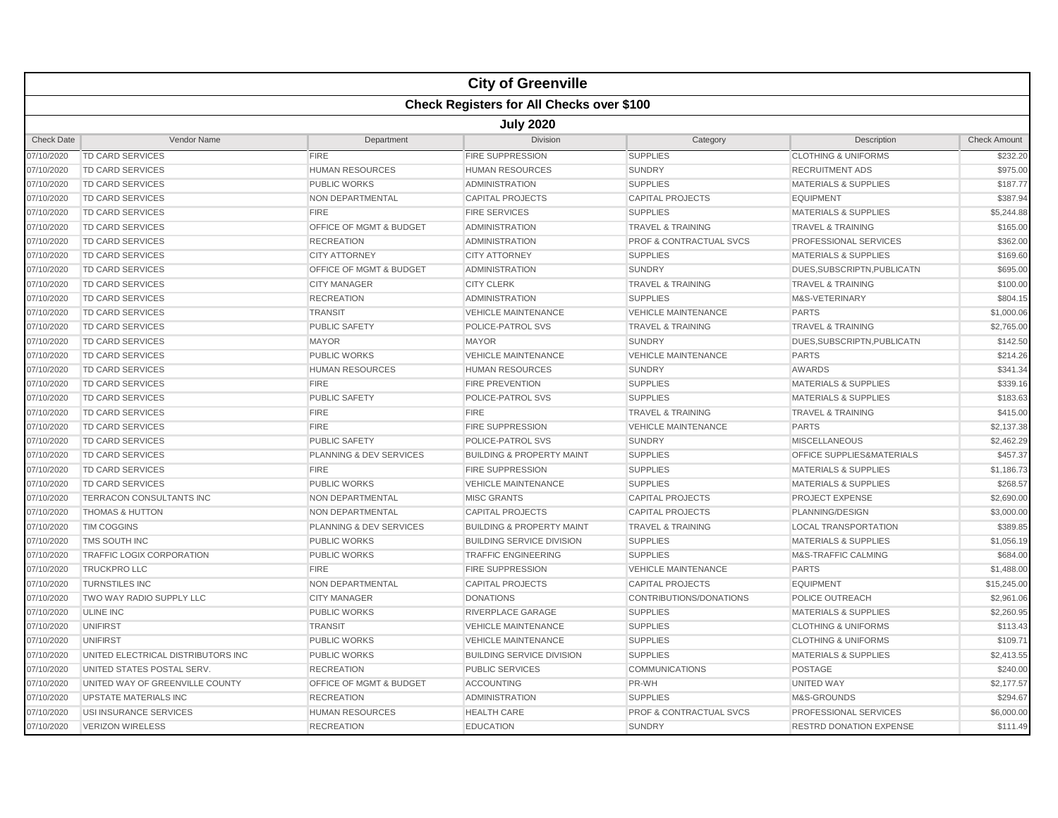|                   |                                    |                         | <b>City of Greenville</b>                        |                                    |                                 |                     |  |  |  |
|-------------------|------------------------------------|-------------------------|--------------------------------------------------|------------------------------------|---------------------------------|---------------------|--|--|--|
|                   |                                    |                         | <b>Check Registers for All Checks over \$100</b> |                                    |                                 |                     |  |  |  |
|                   | <b>July 2020</b>                   |                         |                                                  |                                    |                                 |                     |  |  |  |
| <b>Check Date</b> | Vendor Name                        | Department              | <b>Division</b>                                  | Category                           | Description                     | <b>Check Amount</b> |  |  |  |
| 07/10/2020        | TD CARD SERVICES                   | <b>FIRE</b>             | <b>FIRE SUPPRESSION</b>                          | <b>SUPPLIES</b>                    | <b>CLOTHING &amp; UNIFORMS</b>  | \$232.20            |  |  |  |
| 07/10/2020        | <b>TD CARD SERVICES</b>            | <b>HUMAN RESOURCES</b>  | <b>HUMAN RESOURCES</b>                           | <b>SUNDRY</b>                      | <b>RECRUITMENT ADS</b>          | \$975.00            |  |  |  |
| 07/10/2020        | <b>TD CARD SERVICES</b>            | <b>PUBLIC WORKS</b>     | <b>ADMINISTRATION</b>                            | <b>SUPPLIES</b>                    | <b>MATERIALS &amp; SUPPLIES</b> | \$187.77            |  |  |  |
| 07/10/2020        | <b>TD CARD SERVICES</b>            | NON DEPARTMENTAL        | <b>CAPITAL PROJECTS</b>                          | <b>CAPITAL PROJECTS</b>            | <b>EQUIPMENT</b>                | \$387.94            |  |  |  |
| 07/10/2020        | TD CARD SERVICES                   | <b>FIRE</b>             | <b>FIRE SERVICES</b>                             | <b>SUPPLIES</b>                    | <b>MATERIALS &amp; SUPPLIES</b> | \$5,244.88          |  |  |  |
| 07/10/2020        | <b>TD CARD SERVICES</b>            | OFFICE OF MGMT & BUDGET | <b>ADMINISTRATION</b>                            | <b>TRAVEL &amp; TRAINING</b>       | <b>TRAVEL &amp; TRAINING</b>    | \$165.00            |  |  |  |
| 07/10/2020        | <b>TD CARD SERVICES</b>            | <b>RECREATION</b>       | <b>ADMINISTRATION</b>                            | <b>PROF &amp; CONTRACTUAL SVCS</b> | PROFESSIONAL SERVICES           | \$362.00            |  |  |  |
| 07/10/2020        | <b>TD CARD SERVICES</b>            | <b>CITY ATTORNEY</b>    | <b>CITY ATTORNEY</b>                             | <b>SUPPLIES</b>                    | <b>MATERIALS &amp; SUPPLIES</b> | \$169.60            |  |  |  |
| 07/10/2020        | <b>TD CARD SERVICES</b>            | OFFICE OF MGMT & BUDGET | <b>ADMINISTRATION</b>                            | <b>SUNDRY</b>                      | DUES, SUBSCRIPTN, PUBLICATN     | \$695.00            |  |  |  |
| 07/10/2020        | <b>TD CARD SERVICES</b>            | <b>CITY MANAGER</b>     | <b>CITY CLERK</b>                                | <b>TRAVEL &amp; TRAINING</b>       | <b>TRAVEL &amp; TRAINING</b>    | \$100.00            |  |  |  |
| 07/10/2020        | <b>TD CARD SERVICES</b>            | <b>RECREATION</b>       | <b>ADMINISTRATION</b>                            | <b>SUPPLIES</b>                    | M&S-VETERINARY                  | \$804.15            |  |  |  |
| 07/10/2020        | <b>TD CARD SERVICES</b>            | <b>TRANSIT</b>          | <b>VEHICLE MAINTENANCE</b>                       | <b>VEHICLE MAINTENANCE</b>         | <b>PARTS</b>                    | \$1,000.06          |  |  |  |
| 07/10/2020        | <b>TD CARD SERVICES</b>            | PUBLIC SAFETY           | POLICE-PATROL SVS                                | <b>TRAVEL &amp; TRAINING</b>       | <b>TRAVEL &amp; TRAINING</b>    | \$2,765.00          |  |  |  |
| 07/10/2020        | <b>TD CARD SERVICES</b>            | <b>MAYOR</b>            | <b>MAYOR</b>                                     | <b>SUNDRY</b>                      | DUES, SUBSCRIPTN, PUBLICATN     | \$142.50            |  |  |  |
| 07/10/2020        | <b>TD CARD SERVICES</b>            | <b>PUBLIC WORKS</b>     | <b>VEHICLE MAINTENANCE</b>                       | <b>VEHICLE MAINTENANCE</b>         | <b>PARTS</b>                    | \$214.26            |  |  |  |
| 07/10/2020        | <b>TD CARD SERVICES</b>            | <b>HUMAN RESOURCES</b>  | <b>HUMAN RESOURCES</b>                           | <b>SUNDRY</b>                      | <b>AWARDS</b>                   | \$341.34            |  |  |  |
| 07/10/2020        | <b>TD CARD SERVICES</b>            | <b>FIRE</b>             | <b>FIRE PREVENTION</b>                           | <b>SUPPLIES</b>                    | <b>MATERIALS &amp; SUPPLIES</b> | \$339.16            |  |  |  |
| 07/10/2020        | TD CARD SERVICES                   | <b>PUBLIC SAFETY</b>    | POLICE-PATROL SVS                                | <b>SUPPLIES</b>                    | <b>MATERIALS &amp; SUPPLIES</b> | \$183.63            |  |  |  |
| 07/10/2020        | <b>TD CARD SERVICES</b>            | <b>FIRE</b>             | <b>FIRE</b>                                      | <b>TRAVEL &amp; TRAINING</b>       | <b>TRAVEL &amp; TRAINING</b>    | \$415.00            |  |  |  |
| 07/10/2020        | <b>TD CARD SERVICES</b>            | <b>FIRE</b>             | <b>FIRE SUPPRESSION</b>                          | <b>VEHICLE MAINTENANCE</b>         | <b>PARTS</b>                    | \$2,137.38          |  |  |  |
| 07/10/2020        | <b>TD CARD SERVICES</b>            | <b>PUBLIC SAFETY</b>    | POLICE-PATROL SVS                                | <b>SUNDRY</b>                      | <b>MISCELLANEOUS</b>            | \$2,462.29          |  |  |  |
| 07/10/2020        | <b>TD CARD SERVICES</b>            | PLANNING & DEV SERVICES | <b>BUILDING &amp; PROPERTY MAINT</b>             | <b>SUPPLIES</b>                    | OFFICE SUPPLIES&MATERIALS       | \$457.37            |  |  |  |
| 07/10/2020        | <b>TD CARD SERVICES</b>            | <b>FIRE</b>             | <b>FIRE SUPPRESSION</b>                          | <b>SUPPLIES</b>                    | <b>MATERIALS &amp; SUPPLIES</b> | \$1,186.73          |  |  |  |
| 07/10/2020        | <b>TD CARD SERVICES</b>            | <b>PUBLIC WORKS</b>     | <b>VEHICLE MAINTENANCE</b>                       | <b>SUPPLIES</b>                    | <b>MATERIALS &amp; SUPPLIES</b> | \$268.57            |  |  |  |
| 07/10/2020        | TERRACON CONSULTANTS INC           | <b>NON DEPARTMENTAL</b> | <b>MISC GRANTS</b>                               | <b>CAPITAL PROJECTS</b>            | <b>PROJECT EXPENSE</b>          | \$2,690.00          |  |  |  |
| 07/10/2020        | <b>THOMAS &amp; HUTTON</b>         | NON DEPARTMENTAL        | <b>CAPITAL PROJECTS</b>                          | <b>CAPITAL PROJECTS</b>            | PLANNING/DESIGN                 | \$3,000.00          |  |  |  |
| 07/10/2020        | <b>TIM COGGINS</b>                 | PLANNING & DEV SERVICES | <b>BUILDING &amp; PROPERTY MAINT</b>             | <b>TRAVEL &amp; TRAINING</b>       | <b>LOCAL TRANSPORTATION</b>     | \$389.85            |  |  |  |
| 07/10/2020        | TMS SOUTH INC                      | <b>PUBLIC WORKS</b>     | <b>BUILDING SERVICE DIVISION</b>                 | <b>SUPPLIES</b>                    | <b>MATERIALS &amp; SUPPLIES</b> | \$1,056.19          |  |  |  |
| 07/10/2020        | TRAFFIC LOGIX CORPORATION          | <b>PUBLIC WORKS</b>     | <b>TRAFFIC ENGINEERING</b>                       | <b>SUPPLIES</b>                    | M&S-TRAFFIC CALMING             | \$684.00            |  |  |  |
| 07/10/2020        | <b>TRUCKPROLLC</b>                 | <b>FIRE</b>             | <b>FIRE SUPPRESSION</b>                          | <b>VEHICLE MAINTENANCE</b>         | <b>PARTS</b>                    | \$1,488.00          |  |  |  |
| 07/10/2020        | <b>TURNSTILES INC</b>              | <b>NON DEPARTMENTAL</b> | <b>CAPITAL PROJECTS</b>                          | <b>CAPITAL PROJECTS</b>            | <b>EQUIPMENT</b>                | \$15,245.00         |  |  |  |
| 07/10/2020        | TWO WAY RADIO SUPPLY LLC           | <b>CITY MANAGER</b>     | <b>DONATIONS</b>                                 | CONTRIBUTIONS/DONATIONS            | POLICE OUTREACH                 | \$2,961.06          |  |  |  |
| 07/10/2020        | <b>ULINE INC</b>                   | <b>PUBLIC WORKS</b>     | RIVERPLACE GARAGE                                | <b>SUPPLIES</b>                    | <b>MATERIALS &amp; SUPPLIES</b> | \$2,260.95          |  |  |  |
| 07/10/2020        | <b>UNIFIRST</b>                    | <b>TRANSIT</b>          | <b>VEHICLE MAINTENANCE</b>                       | <b>SUPPLIES</b>                    | <b>CLOTHING &amp; UNIFORMS</b>  | \$113.43            |  |  |  |
| 07/10/2020        | <b>UNIFIRST</b>                    | <b>PUBLIC WORKS</b>     | <b>VEHICLE MAINTENANCE</b>                       | <b>SUPPLIES</b>                    | <b>CLOTHING &amp; UNIFORMS</b>  | \$109.71            |  |  |  |
| 07/10/2020        | UNITED ELECTRICAL DISTRIBUTORS INC | PUBLIC WORKS            | <b>BUILDING SERVICE DIVISION</b>                 | <b>SUPPLIES</b>                    | <b>MATERIALS &amp; SUPPLIES</b> | \$2,413.55          |  |  |  |
| 07/10/2020        | UNITED STATES POSTAL SERV.         | <b>RECREATION</b>       | <b>PUBLIC SERVICES</b>                           | COMMUNICATIONS                     | <b>POSTAGE</b>                  | \$240.00            |  |  |  |
| 07/10/2020        | UNITED WAY OF GREENVILLE COUNTY    | OFFICE OF MGMT & BUDGET | <b>ACCOUNTING</b>                                | PR-WH                              | UNITED WAY                      | \$2,177.57          |  |  |  |
| 07/10/2020        | <b>UPSTATE MATERIALS INC</b>       | <b>RECREATION</b>       | <b>ADMINISTRATION</b>                            | <b>SUPPLIES</b>                    | M&S-GROUNDS                     | \$294.67            |  |  |  |
| 07/10/2020        | USI INSURANCE SERVICES             | <b>HUMAN RESOURCES</b>  | <b>HEALTH CARE</b>                               | <b>PROF &amp; CONTRACTUAL SVCS</b> | <b>PROFESSIONAL SERVICES</b>    | \$6,000.00          |  |  |  |
| 07/10/2020        | <b>VERIZON WIRELESS</b>            | <b>RECREATION</b>       | <b>EDUCATION</b>                                 | <b>SUNDRY</b>                      | <b>RESTRD DONATION EXPENSE</b>  | \$111.49            |  |  |  |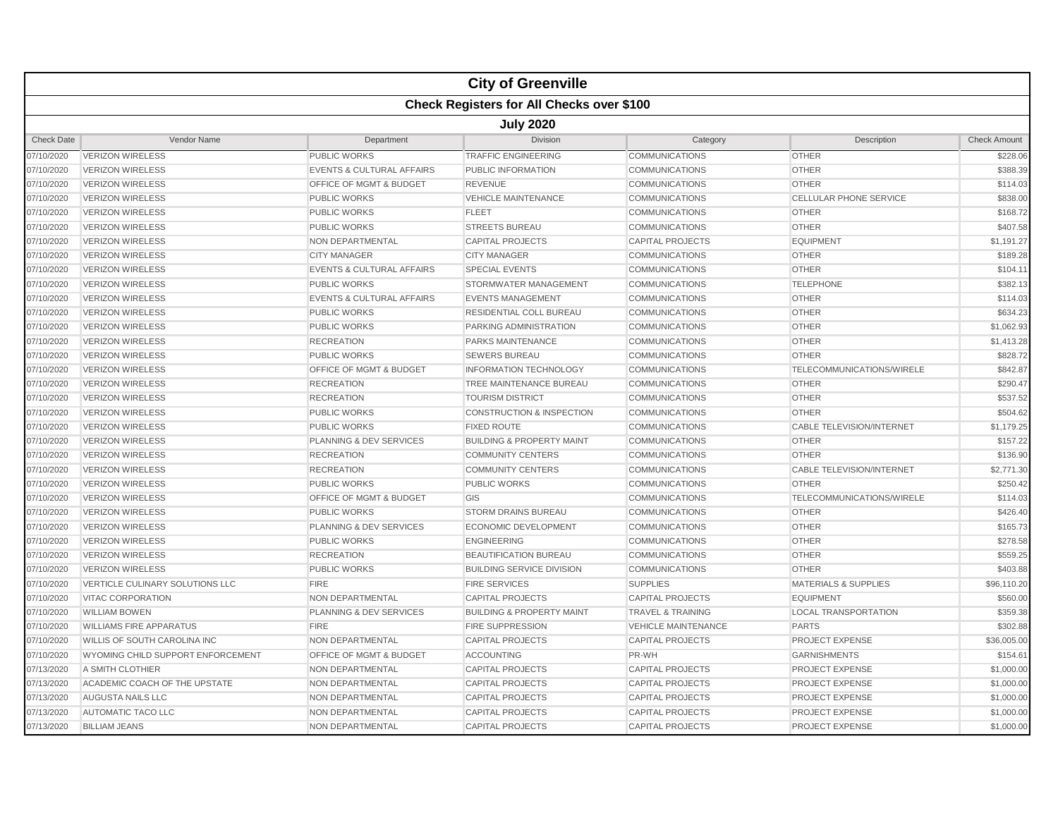|                   |                                                  |                                      | <b>City of Greenville</b>            |                              |                                  |                     |  |  |  |
|-------------------|--------------------------------------------------|--------------------------------------|--------------------------------------|------------------------------|----------------------------------|---------------------|--|--|--|
|                   | <b>Check Registers for All Checks over \$100</b> |                                      |                                      |                              |                                  |                     |  |  |  |
|                   | <b>July 2020</b>                                 |                                      |                                      |                              |                                  |                     |  |  |  |
| <b>Check Date</b> | Vendor Name                                      | Department                           | <b>Division</b>                      | Category                     | Description                      | <b>Check Amount</b> |  |  |  |
| 07/10/2020        | <b>VERIZON WIRELESS</b>                          | <b>PUBLIC WORKS</b>                  | <b>TRAFFIC ENGINEERING</b>           | <b>COMMUNICATIONS</b>        | <b>OTHER</b>                     | \$228.06            |  |  |  |
| 07/10/2020        | <b>VERIZON WIRELESS</b>                          | <b>EVENTS &amp; CULTURAL AFFAIRS</b> | PUBLIC INFORMATION                   | <b>COMMUNICATIONS</b>        | <b>OTHER</b>                     | \$388.39            |  |  |  |
| 07/10/2020        | <b>VERIZON WIRELESS</b>                          | OFFICE OF MGMT & BUDGET              | <b>REVENUE</b>                       | <b>COMMUNICATIONS</b>        | <b>OTHER</b>                     | \$114.03            |  |  |  |
| 07/10/2020        | <b>VERIZON WIRELESS</b>                          | <b>PUBLIC WORKS</b>                  | <b>VEHICLE MAINTENANCE</b>           | <b>COMMUNICATIONS</b>        | <b>CELLULAR PHONE SERVICE</b>    | \$838.00            |  |  |  |
| 07/10/2020        | <b>VERIZON WIRELESS</b>                          | <b>PUBLIC WORKS</b>                  | <b>FLEET</b>                         | <b>COMMUNICATIONS</b>        | <b>OTHER</b>                     | \$168.72            |  |  |  |
| 07/10/2020        | <b>VERIZON WIRELESS</b>                          | <b>PUBLIC WORKS</b>                  | <b>STREETS BUREAU</b>                | <b>COMMUNICATIONS</b>        | <b>OTHER</b>                     | \$407.58            |  |  |  |
| 07/10/2020        | <b>VERIZON WIRELESS</b>                          | NON DEPARTMENTAL                     | <b>CAPITAL PROJECTS</b>              | <b>CAPITAL PROJECTS</b>      | <b>EQUIPMENT</b>                 | \$1.191.27          |  |  |  |
| 07/10/2020        | <b>VERIZON WIRELESS</b>                          | <b>CITY MANAGER</b>                  | <b>CITY MANAGER</b>                  | <b>COMMUNICATIONS</b>        | <b>OTHER</b>                     | \$189.28            |  |  |  |
| 07/10/2020        | <b>VERIZON WIRELESS</b>                          | <b>EVENTS &amp; CULTURAL AFFAIRS</b> | <b>SPECIAL EVENTS</b>                | <b>COMMUNICATIONS</b>        | <b>OTHER</b>                     | \$104.11            |  |  |  |
| 07/10/2020        | <b>VERIZON WIRELESS</b>                          | <b>PUBLIC WORKS</b>                  | STORMWATER MANAGEMENT                | <b>COMMUNICATIONS</b>        | <b>TELEPHONE</b>                 | \$382.13            |  |  |  |
| 07/10/2020        | <b>VERIZON WIRELESS</b>                          | <b>EVENTS &amp; CULTURAL AFFAIRS</b> | <b>EVENTS MANAGEMENT</b>             | <b>COMMUNICATIONS</b>        | <b>OTHER</b>                     | \$114.03            |  |  |  |
| 07/10/2020        | <b>VERIZON WIRELESS</b>                          | <b>PUBLIC WORKS</b>                  | RESIDENTIAL COLL BUREAU              | <b>COMMUNICATIONS</b>        | <b>OTHER</b>                     | \$634.23            |  |  |  |
| 07/10/2020        | <b>VERIZON WIRELESS</b>                          | <b>PUBLIC WORKS</b>                  | PARKING ADMINISTRATION               | <b>COMMUNICATIONS</b>        | <b>OTHER</b>                     | \$1,062.93          |  |  |  |
| 07/10/2020        | <b>VERIZON WIRELESS</b>                          | <b>RECREATION</b>                    | <b>PARKS MAINTENANCE</b>             | <b>COMMUNICATIONS</b>        | <b>OTHER</b>                     | \$1,413.28          |  |  |  |
| 07/10/2020        | <b>VERIZON WIRELESS</b>                          | <b>PUBLIC WORKS</b>                  | <b>SEWERS BUREAU</b>                 | <b>COMMUNICATIONS</b>        | <b>OTHER</b>                     | \$828.72            |  |  |  |
| 07/10/2020        | <b>VERIZON WIRELESS</b>                          | OFFICE OF MGMT & BUDGET              | <b>INFORMATION TECHNOLOGY</b>        | <b>COMMUNICATIONS</b>        | TELECOMMUNICATIONS/WIRELE        | \$842.87            |  |  |  |
| 07/10/2020        | <b>VERIZON WIRELESS</b>                          | <b>RECREATION</b>                    | <b>TREE MAINTENANCE BUREAU</b>       | <b>COMMUNICATIONS</b>        | <b>OTHER</b>                     | \$290.47            |  |  |  |
| 07/10/2020        | <b>VERIZON WIRELESS</b>                          | <b>RECREATION</b>                    | <b>TOURISM DISTRICT</b>              | <b>COMMUNICATIONS</b>        | <b>OTHER</b>                     | \$537.52            |  |  |  |
| 07/10/2020        | <b>VERIZON WIRELESS</b>                          | <b>PUBLIC WORKS</b>                  | <b>CONSTRUCTION &amp; INSPECTION</b> | <b>COMMUNICATIONS</b>        | <b>OTHER</b>                     | \$504.62            |  |  |  |
| 07/10/2020        | <b>VERIZON WIRELESS</b>                          | <b>PUBLIC WORKS</b>                  | <b>FIXED ROUTE</b>                   | <b>COMMUNICATIONS</b>        | <b>CABLE TELEVISION/INTERNET</b> | \$1,179.25          |  |  |  |
| 07/10/2020        | <b>VERIZON WIRELESS</b>                          | PLANNING & DEV SERVICES              | <b>BUILDING &amp; PROPERTY MAINT</b> | COMMUNICATIONS               | <b>OTHER</b>                     | \$157.22            |  |  |  |
| 07/10/2020        | <b>VERIZON WIRELESS</b>                          | <b>RECREATION</b>                    | <b>COMMUNITY CENTERS</b>             | <b>COMMUNICATIONS</b>        | <b>OTHER</b>                     | \$136.90            |  |  |  |
| 07/10/2020        | <b>VERIZON WIRELESS</b>                          | <b>RECREATION</b>                    | <b>COMMUNITY CENTERS</b>             | <b>COMMUNICATIONS</b>        | <b>CABLE TELEVISION/INTERNET</b> | \$2,771.30          |  |  |  |
| 07/10/2020        | <b>VERIZON WIRELESS</b>                          | <b>PUBLIC WORKS</b>                  | <b>PUBLIC WORKS</b>                  | <b>COMMUNICATIONS</b>        | <b>OTHER</b>                     | \$250.42            |  |  |  |
| 07/10/2020        | <b>VERIZON WIRELESS</b>                          | <b>OFFICE OF MGMT &amp; BUDGET</b>   | GIS                                  | <b>COMMUNICATIONS</b>        | TELECOMMUNICATIONS/WIRELE        | \$114.03            |  |  |  |
| 07/10/2020        | <b>VERIZON WIRELESS</b>                          | <b>PUBLIC WORKS</b>                  | <b>STORM DRAINS BUREAU</b>           | <b>COMMUNICATIONS</b>        | <b>OTHER</b>                     | \$426.40            |  |  |  |
| 07/10/2020        | <b>VERIZON WIRELESS</b>                          | PLANNING & DEV SERVICES              | <b>ECONOMIC DEVELOPMENT</b>          | <b>COMMUNICATIONS</b>        | <b>OTHER</b>                     | \$165.73            |  |  |  |
| 07/10/2020        | <b>VERIZON WIRELESS</b>                          | <b>PUBLIC WORKS</b>                  | <b>ENGINEERING</b>                   | <b>COMMUNICATIONS</b>        | <b>OTHER</b>                     | \$278.58            |  |  |  |
| 07/10/2020        | <b>VERIZON WIRELESS</b>                          | <b>RECREATION</b>                    | <b>BEAUTIFICATION BUREAU</b>         | <b>COMMUNICATIONS</b>        | <b>OTHER</b>                     | \$559.25            |  |  |  |
| 07/10/2020        | <b>VERIZON WIRELESS</b>                          | <b>PUBLIC WORKS</b>                  | <b>BUILDING SERVICE DIVISION</b>     | <b>COMMUNICATIONS</b>        | <b>OTHER</b>                     | \$403.88            |  |  |  |
| 07/10/2020        | VERTICLE CULINARY SOLUTIONS LLC                  | <b>FIRE</b>                          | <b>FIRE SERVICES</b>                 | <b>SUPPLIES</b>              | <b>MATERIALS &amp; SUPPLIES</b>  | \$96,110.20         |  |  |  |
| 07/10/2020        | <b>VITAC CORPORATION</b>                         | <b>NON DEPARTMENTAL</b>              | <b>CAPITAL PROJECTS</b>              | <b>CAPITAL PROJECTS</b>      | <b>EQUIPMENT</b>                 | \$560.00            |  |  |  |
| 07/10/2020        | <b>WILLIAM BOWEN</b>                             | PLANNING & DEV SERVICES              | <b>BUILDING &amp; PROPERTY MAINT</b> | <b>TRAVEL &amp; TRAINING</b> | <b>LOCAL TRANSPORTATION</b>      | \$359.38            |  |  |  |
| 07/10/2020        | <b>WILLIAMS FIRE APPARATUS</b>                   | <b>FIRE</b>                          | <b>FIRE SUPPRESSION</b>              | <b>VEHICLE MAINTENANCE</b>   | <b>PARTS</b>                     | \$302.88            |  |  |  |
| 07/10/2020        | WILLIS OF SOUTH CAROLINA INC                     | <b>NON DEPARTMENTAL</b>              | <b>CAPITAL PROJECTS</b>              | <b>CAPITAL PROJECTS</b>      | PROJECT EXPENSE                  | \$36,005.00         |  |  |  |
| 07/10/2020        | WYOMING CHILD SUPPORT ENFORCEMENT                | OFFICE OF MGMT & BUDGET              | <b>ACCOUNTING</b>                    | PR-WH                        | <b>GARNISHMENTS</b>              | \$154.61            |  |  |  |
| 07/13/2020        | A SMITH CLOTHIER                                 | <b>NON DEPARTMENTAL</b>              | <b>CAPITAL PROJECTS</b>              | <b>CAPITAL PROJECTS</b>      | <b>PROJECT EXPENSE</b>           | \$1,000.00          |  |  |  |
| 07/13/2020        | ACADEMIC COACH OF THE UPSTATE                    | NON DEPARTMENTAL                     | <b>CAPITAL PROJECTS</b>              | <b>CAPITAL PROJECTS</b>      | <b>PROJECT EXPENSE</b>           | \$1,000.00          |  |  |  |
| 07/13/2020        | <b>AUGUSTA NAILS LLC</b>                         | NON DEPARTMENTAL                     | <b>CAPITAL PROJECTS</b>              | CAPITAL PROJECTS             | PROJECT EXPENSE                  | \$1,000.00          |  |  |  |
| 07/13/2020        | AUTOMATIC TACO LLC                               | <b>NON DEPARTMENTAL</b>              | <b>CAPITAL PROJECTS</b>              | <b>CAPITAL PROJECTS</b>      | <b>PROJECT EXPENSE</b>           | \$1,000.00          |  |  |  |
| 07/13/2020        | <b>BILLIAM JEANS</b>                             | <b>NON DEPARTMENTAL</b>              | <b>CAPITAL PROJECTS</b>              | <b>CAPITAL PROJECTS</b>      | <b>PROJECT EXPENSE</b>           | \$1,000.00          |  |  |  |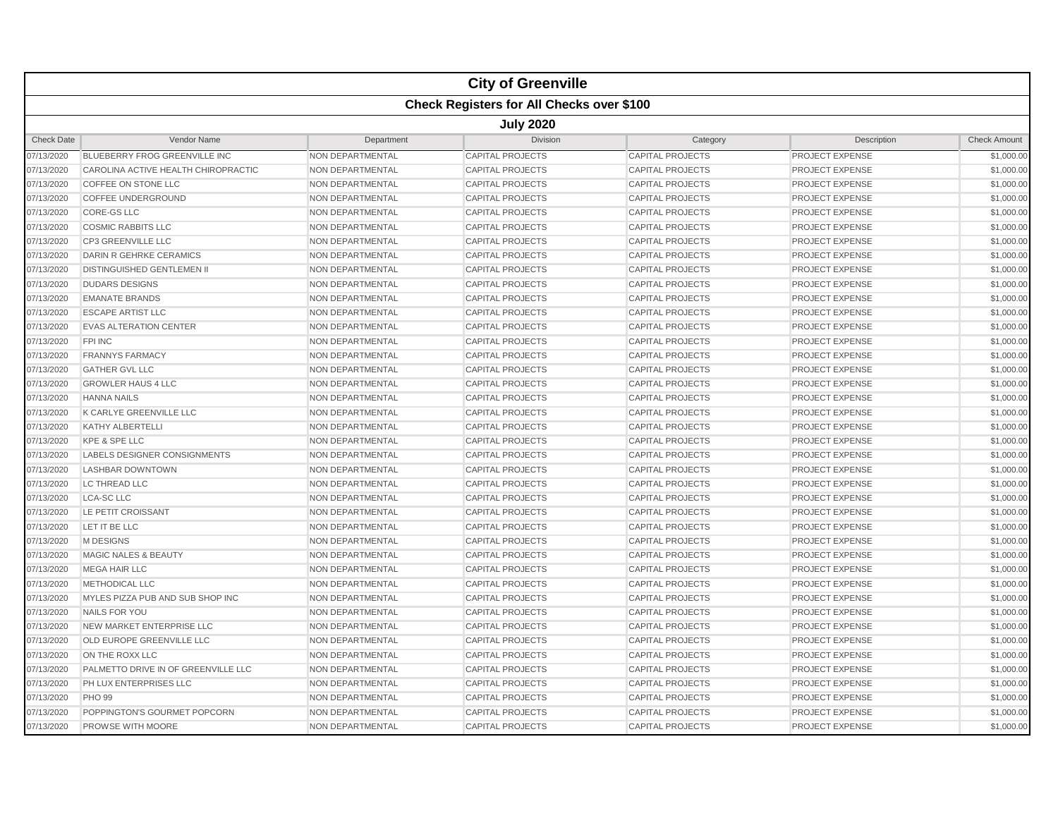|                   |                                                  |                         | <b>City of Greenville</b> |                         |                        |                     |  |  |  |
|-------------------|--------------------------------------------------|-------------------------|---------------------------|-------------------------|------------------------|---------------------|--|--|--|
|                   | <b>Check Registers for All Checks over \$100</b> |                         |                           |                         |                        |                     |  |  |  |
|                   | <b>July 2020</b>                                 |                         |                           |                         |                        |                     |  |  |  |
| <b>Check Date</b> | Vendor Name                                      | Department              | Division                  | Category                | Description            | <b>Check Amount</b> |  |  |  |
| 07/13/2020        | BLUEBERRY FROG GREENVILLE INC                    | NON DEPARTMENTAL        | <b>CAPITAL PROJECTS</b>   | <b>CAPITAL PROJECTS</b> | PROJECT EXPENSE        | \$1,000.00          |  |  |  |
| 07/13/2020        | CAROLINA ACTIVE HEALTH CHIROPRACTIC              | <b>NON DEPARTMENTAL</b> | <b>CAPITAL PROJECTS</b>   | <b>CAPITAL PROJECTS</b> | PROJECT EXPENSE        | \$1,000.00          |  |  |  |
| 07/13/2020        | COFFEE ON STONE LLC                              | <b>NON DEPARTMENTAL</b> | <b>CAPITAL PROJECTS</b>   | <b>CAPITAL PROJECTS</b> | PROJECT EXPENSE        | \$1,000.00          |  |  |  |
| 07/13/2020        | COFFEE UNDERGROUND                               | NON DEPARTMENTAL        | <b>CAPITAL PROJECTS</b>   | <b>CAPITAL PROJECTS</b> | PROJECT EXPENSE        | \$1,000.00          |  |  |  |
| 07/13/2020        | <b>CORE-GS LLC</b>                               | <b>NON DEPARTMENTAL</b> | <b>CAPITAL PROJECTS</b>   | <b>CAPITAL PROJECTS</b> | PROJECT EXPENSE        | \$1,000.00          |  |  |  |
| 07/13/2020        | <b>COSMIC RABBITS LLC</b>                        | <b>NON DEPARTMENTAL</b> | <b>CAPITAL PROJECTS</b>   | <b>CAPITAL PROJECTS</b> | PROJECT EXPENSE        | \$1,000.00          |  |  |  |
| 07/13/2020        | <b>CP3 GREENVILLE LLC</b>                        | <b>NON DEPARTMENTAL</b> | <b>CAPITAL PROJECTS</b>   | <b>CAPITAL PROJECTS</b> | <b>PROJECT EXPENSE</b> | \$1,000.00          |  |  |  |
| 07/13/2020        | DARIN R GEHRKE CERAMICS                          | <b>NON DEPARTMENTAL</b> | <b>CAPITAL PROJECTS</b>   | <b>CAPITAL PROJECTS</b> | PROJECT EXPENSE        | \$1,000.00          |  |  |  |
| 07/13/2020        | <b>DISTINGUISHED GENTLEMEN II</b>                | NON DEPARTMENTAL        | <b>CAPITAL PROJECTS</b>   | <b>CAPITAL PROJECTS</b> | PROJECT EXPENSE        | \$1,000.00          |  |  |  |
| 07/13/2020        | <b>DUDARS DESIGNS</b>                            | <b>NON DEPARTMENTAL</b> | <b>CAPITAL PROJECTS</b>   | <b>CAPITAL PROJECTS</b> | PROJECT EXPENSE        | \$1,000.00          |  |  |  |
| 07/13/2020        | <b>EMANATE BRANDS</b>                            | <b>NON DEPARTMENTAL</b> | <b>CAPITAL PROJECTS</b>   | <b>CAPITAL PROJECTS</b> | PROJECT EXPENSE        | \$1,000.00          |  |  |  |
| 07/13/2020        | <b>ESCAPE ARTIST LLC</b>                         | <b>NON DEPARTMENTAL</b> | <b>CAPITAL PROJECTS</b>   | <b>CAPITAL PROJECTS</b> | PROJECT EXPENSE        | \$1,000.00          |  |  |  |
| 07/13/2020        | <b>EVAS ALTERATION CENTER</b>                    | <b>NON DEPARTMENTAL</b> | <b>CAPITAL PROJECTS</b>   | <b>CAPITAL PROJECTS</b> | PROJECT EXPENSE        | \$1,000.00          |  |  |  |
| 07/13/2020        | <b>FPI INC</b>                                   | NON DEPARTMENTAL        | <b>CAPITAL PROJECTS</b>   | <b>CAPITAL PROJECTS</b> | PROJECT EXPENSE        | \$1,000.00          |  |  |  |
| 07/13/2020        | <b>FRANNYS FARMACY</b>                           | <b>NON DEPARTMENTAL</b> | <b>CAPITAL PROJECTS</b>   | <b>CAPITAL PROJECTS</b> | PROJECT EXPENSE        | \$1,000.00          |  |  |  |
| 07/13/2020        | <b>GATHER GVL LLC</b>                            | <b>NON DEPARTMENTAL</b> | <b>CAPITAL PROJECTS</b>   | <b>CAPITAL PROJECTS</b> | PROJECT EXPENSE        | \$1,000.00          |  |  |  |
| 07/13/2020        | <b>GROWLER HAUS 4 LLC</b>                        | <b>NON DEPARTMENTAL</b> | <b>CAPITAL PROJECTS</b>   | <b>CAPITAL PROJECTS</b> | PROJECT EXPENSE        | \$1,000.00          |  |  |  |
| 07/13/2020        | <b>HANNA NAILS</b>                               | <b>NON DEPARTMENTAL</b> | <b>CAPITAL PROJECTS</b>   | <b>CAPITAL PROJECTS</b> | <b>PROJECT EXPENSE</b> | \$1,000.00          |  |  |  |
| 07/13/2020        | K CARLYE GREENVILLE LLC                          | NON DEPARTMENTAL        | <b>CAPITAL PROJECTS</b>   | <b>CAPITAL PROJECTS</b> | <b>PROJECT EXPENSE</b> | \$1,000.00          |  |  |  |
| 07/13/2020        | <b>KATHY ALBERTELLI</b>                          | <b>NON DEPARTMENTAL</b> | <b>CAPITAL PROJECTS</b>   | <b>CAPITAL PROJECTS</b> | PROJECT EXPENSE        | \$1,000.00          |  |  |  |
| 07/13/2020        | KPE & SPE LLC                                    | <b>NON DEPARTMENTAL</b> | <b>CAPITAL PROJECTS</b>   | <b>CAPITAL PROJECTS</b> | PROJECT EXPENSE        | \$1,000.00          |  |  |  |
| 07/13/2020        | <b>LABELS DESIGNER CONSIGNMENTS</b>              | <b>NON DEPARTMENTAL</b> | <b>CAPITAL PROJECTS</b>   | <b>CAPITAL PROJECTS</b> | PROJECT EXPENSE        | \$1,000.00          |  |  |  |
| 07/13/2020        | <b>LASHBAR DOWNTOWN</b>                          | <b>NON DEPARTMENTAL</b> | <b>CAPITAL PROJECTS</b>   | <b>CAPITAL PROJECTS</b> | PROJECT EXPENSE        | \$1,000.00          |  |  |  |
| 07/13/2020        | LC THREAD LLC                                    | NON DEPARTMENTAL        | <b>CAPITAL PROJECTS</b>   | <b>CAPITAL PROJECTS</b> | PROJECT EXPENSE        | \$1,000.00          |  |  |  |
| 07/13/2020        | <b>LCA-SC LLC</b>                                | <b>NON DEPARTMENTAL</b> | <b>CAPITAL PROJECTS</b>   | <b>CAPITAL PROJECTS</b> | PROJECT EXPENSE        | \$1,000.00          |  |  |  |
| 07/13/2020        | LE PETIT CROISSANT                               | NON DEPARTMENTAL        | <b>CAPITAL PROJECTS</b>   | <b>CAPITAL PROJECTS</b> | PROJECT EXPENSE        | \$1,000.00          |  |  |  |
| 07/13/2020        | LET IT BE LLC                                    | <b>NON DEPARTMENTAL</b> | <b>CAPITAL PROJECTS</b>   | <b>CAPITAL PROJECTS</b> | <b>PROJECT EXPENSE</b> | \$1,000.00          |  |  |  |
| 07/13/2020        | M DESIGNS                                        | <b>NON DEPARTMENTAL</b> | <b>CAPITAL PROJECTS</b>   | <b>CAPITAL PROJECTS</b> | PROJECT EXPENSE        | \$1,000.00          |  |  |  |
| 07/13/2020        | <b>MAGIC NALES &amp; BEAUTY</b>                  | NON DEPARTMENTAL        | <b>CAPITAL PROJECTS</b>   | <b>CAPITAL PROJECTS</b> | PROJECT EXPENSE        | \$1,000.00          |  |  |  |
| 07/13/2020        | <b>MEGA HAIR LLC</b>                             | <b>NON DEPARTMENTAL</b> | <b>CAPITAL PROJECTS</b>   | <b>CAPITAL PROJECTS</b> | PROJECT EXPENSE        | \$1,000.00          |  |  |  |
| 07/13/2020        | METHODICAL LLC                                   | <b>NON DEPARTMENTAL</b> | <b>CAPITAL PROJECTS</b>   | <b>CAPITAL PROJECTS</b> | PROJECT EXPENSE        | \$1,000.00          |  |  |  |
| 07/13/2020        | MYLES PIZZA PUB AND SUB SHOP INC                 | <b>NON DEPARTMENTAL</b> | <b>CAPITAL PROJECTS</b>   | <b>CAPITAL PROJECTS</b> | PROJECT EXPENSE        | \$1,000.00          |  |  |  |
| 07/13/2020        | NAILS FOR YOU                                    | <b>NON DEPARTMENTAL</b> | <b>CAPITAL PROJECTS</b>   | <b>CAPITAL PROJECTS</b> | PROJECT EXPENSE        | \$1,000.00          |  |  |  |
| 07/13/2020        | NEW MARKET ENTERPRISE LLC                        | <b>NON DEPARTMENTAL</b> | <b>CAPITAL PROJECTS</b>   | <b>CAPITAL PROJECTS</b> | <b>PROJECT EXPENSE</b> | \$1,000.00          |  |  |  |
| 07/13/2020        | OLD EUROPE GREENVILLE LLC                        | NON DEPARTMENTAL        | <b>CAPITAL PROJECTS</b>   | <b>CAPITAL PROJECTS</b> | PROJECT EXPENSE        | \$1,000.00          |  |  |  |
| 07/13/2020        | ON THE ROXX LLC                                  | <b>NON DEPARTMENTAL</b> | <b>CAPITAL PROJECTS</b>   | <b>CAPITAL PROJECTS</b> | PROJECT EXPENSE        | \$1,000.00          |  |  |  |
| 07/13/2020        | PALMETTO DRIVE IN OF GREENVILLE LLC              | <b>NON DEPARTMENTAL</b> | <b>CAPITAL PROJECTS</b>   | <b>CAPITAL PROJECTS</b> | PROJECT EXPENSE        | \$1,000.00          |  |  |  |
| 07/13/2020        | PH LUX ENTERPRISES LLC                           | <b>NON DEPARTMENTAL</b> | <b>CAPITAL PROJECTS</b>   | <b>CAPITAL PROJECTS</b> | PROJECT EXPENSE        | \$1,000.00          |  |  |  |
| 07/13/2020        | <b>PHO 99</b>                                    | NON DEPARTMENTAL        | <b>CAPITAL PROJECTS</b>   | <b>CAPITAL PROJECTS</b> | PROJECT EXPENSE        | \$1,000.00          |  |  |  |
| 07/13/2020        | POPPINGTON'S GOURMET POPCORN                     | NON DEPARTMENTAL        | <b>CAPITAL PROJECTS</b>   | <b>CAPITAL PROJECTS</b> | PROJECT EXPENSE        | \$1,000.00          |  |  |  |
| 07/13/2020        | <b>PROWSE WITH MOORE</b>                         | <b>NON DEPARTMENTAL</b> | <b>CAPITAL PROJECTS</b>   | <b>CAPITAL PROJECTS</b> | PROJECT EXPENSE        | \$1,000.00          |  |  |  |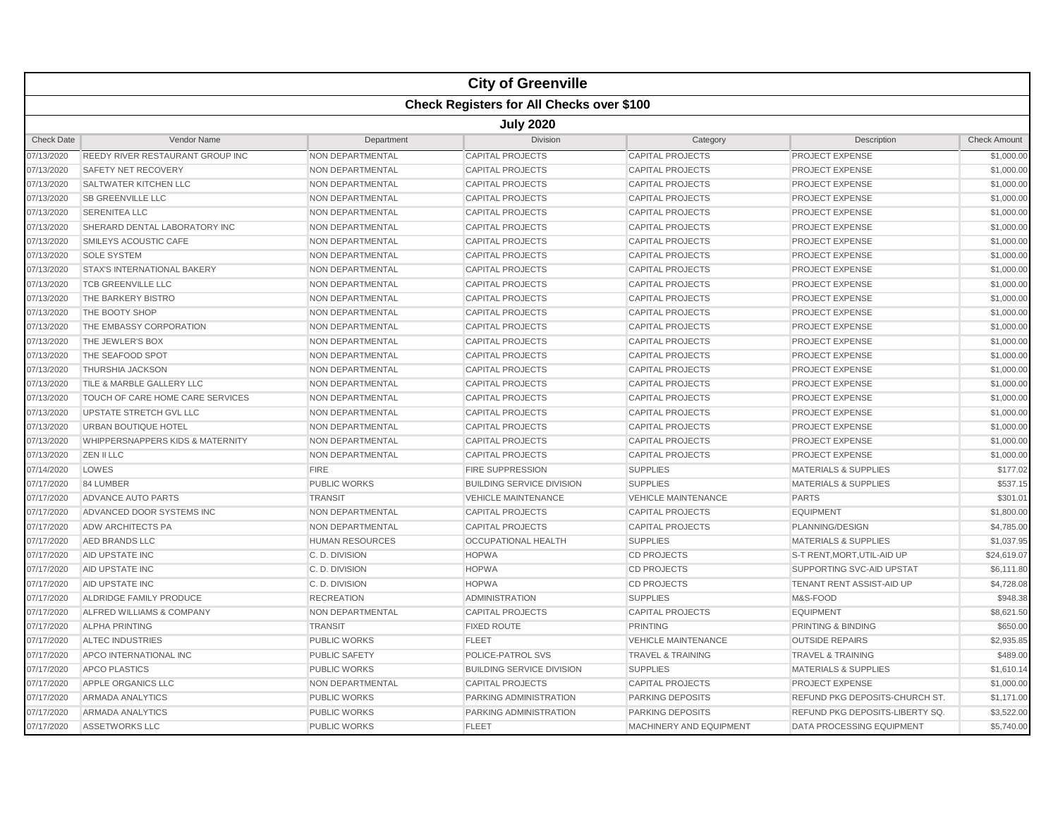|                   |                                                  |                         | <b>City of Greenville</b>        |                              |                                  |                     |  |  |  |  |
|-------------------|--------------------------------------------------|-------------------------|----------------------------------|------------------------------|----------------------------------|---------------------|--|--|--|--|
|                   | <b>Check Registers for All Checks over \$100</b> |                         |                                  |                              |                                  |                     |  |  |  |  |
|                   | <b>July 2020</b>                                 |                         |                                  |                              |                                  |                     |  |  |  |  |
| <b>Check Date</b> | <b>Vendor Name</b>                               | Department              | <b>Division</b>                  | Category                     | Description                      | <b>Check Amount</b> |  |  |  |  |
| 07/13/2020        | <b>REEDY RIVER RESTAURANT GROUP INC</b>          | NON DEPARTMENTAL        | <b>CAPITAL PROJECTS</b>          | <b>CAPITAL PROJECTS</b>      | <b>PROJECT EXPENSE</b>           | \$1,000.00          |  |  |  |  |
| 07/13/2020        | SAFETY NET RECOVERY                              | NON DEPARTMENTAL        | <b>CAPITAL PROJECTS</b>          | <b>CAPITAL PROJECTS</b>      | <b>PROJECT EXPENSE</b>           | \$1,000.00          |  |  |  |  |
| 07/13/2020        | SALTWATER KITCHEN LLC                            | <b>NON DEPARTMENTAL</b> | <b>CAPITAL PROJECTS</b>          | <b>CAPITAL PROJECTS</b>      | <b>PROJECT EXPENSE</b>           | \$1,000.00          |  |  |  |  |
| 07/13/2020        | <b>SB GREENVILLE LLC</b>                         | NON DEPARTMENTAL        | <b>CAPITAL PROJECTS</b>          | <b>CAPITAL PROJECTS</b>      | <b>PROJECT EXPENSE</b>           | \$1,000.00          |  |  |  |  |
| 07/13/2020        | <b>SERENITEA LLC</b>                             | <b>NON DEPARTMENTAL</b> | <b>CAPITAL PROJECTS</b>          | <b>CAPITAL PROJECTS</b>      | <b>PROJECT EXPENSE</b>           | \$1,000.00          |  |  |  |  |
| 07/13/2020        | SHERARD DENTAL LABORATORY INC                    | NON DEPARTMENTAL        | <b>CAPITAL PROJECTS</b>          | <b>CAPITAL PROJECTS</b>      | <b>PROJECT EXPENSE</b>           | \$1,000.00          |  |  |  |  |
| 07/13/2020        | SMILEYS ACOUSTIC CAFE                            | NON DEPARTMENTAL        | <b>CAPITAL PROJECTS</b>          | <b>CAPITAL PROJECTS</b>      | <b>PROJECT EXPENSE</b>           | \$1,000.00          |  |  |  |  |
| 07/13/2020        | <b>SOLE SYSTEM</b>                               | NON DEPARTMENTAL        | <b>CAPITAL PROJECTS</b>          | <b>CAPITAL PROJECTS</b>      | <b>PROJECT EXPENSE</b>           | \$1,000.00          |  |  |  |  |
| 07/13/2020        | STAX'S INTERNATIONAL BAKERY                      | NON DEPARTMENTAL        | <b>CAPITAL PROJECTS</b>          | <b>CAPITAL PROJECTS</b>      | <b>PROJECT EXPENSE</b>           | \$1,000.00          |  |  |  |  |
| 07/13/2020        | <b>TCB GREENVILLE LLC</b>                        | <b>NON DEPARTMENTAL</b> | <b>CAPITAL PROJECTS</b>          | <b>CAPITAL PROJECTS</b>      | <b>PROJECT EXPENSE</b>           | \$1,000.00          |  |  |  |  |
| 07/13/2020        | THE BARKERY BISTRO                               | <b>NON DEPARTMENTAL</b> | <b>CAPITAL PROJECTS</b>          | <b>CAPITAL PROJECTS</b>      | <b>PROJECT EXPENSE</b>           | \$1,000.00          |  |  |  |  |
| 07/13/2020        | THE BOOTY SHOP                                   | NON DEPARTMENTAL        | <b>CAPITAL PROJECTS</b>          | <b>CAPITAL PROJECTS</b>      | <b>PROJECT EXPENSE</b>           | \$1,000.00          |  |  |  |  |
| 07/13/2020        | THE EMBASSY CORPORATION                          | NON DEPARTMENTAL        | <b>CAPITAL PROJECTS</b>          | <b>CAPITAL PROJECTS</b>      | <b>PROJECT EXPENSE</b>           | \$1,000.00          |  |  |  |  |
| 07/13/2020        | THE JEWLER'S BOX                                 | NON DEPARTMENTAL        | <b>CAPITAL PROJECTS</b>          | <b>CAPITAL PROJECTS</b>      | <b>PROJECT EXPENSE</b>           | \$1,000.00          |  |  |  |  |
| 07/13/2020        | THE SEAFOOD SPOT                                 | NON DEPARTMENTAL        | <b>CAPITAL PROJECTS</b>          | <b>CAPITAL PROJECTS</b>      | <b>PROJECT EXPENSE</b>           | \$1,000.00          |  |  |  |  |
| 07/13/2020        | <b>THURSHIA JACKSON</b>                          | <b>NON DEPARTMENTAL</b> | <b>CAPITAL PROJECTS</b>          | <b>CAPITAL PROJECTS</b>      | <b>PROJECT EXPENSE</b>           | \$1,000.00          |  |  |  |  |
| 07/13/2020        | TILE & MARBLE GALLERY LLC                        | NON DEPARTMENTAL        | <b>CAPITAL PROJECTS</b>          | <b>CAPITAL PROJECTS</b>      | <b>PROJECT EXPENSE</b>           | \$1,000.00          |  |  |  |  |
| 07/13/2020        | TOUCH OF CARE HOME CARE SERVICES                 | NON DEPARTMENTAL        | <b>CAPITAL PROJECTS</b>          | <b>CAPITAL PROJECTS</b>      | <b>PROJECT EXPENSE</b>           | \$1,000.00          |  |  |  |  |
| 07/13/2020        | UPSTATE STRETCH GVL LLC                          | NON DEPARTMENTAL        | <b>CAPITAL PROJECTS</b>          | <b>CAPITAL PROJECTS</b>      | <b>PROJECT EXPENSE</b>           | \$1,000.00          |  |  |  |  |
| 07/13/2020        | URBAN BOUTIQUE HOTEL                             | <b>NON DEPARTMENTAL</b> | <b>CAPITAL PROJECTS</b>          | <b>CAPITAL PROJECTS</b>      | PROJECT EXPENSE                  | \$1,000.00          |  |  |  |  |
| 07/13/2020        | WHIPPERSNAPPERS KIDS & MATERNITY                 | <b>NON DEPARTMENTAL</b> | <b>CAPITAL PROJECTS</b>          | <b>CAPITAL PROJECTS</b>      | <b>PROJECT EXPENSE</b>           | \$1,000.00          |  |  |  |  |
| 07/13/2020        | ZEN II LLC                                       | NON DEPARTMENTAL        | <b>CAPITAL PROJECTS</b>          | <b>CAPITAL PROJECTS</b>      | <b>PROJECT EXPENSE</b>           | \$1,000.00          |  |  |  |  |
| 07/14/2020        | LOWES                                            | <b>FIRE</b>             | <b>FIRE SUPPRESSION</b>          | <b>SUPPLIES</b>              | <b>MATERIALS &amp; SUPPLIES</b>  | \$177.02            |  |  |  |  |
| 07/17/2020        | 84 LUMBER                                        | PUBLIC WORKS            | <b>BUILDING SERVICE DIVISION</b> | <b>SUPPLIES</b>              | <b>MATERIALS &amp; SUPPLIES</b>  | \$537.15            |  |  |  |  |
| 07/17/2020        | ADVANCE AUTO PARTS                               | <b>TRANSIT</b>          | <b>VEHICLE MAINTENANCE</b>       | <b>VEHICLE MAINTENANCE</b>   | <b>PARTS</b>                     | \$301.01            |  |  |  |  |
| 07/17/2020        | ADVANCED DOOR SYSTEMS INC                        | <b>NON DEPARTMENTAL</b> | <b>CAPITAL PROJECTS</b>          | <b>CAPITAL PROJECTS</b>      | <b>EQUIPMENT</b>                 | \$1,800.00          |  |  |  |  |
| 07/17/2020        | <b>ADW ARCHITECTS PA</b>                         | NON DEPARTMENTAL        | <b>CAPITAL PROJECTS</b>          | <b>CAPITAL PROJECTS</b>      | PLANNING/DESIGN                  | \$4,785.00          |  |  |  |  |
| 07/17/2020        | AED BRANDS LLC                                   | <b>HUMAN RESOURCES</b>  | <b>OCCUPATIONAL HEALTH</b>       | <b>SUPPLIES</b>              | <b>MATERIALS &amp; SUPPLIES</b>  | \$1,037.95          |  |  |  |  |
| 07/17/2020        | AID UPSTATE INC                                  | C.D. DIVISION           | <b>HOPWA</b>                     | <b>CD PROJECTS</b>           | S-T RENT.MORT.UTIL-AID UP        | \$24.619.07         |  |  |  |  |
| 07/17/2020        | AID UPSTATE INC                                  | C.D. DIVISION           | <b>HOPWA</b>                     | <b>CD PROJECTS</b>           | SUPPORTING SVC-AID UPSTAT        | \$6,111.80          |  |  |  |  |
| 07/17/2020        | AID UPSTATE INC                                  | C.D. DIVISION           | <b>HOPWA</b>                     | <b>CD PROJECTS</b>           | TENANT RENT ASSIST-AID UP        | \$4,728.08          |  |  |  |  |
| 07/17/2020        | ALDRIDGE FAMILY PRODUCE                          | <b>RECREATION</b>       | <b>ADMINISTRATION</b>            | <b>SUPPLIES</b>              | M&S-FOOD                         | \$948.38            |  |  |  |  |
| 07/17/2020        | ALFRED WILLIAMS & COMPANY                        | <b>NON DEPARTMENTAL</b> | <b>CAPITAL PROJECTS</b>          | <b>CAPITAL PROJECTS</b>      | <b>EQUIPMENT</b>                 | \$8,621.50          |  |  |  |  |
| 07/17/2020        | <b>ALPHA PRINTING</b>                            | <b>TRANSIT</b>          | <b>FIXED ROUTE</b>               | <b>PRINTING</b>              | PRINTING & BINDING               | \$650.00            |  |  |  |  |
| 07/17/2020        | <b>ALTEC INDUSTRIES</b>                          | <b>PUBLIC WORKS</b>     | <b>FLEET</b>                     | <b>VEHICLE MAINTENANCE</b>   | <b>OUTSIDE REPAIRS</b>           | \$2,935.85          |  |  |  |  |
| 07/17/2020        | APCO INTERNATIONAL INC                           | <b>PUBLIC SAFETY</b>    | POLICE-PATROL SVS                | <b>TRAVEL &amp; TRAINING</b> | <b>TRAVEL &amp; TRAINING</b>     | \$489.00            |  |  |  |  |
| 07/17/2020        | <b>APCO PLASTICS</b>                             | <b>PUBLIC WORKS</b>     | <b>BUILDING SERVICE DIVISION</b> | <b>SUPPLIES</b>              | <b>MATERIALS &amp; SUPPLIES</b>  | \$1,610.14          |  |  |  |  |
| 07/17/2020        | APPLE ORGANICS LLC                               | NON DEPARTMENTAL        | <b>CAPITAL PROJECTS</b>          | <b>CAPITAL PROJECTS</b>      | <b>PROJECT EXPENSE</b>           | \$1,000.00          |  |  |  |  |
| 07/17/2020        | <b>ARMADA ANALYTICS</b>                          | <b>PUBLIC WORKS</b>     | <b>PARKING ADMINISTRATION</b>    | <b>PARKING DEPOSITS</b>      | REFUND PKG DEPOSITS-CHURCH ST.   | \$1,171.00          |  |  |  |  |
| 07/17/2020        | <b>ARMADA ANALYTICS</b>                          | <b>PUBLIC WORKS</b>     | PARKING ADMINISTRATION           | PARKING DEPOSITS             | REFUND PKG DEPOSITS-LIBERTY SQ.  | \$3,522.00          |  |  |  |  |
| 07/17/2020        | <b>ASSETWORKS LLC</b>                            | <b>PUBLIC WORKS</b>     | <b>FLEET</b>                     | MACHINERY AND EQUIPMENT      | <b>DATA PROCESSING EQUIPMENT</b> | \$5,740.00          |  |  |  |  |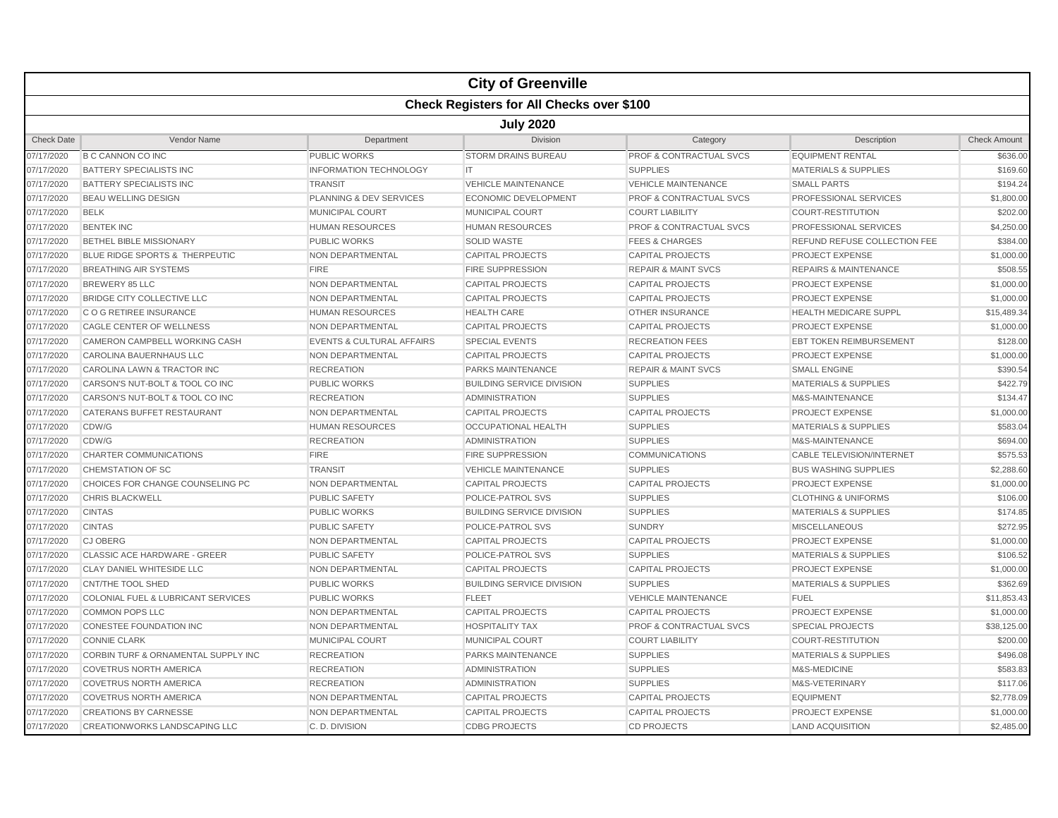|                   |                                                  |                                      | <b>City of Greenville</b>        |                                    |                                     |                     |  |  |  |
|-------------------|--------------------------------------------------|--------------------------------------|----------------------------------|------------------------------------|-------------------------------------|---------------------|--|--|--|
|                   | <b>Check Registers for All Checks over \$100</b> |                                      |                                  |                                    |                                     |                     |  |  |  |
|                   | <b>July 2020</b>                                 |                                      |                                  |                                    |                                     |                     |  |  |  |
| <b>Check Date</b> | Vendor Name                                      | Department                           | <b>Division</b>                  | Category                           | Description                         | <b>Check Amount</b> |  |  |  |
| 07/17/2020        | <b>B C CANNON CO INC</b>                         | <b>PUBLIC WORKS</b>                  | <b>STORM DRAINS BUREAU</b>       | PROF & CONTRACTUAL SVCS            | <b>EQUIPMENT RENTAL</b>             | \$636.00            |  |  |  |
| 07/17/2020        | <b>BATTERY SPECIALISTS INC</b>                   | <b>INFORMATION TECHNOLOGY</b>        | IT.                              | <b>SUPPLIES</b>                    | <b>MATERIALS &amp; SUPPLIES</b>     | \$169.60            |  |  |  |
| 07/17/2020        | BATTERY SPECIALISTS INC                          | <b>TRANSIT</b>                       | <b>VEHICLE MAINTENANCE</b>       | <b>VEHICLE MAINTENANCE</b>         | <b>SMALL PARTS</b>                  | \$194.24            |  |  |  |
| 07/17/2020        | <b>BEAU WELLING DESIGN</b>                       | <b>PLANNING &amp; DEV SERVICES</b>   | <b>ECONOMIC DEVELOPMENT</b>      | <b>PROF &amp; CONTRACTUAL SVCS</b> | <b>PROFESSIONAL SERVICES</b>        | \$1,800.00          |  |  |  |
| 07/17/2020        | <b>BELK</b>                                      | <b>MUNICIPAL COURT</b>               | <b>MUNICIPAL COURT</b>           | <b>COURT LIABILITY</b>             | <b>COURT-RESTITUTION</b>            | \$202.00            |  |  |  |
| 07/17/2020        | <b>BENTEK INC</b>                                | <b>HUMAN RESOURCES</b>               | <b>HUMAN RESOURCES</b>           | <b>PROF &amp; CONTRACTUAL SVCS</b> | PROFESSIONAL SERVICES               | \$4,250.00          |  |  |  |
| 07/17/2020        | <b>BETHEL BIBLE MISSIONARY</b>                   | <b>PUBLIC WORKS</b>                  | <b>SOLID WASTE</b>               | <b>FEES &amp; CHARGES</b>          | <b>REFUND REFUSE COLLECTION FEE</b> | \$384.00            |  |  |  |
| 07/17/2020        | BLUE RIDGE SPORTS & THERPEUTIC                   | NON DEPARTMENTAL                     | <b>CAPITAL PROJECTS</b>          | <b>CAPITAL PROJECTS</b>            | PROJECT EXPENSE                     | \$1,000.00          |  |  |  |
| 07/17/2020        | <b>BREATHING AIR SYSTEMS</b>                     | <b>FIRE</b>                          | <b>FIRE SUPPRESSION</b>          | <b>REPAIR &amp; MAINT SVCS</b>     | <b>REPAIRS &amp; MAINTENANCE</b>    | \$508.55            |  |  |  |
| 07/17/2020        | <b>BREWERY 85 LLC</b>                            | NON DEPARTMENTAL                     | <b>CAPITAL PROJECTS</b>          | <b>CAPITAL PROJECTS</b>            | PROJECT EXPENSE                     | \$1,000.00          |  |  |  |
| 07/17/2020        | BRIDGE CITY COLLECTIVE LLC                       | NON DEPARTMENTAL                     | <b>CAPITAL PROJECTS</b>          | <b>CAPITAL PROJECTS</b>            | PROJECT EXPENSE                     | \$1,000.00          |  |  |  |
| 07/17/2020        | C O G RETIREE INSURANCE                          | <b>HUMAN RESOURCES</b>               | <b>HEALTH CARE</b>               | <b>OTHER INSURANCE</b>             | <b>HEALTH MEDICARE SUPPL</b>        | \$15,489.34         |  |  |  |
| 07/17/2020        | CAGLE CENTER OF WELLNESS                         | NON DEPARTMENTAL                     | <b>CAPITAL PROJECTS</b>          | <b>CAPITAL PROJECTS</b>            | <b>PROJECT EXPENSE</b>              | \$1,000.00          |  |  |  |
| 07/17/2020        | CAMERON CAMPBELL WORKING CASH                    | <b>EVENTS &amp; CULTURAL AFFAIRS</b> | <b>SPECIAL EVENTS</b>            | <b>RECREATION FEES</b>             | <b>EBT TOKEN REIMBURSEMENT</b>      | \$128.00            |  |  |  |
| 07/17/2020        | CAROLINA BAUERNHAUS LLC                          | NON DEPARTMENTAL                     | <b>CAPITAL PROJECTS</b>          | <b>CAPITAL PROJECTS</b>            | PROJECT EXPENSE                     | \$1,000.00          |  |  |  |
| 07/17/2020        | CAROLINA LAWN & TRACTOR INC                      | <b>RECREATION</b>                    | <b>PARKS MAINTENANCE</b>         | <b>REPAIR &amp; MAINT SVCS</b>     | <b>SMALL ENGINE</b>                 | \$390.54            |  |  |  |
| 07/17/2020        | CARSON'S NUT-BOLT & TOOL CO INC                  | <b>PUBLIC WORKS</b>                  | <b>BUILDING SERVICE DIVISION</b> | <b>SUPPLIES</b>                    | <b>MATERIALS &amp; SUPPLIES</b>     | \$422.79            |  |  |  |
| 07/17/2020        | CARSON'S NUT-BOLT & TOOL CO INC                  | <b>RECREATION</b>                    | <b>ADMINISTRATION</b>            | <b>SUPPLIES</b>                    | M&S-MAINTENANCE                     | \$134.47            |  |  |  |
| 07/17/2020        | <b>CATERANS BUFFET RESTAURANT</b>                | NON DEPARTMENTAL                     | <b>CAPITAL PROJECTS</b>          | <b>CAPITAL PROJECTS</b>            | <b>PROJECT EXPENSE</b>              | \$1,000.00          |  |  |  |
| 07/17/2020        | CDW/G                                            | <b>HUMAN RESOURCES</b>               | <b>OCCUPATIONAL HEALTH</b>       | <b>SUPPLIES</b>                    | <b>MATERIALS &amp; SUPPLIES</b>     | \$583.04            |  |  |  |
| 07/17/2020        | CDW/G                                            | <b>RECREATION</b>                    | ADMINISTRATION                   | <b>SUPPLIES</b>                    | M&S-MAINTENANCE                     | \$694.00            |  |  |  |
| 07/17/2020        | <b>CHARTER COMMUNICATIONS</b>                    | <b>FIRE</b>                          | <b>FIRE SUPPRESSION</b>          | <b>COMMUNICATIONS</b>              | <b>CABLE TELEVISION/INTERNET</b>    | \$575.53            |  |  |  |
| 07/17/2020        | CHEMSTATION OF SC                                | <b>TRANSIT</b>                       | <b>VEHICLE MAINTENANCE</b>       | <b>SUPPLIES</b>                    | <b>BUS WASHING SUPPLIES</b>         | \$2,288.60          |  |  |  |
| 07/17/2020        | CHOICES FOR CHANGE COUNSELING PC                 | NON DEPARTMENTAL                     | <b>CAPITAL PROJECTS</b>          | <b>CAPITAL PROJECTS</b>            | PROJECT EXPENSE                     | \$1,000.00          |  |  |  |
| 07/17/2020        | <b>CHRIS BLACKWELL</b>                           | <b>PUBLIC SAFETY</b>                 | POLICE-PATROL SVS                | <b>SUPPLIES</b>                    | <b>CLOTHING &amp; UNIFORMS</b>      | \$106.00            |  |  |  |
| 07/17/2020        | <b>CINTAS</b>                                    | <b>PUBLIC WORKS</b>                  | <b>BUILDING SERVICE DIVISION</b> | <b>SUPPLIES</b>                    | MATERIALS & SUPPLIES                | \$174.85            |  |  |  |
| 07/17/2020        | <b>CINTAS</b>                                    | <b>PUBLIC SAFETY</b>                 | POLICE-PATROL SVS                | <b>SUNDRY</b>                      | <b>MISCELLANEOUS</b>                | \$272.95            |  |  |  |
| 07/17/2020        | <b>CJ OBERG</b>                                  | NON DEPARTMENTAL                     | <b>CAPITAL PROJECTS</b>          | <b>CAPITAL PROJECTS</b>            | <b>PROJECT EXPENSE</b>              | \$1,000.00          |  |  |  |
| 07/17/2020        | CLASSIC ACE HARDWARE - GREER                     | <b>PUBLIC SAFETY</b>                 | POLICE-PATROL SVS                | <b>SUPPLIES</b>                    | <b>MATERIALS &amp; SUPPLIES</b>     | \$106.52            |  |  |  |
| 07/17/2020        | CLAY DANIEL WHITESIDE LLC                        | NON DEPARTMENTAL                     | <b>CAPITAL PROJECTS</b>          | <b>CAPITAL PROJECTS</b>            | PROJECT EXPENSE                     | \$1,000.00          |  |  |  |
| 07/17/2020        | <b>CNT/THE TOOL SHED</b>                         | <b>PUBLIC WORKS</b>                  | <b>BUILDING SERVICE DIVISION</b> | <b>SUPPLIES</b>                    | <b>MATERIALS &amp; SUPPLIES</b>     | \$362.69            |  |  |  |
| 07/17/2020        | COLONIAL FUEL & LUBRICANT SERVICES               | <b>PUBLIC WORKS</b>                  | <b>FLEET</b>                     | <b>VEHICLE MAINTENANCE</b>         | <b>FUEL</b>                         | \$11,853.43         |  |  |  |
| 07/17/2020        | <b>COMMON POPS LLC</b>                           | <b>NON DEPARTMENTAL</b>              | <b>CAPITAL PROJECTS</b>          | <b>CAPITAL PROJECTS</b>            | PROJECT EXPENSE                     | \$1,000.00          |  |  |  |
| 07/17/2020        | <b>CONESTEE FOUNDATION INC</b>                   | NON DEPARTMENTAL                     | <b>HOSPITALITY TAX</b>           | <b>PROF &amp; CONTRACTUAL SVCS</b> | <b>SPECIAL PROJECTS</b>             | \$38,125.00         |  |  |  |
| 07/17/2020        | <b>CONNIE CLARK</b>                              | MUNICIPAL COURT                      | MUNICIPAL COURT                  | <b>COURT LIABILITY</b>             | <b>COURT-RESTITUTION</b>            | \$200.00            |  |  |  |
| 07/17/2020        | CORBIN TURF & ORNAMENTAL SUPPLY INC              | <b>RECREATION</b>                    | PARKS MAINTENANCE                | <b>SUPPLIES</b>                    | <b>MATERIALS &amp; SUPPLIES</b>     | \$496.08            |  |  |  |
| 07/17/2020        | <b>COVETRUS NORTH AMERICA</b>                    | <b>RECREATION</b>                    | <b>ADMINISTRATION</b>            | <b>SUPPLIES</b>                    | M&S-MEDICINE                        | \$583.83            |  |  |  |
| 07/17/2020        | <b>COVETRUS NORTH AMERICA</b>                    | <b>RECREATION</b>                    | <b>ADMINISTRATION</b>            | <b>SUPPLIES</b>                    | M&S-VETERINARY                      | \$117.06            |  |  |  |
| 07/17/2020        | <b>COVETRUS NORTH AMERICA</b>                    | NON DEPARTMENTAL                     | <b>CAPITAL PROJECTS</b>          | <b>CAPITAL PROJECTS</b>            | <b>EQUIPMENT</b>                    | \$2,778.09          |  |  |  |
| 07/17/2020        | <b>CREATIONS BY CARNESSE</b>                     | NON DEPARTMENTAL                     | <b>CAPITAL PROJECTS</b>          | <b>CAPITAL PROJECTS</b>            | PROJECT EXPENSE                     | \$1,000.00          |  |  |  |
| 07/17/2020        | <b>CREATIONWORKS LANDSCAPING LLC</b>             | C. D. DIVISION                       | <b>CDBG PROJECTS</b>             | <b>CD PROJECTS</b>                 | <b>LAND ACQUISITION</b>             | \$2,485.00          |  |  |  |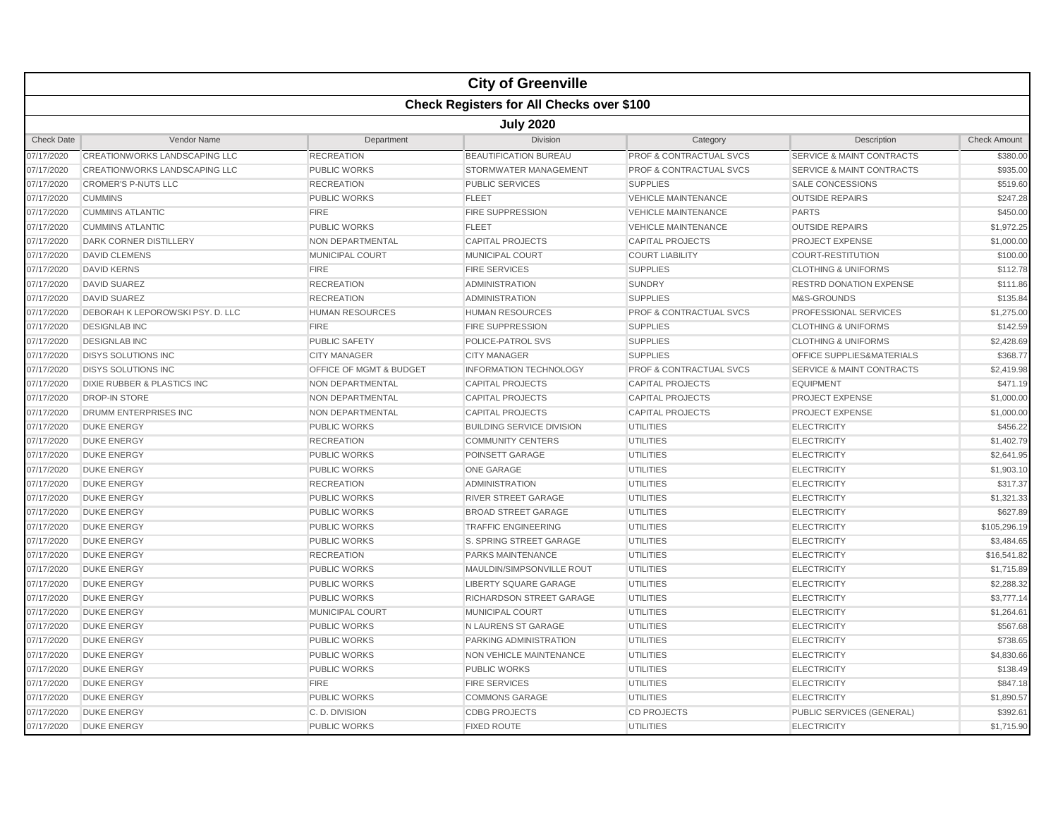|                   |                                        |                                    | <b>City of Greenville</b>                        |                                    |                                      |                     |  |  |  |
|-------------------|----------------------------------------|------------------------------------|--------------------------------------------------|------------------------------------|--------------------------------------|---------------------|--|--|--|
|                   |                                        |                                    | <b>Check Registers for All Checks over \$100</b> |                                    |                                      |                     |  |  |  |
|                   | <b>July 2020</b>                       |                                    |                                                  |                                    |                                      |                     |  |  |  |
| <b>Check Date</b> | Vendor Name                            | Department                         | Division                                         | Category                           | Description                          | <b>Check Amount</b> |  |  |  |
| 07/17/2020        | CREATIONWORKS LANDSCAPING LLC          | <b>RECREATION</b>                  | <b>BEAUTIFICATION BUREAU</b>                     | <b>PROF &amp; CONTRACTUAL SVCS</b> | <b>SERVICE &amp; MAINT CONTRACTS</b> | \$380.00            |  |  |  |
| 07/17/2020        | CREATIONWORKS LANDSCAPING LLC          | <b>PUBLIC WORKS</b>                | STORMWATER MANAGEMENT                            | <b>PROF &amp; CONTRACTUAL SVCS</b> | <b>SERVICE &amp; MAINT CONTRACTS</b> | \$935.00            |  |  |  |
| 07/17/2020        | <b>CROMER'S P-NUTS LLC</b>             | <b>RECREATION</b>                  | <b>PUBLIC SERVICES</b>                           | <b>SUPPLIES</b>                    | <b>SALE CONCESSIONS</b>              | \$519.60            |  |  |  |
| 07/17/2020        | <b>CUMMINS</b>                         | <b>PUBLIC WORKS</b>                | <b>FLEET</b>                                     | <b>VEHICLE MAINTENANCE</b>         | <b>OUTSIDE REPAIRS</b>               | \$247.28            |  |  |  |
| 07/17/2020        | <b>CUMMINS ATLANTIC</b>                | <b>FIRE</b>                        | <b>FIRE SUPPRESSION</b>                          | <b>VEHICLE MAINTENANCE</b>         | <b>PARTS</b>                         | \$450.00            |  |  |  |
| 07/17/2020        | <b>CUMMINS ATLANTIC</b>                | <b>PUBLIC WORKS</b>                | <b>FLEET</b>                                     | <b>VEHICLE MAINTENANCE</b>         | <b>OUTSIDE REPAIRS</b>               | \$1,972.25          |  |  |  |
| 07/17/2020        | DARK CORNER DISTILLERY                 | <b>NON DEPARTMENTAL</b>            | <b>CAPITAL PROJECTS</b>                          | <b>CAPITAL PROJECTS</b>            | <b>PROJECT EXPENSE</b>               | \$1,000.00          |  |  |  |
| 07/17/2020        | <b>DAVID CLEMENS</b>                   | <b>MUNICIPAL COURT</b>             | <b>MUNICIPAL COURT</b>                           | <b>COURT LIABILITY</b>             | <b>COURT-RESTITUTION</b>             | \$100.00            |  |  |  |
| 07/17/2020        | <b>DAVID KERNS</b>                     | <b>FIRE</b>                        | <b>FIRE SERVICES</b>                             | <b>SUPPLIES</b>                    | <b>CLOTHING &amp; UNIFORMS</b>       | \$112.78            |  |  |  |
| 07/17/2020        | <b>DAVID SUAREZ</b>                    | <b>RECREATION</b>                  | <b>ADMINISTRATION</b>                            | <b>SUNDRY</b>                      | <b>RESTRD DONATION EXPENSE</b>       | \$111.86            |  |  |  |
| 07/17/2020        | <b>DAVID SUAREZ</b>                    | <b>RECREATION</b>                  | <b>ADMINISTRATION</b>                            | <b>SUPPLIES</b>                    | M&S-GROUNDS                          | \$135.84            |  |  |  |
| 07/17/2020        | DEBORAH K LEPOROWSKI PSY. D. LLC       | <b>HUMAN RESOURCES</b>             | <b>HUMAN RESOURCES</b>                           | PROF & CONTRACTUAL SVCS            | PROFESSIONAL SERVICES                | \$1,275.00          |  |  |  |
| 07/17/2020        | <b>DESIGNLAB INC</b>                   | <b>FIRE</b>                        | <b>FIRE SUPPRESSION</b>                          | <b>SUPPLIES</b>                    | <b>CLOTHING &amp; UNIFORMS</b>       | \$142.59            |  |  |  |
| 07/17/2020        | <b>DESIGNLAB INC</b>                   | <b>PUBLIC SAFETY</b>               | POLICE-PATROL SVS                                | <b>SUPPLIES</b>                    | <b>CLOTHING &amp; UNIFORMS</b>       | \$2,428.69          |  |  |  |
| 07/17/2020        | <b>DISYS SOLUTIONS INC</b>             | <b>CITY MANAGER</b>                | <b>CITY MANAGER</b>                              | <b>SUPPLIES</b>                    | OFFICE SUPPLIES&MATERIALS            | \$368.77            |  |  |  |
| 07/17/2020        | <b>DISYS SOLUTIONS INC</b>             | <b>OFFICE OF MGMT &amp; BUDGET</b> | <b>INFORMATION TECHNOLOGY</b>                    | <b>PROF &amp; CONTRACTUAL SVCS</b> | <b>SERVICE &amp; MAINT CONTRACTS</b> | \$2,419.98          |  |  |  |
| 07/17/2020        | <b>DIXIE RUBBER &amp; PLASTICS INC</b> | NON DEPARTMENTAL                   | <b>CAPITAL PROJECTS</b>                          | <b>CAPITAL PROJECTS</b>            | <b>EQUIPMENT</b>                     | \$471.19            |  |  |  |
| 07/17/2020        | <b>DROP-IN STORE</b>                   | NON DEPARTMENTAL                   | <b>CAPITAL PROJECTS</b>                          | <b>CAPITAL PROJECTS</b>            | <b>PROJECT EXPENSE</b>               | \$1,000.00          |  |  |  |
| 07/17/2020        | <b>DRUMM ENTERPRISES INC</b>           | NON DEPARTMENTAL                   | <b>CAPITAL PROJECTS</b>                          | <b>CAPITAL PROJECTS</b>            | <b>PROJECT EXPENSE</b>               | \$1,000.00          |  |  |  |
| 07/17/2020        | <b>DUKE ENERGY</b>                     | <b>PUBLIC WORKS</b>                | <b>BUILDING SERVICE DIVISION</b>                 | <b>UTILITIES</b>                   | <b>ELECTRICITY</b>                   | \$456.22            |  |  |  |
| 07/17/2020        | <b>DUKE ENERGY</b>                     | <b>RECREATION</b>                  | <b>COMMUNITY CENTERS</b>                         | <b>UTILITIES</b>                   | <b>ELECTRICITY</b>                   | \$1,402.79          |  |  |  |
| 07/17/2020        | <b>DUKE ENERGY</b>                     | <b>PUBLIC WORKS</b>                | POINSETT GARAGE                                  | <b>UTILITIES</b>                   | <b>ELECTRICITY</b>                   | \$2,641.95          |  |  |  |
| 07/17/2020        | <b>DUKE ENERGY</b>                     | <b>PUBLIC WORKS</b>                | <b>ONE GARAGE</b>                                | <b>UTILITIES</b>                   | <b>ELECTRICITY</b>                   | \$1,903.10          |  |  |  |
| 07/17/2020        | <b>DUKE ENERGY</b>                     | <b>RECREATION</b>                  | <b>ADMINISTRATION</b>                            | <b>UTILITIES</b>                   | <b>ELECTRICITY</b>                   | \$317.37            |  |  |  |
| 07/17/2020        | <b>DUKE ENERGY</b>                     | <b>PUBLIC WORKS</b>                | <b>RIVER STREET GARAGE</b>                       | <b>UTILITIES</b>                   | <b>ELECTRICITY</b>                   | \$1,321.33          |  |  |  |
| 07/17/2020        | <b>DUKE ENERGY</b>                     | <b>PUBLIC WORKS</b>                | <b>BROAD STREET GARAGE</b>                       | <b>UTILITIES</b>                   | <b>ELECTRICITY</b>                   | \$627.89            |  |  |  |
| 07/17/2020        | <b>DUKE ENERGY</b>                     | <b>PUBLIC WORKS</b>                | <b>TRAFFIC ENGINEERING</b>                       | <b>UTILITIES</b>                   | <b>ELECTRICITY</b>                   | \$105,296.19        |  |  |  |
| 07/17/2020        | <b>DUKE ENERGY</b>                     | <b>PUBLIC WORKS</b>                | S. SPRING STREET GARAGE                          | <b>UTILITIES</b>                   | <b>ELECTRICITY</b>                   | \$3,484.65          |  |  |  |
| 07/17/2020        | <b>DUKE ENERGY</b>                     | <b>RECREATION</b>                  | <b>PARKS MAINTENANCE</b>                         | <b>UTILITIES</b>                   | <b>ELECTRICITY</b>                   | \$16,541.82         |  |  |  |
| 07/17/2020        | <b>DUKE ENERGY</b>                     | <b>PUBLIC WORKS</b>                | MAULDIN/SIMPSONVILLE ROUT                        | <b>UTILITIES</b>                   | <b>ELECTRICITY</b>                   | \$1,715.89          |  |  |  |
| 07/17/2020        | <b>DUKE ENERGY</b>                     | <b>PUBLIC WORKS</b>                | LIBERTY SQUARE GARAGE                            | <b>UTILITIES</b>                   | <b>ELECTRICITY</b>                   | \$2,288.32          |  |  |  |
| 07/17/2020        | <b>DUKE ENERGY</b>                     | <b>PUBLIC WORKS</b>                | RICHARDSON STREET GARAGE                         | <b>UTILITIES</b>                   | <b>ELECTRICITY</b>                   | \$3,777.14          |  |  |  |
| 07/17/2020        | <b>DUKE ENERGY</b>                     | <b>MUNICIPAL COURT</b>             | <b>MUNICIPAL COURT</b>                           | <b>UTILITIES</b>                   | <b>ELECTRICITY</b>                   | \$1,264.61          |  |  |  |
| 07/17/2020        | <b>DUKE ENERGY</b>                     | <b>PUBLIC WORKS</b>                | N LAURENS ST GARAGE                              | <b>UTILITIES</b>                   | <b>ELECTRICITY</b>                   | \$567.68            |  |  |  |
| 07/17/2020        | <b>DUKE ENERGY</b>                     | <b>PUBLIC WORKS</b>                | PARKING ADMINISTRATION                           | <b>UTILITIES</b>                   | <b>ELECTRICITY</b>                   | \$738.65            |  |  |  |
| 07/17/2020        | <b>DUKE ENERGY</b>                     | <b>PUBLIC WORKS</b>                | <b>NON VEHICLE MAINTENANCE</b>                   | <b>UTILITIES</b>                   | <b>ELECTRICITY</b>                   | \$4,830.66          |  |  |  |
| 07/17/2020        | <b>DUKE ENERGY</b>                     | <b>PUBLIC WORKS</b>                | <b>PUBLIC WORKS</b>                              | <b>UTILITIES</b>                   | <b>ELECTRICITY</b>                   | \$138.49            |  |  |  |
| 07/17/2020        | <b>DUKE ENERGY</b>                     | <b>FIRE</b>                        | <b>FIRE SERVICES</b>                             | <b>UTILITIES</b>                   | <b>ELECTRICITY</b>                   | \$847.18            |  |  |  |
| 07/17/2020        | <b>DUKE ENERGY</b>                     | <b>PUBLIC WORKS</b>                | <b>COMMONS GARAGE</b>                            | <b>UTILITIES</b>                   | <b>ELECTRICITY</b>                   | \$1,890.57          |  |  |  |
| 07/17/2020        | <b>DUKE ENERGY</b>                     | C.D. DIVISION                      | <b>CDBG PROJECTS</b>                             | <b>CD PROJECTS</b>                 | PUBLIC SERVICES (GENERAL)            | \$392.61            |  |  |  |
| 07/17/2020        | <b>DUKE ENERGY</b>                     | <b>PUBLIC WORKS</b>                | <b>FIXED ROUTE</b>                               | <b>UTILITIES</b>                   | <b>ELECTRICITY</b>                   | \$1,715.90          |  |  |  |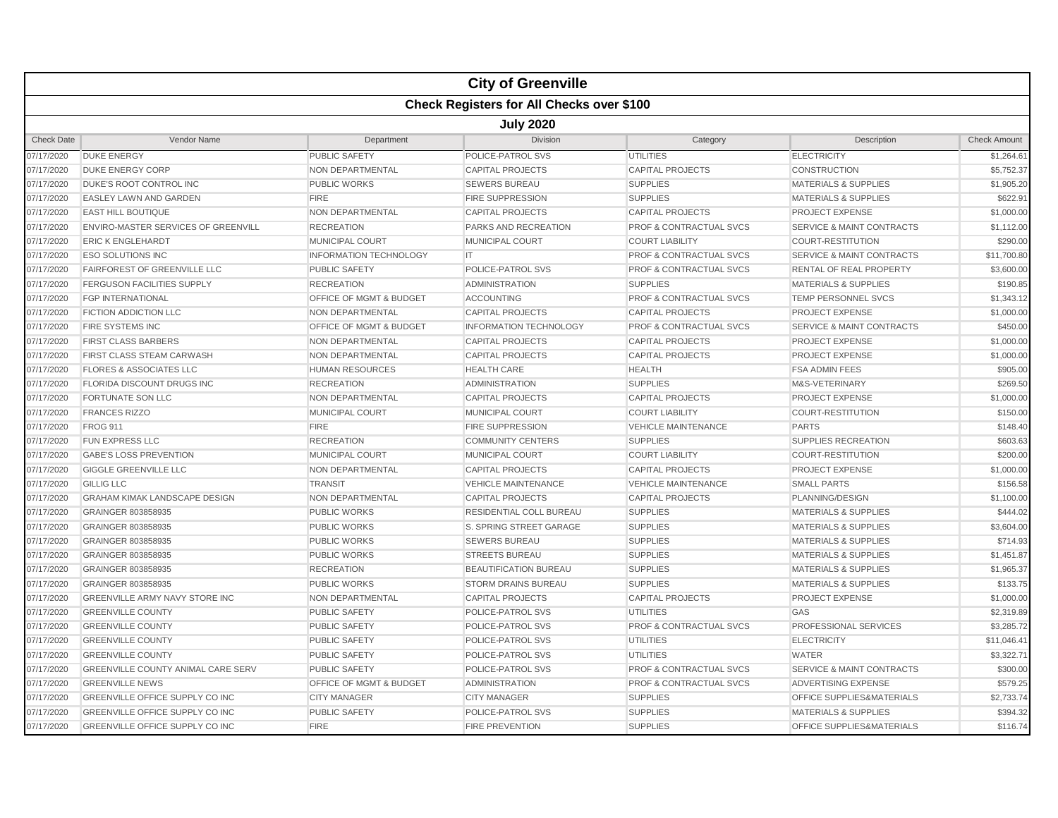|                   |                                            |                               | <b>City of Greenville</b>                        |                                    |                                      |                     |  |  |  |
|-------------------|--------------------------------------------|-------------------------------|--------------------------------------------------|------------------------------------|--------------------------------------|---------------------|--|--|--|
|                   |                                            |                               | <b>Check Registers for All Checks over \$100</b> |                                    |                                      |                     |  |  |  |
|                   | <b>July 2020</b>                           |                               |                                                  |                                    |                                      |                     |  |  |  |
| <b>Check Date</b> | Vendor Name                                | Department                    | <b>Division</b>                                  | Category                           | Description                          | <b>Check Amount</b> |  |  |  |
| 07/17/2020        | <b>DUKE ENERGY</b>                         | PUBLIC SAFETY                 | POLICE-PATROL SVS                                | <b>UTILITIES</b>                   | <b>ELECTRICITY</b>                   | \$1,264.61          |  |  |  |
| 07/17/2020        | <b>DUKE ENERGY CORP</b>                    | <b>NON DEPARTMENTAL</b>       | <b>CAPITAL PROJECTS</b>                          | <b>CAPITAL PROJECTS</b>            | <b>CONSTRUCTION</b>                  | \$5,752.37          |  |  |  |
| 07/17/2020        | DUKE'S ROOT CONTROL INC                    | <b>PUBLIC WORKS</b>           | <b>SEWERS BUREAU</b>                             | <b>SUPPLIES</b>                    | <b>MATERIALS &amp; SUPPLIES</b>      | \$1,905.20          |  |  |  |
| 07/17/2020        | <b>EASLEY LAWN AND GARDEN</b>              | <b>FIRE</b>                   | <b>FIRE SUPPRESSION</b>                          | <b>SUPPLIES</b>                    | <b>MATERIALS &amp; SUPPLIES</b>      | \$622.91            |  |  |  |
| 07/17/2020        | <b>EAST HILL BOUTIQUE</b>                  | <b>NON DEPARTMENTAL</b>       | <b>CAPITAL PROJECTS</b>                          | <b>CAPITAL PROJECTS</b>            | <b>PROJECT EXPENSE</b>               | \$1,000.00          |  |  |  |
| 07/17/2020        | <b>ENVIRO-MASTER SERVICES OF GREENVILL</b> | <b>RECREATION</b>             | PARKS AND RECREATION                             | <b>PROF &amp; CONTRACTUAL SVCS</b> | <b>SERVICE &amp; MAINT CONTRACTS</b> | \$1,112.00          |  |  |  |
| 07/17/2020        | <b>ERIC K ENGLEHARDT</b>                   | <b>MUNICIPAL COURT</b>        | MUNICIPAL COURT                                  | <b>COURT LIABILITY</b>             | <b>COURT-RESTITUTION</b>             | \$290.00            |  |  |  |
| 07/17/2020        | <b>ESO SOLUTIONS INC</b>                   | <b>INFORMATION TECHNOLOGY</b> | IT.                                              | <b>PROF &amp; CONTRACTUAL SVCS</b> | <b>SERVICE &amp; MAINT CONTRACTS</b> | \$11,700.80         |  |  |  |
| 07/17/2020        | <b>FAIRFOREST OF GREENVILLE LLC</b>        | <b>PUBLIC SAFETY</b>          | POLICE-PATROL SVS                                | <b>PROF &amp; CONTRACTUAL SVCS</b> | <b>RENTAL OF REAL PROPERTY</b>       | \$3,600.00          |  |  |  |
| 07/17/2020        | <b>FERGUSON FACILITIES SUPPLY</b>          | <b>RECREATION</b>             | <b>ADMINISTRATION</b>                            | <b>SUPPLIES</b>                    | <b>MATERIALS &amp; SUPPLIES</b>      | \$190.85            |  |  |  |
| 07/17/2020        | <b>FGP INTERNATIONAL</b>                   | OFFICE OF MGMT & BUDGET       | <b>ACCOUNTING</b>                                | PROF & CONTRACTUAL SVCS            | TEMP PERSONNEL SVCS                  | \$1,343.12          |  |  |  |
| 07/17/2020        | <b>FICTION ADDICTION LLC</b>               | <b>NON DEPARTMENTAL</b>       | <b>CAPITAL PROJECTS</b>                          | <b>CAPITAL PROJECTS</b>            | <b>PROJECT EXPENSE</b>               | \$1,000.00          |  |  |  |
| 07/17/2020        | <b>FIRE SYSTEMS INC</b>                    | OFFICE OF MGMT & BUDGET       | <b>INFORMATION TECHNOLOGY</b>                    | <b>PROF &amp; CONTRACTUAL SVCS</b> | <b>SERVICE &amp; MAINT CONTRACTS</b> | \$450.00            |  |  |  |
| 07/17/2020        | <b>FIRST CLASS BARBERS</b>                 | <b>NON DEPARTMENTAL</b>       | <b>CAPITAL PROJECTS</b>                          | <b>CAPITAL PROJECTS</b>            | <b>PROJECT EXPENSE</b>               | \$1,000.00          |  |  |  |
| 07/17/2020        | FIRST CLASS STEAM CARWASH                  | NON DEPARTMENTAL              | <b>CAPITAL PROJECTS</b>                          | <b>CAPITAL PROJECTS</b>            | <b>PROJECT EXPENSE</b>               | \$1,000.00          |  |  |  |
| 07/17/2020        | <b>FLORES &amp; ASSOCIATES LLC</b>         | <b>HUMAN RESOURCES</b>        | <b>HEALTH CARE</b>                               | <b>HEALTH</b>                      | <b>FSA ADMIN FEES</b>                | \$905.00            |  |  |  |
| 07/17/2020        | FLORIDA DISCOUNT DRUGS INC                 | <b>RECREATION</b>             | <b>ADMINISTRATION</b>                            | <b>SUPPLIES</b>                    | M&S-VETERINARY                       | \$269.50            |  |  |  |
| 07/17/2020        | <b>FORTUNATE SON LLC</b>                   | NON DEPARTMENTAL              | <b>CAPITAL PROJECTS</b>                          | <b>CAPITAL PROJECTS</b>            | <b>PROJECT EXPENSE</b>               | \$1,000.00          |  |  |  |
| 07/17/2020        | <b>FRANCES RIZZO</b>                       | <b>MUNICIPAL COURT</b>        | <b>MUNICIPAL COURT</b>                           | <b>COURT LIABILITY</b>             | <b>COURT-RESTITUTION</b>             | \$150.00            |  |  |  |
| 07/17/2020        | <b>FROG 911</b>                            | <b>FIRE</b>                   | <b>FIRE SUPPRESSION</b>                          | <b>VEHICLE MAINTENANCE</b>         | <b>PARTS</b>                         | \$148.40            |  |  |  |
| 07/17/2020        | <b>FUN EXPRESS LLC</b>                     | <b>RECREATION</b>             | <b>COMMUNITY CENTERS</b>                         | <b>SUPPLIES</b>                    | SUPPLIES RECREATION                  | \$603.63            |  |  |  |
| 07/17/2020        | <b>GABE'S LOSS PREVENTION</b>              | <b>MUNICIPAL COURT</b>        | <b>MUNICIPAL COURT</b>                           | <b>COURT LIABILITY</b>             | <b>COURT-RESTITUTION</b>             | \$200.00            |  |  |  |
| 07/17/2020        | <b>GIGGLE GREENVILLE LLC</b>               | NON DEPARTMENTAL              | <b>CAPITAL PROJECTS</b>                          | <b>CAPITAL PROJECTS</b>            | PROJECT EXPENSE                      | \$1,000.00          |  |  |  |
| 07/17/2020        | <b>GILLIG LLC</b>                          | <b>TRANSIT</b>                | <b>VEHICLE MAINTENANCE</b>                       | <b>VEHICLE MAINTENANCE</b>         | <b>SMALL PARTS</b>                   | \$156.58            |  |  |  |
| 07/17/2020        | <b>GRAHAM KIMAK LANDSCAPE DESIGN</b>       | NON DEPARTMENTAL              | <b>CAPITAL PROJECTS</b>                          | <b>CAPITAL PROJECTS</b>            | PLANNING/DESIGN                      | \$1,100.00          |  |  |  |
| 07/17/2020        | GRAINGER 803858935                         | <b>PUBLIC WORKS</b>           | <b>RESIDENTIAL COLL BUREAU</b>                   | <b>SUPPLIES</b>                    | <b>MATERIALS &amp; SUPPLIES</b>      | \$444.02            |  |  |  |
| 07/17/2020        | GRAINGER 803858935                         | <b>PUBLIC WORKS</b>           | S. SPRING STREET GARAGE                          | <b>SUPPLIES</b>                    | <b>MATERIALS &amp; SUPPLIES</b>      | \$3,604.00          |  |  |  |
| 07/17/2020        | GRAINGER 803858935                         | <b>PUBLIC WORKS</b>           | <b>SEWERS BUREAU</b>                             | <b>SUPPLIES</b>                    | <b>MATERIALS &amp; SUPPLIES</b>      | \$714.93            |  |  |  |
| 07/17/2020        | GRAINGER 803858935                         | <b>PUBLIC WORKS</b>           | <b>STREETS BUREAU</b>                            | <b>SUPPLIES</b>                    | <b>MATERIALS &amp; SUPPLIES</b>      | \$1,451.87          |  |  |  |
| 07/17/2020        | GRAINGER 803858935                         | <b>RECREATION</b>             | <b>BEAUTIFICATION BUREAU</b>                     | <b>SUPPLIES</b>                    | <b>MATERIALS &amp; SUPPLIES</b>      | \$1,965.37          |  |  |  |
| 07/17/2020        | GRAINGER 803858935                         | <b>PUBLIC WORKS</b>           | STORM DRAINS BUREAU                              | <b>SUPPLIES</b>                    | <b>MATERIALS &amp; SUPPLIES</b>      | \$133.75            |  |  |  |
| 07/17/2020        | GREENVILLE ARMY NAVY STORE INC             | NON DEPARTMENTAL              | <b>CAPITAL PROJECTS</b>                          | <b>CAPITAL PROJECTS</b>            | PROJECT EXPENSE                      | \$1,000.00          |  |  |  |
| 07/17/2020        | <b>GREENVILLE COUNTY</b>                   | <b>PUBLIC SAFETY</b>          | POLICE-PATROL SVS                                | <b>UTILITIES</b>                   | GAS                                  | \$2,319.89          |  |  |  |
| 07/17/2020        | <b>GREENVILLE COUNTY</b>                   | <b>PUBLIC SAFETY</b>          | POLICE-PATROL SVS                                | <b>PROF &amp; CONTRACTUAL SVCS</b> | <b>PROFESSIONAL SERVICES</b>         | \$3,285.72          |  |  |  |
| 07/17/2020        | <b>GREENVILLE COUNTY</b>                   | <b>PUBLIC SAFETY</b>          | POLICE-PATROL SVS                                | <b>UTILITIES</b>                   | <b>ELECTRICITY</b>                   | \$11,046.4'         |  |  |  |
| 07/17/2020        | <b>GREENVILLE COUNTY</b>                   | <b>PUBLIC SAFETY</b>          | POLICE-PATROL SVS                                | <b>UTILITIES</b>                   | WATER                                | \$3,322.71          |  |  |  |
| 07/17/2020        | GREENVILLE COUNTY ANIMAL CARE SERV         | <b>PUBLIC SAFETY</b>          | POLICE-PATROL SVS                                | <b>PROF &amp; CONTRACTUAL SVCS</b> | <b>SERVICE &amp; MAINT CONTRACTS</b> | \$300.00            |  |  |  |
| 07/17/2020        | <b>GREENVILLE NEWS</b>                     | OFFICE OF MGMT & BUDGET       | <b>ADMINISTRATION</b>                            | PROF & CONTRACTUAL SVCS            | ADVERTISING EXPENSE                  | \$579.25            |  |  |  |
| 07/17/2020        | GREENVILLE OFFICE SUPPLY CO INC            | <b>CITY MANAGER</b>           | <b>CITY MANAGER</b>                              | <b>SUPPLIES</b>                    | OFFICE SUPPLIES&MATERIALS            | \$2,733.74          |  |  |  |
| 07/17/2020        | <b>GREENVILLE OFFICE SUPPLY CO INC</b>     | <b>PUBLIC SAFETY</b>          | POLICE-PATROL SVS                                | <b>SUPPLIES</b>                    | <b>MATERIALS &amp; SUPPLIES</b>      | \$394.32            |  |  |  |
| 07/17/2020        | <b>GREENVILLE OFFICE SUPPLY CO INC</b>     | <b>FIRE</b>                   | <b>FIRE PREVENTION</b>                           | <b>SUPPLIES</b>                    | <b>OFFICE SUPPLIES&amp;MATERIALS</b> | \$116.74            |  |  |  |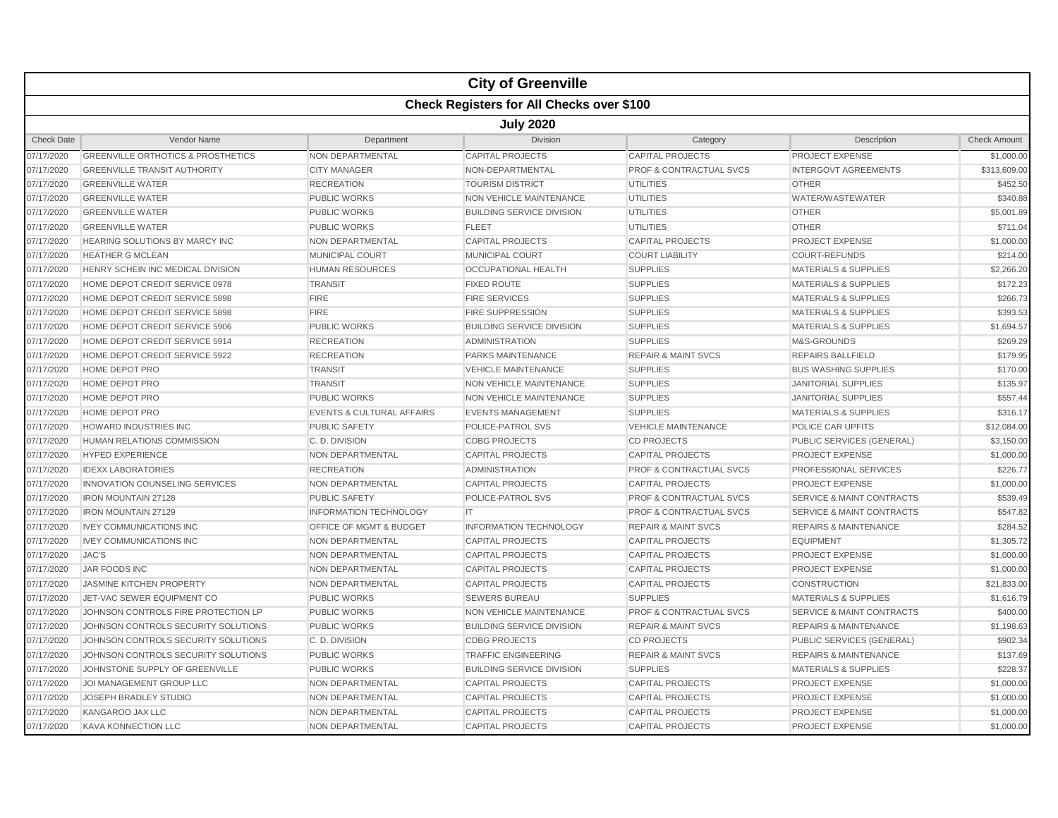|                   |                                                  |                                      | <b>City of Greenville</b>        |                                    |                                      |                     |  |  |  |  |
|-------------------|--------------------------------------------------|--------------------------------------|----------------------------------|------------------------------------|--------------------------------------|---------------------|--|--|--|--|
|                   | <b>Check Registers for All Checks over \$100</b> |                                      |                                  |                                    |                                      |                     |  |  |  |  |
|                   | <b>July 2020</b>                                 |                                      |                                  |                                    |                                      |                     |  |  |  |  |
| <b>Check Date</b> | Vendor Name                                      | Department                           | <b>Division</b>                  | Category                           | Description                          | <b>Check Amount</b> |  |  |  |  |
| 07/17/2020        | <b>GREENVILLE ORTHOTICS &amp; PROSTHETICS</b>    | <b>NON DEPARTMENTAL</b>              | <b>CAPITAL PROJECTS</b>          | <b>CAPITAL PROJECTS</b>            | PROJECT EXPENSE                      | \$1,000.00          |  |  |  |  |
| 07/17/2020        | <b>GREENVILLE TRANSIT AUTHORITY</b>              | <b>CITY MANAGER</b>                  | NON-DEPARTMENTAL                 | <b>PROF &amp; CONTRACTUAL SVCS</b> | <b>INTERGOVT AGREEMENTS</b>          | \$313,609.00        |  |  |  |  |
| 07/17/2020        | <b>GREENVILLE WATER</b>                          | <b>RECREATION</b>                    | <b>TOURISM DISTRICT</b>          | <b>UTILITIES</b>                   | <b>OTHER</b>                         | \$452.50            |  |  |  |  |
| 07/17/2020        | <b>GREENVILLE WATER</b>                          | <b>PUBLIC WORKS</b>                  | NON VEHICLE MAINTENANCE          | <b>UTILITIES</b>                   | WATER/WASTEWATER                     | \$340.88            |  |  |  |  |
| 07/17/2020        | <b>GREENVILLE WATER</b>                          | <b>PUBLIC WORKS</b>                  | <b>BUILDING SERVICE DIVISION</b> | <b>UTILITIES</b>                   | <b>OTHER</b>                         | \$5,001.89          |  |  |  |  |
| 07/17/2020        | <b>GREENVILLE WATER</b>                          | <b>PUBLIC WORKS</b>                  | <b>FLEET</b>                     | <b>UTILITIES</b>                   | <b>OTHER</b>                         | \$711.04            |  |  |  |  |
| 07/17/2020        | HEARING SOLUTIONS BY MARCY INC                   | NON DEPARTMENTAL                     | <b>CAPITAL PROJECTS</b>          | <b>CAPITAL PROJECTS</b>            | <b>PROJECT EXPENSE</b>               | \$1,000.00          |  |  |  |  |
| 07/17/2020        | <b>HEATHER G MCLEAN</b>                          | MUNICIPAL COURT                      | <b>MUNICIPAL COURT</b>           | <b>COURT LIABILITY</b>             | <b>COURT-REFUNDS</b>                 | \$214.00            |  |  |  |  |
| 07/17/2020        | HENRY SCHEIN INC MEDICAL DIVISION                | <b>HUMAN RESOURCES</b>               | <b>OCCUPATIONAL HEALTH</b>       | <b>SUPPLIES</b>                    | <b>MATERIALS &amp; SUPPLIES</b>      | \$2,266.20          |  |  |  |  |
| 07/17/2020        | HOME DEPOT CREDIT SERVICE 0978                   | <b>TRANSIT</b>                       | <b>FIXED ROUTE</b>               | <b>SUPPLIES</b>                    | <b>MATERIALS &amp; SUPPLIES</b>      | \$172.23            |  |  |  |  |
| 07/17/2020        | HOME DEPOT CREDIT SERVICE 5898                   | <b>FIRE</b>                          | <b>FIRE SERVICES</b>             | <b>SUPPLIES</b>                    | <b>MATERIALS &amp; SUPPLIES</b>      | \$266.73            |  |  |  |  |
| 07/17/2020        | HOME DEPOT CREDIT SERVICE 5898                   | <b>FIRE</b>                          | <b>FIRE SUPPRESSION</b>          | <b>SUPPLIES</b>                    | <b>MATERIALS &amp; SUPPLIES</b>      | \$393.53            |  |  |  |  |
| 07/17/2020        | HOME DEPOT CREDIT SERVICE 5906                   | <b>PUBLIC WORKS</b>                  | <b>BUILDING SERVICE DIVISION</b> | <b>SUPPLIES</b>                    | <b>MATERIALS &amp; SUPPLIES</b>      | \$1,694.57          |  |  |  |  |
| 07/17/2020        | HOME DEPOT CREDIT SERVICE 5914                   | <b>RECREATION</b>                    | <b>ADMINISTRATION</b>            | <b>SUPPLIES</b>                    | M&S-GROUNDS                          | \$269.29            |  |  |  |  |
| 07/17/2020        | HOME DEPOT CREDIT SERVICE 5922                   | <b>RECREATION</b>                    | <b>PARKS MAINTENANCE</b>         | <b>REPAIR &amp; MAINT SVCS</b>     | REPAIRS BALLFIELD                    | \$179.95            |  |  |  |  |
| 07/17/2020        | HOME DEPOT PRO                                   | <b>TRANSIT</b>                       | <b>VEHICLE MAINTENANCE</b>       | <b>SUPPLIES</b>                    | <b>BUS WASHING SUPPLIES</b>          | \$170.00            |  |  |  |  |
| 07/17/2020        | <b>HOME DEPOT PRO</b>                            | <b>TRANSIT</b>                       | NON VEHICLE MAINTENANCE          | <b>SUPPLIES</b>                    | <b>JANITORIAL SUPPLIES</b>           | \$135.97            |  |  |  |  |
| 07/17/2020        | HOME DEPOT PRO                                   | <b>PUBLIC WORKS</b>                  | NON VEHICLE MAINTENANCE          | <b>SUPPLIES</b>                    | <b>JANITORIAL SUPPLIES</b>           | \$557.44            |  |  |  |  |
| 07/17/2020        | HOME DEPOT PRO                                   | <b>EVENTS &amp; CULTURAL AFFAIRS</b> | <b>EVENTS MANAGEMENT</b>         | <b>SUPPLIES</b>                    | <b>MATERIALS &amp; SUPPLIES</b>      | \$316.17            |  |  |  |  |
| 07/17/2020        | HOWARD INDUSTRIES INC                            | <b>PUBLIC SAFETY</b>                 | POLICE-PATROL SVS                | <b>VEHICLE MAINTENANCE</b>         | POLICE CAR UPFITS                    | \$12,084.00         |  |  |  |  |
| 07/17/2020        | HUMAN RELATIONS COMMISSION                       | C.D. DIVISION                        | <b>CDBG PROJECTS</b>             | <b>CD PROJECTS</b>                 | PUBLIC SERVICES (GENERAL)            | \$3,150.00          |  |  |  |  |
| 07/17/2020        | <b>HYPED EXPERIENCE</b>                          | NON DEPARTMENTAL                     | <b>CAPITAL PROJECTS</b>          | <b>CAPITAL PROJECTS</b>            | <b>PROJECT EXPENSE</b>               | \$1,000.00          |  |  |  |  |
| 07/17/2020        | <b>IDEXX LABORATORIES</b>                        | <b>RECREATION</b>                    | <b>ADMINISTRATION</b>            | PROF & CONTRACTUAL SVCS            | PROFESSIONAL SERVICES                | \$226.77            |  |  |  |  |
| 07/17/2020        | INNOVATION COUNSELING SERVICES                   | NON DEPARTMENTAL                     | <b>CAPITAL PROJECTS</b>          | <b>CAPITAL PROJECTS</b>            | <b>PROJECT EXPENSE</b>               | \$1,000.00          |  |  |  |  |
| 07/17/2020        | <b>IRON MOUNTAIN 27128</b>                       | <b>PUBLIC SAFETY</b>                 | POLICE-PATROL SVS                | <b>PROF &amp; CONTRACTUAL SVCS</b> | <b>SERVICE &amp; MAINT CONTRACTS</b> | \$539.49            |  |  |  |  |
| 07/17/2020        | IRON MOUNTAIN 27129                              | <b>INFORMATION TECHNOLOGY</b>        | IT                               | <b>PROF &amp; CONTRACTUAL SVCS</b> | <b>SERVICE &amp; MAINT CONTRACTS</b> | \$547.82            |  |  |  |  |
| 07/17/2020        | <b>IVEY COMMUNICATIONS INC</b>                   | OFFICE OF MGMT & BUDGET              | <b>INFORMATION TECHNOLOGY</b>    | <b>REPAIR &amp; MAINT SVCS</b>     | <b>REPAIRS &amp; MAINTENANCE</b>     | \$284.52            |  |  |  |  |
| 07/17/2020        | <b>IVEY COMMUNICATIONS INC</b>                   | NON DEPARTMENTAL                     | <b>CAPITAL PROJECTS</b>          | <b>CAPITAL PROJECTS</b>            | <b>EQUIPMENT</b>                     | \$1,305.72          |  |  |  |  |
| 07/17/2020        | <b>JAC'S</b>                                     | NON DEPARTMENTAL                     | <b>CAPITAL PROJECTS</b>          | <b>CAPITAL PROJECTS</b>            | PROJECT EXPENSE                      | \$1,000.00          |  |  |  |  |
| 07/17/2020        | JAR FOODS INC                                    | <b>NON DEPARTMENTAL</b>              | <b>CAPITAL PROJECTS</b>          | <b>CAPITAL PROJECTS</b>            | <b>PROJECT EXPENSE</b>               | \$1,000.00          |  |  |  |  |
| 07/17/2020        | JASMINE KITCHEN PROPERTY                         | NON DEPARTMENTAL                     | <b>CAPITAL PROJECTS</b>          | <b>CAPITAL PROJECTS</b>            | <b>CONSTRUCTION</b>                  | \$21,833.00         |  |  |  |  |
| 07/17/2020        | JET-VAC SEWER EQUIPMENT CO                       | <b>PUBLIC WORKS</b>                  | <b>SEWERS BUREAU</b>             | <b>SUPPLIES</b>                    | <b>MATERIALS &amp; SUPPLIES</b>      | \$1,616.79          |  |  |  |  |
| 07/17/2020        | JOHNSON CONTROLS FIRE PROTECTION LP              | <b>PUBLIC WORKS</b>                  | <b>NON VEHICLE MAINTENANCE</b>   | <b>PROF &amp; CONTRACTUAL SVCS</b> | <b>SERVICE &amp; MAINT CONTRACTS</b> | \$400.00            |  |  |  |  |
| 07/17/2020        | JOHNSON CONTROLS SECURITY SOLUTIONS              | <b>PUBLIC WORKS</b>                  | <b>BUILDING SERVICE DIVISION</b> | <b>REPAIR &amp; MAINT SVCS</b>     | <b>REPAIRS &amp; MAINTENANCE</b>     | \$1,198.63          |  |  |  |  |
| 07/17/2020        | JOHNSON CONTROLS SECURITY SOLUTIONS              | C. D. DIVISION                       | <b>CDBG PROJECTS</b>             | <b>CD PROJECTS</b>                 | PUBLIC SERVICES (GENERAL)            | \$902.34            |  |  |  |  |
| 07/17/2020        | JOHNSON CONTROLS SECURITY SOLUTIONS              | PUBLIC WORKS                         | <b>TRAFFIC ENGINEERING</b>       | <b>REPAIR &amp; MAINT SVCS</b>     | <b>REPAIRS &amp; MAINTENANCE</b>     | \$137.69            |  |  |  |  |
| 07/17/2020        | JOHNSTONE SUPPLY OF GREENVILLE                   | <b>PUBLIC WORKS</b>                  | <b>BUILDING SERVICE DIVISION</b> | <b>SUPPLIES</b>                    | <b>MATERIALS &amp; SUPPLIES</b>      | \$228.37            |  |  |  |  |
| 07/17/2020        | JOI MANAGEMENT GROUP LLC                         | NON DEPARTMENTAL                     | <b>CAPITAL PROJECTS</b>          | <b>CAPITAL PROJECTS</b>            | <b>PROJECT EXPENSE</b>               | \$1,000.00          |  |  |  |  |
| 07/17/2020        | JOSEPH BRADLEY STUDIO                            | NON DEPARTMENTAL                     | <b>CAPITAL PROJECTS</b>          | <b>CAPITAL PROJECTS</b>            | PROJECT EXPENSE                      | \$1,000.00          |  |  |  |  |
| 07/17/2020        | KANGAROO JAX LLC                                 | NON DEPARTMENTAL                     | <b>CAPITAL PROJECTS</b>          | <b>CAPITAL PROJECTS</b>            | <b>PROJECT EXPENSE</b>               | \$1,000.00          |  |  |  |  |
| 07/17/2020        | <b>KAVA KONNECTION LLC</b>                       | NON DEPARTMENTAL                     | <b>CAPITAL PROJECTS</b>          | <b>CAPITAL PROJECTS</b>            | <b>PROJECT EXPENSE</b>               | \$1,000.00          |  |  |  |  |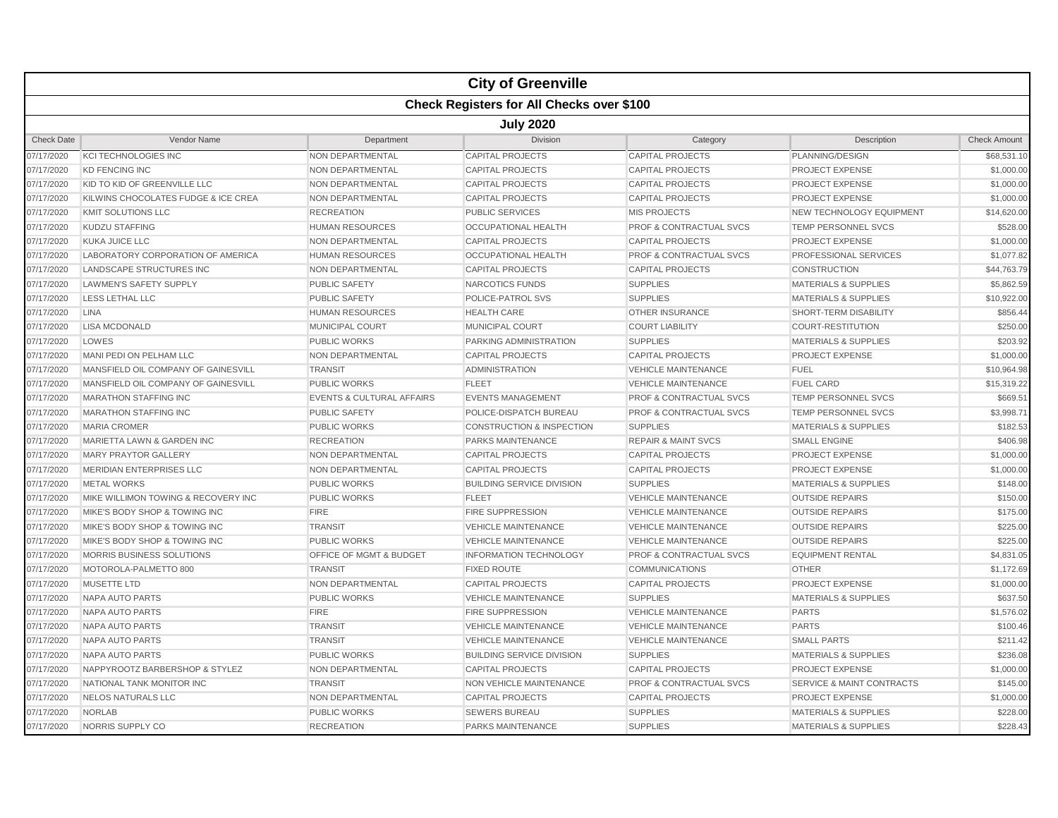|                   |                                                  |                                      | <b>City of Greenville</b>            |                                    |                                      |                     |  |  |  |  |
|-------------------|--------------------------------------------------|--------------------------------------|--------------------------------------|------------------------------------|--------------------------------------|---------------------|--|--|--|--|
|                   | <b>Check Registers for All Checks over \$100</b> |                                      |                                      |                                    |                                      |                     |  |  |  |  |
|                   | <b>July 2020</b>                                 |                                      |                                      |                                    |                                      |                     |  |  |  |  |
| <b>Check Date</b> | Vendor Name                                      | Department                           | <b>Division</b>                      | Category                           | Description                          | <b>Check Amount</b> |  |  |  |  |
| 07/17/2020        | <b>KCI TECHNOLOGIES INC</b>                      | NON DEPARTMENTAL                     | <b>CAPITAL PROJECTS</b>              | <b>CAPITAL PROJECTS</b>            | PLANNING/DESIGN                      | \$68,531.10         |  |  |  |  |
| 07/17/2020        | <b>KD FENCING INC</b>                            | NON DEPARTMENTAL                     | <b>CAPITAL PROJECTS</b>              | <b>CAPITAL PROJECTS</b>            | <b>PROJECT EXPENSE</b>               | \$1,000.00          |  |  |  |  |
| 07/17/2020        | KID TO KID OF GREENVILLE LLC                     | NON DEPARTMENTAL                     | <b>CAPITAL PROJECTS</b>              | <b>CAPITAL PROJECTS</b>            | PROJECT EXPENSE                      | \$1,000.00          |  |  |  |  |
| 07/17/2020        | KILWINS CHOCOLATES FUDGE & ICE CREA              | NON DEPARTMENTAL                     | <b>CAPITAL PROJECTS</b>              | <b>CAPITAL PROJECTS</b>            | <b>PROJECT EXPENSE</b>               | \$1,000.00          |  |  |  |  |
| 07/17/2020        | KMIT SOLUTIONS LLC                               | <b>RECREATION</b>                    | PUBLIC SERVICES                      | <b>MIS PROJECTS</b>                | NEW TECHNOLOGY EQUIPMENT             | \$14,620.00         |  |  |  |  |
| 07/17/2020        | KUDZU STAFFING                                   | HUMAN RESOURCES                      | <b>OCCUPATIONAL HEALTH</b>           | <b>PROF &amp; CONTRACTUAL SVCS</b> | TEMP PERSONNEL SVCS                  | \$528.00            |  |  |  |  |
| 07/17/2020        | KUKA JUICE LLC                                   | NON DEPARTMENTAL                     | <b>CAPITAL PROJECTS</b>              | <b>CAPITAL PROJECTS</b>            | <b>PROJECT EXPENSE</b>               | \$1,000.00          |  |  |  |  |
| 07/17/2020        | LABORATORY CORPORATION OF AMERICA                | <b>HUMAN RESOURCES</b>               | <b>OCCUPATIONAL HEALTH</b>           | PROF & CONTRACTUAL SVCS            | <b>PROFESSIONAL SERVICES</b>         | \$1,077.82          |  |  |  |  |
| 07/17/2020        | <b>LANDSCAPE STRUCTURES INC</b>                  | <b>NON DEPARTMENTAL</b>              | <b>CAPITAL PROJECTS</b>              | <b>CAPITAL PROJECTS</b>            | <b>CONSTRUCTION</b>                  | \$44,763.79         |  |  |  |  |
| 07/17/2020        | <b>LAWMEN'S SAFETY SUPPLY</b>                    | PUBLIC SAFETY                        | NARCOTICS FUNDS                      | <b>SUPPLIES</b>                    | <b>MATERIALS &amp; SUPPLIES</b>      | \$5,862.59          |  |  |  |  |
| 07/17/2020        | LESS LETHAL LLC                                  | <b>PUBLIC SAFETY</b>                 | POLICE-PATROL SVS                    | <b>SUPPLIES</b>                    | <b>MATERIALS &amp; SUPPLIES</b>      | \$10,922.00         |  |  |  |  |
| 07/17/2020        | <b>LINA</b>                                      | <b>HUMAN RESOURCES</b>               | <b>HEALTH CARE</b>                   | <b>OTHER INSURANCE</b>             | SHORT-TERM DISABILITY                | \$856.44            |  |  |  |  |
| 07/17/2020        | <b>LISA MCDONALD</b>                             | MUNICIPAL COURT                      | <b>MUNICIPAL COURT</b>               | <b>COURT LIABILITY</b>             | <b>COURT-RESTITUTION</b>             | \$250.00            |  |  |  |  |
| 07/17/2020        | LOWES                                            | <b>PUBLIC WORKS</b>                  | <b>PARKING ADMINISTRATION</b>        | <b>SUPPLIES</b>                    | <b>MATERIALS &amp; SUPPLIES</b>      | \$203.92            |  |  |  |  |
| 07/17/2020        | MANI PEDI ON PELHAM LLC                          | <b>NON DEPARTMENTAL</b>              | <b>CAPITAL PROJECTS</b>              | <b>CAPITAL PROJECTS</b>            | <b>PROJECT EXPENSE</b>               | \$1,000.00          |  |  |  |  |
| 07/17/2020        | MANSFIELD OIL COMPANY OF GAINESVILL              | <b>TRANSIT</b>                       | <b>ADMINISTRATION</b>                | <b>VEHICLE MAINTENANCE</b>         | <b>FUEL</b>                          | \$10,964.98         |  |  |  |  |
| 07/17/2020        | MANSFIELD OIL COMPANY OF GAINESVILL              | <b>PUBLIC WORKS</b>                  | <b>FLEET</b>                         | <b>VEHICLE MAINTENANCE</b>         | <b>FUEL CARD</b>                     | \$15,319.22         |  |  |  |  |
| 07/17/2020        | <b>MARATHON STAFFING INC</b>                     | <b>EVENTS &amp; CULTURAL AFFAIRS</b> | <b>EVENTS MANAGEMENT</b>             | <b>PROF &amp; CONTRACTUAL SVCS</b> | TEMP PERSONNEL SVCS                  | \$669.51            |  |  |  |  |
| 07/17/2020        | <b>MARATHON STAFFING INC</b>                     | <b>PUBLIC SAFETY</b>                 | POLICE-DISPATCH BUREAU               | <b>PROF &amp; CONTRACTUAL SVCS</b> | <b>TEMP PERSONNEL SVCS</b>           | \$3,998.71          |  |  |  |  |
| 07/17/2020        | <b>MARIA CROMER</b>                              | <b>PUBLIC WORKS</b>                  | <b>CONSTRUCTION &amp; INSPECTION</b> | <b>SUPPLIES</b>                    | <b>MATERIALS &amp; SUPPLIES</b>      | \$182.53            |  |  |  |  |
| 07/17/2020        | MARIETTA LAWN & GARDEN INC                       | <b>RECREATION</b>                    | <b>PARKS MAINTENANCE</b>             | <b>REPAIR &amp; MAINT SVCS</b>     | <b>SMALL ENGINE</b>                  | \$406.98            |  |  |  |  |
| 07/17/2020        | <b>MARY PRAYTOR GALLERY</b>                      | NON DEPARTMENTAL                     | <b>CAPITAL PROJECTS</b>              | <b>CAPITAL PROJECTS</b>            | <b>PROJECT EXPENSE</b>               | \$1,000.00          |  |  |  |  |
| 07/17/2020        | <b>MERIDIAN ENTERPRISES LLC</b>                  | NON DEPARTMENTAL                     | <b>CAPITAL PROJECTS</b>              | <b>CAPITAL PROJECTS</b>            | <b>PROJECT EXPENSE</b>               | \$1,000.00          |  |  |  |  |
| 07/17/2020        | <b>METAL WORKS</b>                               | <b>PUBLIC WORKS</b>                  | <b>BUILDING SERVICE DIVISION</b>     | <b>SUPPLIES</b>                    | <b>MATERIALS &amp; SUPPLIES</b>      | \$148.00            |  |  |  |  |
| 07/17/2020        | MIKE WILLIMON TOWING & RECOVERY INC              | <b>PUBLIC WORKS</b>                  | <b>FLEET</b>                         | <b>VEHICLE MAINTENANCE</b>         | <b>OUTSIDE REPAIRS</b>               | \$150.00            |  |  |  |  |
| 07/17/2020        | MIKE'S BODY SHOP & TOWING INC                    | <b>FIRE</b>                          | <b>FIRE SUPPRESSION</b>              | <b>VEHICLE MAINTENANCE</b>         | <b>OUTSIDE REPAIRS</b>               | \$175.00            |  |  |  |  |
| 07/17/2020        | MIKE'S BODY SHOP & TOWING INC                    | <b>TRANSIT</b>                       | <b>VEHICLE MAINTENANCE</b>           | <b>VEHICLE MAINTENANCE</b>         | <b>OUTSIDE REPAIRS</b>               | \$225.00            |  |  |  |  |
| 07/17/2020        | MIKE'S BODY SHOP & TOWING INC                    | <b>PUBLIC WORKS</b>                  | <b>VEHICLE MAINTENANCE</b>           | <b>VEHICLE MAINTENANCE</b>         | <b>OUTSIDE REPAIRS</b>               | \$225.00            |  |  |  |  |
| 07/17/2020        | MORRIS BUSINESS SOLUTIONS                        | OFFICE OF MGMT & BUDGET              | <b>INFORMATION TECHNOLOGY</b>        | <b>PROF &amp; CONTRACTUAL SVCS</b> | <b>EQUIPMENT RENTAL</b>              | \$4,831.05          |  |  |  |  |
| 07/17/2020        | MOTOROLA-PALMETTO 800                            | <b>TRANSIT</b>                       | <b>FIXED ROUTE</b>                   | <b>COMMUNICATIONS</b>              | <b>OTHER</b>                         | \$1,172.69          |  |  |  |  |
| 07/17/2020        | <b>MUSETTE LTD</b>                               | NON DEPARTMENTAL                     | <b>CAPITAL PROJECTS</b>              | <b>CAPITAL PROJECTS</b>            | PROJECT EXPENSE                      | \$1,000.00          |  |  |  |  |
| 07/17/2020        | <b>NAPA AUTO PARTS</b>                           | <b>PUBLIC WORKS</b>                  | <b>VEHICLE MAINTENANCE</b>           | <b>SUPPLIES</b>                    | <b>MATERIALS &amp; SUPPLIES</b>      | \$637.50            |  |  |  |  |
| 07/17/2020        | NAPA AUTO PARTS                                  | <b>FIRE</b>                          | <b>FIRE SUPPRESSION</b>              | <b>VEHICLE MAINTENANCE</b>         | <b>PARTS</b>                         | \$1,576.02          |  |  |  |  |
| 07/17/2020        | NAPA AUTO PARTS                                  | <b>TRANSIT</b>                       | <b>VEHICLE MAINTENANCE</b>           | <b>VEHICLE MAINTENANCE</b>         | <b>PARTS</b>                         | \$100.46            |  |  |  |  |
| 07/17/2020        | <b>NAPA AUTO PARTS</b>                           | <b>TRANSIT</b>                       | <b>VEHICLE MAINTENANCE</b>           | <b>VEHICLE MAINTENANCE</b>         | <b>SMALL PARTS</b>                   | \$211.42            |  |  |  |  |
| 07/17/2020        | NAPA AUTO PARTS                                  | <b>PUBLIC WORKS</b>                  | <b>BUILDING SERVICE DIVISION</b>     | <b>SUPPLIES</b>                    | <b>MATERIALS &amp; SUPPLIES</b>      | \$236.08            |  |  |  |  |
| 07/17/2020        | NAPPYROOTZ BARBERSHOP & STYLEZ                   | NON DEPARTMENTAL                     | <b>CAPITAL PROJECTS</b>              | <b>CAPITAL PROJECTS</b>            | <b>PROJECT EXPENSE</b>               | \$1,000.00          |  |  |  |  |
| 07/17/2020        | NATIONAL TANK MONITOR INC                        | <b>TRANSIT</b>                       | <b>NON VEHICLE MAINTENANCE</b>       | <b>PROF &amp; CONTRACTUAL SVCS</b> | <b>SERVICE &amp; MAINT CONTRACTS</b> | \$145.00            |  |  |  |  |
| 07/17/2020        | <b>NELOS NATURALS LLC</b>                        | NON DEPARTMENTAL                     | <b>CAPITAL PROJECTS</b>              | <b>CAPITAL PROJECTS</b>            | <b>PROJECT EXPENSE</b>               | \$1,000.00          |  |  |  |  |
| 07/17/2020        | <b>NORLAB</b>                                    | <b>PUBLIC WORKS</b>                  | <b>SEWERS BUREAU</b>                 | <b>SUPPLIES</b>                    | <b>MATERIALS &amp; SUPPLIES</b>      | \$228.00            |  |  |  |  |
| 07/17/2020        | NORRIS SUPPLY CO                                 | <b>RECREATION</b>                    | <b>PARKS MAINTENANCE</b>             | <b>SUPPLIES</b>                    | <b>MATERIALS &amp; SUPPLIES</b>      | \$228.43            |  |  |  |  |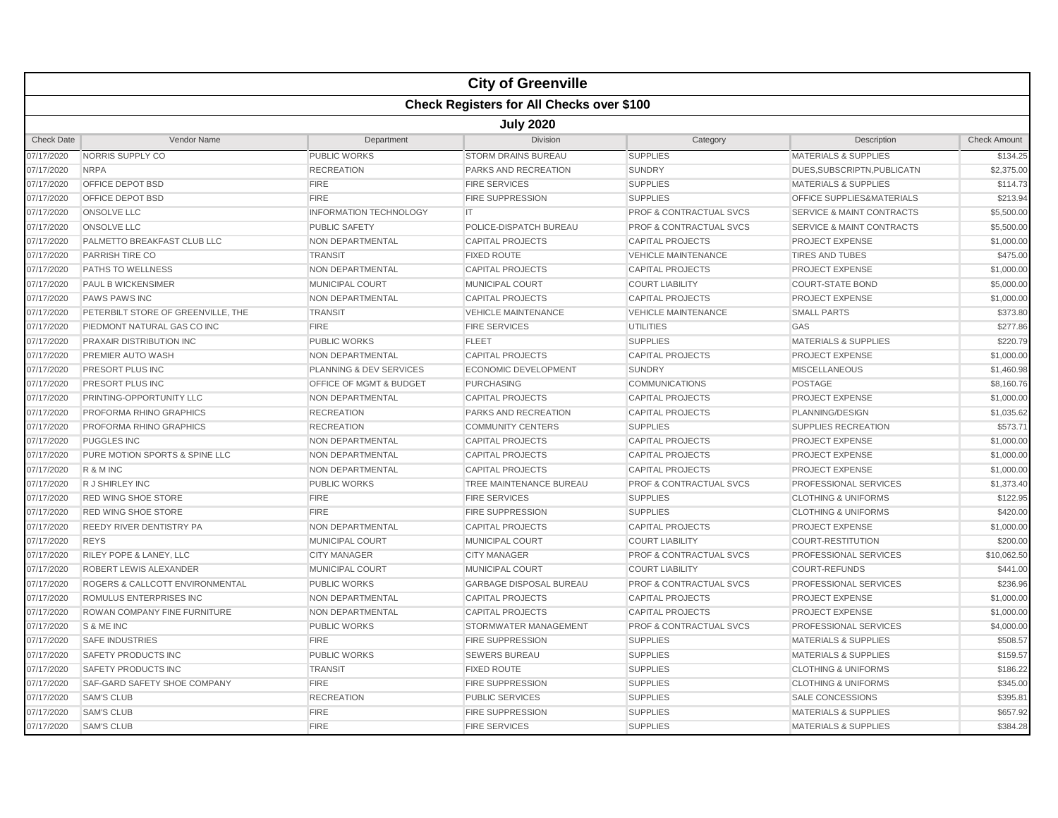|                   |                                                  |                                    | <b>City of Greenville</b>      |                                    |                                      |                     |  |  |  |  |
|-------------------|--------------------------------------------------|------------------------------------|--------------------------------|------------------------------------|--------------------------------------|---------------------|--|--|--|--|
|                   | <b>Check Registers for All Checks over \$100</b> |                                    |                                |                                    |                                      |                     |  |  |  |  |
|                   | <b>July 2020</b>                                 |                                    |                                |                                    |                                      |                     |  |  |  |  |
| <b>Check Date</b> | Vendor Name                                      | Department                         | Division                       | Category                           | Description                          | <b>Check Amount</b> |  |  |  |  |
| 07/17/2020        | NORRIS SUPPLY CO                                 | <b>PUBLIC WORKS</b>                | <b>STORM DRAINS BUREAU</b>     | <b>SUPPLIES</b>                    | <b>MATERIALS &amp; SUPPLIES</b>      | \$134.25            |  |  |  |  |
| 07/17/2020        | <b>NRPA</b>                                      | <b>RECREATION</b>                  | PARKS AND RECREATION           | <b>SUNDRY</b>                      | DUES, SUBSCRIPTN, PUBLICATN          | \$2,375.00          |  |  |  |  |
| 07/17/2020        | OFFICE DEPOT BSD                                 | <b>FIRE</b>                        | <b>FIRE SERVICES</b>           | <b>SUPPLIES</b>                    | <b>MATERIALS &amp; SUPPLIES</b>      | \$114.73            |  |  |  |  |
| 07/17/2020        | OFFICE DEPOT BSD                                 | <b>FIRE</b>                        | <b>FIRE SUPPRESSION</b>        | <b>SUPPLIES</b>                    | <b>OFFICE SUPPLIES&amp;MATERIALS</b> | \$213.94            |  |  |  |  |
| 07/17/2020        | <b>ONSOLVE LLC</b>                               | <b>INFORMATION TECHNOLOGY</b>      | IT.                            | <b>PROF &amp; CONTRACTUAL SVCS</b> | <b>SERVICE &amp; MAINT CONTRACTS</b> | \$5,500.00          |  |  |  |  |
| 07/17/2020        | ONSOLVE LLC                                      | <b>PUBLIC SAFETY</b>               | POLICE-DISPATCH BUREAU         | <b>PROF &amp; CONTRACTUAL SVCS</b> | <b>SERVICE &amp; MAINT CONTRACTS</b> | \$5,500.00          |  |  |  |  |
| 07/17/2020        | PALMETTO BREAKFAST CLUB LLC                      | NON DEPARTMENTAL                   | <b>CAPITAL PROJECTS</b>        | <b>CAPITAL PROJECTS</b>            | <b>PROJECT EXPENSE</b>               | \$1,000.00          |  |  |  |  |
| 07/17/2020        | <b>PARRISH TIRE CO</b>                           | <b>TRANSIT</b>                     | <b>FIXED ROUTE</b>             | <b>VEHICLE MAINTENANCE</b>         | <b>TIRES AND TUBES</b>               | \$475.00            |  |  |  |  |
| 07/17/2020        | <b>PATHS TO WELLNESS</b>                         | NON DEPARTMENTAL                   | <b>CAPITAL PROJECTS</b>        | <b>CAPITAL PROJECTS</b>            | <b>PROJECT EXPENSE</b>               | \$1,000.00          |  |  |  |  |
| 07/17/2020        | <b>PAUL B WICKENSIMER</b>                        | <b>MUNICIPAL COURT</b>             | <b>MUNICIPAL COURT</b>         | <b>COURT LIABILITY</b>             | <b>COURT-STATE BOND</b>              | \$5,000.00          |  |  |  |  |
| 07/17/2020        | <b>PAWS PAWS INC</b>                             | <b>NON DEPARTMENTAL</b>            | <b>CAPITAL PROJECTS</b>        | <b>CAPITAL PROJECTS</b>            | <b>PROJECT EXPENSE</b>               | \$1,000.00          |  |  |  |  |
| 07/17/2020        | PETERBILT STORE OF GREENVILLE, THE               | <b>TRANSIT</b>                     | <b>VEHICLE MAINTENANCE</b>     | <b>VEHICLE MAINTENANCE</b>         | <b>SMALL PARTS</b>                   | \$373.80            |  |  |  |  |
| 07/17/2020        | PIEDMONT NATURAL GAS CO INC                      | <b>FIRE</b>                        | <b>FIRE SERVICES</b>           | <b>UTILITIES</b>                   | GAS                                  | \$277.86            |  |  |  |  |
| 07/17/2020        | <b>PRAXAIR DISTRIBUTION INC</b>                  | <b>PUBLIC WORKS</b>                | <b>FLEET</b>                   | <b>SUPPLIES</b>                    | <b>MATERIALS &amp; SUPPLIES</b>      | \$220.79            |  |  |  |  |
| 07/17/2020        | PREMIER AUTO WASH                                | <b>NON DEPARTMENTAL</b>            | <b>CAPITAL PROJECTS</b>        | <b>CAPITAL PROJECTS</b>            | <b>PROJECT EXPENSE</b>               | \$1,000.00          |  |  |  |  |
| 07/17/2020        | PRESORT PLUS INC                                 | PLANNING & DEV SERVICES            | <b>ECONOMIC DEVELOPMENT</b>    | <b>SUNDRY</b>                      | <b>MISCELLANEOUS</b>                 | \$1,460.98          |  |  |  |  |
| 07/17/2020        | PRESORT PLUS INC                                 | <b>OFFICE OF MGMT &amp; BUDGET</b> | <b>PURCHASING</b>              | <b>COMMUNICATIONS</b>              | POSTAGE                              | \$8,160.76          |  |  |  |  |
| 07/17/2020        | PRINTING-OPPORTUNITY LLC                         | <b>NON DEPARTMENTAL</b>            | <b>CAPITAL PROJECTS</b>        | <b>CAPITAL PROJECTS</b>            | <b>PROJECT EXPENSE</b>               | \$1,000.00          |  |  |  |  |
| 07/17/2020        | <b>PROFORMA RHINO GRAPHICS</b>                   | <b>RECREATION</b>                  | <b>PARKS AND RECREATION</b>    | <b>CAPITAL PROJECTS</b>            | PLANNING/DESIGN                      | \$1,035.62          |  |  |  |  |
| 07/17/2020        | PROFORMA RHINO GRAPHICS                          | <b>RECREATION</b>                  | <b>COMMUNITY CENTERS</b>       | <b>SUPPLIES</b>                    | <b>SUPPLIES RECREATION</b>           | \$573.71            |  |  |  |  |
| 07/17/2020        | <b>PUGGLES INC</b>                               | NON DEPARTMENTAL                   | <b>CAPITAL PROJECTS</b>        | <b>CAPITAL PROJECTS</b>            | <b>PROJECT EXPENSE</b>               | \$1,000.00          |  |  |  |  |
| 07/17/2020        | PURE MOTION SPORTS & SPINE LLC                   | NON DEPARTMENTAL                   | <b>CAPITAL PROJECTS</b>        | <b>CAPITAL PROJECTS</b>            | <b>PROJECT EXPENSE</b>               | \$1,000.00          |  |  |  |  |
| 07/17/2020        | R & M INC                                        | NON DEPARTMENTAL                   | <b>CAPITAL PROJECTS</b>        | <b>CAPITAL PROJECTS</b>            | <b>PROJECT EXPENSE</b>               | \$1,000.00          |  |  |  |  |
| 07/17/2020        | R J SHIRLEY INC                                  | <b>PUBLIC WORKS</b>                | TREE MAINTENANCE BUREAU        | PROF & CONTRACTUAL SVCS            | PROFESSIONAL SERVICES                | \$1,373.40          |  |  |  |  |
| 07/17/2020        | <b>RED WING SHOE STORE</b>                       | <b>FIRE</b>                        | <b>FIRE SERVICES</b>           | <b>SUPPLIES</b>                    | <b>CLOTHING &amp; UNIFORMS</b>       | \$122.95            |  |  |  |  |
| 07/17/2020        | <b>RED WING SHOE STORE</b>                       | <b>FIRE</b>                        | <b>FIRE SUPPRESSION</b>        | <b>SUPPLIES</b>                    | <b>CLOTHING &amp; UNIFORMS</b>       | \$420.00            |  |  |  |  |
| 07/17/2020        | REEDY RIVER DENTISTRY PA                         | NON DEPARTMENTAL                   | <b>CAPITAL PROJECTS</b>        | CAPITAL PROJECTS                   | <b>PROJECT EXPENSE</b>               | \$1,000.00          |  |  |  |  |
| 07/17/2020        | <b>REYS</b>                                      | <b>MUNICIPAL COURT</b>             | <b>MUNICIPAL COURT</b>         | <b>COURT LIABILITY</b>             | <b>COURT-RESTITUTION</b>             | \$200.00            |  |  |  |  |
| 07/17/2020        | RILEY POPE & LANEY, LLC                          | <b>CITY MANAGER</b>                | <b>CITY MANAGER</b>            | <b>PROF &amp; CONTRACTUAL SVCS</b> | <b>PROFESSIONAL SERVICES</b>         | \$10,062.50         |  |  |  |  |
| 07/17/2020        | ROBERT LEWIS ALEXANDER                           | <b>MUNICIPAL COURT</b>             | <b>MUNICIPAL COURT</b>         | <b>COURT LIABILITY</b>             | <b>COURT-REFUNDS</b>                 | \$441.00            |  |  |  |  |
| 07/17/2020        | ROGERS & CALLCOTT ENVIRONMENTAL                  | <b>PUBLIC WORKS</b>                | <b>GARBAGE DISPOSAL BUREAU</b> | <b>PROF &amp; CONTRACTUAL SVCS</b> | <b>PROFESSIONAL SERVICES</b>         | \$236.96            |  |  |  |  |
| 07/17/2020        | ROMULUS ENTERPRISES INC                          | NON DEPARTMENTAL                   | <b>CAPITAL PROJECTS</b>        | <b>CAPITAL PROJECTS</b>            | <b>PROJECT EXPENSE</b>               | \$1,000.00          |  |  |  |  |
| 07/17/2020        | ROWAN COMPANY FINE FURNITURE                     | <b>NON DEPARTMENTAL</b>            | <b>CAPITAL PROJECTS</b>        | <b>CAPITAL PROJECTS</b>            | <b>PROJECT EXPENSE</b>               | \$1,000.00          |  |  |  |  |
| 07/17/2020        | S & ME INC                                       | <b>PUBLIC WORKS</b>                | STORMWATER MANAGEMENT          | PROF & CONTRACTUAL SVCS            | PROFESSIONAL SERVICES                | \$4,000.00          |  |  |  |  |
|                   | <b>SAFE INDUSTRIES</b>                           | <b>FIRE</b>                        | <b>FIRE SUPPRESSION</b>        | <b>SUPPLIES</b>                    | <b>MATERIALS &amp; SUPPLIES</b>      | \$508.57            |  |  |  |  |
| 07/17/2020        |                                                  |                                    |                                |                                    |                                      |                     |  |  |  |  |
| 07/17/2020        | SAFETY PRODUCTS INC                              | <b>PUBLIC WORKS</b>                | <b>SEWERS BUREAU</b>           | <b>SUPPLIES</b>                    | <b>MATERIALS &amp; SUPPLIES</b>      | \$159.57            |  |  |  |  |
| 07/17/2020        | <b>SAFETY PRODUCTS INC</b>                       | <b>TRANSIT</b>                     | <b>FIXED ROUTE</b>             | <b>SUPPLIES</b>                    | <b>CLOTHING &amp; UNIFORMS</b>       | \$186.22            |  |  |  |  |
| 07/17/2020        | SAF-GARD SAFETY SHOE COMPANY                     | <b>FIRE</b>                        | <b>FIRE SUPPRESSION</b>        | <b>SUPPLIES</b>                    | <b>CLOTHING &amp; UNIFORMS</b>       | \$345.00            |  |  |  |  |
| 07/17/2020        | <b>SAM'S CLUB</b>                                | <b>RECREATION</b>                  | <b>PUBLIC SERVICES</b>         | <b>SUPPLIES</b>                    | <b>SALE CONCESSIONS</b>              | \$395.81            |  |  |  |  |
| 07/17/2020        | <b>SAM'S CLUB</b>                                | <b>FIRE</b>                        | <b>FIRE SUPPRESSION</b>        | <b>SUPPLIES</b>                    | <b>MATERIALS &amp; SUPPLIES</b>      | \$657.92            |  |  |  |  |
| 07/17/2020        | <b>SAM'S CLUB</b>                                | <b>FIRE</b>                        | <b>FIRE SERVICES</b>           | <b>SUPPLIES</b>                    | <b>MATERIALS &amp; SUPPLIES</b>      | \$384.28            |  |  |  |  |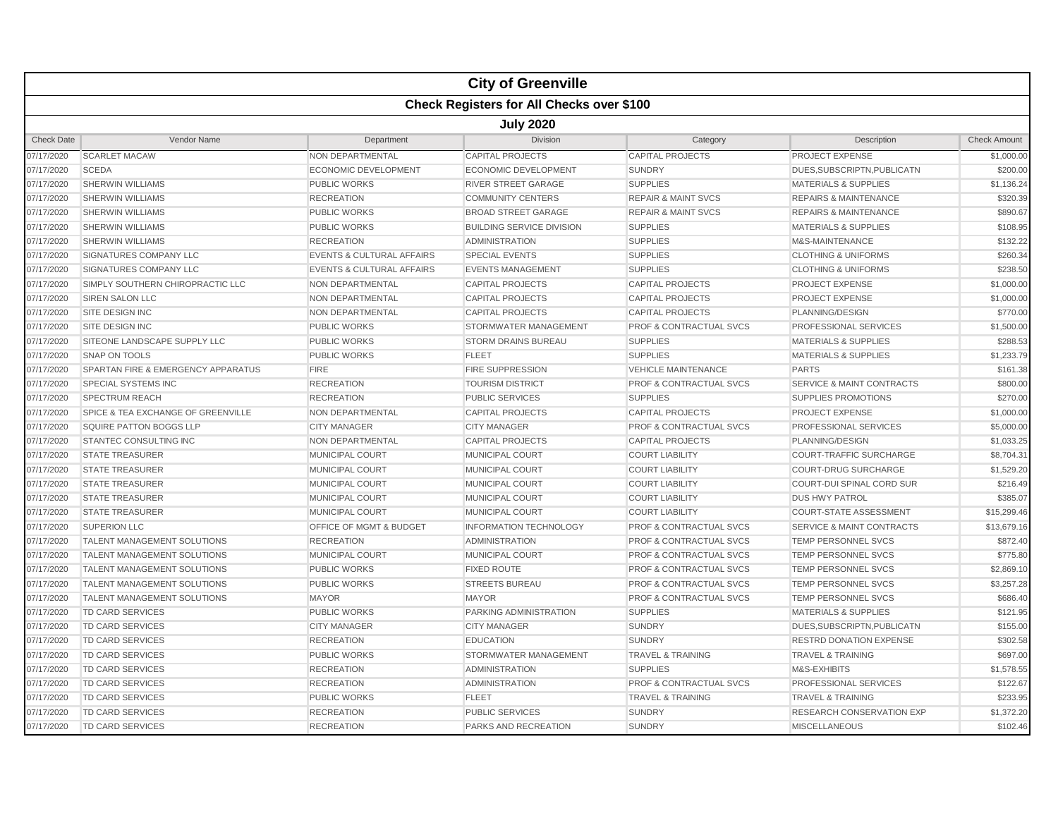|                   |                                                  |                                      | <b>City of Greenville</b>        |                                    |                                      |                     |  |  |  |  |
|-------------------|--------------------------------------------------|--------------------------------------|----------------------------------|------------------------------------|--------------------------------------|---------------------|--|--|--|--|
|                   | <b>Check Registers for All Checks over \$100</b> |                                      |                                  |                                    |                                      |                     |  |  |  |  |
|                   | <b>July 2020</b>                                 |                                      |                                  |                                    |                                      |                     |  |  |  |  |
| <b>Check Date</b> | Vendor Name                                      | Department                           | <b>Division</b>                  | Category                           | Description                          | <b>Check Amount</b> |  |  |  |  |
| 07/17/2020        | <b>SCARLET MACAW</b>                             | <b>NON DEPARTMENTAL</b>              | <b>CAPITAL PROJECTS</b>          | <b>CAPITAL PROJECTS</b>            | PROJECT EXPENSE                      | \$1,000.00          |  |  |  |  |
| 07/17/2020        | <b>SCEDA</b>                                     | <b>ECONOMIC DEVELOPMENT</b>          | <b>ECONOMIC DEVELOPMENT</b>      | <b>SUNDRY</b>                      | DUES, SUBSCRIPTN, PUBLICATN          | \$200.00            |  |  |  |  |
| 07/17/2020        | <b>SHERWIN WILLIAMS</b>                          | PUBLIC WORKS                         | <b>RIVER STREET GARAGE</b>       | <b>SUPPLIES</b>                    | <b>MATERIALS &amp; SUPPLIES</b>      | \$1,136.24          |  |  |  |  |
| 07/17/2020        | <b>SHERWIN WILLIAMS</b>                          | <b>RECREATION</b>                    | <b>COMMUNITY CENTERS</b>         | <b>REPAIR &amp; MAINT SVCS</b>     | <b>REPAIRS &amp; MAINTENANCE</b>     | \$320.39            |  |  |  |  |
| 07/17/2020        | <b>SHERWIN WILLIAMS</b>                          | <b>PUBLIC WORKS</b>                  | <b>BROAD STREET GARAGE</b>       | <b>REPAIR &amp; MAINT SVCS</b>     | <b>REPAIRS &amp; MAINTENANCE</b>     | \$890.67            |  |  |  |  |
| 07/17/2020        | <b>SHERWIN WILLIAMS</b>                          | <b>PUBLIC WORKS</b>                  | <b>BUILDING SERVICE DIVISION</b> | <b>SUPPLIES</b>                    | <b>MATERIALS &amp; SUPPLIES</b>      | \$108.95            |  |  |  |  |
| 07/17/2020        | <b>SHERWIN WILLIAMS</b>                          | <b>RECREATION</b>                    | <b>ADMINISTRATION</b>            | <b>SUPPLIES</b>                    | M&S-MAINTENANCE                      | \$132.22            |  |  |  |  |
| 07/17/2020        | SIGNATURES COMPANY LLC                           | <b>EVENTS &amp; CULTURAL AFFAIRS</b> | <b>SPECIAL EVENTS</b>            | <b>SUPPLIES</b>                    | <b>CLOTHING &amp; UNIFORMS</b>       | \$260.34            |  |  |  |  |
| 07/17/2020        | <b>SIGNATURES COMPANY LLC</b>                    | <b>EVENTS &amp; CULTURAL AFFAIRS</b> | <b>EVENTS MANAGEMENT</b>         | <b>SUPPLIES</b>                    | <b>CLOTHING &amp; UNIFORMS</b>       | \$238.50            |  |  |  |  |
| 07/17/2020        | SIMPLY SOUTHERN CHIROPRACTIC LLC                 | NON DEPARTMENTAL                     | <b>CAPITAL PROJECTS</b>          | <b>CAPITAL PROJECTS</b>            | <b>PROJECT EXPENSE</b>               | \$1,000.00          |  |  |  |  |
| 07/17/2020        | <b>SIREN SALON LLC</b>                           | NON DEPARTMENTAL                     | <b>CAPITAL PROJECTS</b>          | <b>CAPITAL PROJECTS</b>            | <b>PROJECT EXPENSE</b>               | \$1,000.00          |  |  |  |  |
| 07/17/2020        | SITE DESIGN INC                                  | NON DEPARTMENTAL                     | <b>CAPITAL PROJECTS</b>          | <b>CAPITAL PROJECTS</b>            | PLANNING/DESIGN                      | \$770.00            |  |  |  |  |
| 07/17/2020        | SITE DESIGN INC                                  | PUBLIC WORKS                         | STORMWATER MANAGEMENT            | PROF & CONTRACTUAL SVCS            | PROFESSIONAL SERVICES                | \$1,500.00          |  |  |  |  |
| 07/17/2020        | SITEONE LANDSCAPE SUPPLY LLC                     | <b>PUBLIC WORKS</b>                  | <b>STORM DRAINS BUREAU</b>       | <b>SUPPLIES</b>                    | <b>MATERIALS &amp; SUPPLIES</b>      | \$288.53            |  |  |  |  |
| 07/17/2020        | SNAP ON TOOLS                                    | <b>PUBLIC WORKS</b>                  | <b>FLEET</b>                     | <b>SUPPLIES</b>                    | <b>MATERIALS &amp; SUPPLIES</b>      | \$1,233.79          |  |  |  |  |
| 07/17/2020        | SPARTAN FIRE & EMERGENCY APPARATUS               | <b>FIRE</b>                          | <b>FIRE SUPPRESSION</b>          | <b>VEHICLE MAINTENANCE</b>         | <b>PARTS</b>                         | \$161.38            |  |  |  |  |
| 07/17/2020        | SPECIAL SYSTEMS INC                              | <b>RECREATION</b>                    | <b>TOURISM DISTRICT</b>          | <b>PROF &amp; CONTRACTUAL SVCS</b> | <b>SERVICE &amp; MAINT CONTRACTS</b> | \$800.00            |  |  |  |  |
| 07/17/2020        | <b>SPECTRUM REACH</b>                            | <b>RECREATION</b>                    | <b>PUBLIC SERVICES</b>           | <b>SUPPLIES</b>                    | SUPPLIES PROMOTIONS                  | \$270.00            |  |  |  |  |
| 07/17/2020        | SPICE & TEA EXCHANGE OF GREENVILLE               | NON DEPARTMENTAL                     | <b>CAPITAL PROJECTS</b>          | <b>CAPITAL PROJECTS</b>            | PROJECT EXPENSE                      | \$1,000.00          |  |  |  |  |
| 07/17/2020        | <b>SQUIRE PATTON BOGGS LLP</b>                   | <b>CITY MANAGER</b>                  | <b>CITY MANAGER</b>              | <b>PROF &amp; CONTRACTUAL SVCS</b> | PROFESSIONAL SERVICES                | \$5,000.00          |  |  |  |  |
| 07/17/2020        | <b>STANTEC CONSULTING INC</b>                    | NON DEPARTMENTAL                     | <b>CAPITAL PROJECTS</b>          | <b>CAPITAL PROJECTS</b>            | PLANNING/DESIGN                      | \$1,033.25          |  |  |  |  |
| 07/17/2020        | <b>STATE TREASURER</b>                           | <b>MUNICIPAL COURT</b>               | <b>MUNICIPAL COURT</b>           | <b>COURT LIABILITY</b>             | <b>COURT-TRAFFIC SURCHARGE</b>       | \$8,704.31          |  |  |  |  |
| 07/17/2020        | <b>STATE TREASURER</b>                           | MUNICIPAL COURT                      | MUNICIPAL COURT                  | <b>COURT LIABILITY</b>             | <b>COURT-DRUG SURCHARGE</b>          | \$1,529.20          |  |  |  |  |
| 07/17/2020        | <b>STATE TREASURER</b>                           | <b>MUNICIPAL COURT</b>               | <b>MUNICIPAL COURT</b>           | <b>COURT LIABILITY</b>             | <b>COURT-DUI SPINAL CORD SUR</b>     | \$216.49            |  |  |  |  |
| 07/17/2020        | <b>STATE TREASURER</b>                           | <b>MUNICIPAL COURT</b>               | <b>MUNICIPAL COURT</b>           | <b>COURT LIABILITY</b>             | <b>DUS HWY PATROL</b>                | \$385.07            |  |  |  |  |
| 07/17/2020        | <b>STATE TREASURER</b>                           | <b>MUNICIPAL COURT</b>               | <b>MUNICIPAL COURT</b>           | <b>COURT LIABILITY</b>             | <b>COURT-STATE ASSESSMENT</b>        | \$15,299.46         |  |  |  |  |
| 07/17/2020        | <b>SUPERION LLC</b>                              | <b>OFFICE OF MGMT &amp; BUDGET</b>   | <b>INFORMATION TECHNOLOGY</b>    | <b>PROF &amp; CONTRACTUAL SVCS</b> | <b>SERVICE &amp; MAINT CONTRACTS</b> | \$13,679.16         |  |  |  |  |
| 07/17/2020        | TALENT MANAGEMENT SOLUTIONS                      | <b>RECREATION</b>                    | <b>ADMINISTRATION</b>            | <b>PROF &amp; CONTRACTUAL SVCS</b> | TEMP PERSONNEL SVCS                  | \$872.40            |  |  |  |  |
| 07/17/2020        | TALENT MANAGEMENT SOLUTIONS                      | MUNICIPAL COURT                      | <b>MUNICIPAL COURT</b>           | PROF & CONTRACTUAL SVCS            | TEMP PERSONNEL SVCS                  | \$775.80            |  |  |  |  |
| 07/17/2020        | TALENT MANAGEMENT SOLUTIONS                      | <b>PUBLIC WORKS</b>                  | <b>FIXED ROUTE</b>               | PROF & CONTRACTUAL SVCS            | <b>TEMP PERSONNEL SVCS</b>           | \$2,869.10          |  |  |  |  |
| 07/17/2020        | <b>TALENT MANAGEMENT SOLUTIONS</b>               | PUBLIC WORKS                         | <b>STREETS BUREAU</b>            | <b>PROF &amp; CONTRACTUAL SVCS</b> | <b>TEMP PERSONNEL SVCS</b>           | \$3,257.28          |  |  |  |  |
| 07/17/2020        | <b>TALENT MANAGEMENT SOLUTIONS</b>               | <b>MAYOR</b>                         | <b>MAYOR</b>                     | <b>PROF &amp; CONTRACTUAL SVCS</b> | <b>TEMP PERSONNEL SVCS</b>           | \$686.40            |  |  |  |  |
| 07/17/2020        | TD CARD SERVICES                                 | <b>PUBLIC WORKS</b>                  | PARKING ADMINISTRATION           | <b>SUPPLIES</b>                    | <b>MATERIALS &amp; SUPPLIES</b>      | \$121.95            |  |  |  |  |
| 07/17/2020        | <b>TD CARD SERVICES</b>                          | <b>CITY MANAGER</b>                  | <b>CITY MANAGER</b>              | <b>SUNDRY</b>                      | DUES.SUBSCRIPTN.PUBLICATN            | \$155.00            |  |  |  |  |
| 07/17/2020        | <b>TD CARD SERVICES</b>                          | <b>RECREATION</b>                    | <b>EDUCATION</b>                 | <b>SUNDRY</b>                      | <b>RESTRD DONATION EXPENSE</b>       | \$302.58            |  |  |  |  |
| 07/17/2020        | TD CARD SERVICES                                 | <b>PUBLIC WORKS</b>                  | STORMWATER MANAGEMENT            | <b>TRAVEL &amp; TRAINING</b>       | <b>TRAVEL &amp; TRAINING</b>         | \$697.00            |  |  |  |  |
| 07/17/2020        | TD CARD SERVICES                                 | <b>RECREATION</b>                    | <b>ADMINISTRATION</b>            | <b>SUPPLIES</b>                    | M&S-EXHIBITS                         | \$1,578.55          |  |  |  |  |
| 07/17/2020        | <b>TD CARD SERVICES</b>                          | <b>RECREATION</b>                    | <b>ADMINISTRATION</b>            | PROF & CONTRACTUAL SVCS            | PROFESSIONAL SERVICES                | \$122.67            |  |  |  |  |
| 07/17/2020        | TD CARD SERVICES                                 | <b>PUBLIC WORKS</b>                  | <b>FLEET</b>                     | <b>TRAVEL &amp; TRAINING</b>       | <b>TRAVEL &amp; TRAINING</b>         | \$233.95            |  |  |  |  |
| 07/17/2020        | <b>TD CARD SERVICES</b>                          | <b>RECREATION</b>                    | PUBLIC SERVICES                  | <b>SUNDRY</b>                      | RESEARCH CONSERVATION EXP            | \$1,372.20          |  |  |  |  |
| 07/17/2020        | TD CARD SERVICES                                 | <b>RECREATION</b>                    | <b>PARKS AND RECREATION</b>      | <b>SUNDRY</b>                      | <b>MISCELLANEOUS</b>                 | \$102.46            |  |  |  |  |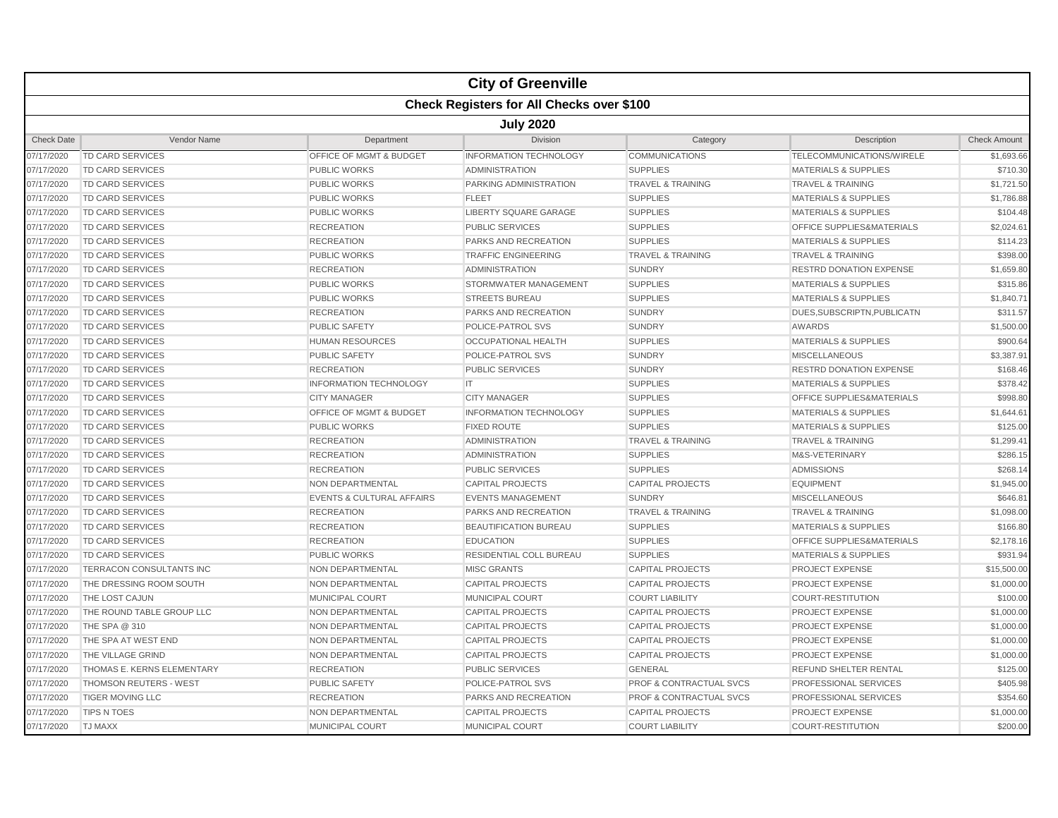| <b>Check Registers for All Checks over \$100</b><br><b>July 2020</b><br><b>Check Date</b><br>Vendor Name<br>Department<br>Division<br>Category<br>Description<br><b>Check Amount</b><br><b>TD CARD SERVICES</b><br>OFFICE OF MGMT & BUDGET<br><b>INFORMATION TECHNOLOGY</b><br><b>COMMUNICATIONS</b><br>TELECOMMUNICATIONS/WIRELE<br>07/17/2020<br><b>SUPPLIES</b><br>07/17/2020<br>TD CARD SERVICES<br><b>PUBLIC WORKS</b><br>ADMINISTRATION<br><b>MATERIALS &amp; SUPPLIES</b><br>07/17/2020<br>TD CARD SERVICES<br><b>PUBLIC WORKS</b><br>PARKING ADMINISTRATION<br><b>TRAVEL &amp; TRAINING</b><br><b>TRAVEL &amp; TRAINING</b><br>\$1,721.50<br><b>SUPPLIES</b><br><b>MATERIALS &amp; SUPPLIES</b><br>\$1,786.88<br>07/17/2020<br><b>TD CARD SERVICES</b><br><b>PUBLIC WORKS</b><br><b>FLEET</b><br>07/17/2020<br>TD CARD SERVICES<br><b>PUBLIC WORKS</b><br><b>LIBERTY SQUARE GARAGE</b><br><b>SUPPLIES</b><br><b>MATERIALS &amp; SUPPLIES</b><br>\$104.48<br>\$2,024.61<br>07/17/2020<br>TD CARD SERVICES<br><b>RECREATION</b><br><b>PUBLIC SERVICES</b><br><b>SUPPLIES</b><br>OFFICE SUPPLIES&MATERIALS<br>07/17/2020<br><b>SUPPLIES</b><br><b>MATERIALS &amp; SUPPLIES</b><br>\$114.23<br>TD CARD SERVICES<br><b>RECREATION</b><br>PARKS AND RECREATION<br>07/17/2020<br><b>TD CARD SERVICES</b><br><b>PUBLIC WORKS</b><br><b>TRAFFIC ENGINEERING</b><br><b>TRAVEL &amp; TRAINING</b><br><b>TRAVEL &amp; TRAINING</b><br>\$398.00<br><b>SUNDRY</b><br>07/17/2020<br><b>TD CARD SERVICES</b><br><b>RECREATION</b><br><b>ADMINISTRATION</b><br><b>RESTRD DONATION EXPENSE</b><br>\$1,659.80<br>STORMWATER MANAGEMENT<br>\$315.86<br>07/17/2020<br><b>TD CARD SERVICES</b><br><b>PUBLIC WORKS</b><br><b>SUPPLIES</b><br><b>MATERIALS &amp; SUPPLIES</b><br>07/17/2020<br><b>TD CARD SERVICES</b><br><b>PUBLIC WORKS</b><br><b>SUPPLIES</b><br><b>MATERIALS &amp; SUPPLIES</b><br>\$1,840.71<br><b>STREETS BUREAU</b><br>\$311.57<br>07/17/2020<br>TD CARD SERVICES<br><b>RECREATION</b><br>PARKS AND RECREATION<br><b>SUNDRY</b><br>DUES, SUBSCRIPTN, PUBLICATN<br>AWARDS<br>\$1,500.00<br>07/17/2020<br>TD CARD SERVICES<br><b>PUBLIC SAFETY</b><br>POLICE-PATROL SVS<br><b>SUNDRY</b><br><b>SUPPLIES</b><br>\$900.64<br>07/17/2020<br><b>TD CARD SERVICES</b><br><b>HUMAN RESOURCES</b><br><b>OCCUPATIONAL HEALTH</b><br><b>MATERIALS &amp; SUPPLIES</b><br>07/17/2020<br>TD CARD SERVICES<br><b>PUBLIC SAFETY</b><br>POLICE-PATROL SVS<br><b>SUNDRY</b><br><b>MISCELLANEOUS</b><br>\$3,387.91<br><b>SUNDRY</b><br>07/17/2020<br>TD CARD SERVICES<br><b>RECREATION</b><br><b>PUBLIC SERVICES</b><br><b>RESTRD DONATION EXPENSE</b><br><b>INFORMATION TECHNOLOGY</b><br>IT<br><b>SUPPLIES</b><br><b>MATERIALS &amp; SUPPLIES</b><br>07/17/2020<br>TD CARD SERVICES<br>\$998.80<br>07/17/2020<br><b>TD CARD SERVICES</b><br><b>CITY MANAGER</b><br><b>CITY MANAGER</b><br><b>SUPPLIES</b><br><b>OFFICE SUPPLIES&amp;MATERIALS</b><br>07/17/2020<br><b>TD CARD SERVICES</b><br><b>OFFICE OF MGMT &amp; BUDGET</b><br><b>INFORMATION TECHNOLOGY</b><br><b>SUPPLIES</b><br><b>MATERIALS &amp; SUPPLIES</b><br>\$1,644.61<br>\$125.00<br><b>SUPPLIES</b><br><b>MATERIALS &amp; SUPPLIES</b><br>07/17/2020<br><b>TD CARD SERVICES</b><br><b>PUBLIC WORKS</b><br><b>FIXED ROUTE</b><br>07/17/2020<br><b>TD CARD SERVICES</b><br><b>TRAVEL &amp; TRAINING</b><br><b>TRAVEL &amp; TRAINING</b><br>\$1,299.41<br><b>RECREATION</b><br>ADMINISTRATION<br>\$286.15<br>07/17/2020<br>TD CARD SERVICES<br><b>RECREATION</b><br><b>SUPPLIES</b><br>M&S-VETERINARY<br>ADMINISTRATION<br>\$268.14<br>07/17/2020<br>TD CARD SERVICES<br><b>RECREATION</b><br><b>PUBLIC SERVICES</b><br><b>SUPPLIES</b><br>ADMISSIONS<br>TD CARD SERVICES<br><b>CAPITAL PROJECTS</b><br>EQUIPMENT<br>07/17/2020<br>NON DEPARTMENTAL<br><b>CAPITAL PROJECTS</b><br>\$646.81<br>07/17/2020<br>TD CARD SERVICES<br><b>EVENTS &amp; CULTURAL AFFAIRS</b><br><b>EVENTS MANAGEMENT</b><br><b>SUNDRY</b><br><b>MISCELLANEOUS</b><br>07/17/2020<br><b>TD CARD SERVICES</b><br><b>RECREATION</b><br>PARKS AND RECREATION<br><b>TRAVEL &amp; TRAINING</b><br><b>TRAVEL &amp; TRAINING</b><br><b>SUPPLIES</b><br><b>MATERIALS &amp; SUPPLIES</b><br>\$166.80<br>07/17/2020<br>TD CARD SERVICES<br><b>RECREATION</b><br><b>BEAUTIFICATION BUREAU</b><br>07/17/2020<br><b>TD CARD SERVICES</b><br><b>RECREATION</b><br><b>EDUCATION</b><br><b>SUPPLIES</b><br><b>OFFICE SUPPLIES&amp;MATERIALS</b><br>\$2,178.16<br>07/17/2020<br>TD CARD SERVICES<br><b>PUBLIC WORKS</b><br><b>RESIDENTIAL COLL BUREAU</b><br><b>SUPPLIES</b><br><b>MATERIALS &amp; SUPPLIES</b><br>\$931.94<br>\$15,500.00<br>07/17/2020<br><b>TERRACON CONSULTANTS INC</b><br><b>NON DEPARTMENTAL</b><br><b>MISC GRANTS</b><br><b>CAPITAL PROJECTS</b><br><b>PROJECT EXPENSE</b><br>THE DRESSING ROOM SOUTH<br>NON DEPARTMENTAL<br><b>CAPITAL PROJECTS</b><br><b>CAPITAL PROJECTS</b><br><b>PROJECT EXPENSE</b><br>07/17/2020<br>07/17/2020<br>THE LOST CAJUN<br><b>MUNICIPAL COURT</b><br>MUNICIPAL COURT<br><b>COURT LIABILITY</b><br><b>COURT-RESTITUTION</b><br>07/17/2020<br>THE ROUND TABLE GROUP LLC<br><b>NON DEPARTMENTAL</b><br><b>CAPITAL PROJECTS</b><br><b>CAPITAL PROJECTS</b><br>PROJECT EXPENSE<br>\$1,000.00<br>THE SPA @ 310<br><b>CAPITAL PROJECTS</b><br>PROJECT EXPENSE<br>\$1,000.00<br>07/17/2020<br>NON DEPARTMENTAL<br><b>CAPITAL PROJECTS</b><br>THE SPA AT WEST END<br><b>NON DEPARTMENTAL</b><br><b>CAPITAL PROJECTS</b><br><b>CAPITAL PROJECTS</b><br><b>PROJECT EXPENSE</b><br>\$1,000.00<br>07/17/2020<br>07/17/2020<br>THE VILLAGE GRIND<br>NON DEPARTMENTAL<br><b>CAPITAL PROJECTS</b><br><b>CAPITAL PROJECTS</b><br><b>PROJECT EXPENSE</b><br>07/17/2020<br>THOMAS E. KERNS ELEMENTARY<br><b>RECREATION</b><br><b>PUBLIC SERVICES</b><br><b>GENERAL</b><br><b>REFUND SHELTER RENTAL</b><br>07/17/2020<br><b>THOMSON REUTERS - WEST</b><br><b>PROF &amp; CONTRACTUAL SVCS</b><br><b>PROFESSIONAL SERVICES</b><br><b>PUBLIC SAFETY</b><br><b>POLICE-PATROL SVS</b><br>07/17/2020<br><b>TIGER MOVING LLC</b><br><b>RECREATION</b><br><b>PARKS AND RECREATION</b><br><b>PROF &amp; CONTRACTUAL SVCS</b><br><b>PROFESSIONAL SERVICES</b><br>\$354.60<br><b>TIPS N TOES</b><br>\$1,000.00<br>07/17/2020<br><b>NON DEPARTMENTAL</b><br><b>CAPITAL PROJECTS</b><br><b>CAPITAL PROJECTS</b><br><b>PROJECT EXPENSE</b><br>07/17/2020<br><b>TJ MAXX</b><br><b>MUNICIPAL COURT</b><br><b>MUNICIPAL COURT</b><br><b>COURT LIABILITY</b><br><b>COURT-RESTITUTION</b> |  |  | <b>City of Greenville</b> |  |  |            |  |  |  |
|--------------------------------------------------------------------------------------------------------------------------------------------------------------------------------------------------------------------------------------------------------------------------------------------------------------------------------------------------------------------------------------------------------------------------------------------------------------------------------------------------------------------------------------------------------------------------------------------------------------------------------------------------------------------------------------------------------------------------------------------------------------------------------------------------------------------------------------------------------------------------------------------------------------------------------------------------------------------------------------------------------------------------------------------------------------------------------------------------------------------------------------------------------------------------------------------------------------------------------------------------------------------------------------------------------------------------------------------------------------------------------------------------------------------------------------------------------------------------------------------------------------------------------------------------------------------------------------------------------------------------------------------------------------------------------------------------------------------------------------------------------------------------------------------------------------------------------------------------------------------------------------------------------------------------------------------------------------------------------------------------------------------------------------------------------------------------------------------------------------------------------------------------------------------------------------------------------------------------------------------------------------------------------------------------------------------------------------------------------------------------------------------------------------------------------------------------------------------------------------------------------------------------------------------------------------------------------------------------------------------------------------------------------------------------------------------------------------------------------------------------------------------------------------------------------------------------------------------------------------------------------------------------------------------------------------------------------------------------------------------------------------------------------------------------------------------------------------------------------------------------------------------------------------------------------------------------------------------------------------------------------------------------------------------------------------------------------------------------------------------------------------------------------------------------------------------------------------------------------------------------------------------------------------------------------------------------------------------------------------------------------------------------------------------------------------------------------------------------------------------------------------------------------------------------------------------------------------------------------------------------------------------------------------------------------------------------------------------------------------------------------------------------------------------------------------------------------------------------------------------------------------------------------------------------------------------------------------------------------------------------------------------------------------------------------------------------------------------------------------------------------------------------------------------------------------------------------------------------------------------------------------------------------------------------------------------------------------------------------------------------------------------------------------------------------------------------------------------------------------------------------------------------------------------------------------------------------------------------------------------------------------------------------------------------------------------------------------------------------------------------------------------------------------------------------------------------------------------------------------------------------------------------------------------------------------------------------------------------------------------------------------------------------------------------------------------------------------------------------------------------------------------------------------------------------------------------------------------------------------------------------------------------------------------------------------------------------------------------------------------------------------------------------------------------------------------------------------------------------------------------------------------------------------------------------------------------------------------------------------------------------------------------------------------------------------------------------------------------------------------------------------------------------------------------------------------------------------------------------------------------------------------------------------------------------------------------------------------------------------------------------------------------------------------------------------------------------------------------------------------------------------------------------------------------------------------------------------------------------------------------------------------|--|--|---------------------------|--|--|------------|--|--|--|
|                                                                                                                                                                                                                                                                                                                                                                                                                                                                                                                                                                                                                                                                                                                                                                                                                                                                                                                                                                                                                                                                                                                                                                                                                                                                                                                                                                                                                                                                                                                                                                                                                                                                                                                                                                                                                                                                                                                                                                                                                                                                                                                                                                                                                                                                                                                                                                                                                                                                                                                                                                                                                                                                                                                                                                                                                                                                                                                                                                                                                                                                                                                                                                                                                                                                                                                                                                                                                                                                                                                                                                                                                                                                                                                                                                                                                                                                                                                                                                                                                                                                                                                                                                                                                                                                                                                                                                                                                                                                                                                                                                                                                                                                                                                                                                                                                                                                                                                                                                                                                                                                                                                                                                                                                                                                                                                                                                                                                                                                                                                                                                                                                                                                                                                                                                                                                                                                                                                                                                                                                                                                                                                                                                                                                                                                                                                                                                                                                                                                                                                    |  |  |                           |  |  |            |  |  |  |
|                                                                                                                                                                                                                                                                                                                                                                                                                                                                                                                                                                                                                                                                                                                                                                                                                                                                                                                                                                                                                                                                                                                                                                                                                                                                                                                                                                                                                                                                                                                                                                                                                                                                                                                                                                                                                                                                                                                                                                                                                                                                                                                                                                                                                                                                                                                                                                                                                                                                                                                                                                                                                                                                                                                                                                                                                                                                                                                                                                                                                                                                                                                                                                                                                                                                                                                                                                                                                                                                                                                                                                                                                                                                                                                                                                                                                                                                                                                                                                                                                                                                                                                                                                                                                                                                                                                                                                                                                                                                                                                                                                                                                                                                                                                                                                                                                                                                                                                                                                                                                                                                                                                                                                                                                                                                                                                                                                                                                                                                                                                                                                                                                                                                                                                                                                                                                                                                                                                                                                                                                                                                                                                                                                                                                                                                                                                                                                                                                                                                                                                    |  |  |                           |  |  |            |  |  |  |
|                                                                                                                                                                                                                                                                                                                                                                                                                                                                                                                                                                                                                                                                                                                                                                                                                                                                                                                                                                                                                                                                                                                                                                                                                                                                                                                                                                                                                                                                                                                                                                                                                                                                                                                                                                                                                                                                                                                                                                                                                                                                                                                                                                                                                                                                                                                                                                                                                                                                                                                                                                                                                                                                                                                                                                                                                                                                                                                                                                                                                                                                                                                                                                                                                                                                                                                                                                                                                                                                                                                                                                                                                                                                                                                                                                                                                                                                                                                                                                                                                                                                                                                                                                                                                                                                                                                                                                                                                                                                                                                                                                                                                                                                                                                                                                                                                                                                                                                                                                                                                                                                                                                                                                                                                                                                                                                                                                                                                                                                                                                                                                                                                                                                                                                                                                                                                                                                                                                                                                                                                                                                                                                                                                                                                                                                                                                                                                                                                                                                                                                    |  |  |                           |  |  |            |  |  |  |
|                                                                                                                                                                                                                                                                                                                                                                                                                                                                                                                                                                                                                                                                                                                                                                                                                                                                                                                                                                                                                                                                                                                                                                                                                                                                                                                                                                                                                                                                                                                                                                                                                                                                                                                                                                                                                                                                                                                                                                                                                                                                                                                                                                                                                                                                                                                                                                                                                                                                                                                                                                                                                                                                                                                                                                                                                                                                                                                                                                                                                                                                                                                                                                                                                                                                                                                                                                                                                                                                                                                                                                                                                                                                                                                                                                                                                                                                                                                                                                                                                                                                                                                                                                                                                                                                                                                                                                                                                                                                                                                                                                                                                                                                                                                                                                                                                                                                                                                                                                                                                                                                                                                                                                                                                                                                                                                                                                                                                                                                                                                                                                                                                                                                                                                                                                                                                                                                                                                                                                                                                                                                                                                                                                                                                                                                                                                                                                                                                                                                                                                    |  |  |                           |  |  | \$1,693.66 |  |  |  |
|                                                                                                                                                                                                                                                                                                                                                                                                                                                                                                                                                                                                                                                                                                                                                                                                                                                                                                                                                                                                                                                                                                                                                                                                                                                                                                                                                                                                                                                                                                                                                                                                                                                                                                                                                                                                                                                                                                                                                                                                                                                                                                                                                                                                                                                                                                                                                                                                                                                                                                                                                                                                                                                                                                                                                                                                                                                                                                                                                                                                                                                                                                                                                                                                                                                                                                                                                                                                                                                                                                                                                                                                                                                                                                                                                                                                                                                                                                                                                                                                                                                                                                                                                                                                                                                                                                                                                                                                                                                                                                                                                                                                                                                                                                                                                                                                                                                                                                                                                                                                                                                                                                                                                                                                                                                                                                                                                                                                                                                                                                                                                                                                                                                                                                                                                                                                                                                                                                                                                                                                                                                                                                                                                                                                                                                                                                                                                                                                                                                                                                                    |  |  |                           |  |  | \$710.30   |  |  |  |
|                                                                                                                                                                                                                                                                                                                                                                                                                                                                                                                                                                                                                                                                                                                                                                                                                                                                                                                                                                                                                                                                                                                                                                                                                                                                                                                                                                                                                                                                                                                                                                                                                                                                                                                                                                                                                                                                                                                                                                                                                                                                                                                                                                                                                                                                                                                                                                                                                                                                                                                                                                                                                                                                                                                                                                                                                                                                                                                                                                                                                                                                                                                                                                                                                                                                                                                                                                                                                                                                                                                                                                                                                                                                                                                                                                                                                                                                                                                                                                                                                                                                                                                                                                                                                                                                                                                                                                                                                                                                                                                                                                                                                                                                                                                                                                                                                                                                                                                                                                                                                                                                                                                                                                                                                                                                                                                                                                                                                                                                                                                                                                                                                                                                                                                                                                                                                                                                                                                                                                                                                                                                                                                                                                                                                                                                                                                                                                                                                                                                                                                    |  |  |                           |  |  |            |  |  |  |
|                                                                                                                                                                                                                                                                                                                                                                                                                                                                                                                                                                                                                                                                                                                                                                                                                                                                                                                                                                                                                                                                                                                                                                                                                                                                                                                                                                                                                                                                                                                                                                                                                                                                                                                                                                                                                                                                                                                                                                                                                                                                                                                                                                                                                                                                                                                                                                                                                                                                                                                                                                                                                                                                                                                                                                                                                                                                                                                                                                                                                                                                                                                                                                                                                                                                                                                                                                                                                                                                                                                                                                                                                                                                                                                                                                                                                                                                                                                                                                                                                                                                                                                                                                                                                                                                                                                                                                                                                                                                                                                                                                                                                                                                                                                                                                                                                                                                                                                                                                                                                                                                                                                                                                                                                                                                                                                                                                                                                                                                                                                                                                                                                                                                                                                                                                                                                                                                                                                                                                                                                                                                                                                                                                                                                                                                                                                                                                                                                                                                                                                    |  |  |                           |  |  |            |  |  |  |
|                                                                                                                                                                                                                                                                                                                                                                                                                                                                                                                                                                                                                                                                                                                                                                                                                                                                                                                                                                                                                                                                                                                                                                                                                                                                                                                                                                                                                                                                                                                                                                                                                                                                                                                                                                                                                                                                                                                                                                                                                                                                                                                                                                                                                                                                                                                                                                                                                                                                                                                                                                                                                                                                                                                                                                                                                                                                                                                                                                                                                                                                                                                                                                                                                                                                                                                                                                                                                                                                                                                                                                                                                                                                                                                                                                                                                                                                                                                                                                                                                                                                                                                                                                                                                                                                                                                                                                                                                                                                                                                                                                                                                                                                                                                                                                                                                                                                                                                                                                                                                                                                                                                                                                                                                                                                                                                                                                                                                                                                                                                                                                                                                                                                                                                                                                                                                                                                                                                                                                                                                                                                                                                                                                                                                                                                                                                                                                                                                                                                                                                    |  |  |                           |  |  |            |  |  |  |
|                                                                                                                                                                                                                                                                                                                                                                                                                                                                                                                                                                                                                                                                                                                                                                                                                                                                                                                                                                                                                                                                                                                                                                                                                                                                                                                                                                                                                                                                                                                                                                                                                                                                                                                                                                                                                                                                                                                                                                                                                                                                                                                                                                                                                                                                                                                                                                                                                                                                                                                                                                                                                                                                                                                                                                                                                                                                                                                                                                                                                                                                                                                                                                                                                                                                                                                                                                                                                                                                                                                                                                                                                                                                                                                                                                                                                                                                                                                                                                                                                                                                                                                                                                                                                                                                                                                                                                                                                                                                                                                                                                                                                                                                                                                                                                                                                                                                                                                                                                                                                                                                                                                                                                                                                                                                                                                                                                                                                                                                                                                                                                                                                                                                                                                                                                                                                                                                                                                                                                                                                                                                                                                                                                                                                                                                                                                                                                                                                                                                                                                    |  |  |                           |  |  |            |  |  |  |
|                                                                                                                                                                                                                                                                                                                                                                                                                                                                                                                                                                                                                                                                                                                                                                                                                                                                                                                                                                                                                                                                                                                                                                                                                                                                                                                                                                                                                                                                                                                                                                                                                                                                                                                                                                                                                                                                                                                                                                                                                                                                                                                                                                                                                                                                                                                                                                                                                                                                                                                                                                                                                                                                                                                                                                                                                                                                                                                                                                                                                                                                                                                                                                                                                                                                                                                                                                                                                                                                                                                                                                                                                                                                                                                                                                                                                                                                                                                                                                                                                                                                                                                                                                                                                                                                                                                                                                                                                                                                                                                                                                                                                                                                                                                                                                                                                                                                                                                                                                                                                                                                                                                                                                                                                                                                                                                                                                                                                                                                                                                                                                                                                                                                                                                                                                                                                                                                                                                                                                                                                                                                                                                                                                                                                                                                                                                                                                                                                                                                                                                    |  |  |                           |  |  |            |  |  |  |
|                                                                                                                                                                                                                                                                                                                                                                                                                                                                                                                                                                                                                                                                                                                                                                                                                                                                                                                                                                                                                                                                                                                                                                                                                                                                                                                                                                                                                                                                                                                                                                                                                                                                                                                                                                                                                                                                                                                                                                                                                                                                                                                                                                                                                                                                                                                                                                                                                                                                                                                                                                                                                                                                                                                                                                                                                                                                                                                                                                                                                                                                                                                                                                                                                                                                                                                                                                                                                                                                                                                                                                                                                                                                                                                                                                                                                                                                                                                                                                                                                                                                                                                                                                                                                                                                                                                                                                                                                                                                                                                                                                                                                                                                                                                                                                                                                                                                                                                                                                                                                                                                                                                                                                                                                                                                                                                                                                                                                                                                                                                                                                                                                                                                                                                                                                                                                                                                                                                                                                                                                                                                                                                                                                                                                                                                                                                                                                                                                                                                                                                    |  |  |                           |  |  |            |  |  |  |
|                                                                                                                                                                                                                                                                                                                                                                                                                                                                                                                                                                                                                                                                                                                                                                                                                                                                                                                                                                                                                                                                                                                                                                                                                                                                                                                                                                                                                                                                                                                                                                                                                                                                                                                                                                                                                                                                                                                                                                                                                                                                                                                                                                                                                                                                                                                                                                                                                                                                                                                                                                                                                                                                                                                                                                                                                                                                                                                                                                                                                                                                                                                                                                                                                                                                                                                                                                                                                                                                                                                                                                                                                                                                                                                                                                                                                                                                                                                                                                                                                                                                                                                                                                                                                                                                                                                                                                                                                                                                                                                                                                                                                                                                                                                                                                                                                                                                                                                                                                                                                                                                                                                                                                                                                                                                                                                                                                                                                                                                                                                                                                                                                                                                                                                                                                                                                                                                                                                                                                                                                                                                                                                                                                                                                                                                                                                                                                                                                                                                                                                    |  |  |                           |  |  |            |  |  |  |
|                                                                                                                                                                                                                                                                                                                                                                                                                                                                                                                                                                                                                                                                                                                                                                                                                                                                                                                                                                                                                                                                                                                                                                                                                                                                                                                                                                                                                                                                                                                                                                                                                                                                                                                                                                                                                                                                                                                                                                                                                                                                                                                                                                                                                                                                                                                                                                                                                                                                                                                                                                                                                                                                                                                                                                                                                                                                                                                                                                                                                                                                                                                                                                                                                                                                                                                                                                                                                                                                                                                                                                                                                                                                                                                                                                                                                                                                                                                                                                                                                                                                                                                                                                                                                                                                                                                                                                                                                                                                                                                                                                                                                                                                                                                                                                                                                                                                                                                                                                                                                                                                                                                                                                                                                                                                                                                                                                                                                                                                                                                                                                                                                                                                                                                                                                                                                                                                                                                                                                                                                                                                                                                                                                                                                                                                                                                                                                                                                                                                                                                    |  |  |                           |  |  |            |  |  |  |
|                                                                                                                                                                                                                                                                                                                                                                                                                                                                                                                                                                                                                                                                                                                                                                                                                                                                                                                                                                                                                                                                                                                                                                                                                                                                                                                                                                                                                                                                                                                                                                                                                                                                                                                                                                                                                                                                                                                                                                                                                                                                                                                                                                                                                                                                                                                                                                                                                                                                                                                                                                                                                                                                                                                                                                                                                                                                                                                                                                                                                                                                                                                                                                                                                                                                                                                                                                                                                                                                                                                                                                                                                                                                                                                                                                                                                                                                                                                                                                                                                                                                                                                                                                                                                                                                                                                                                                                                                                                                                                                                                                                                                                                                                                                                                                                                                                                                                                                                                                                                                                                                                                                                                                                                                                                                                                                                                                                                                                                                                                                                                                                                                                                                                                                                                                                                                                                                                                                                                                                                                                                                                                                                                                                                                                                                                                                                                                                                                                                                                                                    |  |  |                           |  |  |            |  |  |  |
|                                                                                                                                                                                                                                                                                                                                                                                                                                                                                                                                                                                                                                                                                                                                                                                                                                                                                                                                                                                                                                                                                                                                                                                                                                                                                                                                                                                                                                                                                                                                                                                                                                                                                                                                                                                                                                                                                                                                                                                                                                                                                                                                                                                                                                                                                                                                                                                                                                                                                                                                                                                                                                                                                                                                                                                                                                                                                                                                                                                                                                                                                                                                                                                                                                                                                                                                                                                                                                                                                                                                                                                                                                                                                                                                                                                                                                                                                                                                                                                                                                                                                                                                                                                                                                                                                                                                                                                                                                                                                                                                                                                                                                                                                                                                                                                                                                                                                                                                                                                                                                                                                                                                                                                                                                                                                                                                                                                                                                                                                                                                                                                                                                                                                                                                                                                                                                                                                                                                                                                                                                                                                                                                                                                                                                                                                                                                                                                                                                                                                                                    |  |  |                           |  |  |            |  |  |  |
|                                                                                                                                                                                                                                                                                                                                                                                                                                                                                                                                                                                                                                                                                                                                                                                                                                                                                                                                                                                                                                                                                                                                                                                                                                                                                                                                                                                                                                                                                                                                                                                                                                                                                                                                                                                                                                                                                                                                                                                                                                                                                                                                                                                                                                                                                                                                                                                                                                                                                                                                                                                                                                                                                                                                                                                                                                                                                                                                                                                                                                                                                                                                                                                                                                                                                                                                                                                                                                                                                                                                                                                                                                                                                                                                                                                                                                                                                                                                                                                                                                                                                                                                                                                                                                                                                                                                                                                                                                                                                                                                                                                                                                                                                                                                                                                                                                                                                                                                                                                                                                                                                                                                                                                                                                                                                                                                                                                                                                                                                                                                                                                                                                                                                                                                                                                                                                                                                                                                                                                                                                                                                                                                                                                                                                                                                                                                                                                                                                                                                                                    |  |  |                           |  |  |            |  |  |  |
|                                                                                                                                                                                                                                                                                                                                                                                                                                                                                                                                                                                                                                                                                                                                                                                                                                                                                                                                                                                                                                                                                                                                                                                                                                                                                                                                                                                                                                                                                                                                                                                                                                                                                                                                                                                                                                                                                                                                                                                                                                                                                                                                                                                                                                                                                                                                                                                                                                                                                                                                                                                                                                                                                                                                                                                                                                                                                                                                                                                                                                                                                                                                                                                                                                                                                                                                                                                                                                                                                                                                                                                                                                                                                                                                                                                                                                                                                                                                                                                                                                                                                                                                                                                                                                                                                                                                                                                                                                                                                                                                                                                                                                                                                                                                                                                                                                                                                                                                                                                                                                                                                                                                                                                                                                                                                                                                                                                                                                                                                                                                                                                                                                                                                                                                                                                                                                                                                                                                                                                                                                                                                                                                                                                                                                                                                                                                                                                                                                                                                                                    |  |  |                           |  |  |            |  |  |  |
|                                                                                                                                                                                                                                                                                                                                                                                                                                                                                                                                                                                                                                                                                                                                                                                                                                                                                                                                                                                                                                                                                                                                                                                                                                                                                                                                                                                                                                                                                                                                                                                                                                                                                                                                                                                                                                                                                                                                                                                                                                                                                                                                                                                                                                                                                                                                                                                                                                                                                                                                                                                                                                                                                                                                                                                                                                                                                                                                                                                                                                                                                                                                                                                                                                                                                                                                                                                                                                                                                                                                                                                                                                                                                                                                                                                                                                                                                                                                                                                                                                                                                                                                                                                                                                                                                                                                                                                                                                                                                                                                                                                                                                                                                                                                                                                                                                                                                                                                                                                                                                                                                                                                                                                                                                                                                                                                                                                                                                                                                                                                                                                                                                                                                                                                                                                                                                                                                                                                                                                                                                                                                                                                                                                                                                                                                                                                                                                                                                                                                                                    |  |  |                           |  |  |            |  |  |  |
|                                                                                                                                                                                                                                                                                                                                                                                                                                                                                                                                                                                                                                                                                                                                                                                                                                                                                                                                                                                                                                                                                                                                                                                                                                                                                                                                                                                                                                                                                                                                                                                                                                                                                                                                                                                                                                                                                                                                                                                                                                                                                                                                                                                                                                                                                                                                                                                                                                                                                                                                                                                                                                                                                                                                                                                                                                                                                                                                                                                                                                                                                                                                                                                                                                                                                                                                                                                                                                                                                                                                                                                                                                                                                                                                                                                                                                                                                                                                                                                                                                                                                                                                                                                                                                                                                                                                                                                                                                                                                                                                                                                                                                                                                                                                                                                                                                                                                                                                                                                                                                                                                                                                                                                                                                                                                                                                                                                                                                                                                                                                                                                                                                                                                                                                                                                                                                                                                                                                                                                                                                                                                                                                                                                                                                                                                                                                                                                                                                                                                                                    |  |  |                           |  |  | \$168.46   |  |  |  |
|                                                                                                                                                                                                                                                                                                                                                                                                                                                                                                                                                                                                                                                                                                                                                                                                                                                                                                                                                                                                                                                                                                                                                                                                                                                                                                                                                                                                                                                                                                                                                                                                                                                                                                                                                                                                                                                                                                                                                                                                                                                                                                                                                                                                                                                                                                                                                                                                                                                                                                                                                                                                                                                                                                                                                                                                                                                                                                                                                                                                                                                                                                                                                                                                                                                                                                                                                                                                                                                                                                                                                                                                                                                                                                                                                                                                                                                                                                                                                                                                                                                                                                                                                                                                                                                                                                                                                                                                                                                                                                                                                                                                                                                                                                                                                                                                                                                                                                                                                                                                                                                                                                                                                                                                                                                                                                                                                                                                                                                                                                                                                                                                                                                                                                                                                                                                                                                                                                                                                                                                                                                                                                                                                                                                                                                                                                                                                                                                                                                                                                                    |  |  |                           |  |  | \$378.42   |  |  |  |
|                                                                                                                                                                                                                                                                                                                                                                                                                                                                                                                                                                                                                                                                                                                                                                                                                                                                                                                                                                                                                                                                                                                                                                                                                                                                                                                                                                                                                                                                                                                                                                                                                                                                                                                                                                                                                                                                                                                                                                                                                                                                                                                                                                                                                                                                                                                                                                                                                                                                                                                                                                                                                                                                                                                                                                                                                                                                                                                                                                                                                                                                                                                                                                                                                                                                                                                                                                                                                                                                                                                                                                                                                                                                                                                                                                                                                                                                                                                                                                                                                                                                                                                                                                                                                                                                                                                                                                                                                                                                                                                                                                                                                                                                                                                                                                                                                                                                                                                                                                                                                                                                                                                                                                                                                                                                                                                                                                                                                                                                                                                                                                                                                                                                                                                                                                                                                                                                                                                                                                                                                                                                                                                                                                                                                                                                                                                                                                                                                                                                                                                    |  |  |                           |  |  |            |  |  |  |
|                                                                                                                                                                                                                                                                                                                                                                                                                                                                                                                                                                                                                                                                                                                                                                                                                                                                                                                                                                                                                                                                                                                                                                                                                                                                                                                                                                                                                                                                                                                                                                                                                                                                                                                                                                                                                                                                                                                                                                                                                                                                                                                                                                                                                                                                                                                                                                                                                                                                                                                                                                                                                                                                                                                                                                                                                                                                                                                                                                                                                                                                                                                                                                                                                                                                                                                                                                                                                                                                                                                                                                                                                                                                                                                                                                                                                                                                                                                                                                                                                                                                                                                                                                                                                                                                                                                                                                                                                                                                                                                                                                                                                                                                                                                                                                                                                                                                                                                                                                                                                                                                                                                                                                                                                                                                                                                                                                                                                                                                                                                                                                                                                                                                                                                                                                                                                                                                                                                                                                                                                                                                                                                                                                                                                                                                                                                                                                                                                                                                                                                    |  |  |                           |  |  |            |  |  |  |
|                                                                                                                                                                                                                                                                                                                                                                                                                                                                                                                                                                                                                                                                                                                                                                                                                                                                                                                                                                                                                                                                                                                                                                                                                                                                                                                                                                                                                                                                                                                                                                                                                                                                                                                                                                                                                                                                                                                                                                                                                                                                                                                                                                                                                                                                                                                                                                                                                                                                                                                                                                                                                                                                                                                                                                                                                                                                                                                                                                                                                                                                                                                                                                                                                                                                                                                                                                                                                                                                                                                                                                                                                                                                                                                                                                                                                                                                                                                                                                                                                                                                                                                                                                                                                                                                                                                                                                                                                                                                                                                                                                                                                                                                                                                                                                                                                                                                                                                                                                                                                                                                                                                                                                                                                                                                                                                                                                                                                                                                                                                                                                                                                                                                                                                                                                                                                                                                                                                                                                                                                                                                                                                                                                                                                                                                                                                                                                                                                                                                                                                    |  |  |                           |  |  |            |  |  |  |
|                                                                                                                                                                                                                                                                                                                                                                                                                                                                                                                                                                                                                                                                                                                                                                                                                                                                                                                                                                                                                                                                                                                                                                                                                                                                                                                                                                                                                                                                                                                                                                                                                                                                                                                                                                                                                                                                                                                                                                                                                                                                                                                                                                                                                                                                                                                                                                                                                                                                                                                                                                                                                                                                                                                                                                                                                                                                                                                                                                                                                                                                                                                                                                                                                                                                                                                                                                                                                                                                                                                                                                                                                                                                                                                                                                                                                                                                                                                                                                                                                                                                                                                                                                                                                                                                                                                                                                                                                                                                                                                                                                                                                                                                                                                                                                                                                                                                                                                                                                                                                                                                                                                                                                                                                                                                                                                                                                                                                                                                                                                                                                                                                                                                                                                                                                                                                                                                                                                                                                                                                                                                                                                                                                                                                                                                                                                                                                                                                                                                                                                    |  |  |                           |  |  |            |  |  |  |
|                                                                                                                                                                                                                                                                                                                                                                                                                                                                                                                                                                                                                                                                                                                                                                                                                                                                                                                                                                                                                                                                                                                                                                                                                                                                                                                                                                                                                                                                                                                                                                                                                                                                                                                                                                                                                                                                                                                                                                                                                                                                                                                                                                                                                                                                                                                                                                                                                                                                                                                                                                                                                                                                                                                                                                                                                                                                                                                                                                                                                                                                                                                                                                                                                                                                                                                                                                                                                                                                                                                                                                                                                                                                                                                                                                                                                                                                                                                                                                                                                                                                                                                                                                                                                                                                                                                                                                                                                                                                                                                                                                                                                                                                                                                                                                                                                                                                                                                                                                                                                                                                                                                                                                                                                                                                                                                                                                                                                                                                                                                                                                                                                                                                                                                                                                                                                                                                                                                                                                                                                                                                                                                                                                                                                                                                                                                                                                                                                                                                                                                    |  |  |                           |  |  |            |  |  |  |
|                                                                                                                                                                                                                                                                                                                                                                                                                                                                                                                                                                                                                                                                                                                                                                                                                                                                                                                                                                                                                                                                                                                                                                                                                                                                                                                                                                                                                                                                                                                                                                                                                                                                                                                                                                                                                                                                                                                                                                                                                                                                                                                                                                                                                                                                                                                                                                                                                                                                                                                                                                                                                                                                                                                                                                                                                                                                                                                                                                                                                                                                                                                                                                                                                                                                                                                                                                                                                                                                                                                                                                                                                                                                                                                                                                                                                                                                                                                                                                                                                                                                                                                                                                                                                                                                                                                                                                                                                                                                                                                                                                                                                                                                                                                                                                                                                                                                                                                                                                                                                                                                                                                                                                                                                                                                                                                                                                                                                                                                                                                                                                                                                                                                                                                                                                                                                                                                                                                                                                                                                                                                                                                                                                                                                                                                                                                                                                                                                                                                                                                    |  |  |                           |  |  |            |  |  |  |
|                                                                                                                                                                                                                                                                                                                                                                                                                                                                                                                                                                                                                                                                                                                                                                                                                                                                                                                                                                                                                                                                                                                                                                                                                                                                                                                                                                                                                                                                                                                                                                                                                                                                                                                                                                                                                                                                                                                                                                                                                                                                                                                                                                                                                                                                                                                                                                                                                                                                                                                                                                                                                                                                                                                                                                                                                                                                                                                                                                                                                                                                                                                                                                                                                                                                                                                                                                                                                                                                                                                                                                                                                                                                                                                                                                                                                                                                                                                                                                                                                                                                                                                                                                                                                                                                                                                                                                                                                                                                                                                                                                                                                                                                                                                                                                                                                                                                                                                                                                                                                                                                                                                                                                                                                                                                                                                                                                                                                                                                                                                                                                                                                                                                                                                                                                                                                                                                                                                                                                                                                                                                                                                                                                                                                                                                                                                                                                                                                                                                                                                    |  |  |                           |  |  | \$1,945.00 |  |  |  |
|                                                                                                                                                                                                                                                                                                                                                                                                                                                                                                                                                                                                                                                                                                                                                                                                                                                                                                                                                                                                                                                                                                                                                                                                                                                                                                                                                                                                                                                                                                                                                                                                                                                                                                                                                                                                                                                                                                                                                                                                                                                                                                                                                                                                                                                                                                                                                                                                                                                                                                                                                                                                                                                                                                                                                                                                                                                                                                                                                                                                                                                                                                                                                                                                                                                                                                                                                                                                                                                                                                                                                                                                                                                                                                                                                                                                                                                                                                                                                                                                                                                                                                                                                                                                                                                                                                                                                                                                                                                                                                                                                                                                                                                                                                                                                                                                                                                                                                                                                                                                                                                                                                                                                                                                                                                                                                                                                                                                                                                                                                                                                                                                                                                                                                                                                                                                                                                                                                                                                                                                                                                                                                                                                                                                                                                                                                                                                                                                                                                                                                                    |  |  |                           |  |  |            |  |  |  |
|                                                                                                                                                                                                                                                                                                                                                                                                                                                                                                                                                                                                                                                                                                                                                                                                                                                                                                                                                                                                                                                                                                                                                                                                                                                                                                                                                                                                                                                                                                                                                                                                                                                                                                                                                                                                                                                                                                                                                                                                                                                                                                                                                                                                                                                                                                                                                                                                                                                                                                                                                                                                                                                                                                                                                                                                                                                                                                                                                                                                                                                                                                                                                                                                                                                                                                                                                                                                                                                                                                                                                                                                                                                                                                                                                                                                                                                                                                                                                                                                                                                                                                                                                                                                                                                                                                                                                                                                                                                                                                                                                                                                                                                                                                                                                                                                                                                                                                                                                                                                                                                                                                                                                                                                                                                                                                                                                                                                                                                                                                                                                                                                                                                                                                                                                                                                                                                                                                                                                                                                                                                                                                                                                                                                                                                                                                                                                                                                                                                                                                                    |  |  |                           |  |  | \$1,098.00 |  |  |  |
|                                                                                                                                                                                                                                                                                                                                                                                                                                                                                                                                                                                                                                                                                                                                                                                                                                                                                                                                                                                                                                                                                                                                                                                                                                                                                                                                                                                                                                                                                                                                                                                                                                                                                                                                                                                                                                                                                                                                                                                                                                                                                                                                                                                                                                                                                                                                                                                                                                                                                                                                                                                                                                                                                                                                                                                                                                                                                                                                                                                                                                                                                                                                                                                                                                                                                                                                                                                                                                                                                                                                                                                                                                                                                                                                                                                                                                                                                                                                                                                                                                                                                                                                                                                                                                                                                                                                                                                                                                                                                                                                                                                                                                                                                                                                                                                                                                                                                                                                                                                                                                                                                                                                                                                                                                                                                                                                                                                                                                                                                                                                                                                                                                                                                                                                                                                                                                                                                                                                                                                                                                                                                                                                                                                                                                                                                                                                                                                                                                                                                                                    |  |  |                           |  |  |            |  |  |  |
|                                                                                                                                                                                                                                                                                                                                                                                                                                                                                                                                                                                                                                                                                                                                                                                                                                                                                                                                                                                                                                                                                                                                                                                                                                                                                                                                                                                                                                                                                                                                                                                                                                                                                                                                                                                                                                                                                                                                                                                                                                                                                                                                                                                                                                                                                                                                                                                                                                                                                                                                                                                                                                                                                                                                                                                                                                                                                                                                                                                                                                                                                                                                                                                                                                                                                                                                                                                                                                                                                                                                                                                                                                                                                                                                                                                                                                                                                                                                                                                                                                                                                                                                                                                                                                                                                                                                                                                                                                                                                                                                                                                                                                                                                                                                                                                                                                                                                                                                                                                                                                                                                                                                                                                                                                                                                                                                                                                                                                                                                                                                                                                                                                                                                                                                                                                                                                                                                                                                                                                                                                                                                                                                                                                                                                                                                                                                                                                                                                                                                                                    |  |  |                           |  |  |            |  |  |  |
|                                                                                                                                                                                                                                                                                                                                                                                                                                                                                                                                                                                                                                                                                                                                                                                                                                                                                                                                                                                                                                                                                                                                                                                                                                                                                                                                                                                                                                                                                                                                                                                                                                                                                                                                                                                                                                                                                                                                                                                                                                                                                                                                                                                                                                                                                                                                                                                                                                                                                                                                                                                                                                                                                                                                                                                                                                                                                                                                                                                                                                                                                                                                                                                                                                                                                                                                                                                                                                                                                                                                                                                                                                                                                                                                                                                                                                                                                                                                                                                                                                                                                                                                                                                                                                                                                                                                                                                                                                                                                                                                                                                                                                                                                                                                                                                                                                                                                                                                                                                                                                                                                                                                                                                                                                                                                                                                                                                                                                                                                                                                                                                                                                                                                                                                                                                                                                                                                                                                                                                                                                                                                                                                                                                                                                                                                                                                                                                                                                                                                                                    |  |  |                           |  |  |            |  |  |  |
|                                                                                                                                                                                                                                                                                                                                                                                                                                                                                                                                                                                                                                                                                                                                                                                                                                                                                                                                                                                                                                                                                                                                                                                                                                                                                                                                                                                                                                                                                                                                                                                                                                                                                                                                                                                                                                                                                                                                                                                                                                                                                                                                                                                                                                                                                                                                                                                                                                                                                                                                                                                                                                                                                                                                                                                                                                                                                                                                                                                                                                                                                                                                                                                                                                                                                                                                                                                                                                                                                                                                                                                                                                                                                                                                                                                                                                                                                                                                                                                                                                                                                                                                                                                                                                                                                                                                                                                                                                                                                                                                                                                                                                                                                                                                                                                                                                                                                                                                                                                                                                                                                                                                                                                                                                                                                                                                                                                                                                                                                                                                                                                                                                                                                                                                                                                                                                                                                                                                                                                                                                                                                                                                                                                                                                                                                                                                                                                                                                                                                                                    |  |  |                           |  |  |            |  |  |  |
|                                                                                                                                                                                                                                                                                                                                                                                                                                                                                                                                                                                                                                                                                                                                                                                                                                                                                                                                                                                                                                                                                                                                                                                                                                                                                                                                                                                                                                                                                                                                                                                                                                                                                                                                                                                                                                                                                                                                                                                                                                                                                                                                                                                                                                                                                                                                                                                                                                                                                                                                                                                                                                                                                                                                                                                                                                                                                                                                                                                                                                                                                                                                                                                                                                                                                                                                                                                                                                                                                                                                                                                                                                                                                                                                                                                                                                                                                                                                                                                                                                                                                                                                                                                                                                                                                                                                                                                                                                                                                                                                                                                                                                                                                                                                                                                                                                                                                                                                                                                                                                                                                                                                                                                                                                                                                                                                                                                                                                                                                                                                                                                                                                                                                                                                                                                                                                                                                                                                                                                                                                                                                                                                                                                                                                                                                                                                                                                                                                                                                                                    |  |  |                           |  |  | \$1,000.00 |  |  |  |
|                                                                                                                                                                                                                                                                                                                                                                                                                                                                                                                                                                                                                                                                                                                                                                                                                                                                                                                                                                                                                                                                                                                                                                                                                                                                                                                                                                                                                                                                                                                                                                                                                                                                                                                                                                                                                                                                                                                                                                                                                                                                                                                                                                                                                                                                                                                                                                                                                                                                                                                                                                                                                                                                                                                                                                                                                                                                                                                                                                                                                                                                                                                                                                                                                                                                                                                                                                                                                                                                                                                                                                                                                                                                                                                                                                                                                                                                                                                                                                                                                                                                                                                                                                                                                                                                                                                                                                                                                                                                                                                                                                                                                                                                                                                                                                                                                                                                                                                                                                                                                                                                                                                                                                                                                                                                                                                                                                                                                                                                                                                                                                                                                                                                                                                                                                                                                                                                                                                                                                                                                                                                                                                                                                                                                                                                                                                                                                                                                                                                                                                    |  |  |                           |  |  | \$100.00   |  |  |  |
|                                                                                                                                                                                                                                                                                                                                                                                                                                                                                                                                                                                                                                                                                                                                                                                                                                                                                                                                                                                                                                                                                                                                                                                                                                                                                                                                                                                                                                                                                                                                                                                                                                                                                                                                                                                                                                                                                                                                                                                                                                                                                                                                                                                                                                                                                                                                                                                                                                                                                                                                                                                                                                                                                                                                                                                                                                                                                                                                                                                                                                                                                                                                                                                                                                                                                                                                                                                                                                                                                                                                                                                                                                                                                                                                                                                                                                                                                                                                                                                                                                                                                                                                                                                                                                                                                                                                                                                                                                                                                                                                                                                                                                                                                                                                                                                                                                                                                                                                                                                                                                                                                                                                                                                                                                                                                                                                                                                                                                                                                                                                                                                                                                                                                                                                                                                                                                                                                                                                                                                                                                                                                                                                                                                                                                                                                                                                                                                                                                                                                                                    |  |  |                           |  |  |            |  |  |  |
|                                                                                                                                                                                                                                                                                                                                                                                                                                                                                                                                                                                                                                                                                                                                                                                                                                                                                                                                                                                                                                                                                                                                                                                                                                                                                                                                                                                                                                                                                                                                                                                                                                                                                                                                                                                                                                                                                                                                                                                                                                                                                                                                                                                                                                                                                                                                                                                                                                                                                                                                                                                                                                                                                                                                                                                                                                                                                                                                                                                                                                                                                                                                                                                                                                                                                                                                                                                                                                                                                                                                                                                                                                                                                                                                                                                                                                                                                                                                                                                                                                                                                                                                                                                                                                                                                                                                                                                                                                                                                                                                                                                                                                                                                                                                                                                                                                                                                                                                                                                                                                                                                                                                                                                                                                                                                                                                                                                                                                                                                                                                                                                                                                                                                                                                                                                                                                                                                                                                                                                                                                                                                                                                                                                                                                                                                                                                                                                                                                                                                                                    |  |  |                           |  |  |            |  |  |  |
|                                                                                                                                                                                                                                                                                                                                                                                                                                                                                                                                                                                                                                                                                                                                                                                                                                                                                                                                                                                                                                                                                                                                                                                                                                                                                                                                                                                                                                                                                                                                                                                                                                                                                                                                                                                                                                                                                                                                                                                                                                                                                                                                                                                                                                                                                                                                                                                                                                                                                                                                                                                                                                                                                                                                                                                                                                                                                                                                                                                                                                                                                                                                                                                                                                                                                                                                                                                                                                                                                                                                                                                                                                                                                                                                                                                                                                                                                                                                                                                                                                                                                                                                                                                                                                                                                                                                                                                                                                                                                                                                                                                                                                                                                                                                                                                                                                                                                                                                                                                                                                                                                                                                                                                                                                                                                                                                                                                                                                                                                                                                                                                                                                                                                                                                                                                                                                                                                                                                                                                                                                                                                                                                                                                                                                                                                                                                                                                                                                                                                                                    |  |  |                           |  |  |            |  |  |  |
|                                                                                                                                                                                                                                                                                                                                                                                                                                                                                                                                                                                                                                                                                                                                                                                                                                                                                                                                                                                                                                                                                                                                                                                                                                                                                                                                                                                                                                                                                                                                                                                                                                                                                                                                                                                                                                                                                                                                                                                                                                                                                                                                                                                                                                                                                                                                                                                                                                                                                                                                                                                                                                                                                                                                                                                                                                                                                                                                                                                                                                                                                                                                                                                                                                                                                                                                                                                                                                                                                                                                                                                                                                                                                                                                                                                                                                                                                                                                                                                                                                                                                                                                                                                                                                                                                                                                                                                                                                                                                                                                                                                                                                                                                                                                                                                                                                                                                                                                                                                                                                                                                                                                                                                                                                                                                                                                                                                                                                                                                                                                                                                                                                                                                                                                                                                                                                                                                                                                                                                                                                                                                                                                                                                                                                                                                                                                                                                                                                                                                                                    |  |  |                           |  |  | \$1,000.00 |  |  |  |
|                                                                                                                                                                                                                                                                                                                                                                                                                                                                                                                                                                                                                                                                                                                                                                                                                                                                                                                                                                                                                                                                                                                                                                                                                                                                                                                                                                                                                                                                                                                                                                                                                                                                                                                                                                                                                                                                                                                                                                                                                                                                                                                                                                                                                                                                                                                                                                                                                                                                                                                                                                                                                                                                                                                                                                                                                                                                                                                                                                                                                                                                                                                                                                                                                                                                                                                                                                                                                                                                                                                                                                                                                                                                                                                                                                                                                                                                                                                                                                                                                                                                                                                                                                                                                                                                                                                                                                                                                                                                                                                                                                                                                                                                                                                                                                                                                                                                                                                                                                                                                                                                                                                                                                                                                                                                                                                                                                                                                                                                                                                                                                                                                                                                                                                                                                                                                                                                                                                                                                                                                                                                                                                                                                                                                                                                                                                                                                                                                                                                                                                    |  |  |                           |  |  | \$125.00   |  |  |  |
|                                                                                                                                                                                                                                                                                                                                                                                                                                                                                                                                                                                                                                                                                                                                                                                                                                                                                                                                                                                                                                                                                                                                                                                                                                                                                                                                                                                                                                                                                                                                                                                                                                                                                                                                                                                                                                                                                                                                                                                                                                                                                                                                                                                                                                                                                                                                                                                                                                                                                                                                                                                                                                                                                                                                                                                                                                                                                                                                                                                                                                                                                                                                                                                                                                                                                                                                                                                                                                                                                                                                                                                                                                                                                                                                                                                                                                                                                                                                                                                                                                                                                                                                                                                                                                                                                                                                                                                                                                                                                                                                                                                                                                                                                                                                                                                                                                                                                                                                                                                                                                                                                                                                                                                                                                                                                                                                                                                                                                                                                                                                                                                                                                                                                                                                                                                                                                                                                                                                                                                                                                                                                                                                                                                                                                                                                                                                                                                                                                                                                                                    |  |  |                           |  |  | \$405.98   |  |  |  |
|                                                                                                                                                                                                                                                                                                                                                                                                                                                                                                                                                                                                                                                                                                                                                                                                                                                                                                                                                                                                                                                                                                                                                                                                                                                                                                                                                                                                                                                                                                                                                                                                                                                                                                                                                                                                                                                                                                                                                                                                                                                                                                                                                                                                                                                                                                                                                                                                                                                                                                                                                                                                                                                                                                                                                                                                                                                                                                                                                                                                                                                                                                                                                                                                                                                                                                                                                                                                                                                                                                                                                                                                                                                                                                                                                                                                                                                                                                                                                                                                                                                                                                                                                                                                                                                                                                                                                                                                                                                                                                                                                                                                                                                                                                                                                                                                                                                                                                                                                                                                                                                                                                                                                                                                                                                                                                                                                                                                                                                                                                                                                                                                                                                                                                                                                                                                                                                                                                                                                                                                                                                                                                                                                                                                                                                                                                                                                                                                                                                                                                                    |  |  |                           |  |  |            |  |  |  |
|                                                                                                                                                                                                                                                                                                                                                                                                                                                                                                                                                                                                                                                                                                                                                                                                                                                                                                                                                                                                                                                                                                                                                                                                                                                                                                                                                                                                                                                                                                                                                                                                                                                                                                                                                                                                                                                                                                                                                                                                                                                                                                                                                                                                                                                                                                                                                                                                                                                                                                                                                                                                                                                                                                                                                                                                                                                                                                                                                                                                                                                                                                                                                                                                                                                                                                                                                                                                                                                                                                                                                                                                                                                                                                                                                                                                                                                                                                                                                                                                                                                                                                                                                                                                                                                                                                                                                                                                                                                                                                                                                                                                                                                                                                                                                                                                                                                                                                                                                                                                                                                                                                                                                                                                                                                                                                                                                                                                                                                                                                                                                                                                                                                                                                                                                                                                                                                                                                                                                                                                                                                                                                                                                                                                                                                                                                                                                                                                                                                                                                                    |  |  |                           |  |  |            |  |  |  |
|                                                                                                                                                                                                                                                                                                                                                                                                                                                                                                                                                                                                                                                                                                                                                                                                                                                                                                                                                                                                                                                                                                                                                                                                                                                                                                                                                                                                                                                                                                                                                                                                                                                                                                                                                                                                                                                                                                                                                                                                                                                                                                                                                                                                                                                                                                                                                                                                                                                                                                                                                                                                                                                                                                                                                                                                                                                                                                                                                                                                                                                                                                                                                                                                                                                                                                                                                                                                                                                                                                                                                                                                                                                                                                                                                                                                                                                                                                                                                                                                                                                                                                                                                                                                                                                                                                                                                                                                                                                                                                                                                                                                                                                                                                                                                                                                                                                                                                                                                                                                                                                                                                                                                                                                                                                                                                                                                                                                                                                                                                                                                                                                                                                                                                                                                                                                                                                                                                                                                                                                                                                                                                                                                                                                                                                                                                                                                                                                                                                                                                                    |  |  |                           |  |  | \$200.00   |  |  |  |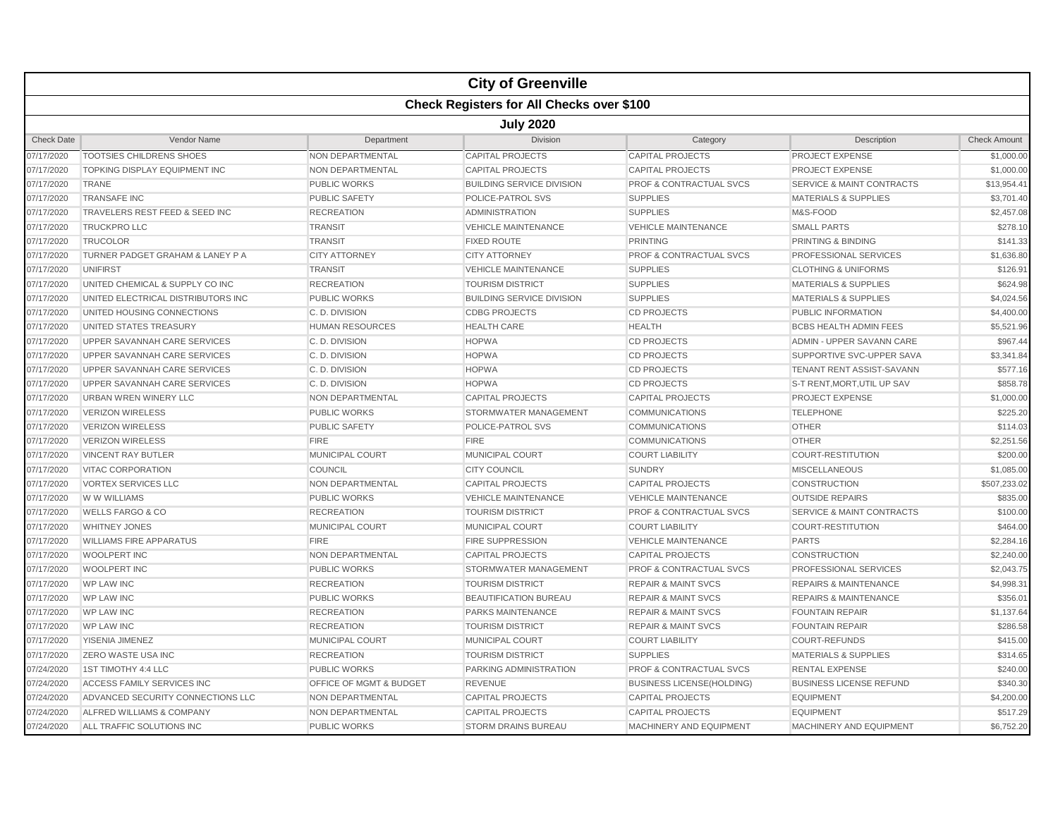|                   |                                    |                         | <b>City of Greenville</b>                        |                                    |                                      |                     |  |  |  |
|-------------------|------------------------------------|-------------------------|--------------------------------------------------|------------------------------------|--------------------------------------|---------------------|--|--|--|
|                   |                                    |                         | <b>Check Registers for All Checks over \$100</b> |                                    |                                      |                     |  |  |  |
|                   | <b>July 2020</b>                   |                         |                                                  |                                    |                                      |                     |  |  |  |
| <b>Check Date</b> | Vendor Name                        | Department              | <b>Division</b>                                  | Category                           | Description                          | <b>Check Amount</b> |  |  |  |
| 07/17/2020        | <b>TOOTSIES CHILDRENS SHOES</b>    | <b>NON DEPARTMENTAL</b> | <b>CAPITAL PROJECTS</b>                          | <b>CAPITAL PROJECTS</b>            | PROJECT EXPENSE                      | \$1,000.00          |  |  |  |
| 07/17/2020        | TOPKING DISPLAY EQUIPMENT INC      | NON DEPARTMENTAL        | <b>CAPITAL PROJECTS</b>                          | <b>CAPITAL PROJECTS</b>            | <b>PROJECT EXPENSE</b>               | \$1,000.00          |  |  |  |
| 07/17/2020        | <b>TRANE</b>                       | <b>PUBLIC WORKS</b>     | <b>BUILDING SERVICE DIVISION</b>                 | <b>PROF &amp; CONTRACTUAL SVCS</b> | <b>SERVICE &amp; MAINT CONTRACTS</b> | \$13,954.41         |  |  |  |
| 07/17/2020        | <b>TRANSAFE INC</b>                | <b>PUBLIC SAFETY</b>    | POLICE-PATROL SVS                                | <b>SUPPLIES</b>                    | <b>MATERIALS &amp; SUPPLIES</b>      | \$3,701.40          |  |  |  |
| 07/17/2020        | TRAVELERS REST FEED & SEED INC     | <b>RECREATION</b>       | ADMINISTRATION                                   | <b>SUPPLIES</b>                    | M&S-FOOD                             | \$2,457.08          |  |  |  |
| 07/17/2020        | <b>TRUCKPRO LLC</b>                | <b>TRANSIT</b>          | <b>VEHICLE MAINTENANCE</b>                       | <b>VEHICLE MAINTENANCE</b>         | <b>SMALL PARTS</b>                   | \$278.10            |  |  |  |
| 07/17/2020        | <b>TRUCOLOR</b>                    | <b>TRANSIT</b>          | <b>FIXED ROUTE</b>                               | <b>PRINTING</b>                    | <b>PRINTING &amp; BINDING</b>        | \$141.33            |  |  |  |
| 07/17/2020        | TURNER PADGET GRAHAM & LANEY P A   | <b>CITY ATTORNEY</b>    | <b>CITY ATTORNEY</b>                             | <b>PROF &amp; CONTRACTUAL SVCS</b> | PROFESSIONAL SERVICES                | \$1,636.80          |  |  |  |
| 07/17/2020        | <b>UNIFIRST</b>                    | <b>TRANSIT</b>          | <b>VEHICLE MAINTENANCE</b>                       | <b>SUPPLIES</b>                    | <b>CLOTHING &amp; UNIFORMS</b>       | \$126.91            |  |  |  |
| 07/17/2020        | UNITED CHEMICAL & SUPPLY CO INC    | <b>RECREATION</b>       | <b>TOURISM DISTRICT</b>                          | <b>SUPPLIES</b>                    | <b>MATERIALS &amp; SUPPLIES</b>      | \$624.98            |  |  |  |
| 07/17/2020        | UNITED ELECTRICAL DISTRIBUTORS INC | <b>PUBLIC WORKS</b>     | <b>BUILDING SERVICE DIVISION</b>                 | <b>SUPPLIES</b>                    | <b>MATERIALS &amp; SUPPLIES</b>      | \$4,024.56          |  |  |  |
| 07/17/2020        | UNITED HOUSING CONNECTIONS         | C.D. DIVISION           | <b>CDBG PROJECTS</b>                             | <b>CD PROJECTS</b>                 | PUBLIC INFORMATION                   | \$4,400.00          |  |  |  |
| 07/17/2020        | UNITED STATES TREASURY             | <b>HUMAN RESOURCES</b>  | <b>HEALTH CARE</b>                               | <b>HEALTH</b>                      | <b>BCBS HEALTH ADMIN FEES</b>        | \$5,521.96          |  |  |  |
| 07/17/2020        | UPPER SAVANNAH CARE SERVICES       | C.D. DIVISION           | <b>HOPWA</b>                                     | <b>CD PROJECTS</b>                 | ADMIN - UPPER SAVANN CARE            | \$967.44            |  |  |  |
| 07/17/2020        | UPPER SAVANNAH CARE SERVICES       | C.D. DIVISION           | <b>HOPWA</b>                                     | <b>CD PROJECTS</b>                 | SUPPORTIVE SVC-UPPER SAVA            | \$3,341.84          |  |  |  |
| 07/17/2020        | UPPER SAVANNAH CARE SERVICES       | C.D. DIVISION           | <b>HOPWA</b>                                     | <b>CD PROJECTS</b>                 | TENANT RENT ASSIST-SAVANN            | \$577.16            |  |  |  |
| 07/17/2020        | UPPER SAVANNAH CARE SERVICES       | C.D. DIVISION           | <b>HOPWA</b>                                     | <b>CD PROJECTS</b>                 | S-T RENT, MORT, UTIL UP SAV          | \$858.78            |  |  |  |
| 07/17/2020        | URBAN WREN WINERY LLC              | NON DEPARTMENTAL        | <b>CAPITAL PROJECTS</b>                          | <b>CAPITAL PROJECTS</b>            | PROJECT EXPENSE                      | \$1,000.00          |  |  |  |
| 07/17/2020        | <b>VERIZON WIRELESS</b>            | <b>PUBLIC WORKS</b>     | STORMWATER MANAGEMENT                            | <b>COMMUNICATIONS</b>              | <b>TELEPHONE</b>                     | \$225.20            |  |  |  |
| 07/17/2020        | <b>VERIZON WIRELESS</b>            | <b>PUBLIC SAFETY</b>    | POLICE-PATROL SVS                                | <b>COMMUNICATIONS</b>              | <b>OTHER</b>                         | \$114.03            |  |  |  |
| 07/17/2020        | <b>VERIZON WIRELESS</b>            | <b>FIRE</b>             | <b>FIRE</b>                                      | <b>COMMUNICATIONS</b>              | <b>OTHER</b>                         | \$2,251.56          |  |  |  |
| 07/17/2020        | <b>VINCENT RAY BUTLER</b>          | <b>MUNICIPAL COURT</b>  | MUNICIPAL COURT                                  | <b>COURT LIABILITY</b>             | <b>COURT-RESTITUTION</b>             | \$200.00            |  |  |  |
| 07/17/2020        | <b>VITAC CORPORATION</b>           | COUNCIL                 | <b>CITY COUNCIL</b>                              | <b>SUNDRY</b>                      | <b>MISCELLANEOUS</b>                 | \$1,085.00          |  |  |  |
| 07/17/2020        | <b>VORTEX SERVICES LLC</b>         | NON DEPARTMENTAL        | <b>CAPITAL PROJECTS</b>                          | <b>CAPITAL PROJECTS</b>            | <b>CONSTRUCTION</b>                  | \$507,233.02        |  |  |  |
| 07/17/2020        | W W WILLIAMS                       | <b>PUBLIC WORKS</b>     | <b>VEHICLE MAINTENANCE</b>                       | <b>VEHICLE MAINTENANCE</b>         | <b>OUTSIDE REPAIRS</b>               | \$835.00            |  |  |  |
| 07/17/2020        | <b>WELLS FARGO &amp; CO</b>        | <b>RECREATION</b>       | <b>TOURISM DISTRICT</b>                          | <b>PROF &amp; CONTRACTUAL SVCS</b> | <b>SERVICE &amp; MAINT CONTRACTS</b> | \$100.00            |  |  |  |
| 07/17/2020        | <b>WHITNEY JONES</b>               | <b>MUNICIPAL COURT</b>  | MUNICIPAL COURT                                  | <b>COURT LIABILITY</b>             | <b>COURT-RESTITUTION</b>             | \$464.00            |  |  |  |
| 07/17/2020        | <b>WILLIAMS FIRE APPARATUS</b>     | <b>FIRE</b>             | <b>FIRE SUPPRESSION</b>                          | <b>VEHICLE MAINTENANCE</b>         | <b>PARTS</b>                         | \$2,284.16          |  |  |  |
| 07/17/2020        | <b>WOOLPERT INC</b>                | NON DEPARTMENTAL        | <b>CAPITAL PROJECTS</b>                          | <b>CAPITAL PROJECTS</b>            | <b>CONSTRUCTION</b>                  | \$2,240.00          |  |  |  |
| 07/17/2020        | <b>WOOLPERT INC</b>                | <b>PUBLIC WORKS</b>     | STORMWATER MANAGEMENT                            | <b>PROF &amp; CONTRACTUAL SVCS</b> | PROFESSIONAL SERVICES                | \$2,043.75          |  |  |  |
| 07/17/2020        | <b>WP LAW INC</b>                  | <b>RECREATION</b>       | <b>TOURISM DISTRICT</b>                          | <b>REPAIR &amp; MAINT SVCS</b>     | <b>REPAIRS &amp; MAINTENANCE</b>     | \$4,998.31          |  |  |  |
| 07/17/2020        | <b>WP LAW INC</b>                  | <b>PUBLIC WORKS</b>     | <b>BEAUTIFICATION BUREAU</b>                     | <b>REPAIR &amp; MAINT SVCS</b>     | <b>REPAIRS &amp; MAINTENANCE</b>     | \$356.01            |  |  |  |
| 07/17/2020        | <b>WP LAW INC</b>                  | <b>RECREATION</b>       | <b>PARKS MAINTENANCE</b>                         | <b>REPAIR &amp; MAINT SVCS</b>     | <b>FOUNTAIN REPAIR</b>               | \$1,137.64          |  |  |  |
| 07/17/2020        | <b>WP LAW INC</b>                  | <b>RECREATION</b>       | <b>TOURISM DISTRICT</b>                          | <b>REPAIR &amp; MAINT SVCS</b>     | <b>FOUNTAIN REPAIR</b>               | \$286.58            |  |  |  |
| 07/17/2020        | YISENIA JIMENEZ                    | MUNICIPAL COURT         | MUNICIPAL COURT                                  | <b>COURT LIABILITY</b>             | COURT-REFUNDS                        | \$415.00            |  |  |  |
| 07/17/2020        | <b>ZERO WASTE USA INC</b>          | <b>RECREATION</b>       | <b>TOURISM DISTRICT</b>                          | <b>SUPPLIES</b>                    | <b>MATERIALS &amp; SUPPLIES</b>      | \$314.65            |  |  |  |
| 07/24/2020        | 1ST TIMOTHY 4:4 LLC                | <b>PUBLIC WORKS</b>     | PARKING ADMINISTRATION                           | PROF & CONTRACTUAL SVCS            | <b>RENTAL EXPENSE</b>                | \$240.00            |  |  |  |
| 07/24/2020        | ACCESS FAMILY SERVICES INC         | OFFICE OF MGMT & BUDGET | <b>REVENUE</b>                                   | <b>BUSINESS LICENSE(HOLDING)</b>   | <b>BUSINESS LICENSE REFUND</b>       | \$340.30            |  |  |  |
| 07/24/2020        | ADVANCED SECURITY CONNECTIONS LLC  | NON DEPARTMENTAL        | <b>CAPITAL PROJECTS</b>                          | <b>CAPITAL PROJECTS</b>            | <b>EQUIPMENT</b>                     | \$4,200.00          |  |  |  |
| 07/24/2020        | ALFRED WILLIAMS & COMPANY          | NON DEPARTMENTAL        | <b>CAPITAL PROJECTS</b>                          | <b>CAPITAL PROJECTS</b>            | <b>EQUIPMENT</b>                     | \$517.29            |  |  |  |
| 07/24/2020        | ALL TRAFFIC SOLUTIONS INC          | <b>PUBLIC WORKS</b>     | <b>STORM DRAINS BUREAU</b>                       | <b>MACHINERY AND EQUIPMENT</b>     | <b>MACHINERY AND EQUIPMENT</b>       | \$6.752.20          |  |  |  |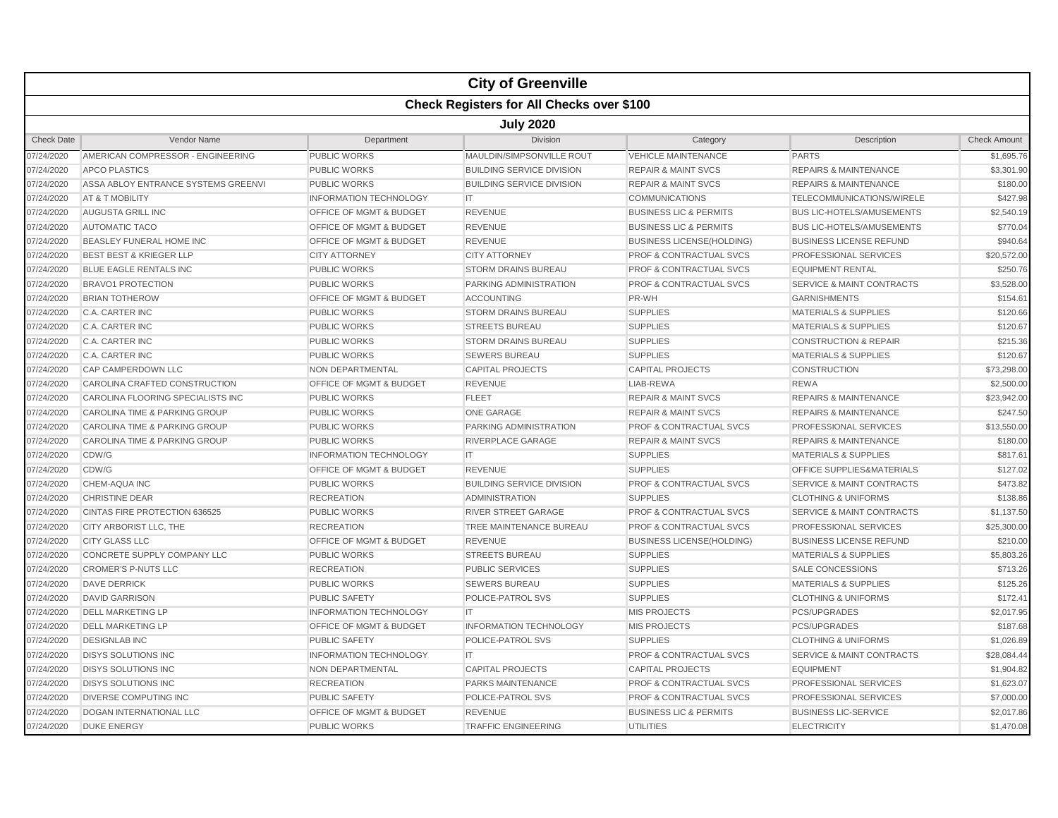|                   |                                                  |                                    | <b>City of Greenville</b>        |                                    |                                      |                     |  |  |  |  |
|-------------------|--------------------------------------------------|------------------------------------|----------------------------------|------------------------------------|--------------------------------------|---------------------|--|--|--|--|
|                   | <b>Check Registers for All Checks over \$100</b> |                                    |                                  |                                    |                                      |                     |  |  |  |  |
|                   | <b>July 2020</b>                                 |                                    |                                  |                                    |                                      |                     |  |  |  |  |
| <b>Check Date</b> | Vendor Name                                      | Department                         | <b>Division</b>                  | Category                           | Description                          | <b>Check Amount</b> |  |  |  |  |
| 07/24/2020        | AMERICAN COMPRESSOR - ENGINEERING                | <b>PUBLIC WORKS</b>                | MAULDIN/SIMPSONVILLE ROUT        | <b>VEHICLE MAINTENANCE</b>         | <b>PARTS</b>                         | \$1,695.76          |  |  |  |  |
| 07/24/2020        | <b>APCO PLASTICS</b>                             | <b>PUBLIC WORKS</b>                | <b>BUILDING SERVICE DIVISION</b> | <b>REPAIR &amp; MAINT SVCS</b>     | <b>REPAIRS &amp; MAINTENANCE</b>     | \$3,301.90          |  |  |  |  |
| 07/24/2020        | ASSA ABLOY ENTRANCE SYSTEMS GREENVI              | <b>PUBLIC WORKS</b>                | <b>BUILDING SERVICE DIVISION</b> | <b>REPAIR &amp; MAINT SVCS</b>     | <b>REPAIRS &amp; MAINTENANCE</b>     | \$180.00            |  |  |  |  |
| 07/24/2020        | AT & T MOBILITY                                  | <b>INFORMATION TECHNOLOGY</b>      | <b>IT</b>                        | <b>COMMUNICATIONS</b>              | TELECOMMUNICATIONS/WIRELE            | \$427.98            |  |  |  |  |
| 07/24/2020        | AUGUSTA GRILL INC                                | OFFICE OF MGMT & BUDGET            | <b>REVENUE</b>                   | <b>BUSINESS LIC &amp; PERMITS</b>  | <b>BUS LIC-HOTELS/AMUSEMENTS</b>     | \$2,540.19          |  |  |  |  |
| 07/24/2020        | <b>AUTOMATIC TACO</b>                            | OFFICE OF MGMT & BUDGET            | <b>REVENUE</b>                   | <b>BUSINESS LIC &amp; PERMITS</b>  | <b>BUS LIC-HOTELS/AMUSEMENTS</b>     | \$770.04            |  |  |  |  |
| 07/24/2020        | BEASLEY FUNERAL HOME INC                         | <b>OFFICE OF MGMT &amp; BUDGET</b> | <b>REVENUE</b>                   | <b>BUSINESS LICENSE(HOLDING)</b>   | <b>BUSINESS LICENSE REFUND</b>       | \$940.64            |  |  |  |  |
| 07/24/2020        | <b>BEST BEST &amp; KRIEGER LLP</b>               | <b>CITY ATTORNEY</b>               | <b>CITY ATTORNEY</b>             | PROF & CONTRACTUAL SVCS            | PROFESSIONAL SERVICES                | \$20,572.00         |  |  |  |  |
| 07/24/2020        | BLUE EAGLE RENTALS INC                           | <b>PUBLIC WORKS</b>                | <b>STORM DRAINS BUREAU</b>       | PROF & CONTRACTUAL SVCS            | <b>EQUIPMENT RENTAL</b>              | \$250.76            |  |  |  |  |
| 07/24/2020        | <b>BRAVO1 PROTECTION</b>                         | <b>PUBLIC WORKS</b>                | PARKING ADMINISTRATION           | <b>PROF &amp; CONTRACTUAL SVCS</b> | <b>SERVICE &amp; MAINT CONTRACTS</b> | \$3,528.00          |  |  |  |  |
| 07/24/2020        | <b>BRIAN TOTHEROW</b>                            | OFFICE OF MGMT & BUDGET            | <b>ACCOUNTING</b>                | PR-WH                              | <b>GARNISHMENTS</b>                  | \$154.61            |  |  |  |  |
| 07/24/2020        | C.A. CARTER INC                                  | <b>PUBLIC WORKS</b>                | <b>STORM DRAINS BUREAU</b>       | <b>SUPPLIES</b>                    | <b>MATERIALS &amp; SUPPLIES</b>      | \$120.66            |  |  |  |  |
| 07/24/2020        | C.A. CARTER INC                                  | <b>PUBLIC WORKS</b>                | <b>STREETS BUREAU</b>            | <b>SUPPLIES</b>                    | <b>MATERIALS &amp; SUPPLIES</b>      | \$120.67            |  |  |  |  |
| 07/24/2020        | <b>C.A. CARTER INC</b>                           | <b>PUBLIC WORKS</b>                | <b>STORM DRAINS BUREAU</b>       | <b>SUPPLIES</b>                    | <b>CONSTRUCTION &amp; REPAIR</b>     | \$215.36            |  |  |  |  |
| 07/24/2020        | <b>C.A. CARTER INC</b>                           | <b>PUBLIC WORKS</b>                | <b>SEWERS BUREAU</b>             | <b>SUPPLIES</b>                    | <b>MATERIALS &amp; SUPPLIES</b>      | \$120.67            |  |  |  |  |
| 07/24/2020        | CAP CAMPERDOWN LLC                               | NON DEPARTMENTAL                   | <b>CAPITAL PROJECTS</b>          | <b>CAPITAL PROJECTS</b>            | <b>CONSTRUCTION</b>                  | \$73,298.00         |  |  |  |  |
| 07/24/2020        | CAROLINA CRAFTED CONSTRUCTION                    | <b>OFFICE OF MGMT &amp; BUDGET</b> | <b>REVENUE</b>                   | LIAB-REWA                          | <b>REWA</b>                          | \$2,500.00          |  |  |  |  |
| 07/24/2020        | CAROLINA FLOORING SPECIALISTS INC                | <b>PUBLIC WORKS</b>                | <b>FLEET</b>                     | <b>REPAIR &amp; MAINT SVCS</b>     | <b>REPAIRS &amp; MAINTENANCE</b>     | \$23,942.00         |  |  |  |  |
| 07/24/2020        | CAROLINA TIME & PARKING GROUP                    | <b>PUBLIC WORKS</b>                | <b>ONE GARAGE</b>                | <b>REPAIR &amp; MAINT SVCS</b>     | <b>REPAIRS &amp; MAINTENANCE</b>     | \$247.50            |  |  |  |  |
| 07/24/2020        | CAROLINA TIME & PARKING GROUP                    | <b>PUBLIC WORKS</b>                | PARKING ADMINISTRATION           | <b>PROF &amp; CONTRACTUAL SVCS</b> | <b>PROFESSIONAL SERVICES</b>         | \$13,550.00         |  |  |  |  |
| 07/24/2020        | CAROLINA TIME & PARKING GROUP                    | <b>PUBLIC WORKS</b>                | RIVERPLACE GARAGE                | <b>REPAIR &amp; MAINT SVCS</b>     | <b>REPAIRS &amp; MAINTENANCE</b>     | \$180.00            |  |  |  |  |
| 07/24/2020        | CDW/G                                            | <b>INFORMATION TECHNOLOGY</b>      | <b>IT</b>                        | <b>SUPPLIES</b>                    | <b>MATERIALS &amp; SUPPLIES</b>      | \$817.61            |  |  |  |  |
| 07/24/2020        | CDW/G                                            | OFFICE OF MGMT & BUDGET            | <b>REVENUE</b>                   | <b>SUPPLIES</b>                    | OFFICE SUPPLIES&MATERIALS            | \$127.02            |  |  |  |  |
| 07/24/2020        | CHEM-AQUA INC                                    | <b>PUBLIC WORKS</b>                | <b>BUILDING SERVICE DIVISION</b> | PROF & CONTRACTUAL SVCS            | <b>SERVICE &amp; MAINT CONTRACTS</b> | \$473.82            |  |  |  |  |
| 07/24/2020        | <b>CHRISTINE DEAR</b>                            | <b>RECREATION</b>                  | <b>ADMINISTRATION</b>            | <b>SUPPLIES</b>                    | <b>CLOTHING &amp; UNIFORMS</b>       | \$138.86            |  |  |  |  |
| 07/24/2020        | CINTAS FIRE PROTECTION 636525                    | <b>PUBLIC WORKS</b>                | <b>RIVER STREET GARAGE</b>       | <b>PROF &amp; CONTRACTUAL SVCS</b> | <b>SERVICE &amp; MAINT CONTRACTS</b> | \$1,137.50          |  |  |  |  |
| 07/24/2020        | CITY ARBORIST LLC, THE                           | <b>RECREATION</b>                  | TREE MAINTENANCE BUREAU          | <b>PROF &amp; CONTRACTUAL SVCS</b> | PROFESSIONAL SERVICES                | \$25,300.00         |  |  |  |  |
| 07/24/2020        | <b>CITY GLASS LLC</b>                            | <b>OFFICE OF MGMT &amp; BUDGET</b> | <b>REVENUE</b>                   | <b>BUSINESS LICENSE(HOLDING)</b>   | <b>BUSINESS LICENSE REFUND</b>       | \$210.00            |  |  |  |  |
| 07/24/2020        | CONCRETE SUPPLY COMPANY LLC                      | <b>PUBLIC WORKS</b>                | <b>STREETS BUREAU</b>            | <b>SUPPLIES</b>                    | <b>MATERIALS &amp; SUPPLIES</b>      | \$5,803.26          |  |  |  |  |
| 07/24/2020        | <b>CROMER'S P-NUTS LLC</b>                       | <b>RECREATION</b>                  | <b>PUBLIC SERVICES</b>           | <b>SUPPLIES</b>                    | <b>SALE CONCESSIONS</b>              | \$713.26            |  |  |  |  |
| 07/24/2020        | <b>DAVE DERRICK</b>                              | <b>PUBLIC WORKS</b>                | <b>SEWERS BUREAU</b>             | <b>SUPPLIES</b>                    | <b>MATERIALS &amp; SUPPLIES</b>      | \$125.26            |  |  |  |  |
| 07/24/2020        | <b>DAVID GARRISON</b>                            | <b>PUBLIC SAFETY</b>               | POLICE-PATROL SVS                | <b>SUPPLIES</b>                    | <b>CLOTHING &amp; UNIFORMS</b>       | \$172.41            |  |  |  |  |
| 07/24/2020        | <b>DELL MARKETING LP</b>                         | <b>INFORMATION TECHNOLOGY</b>      | <b>IT</b>                        | <b>MIS PROJECTS</b>                | PCS/UPGRADES                         | \$2,017.95          |  |  |  |  |
| 07/24/2020        | <b>DELL MARKETING LP</b>                         | OFFICE OF MGMT & BUDGET            | <b>INFORMATION TECHNOLOGY</b>    | <b>MIS PROJECTS</b>                | PCS/UPGRADES                         | \$187.68            |  |  |  |  |
| 07/24/2020        | <b>DESIGNLAB INC</b>                             | <b>PUBLIC SAFETY</b>               | POLICE-PATROL SVS                | <b>SUPPLIES</b>                    | <b>CLOTHING &amp; UNIFORMS</b>       | \$1,026.89          |  |  |  |  |
| 07/24/2020        | <b>DISYS SOLUTIONS INC</b>                       | <b>INFORMATION TECHNOLOGY</b>      | $\mathsf{I}\mathsf{T}$           | PROF & CONTRACTUAL SVCS            | SERVICE & MAINT CONTRACTS            | \$28,084.44         |  |  |  |  |
| 07/24/2020        | <b>DISYS SOLUTIONS INC</b>                       | NON DEPARTMENTAL                   | <b>CAPITAL PROJECTS</b>          | <b>CAPITAL PROJECTS</b>            | <b>EQUIPMENT</b>                     | \$1,904.82          |  |  |  |  |
| 07/24/2020        | <b>DISYS SOLUTIONS INC</b>                       | <b>RECREATION</b>                  | <b>PARKS MAINTENANCE</b>         | <b>PROF &amp; CONTRACTUAL SVCS</b> | <b>PROFESSIONAL SERVICES</b>         | \$1,623.07          |  |  |  |  |
| 07/24/2020        | DIVERSE COMPUTING INC                            | <b>PUBLIC SAFETY</b>               | POLICE-PATROL SVS                | <b>PROF &amp; CONTRACTUAL SVCS</b> | PROFESSIONAL SERVICES                | \$7,000.00          |  |  |  |  |
| 07/24/2020        | <b>DOGAN INTERNATIONAL LLC</b>                   | <b>OFFICE OF MGMT &amp; BUDGET</b> | <b>REVENUE</b>                   | <b>BUSINESS LIC &amp; PERMITS</b>  | <b>BUSINESS LIC-SERVICE</b>          | \$2,017.86          |  |  |  |  |
| 07/24/2020        | <b>DUKE ENERGY</b>                               | <b>PUBLIC WORKS</b>                | <b>TRAFFIC ENGINEERING</b>       | <b>UTILITIES</b>                   | <b>ELECTRICITY</b>                   | \$1,470.08          |  |  |  |  |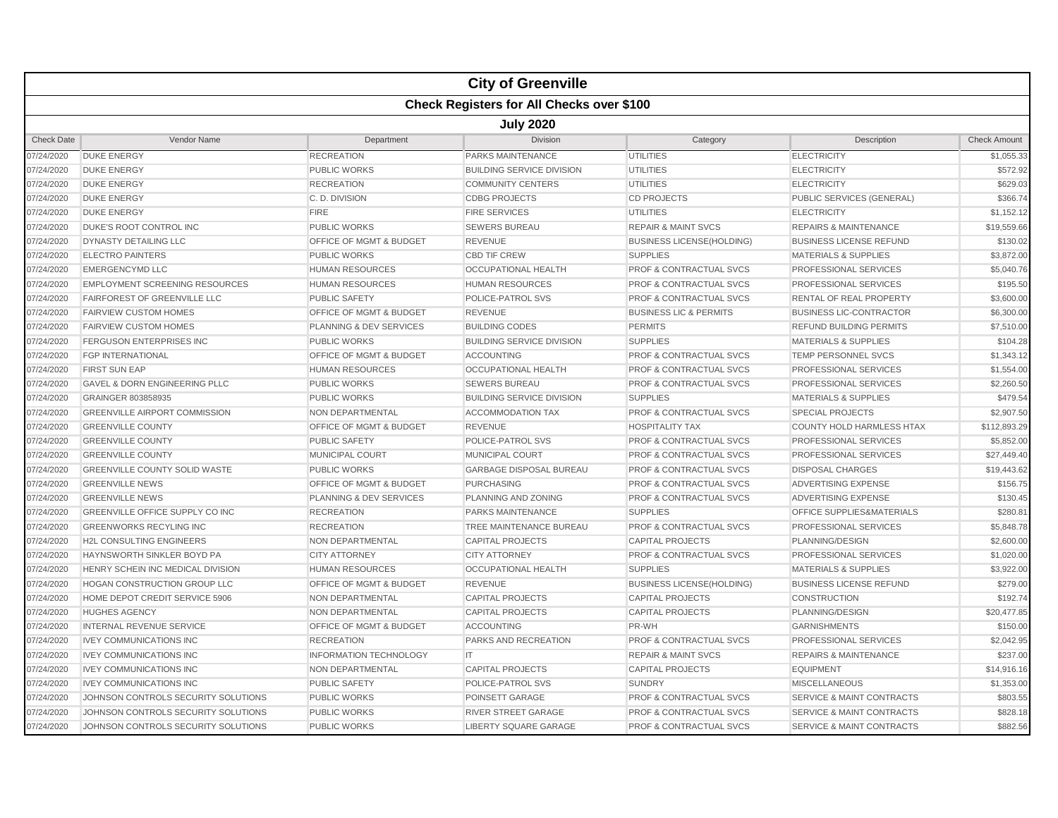|                   |                                                  |                                    | <b>City of Greenville</b>        |                                    |                                      |                     |  |  |  |
|-------------------|--------------------------------------------------|------------------------------------|----------------------------------|------------------------------------|--------------------------------------|---------------------|--|--|--|
|                   | <b>Check Registers for All Checks over \$100</b> |                                    |                                  |                                    |                                      |                     |  |  |  |
|                   | <b>July 2020</b>                                 |                                    |                                  |                                    |                                      |                     |  |  |  |
| <b>Check Date</b> | Vendor Name                                      | Department                         | <b>Division</b>                  | Category                           | Description                          | <b>Check Amount</b> |  |  |  |
| 07/24/2020        | <b>DUKE ENERGY</b>                               | <b>RECREATION</b>                  | PARKS MAINTENANCE                | <b>UTILITIES</b>                   | <b>ELECTRICITY</b>                   | \$1,055.33          |  |  |  |
| 07/24/2020        | <b>DUKE ENERGY</b>                               | <b>PUBLIC WORKS</b>                | <b>BUILDING SERVICE DIVISION</b> | <b>UTILITIES</b>                   | <b>ELECTRICITY</b>                   | \$572.92            |  |  |  |
| 07/24/2020        | <b>DUKE ENERGY</b>                               | <b>RECREATION</b>                  | <b>COMMUNITY CENTERS</b>         | UTILITIES                          | <b>ELECTRICITY</b>                   | \$629.03            |  |  |  |
| 07/24/2020        | <b>DUKE ENERGY</b>                               | C.D. DIVISION                      | <b>CDBG PROJECTS</b>             | <b>CD PROJECTS</b>                 | PUBLIC SERVICES (GENERAL)            | \$366.74            |  |  |  |
| 07/24/2020        | <b>DUKE ENERGY</b>                               | <b>FIRE</b>                        | <b>FIRE SERVICES</b>             | <b>UTILITIES</b>                   | <b>ELECTRICITY</b>                   | \$1,152.12          |  |  |  |
| 07/24/2020        | <b>DUKE'S ROOT CONTROL INC</b>                   | <b>PUBLIC WORKS</b>                | <b>SEWERS BUREAU</b>             | <b>REPAIR &amp; MAINT SVCS</b>     | <b>REPAIRS &amp; MAINTENANCE</b>     | \$19,559.66         |  |  |  |
| 07/24/2020        | <b>DYNASTY DETAILING LLC</b>                     | <b>OFFICE OF MGMT &amp; BUDGET</b> | <b>REVENUE</b>                   | <b>BUSINESS LICENSE(HOLDING)</b>   | <b>BUSINESS LICENSE REFUND</b>       | \$130.02            |  |  |  |
| 07/24/2020        | <b>ELECTRO PAINTERS</b>                          | <b>PUBLIC WORKS</b>                | <b>CBD TIF CREW</b>              | <b>SUPPLIES</b>                    | <b>MATERIALS &amp; SUPPLIES</b>      | \$3,872.00          |  |  |  |
| 07/24/2020        | <b>EMERGENCYMD LLC</b>                           | <b>HUMAN RESOURCES</b>             | <b>OCCUPATIONAL HEALTH</b>       | <b>PROF &amp; CONTRACTUAL SVCS</b> | PROFESSIONAL SERVICES                | \$5,040.76          |  |  |  |
| 07/24/2020        | <b>EMPLOYMENT SCREENING RESOURCES</b>            | <b>HUMAN RESOURCES</b>             | <b>HUMAN RESOURCES</b>           | <b>PROF &amp; CONTRACTUAL SVCS</b> | PROFESSIONAL SERVICES                | \$195.50            |  |  |  |
| 07/24/2020        | FAIRFOREST OF GREENVILLE LLC                     | <b>PUBLIC SAFETY</b>               | POLICE-PATROL SVS                | <b>PROF &amp; CONTRACTUAL SVCS</b> | RENTAL OF REAL PROPERTY              | \$3,600.00          |  |  |  |
| 07/24/2020        | <b>FAIRVIEW CUSTOM HOMES</b>                     | <b>OFFICE OF MGMT &amp; BUDGET</b> | <b>REVENUE</b>                   | <b>BUSINESS LIC &amp; PERMITS</b>  | <b>BUSINESS LIC-CONTRACTOR</b>       | \$6,300.00          |  |  |  |
| 07/24/2020        | <b>FAIRVIEW CUSTOM HOMES</b>                     | PLANNING & DEV SERVICES            | <b>BUILDING CODES</b>            | <b>PERMITS</b>                     | <b>REFUND BUILDING PERMITS</b>       | \$7,510.00          |  |  |  |
| 07/24/2020        | <b>FERGUSON ENTERPRISES INC</b>                  | <b>PUBLIC WORKS</b>                | <b>BUILDING SERVICE DIVISION</b> | <b>SUPPLIES</b>                    | <b>MATERIALS &amp; SUPPLIES</b>      | \$104.28            |  |  |  |
| 07/24/2020        | <b>FGP INTERNATIONAL</b>                         | OFFICE OF MGMT & BUDGET            | <b>ACCOUNTING</b>                | PROF & CONTRACTUAL SVCS            | TEMP PERSONNEL SVCS                  | \$1,343.12          |  |  |  |
| 07/24/2020        | <b>FIRST SUN EAP</b>                             | <b>HUMAN RESOURCES</b>             | <b>OCCUPATIONAL HEALTH</b>       | <b>PROF &amp; CONTRACTUAL SVCS</b> | PROFESSIONAL SERVICES                | \$1,554.00          |  |  |  |
| 07/24/2020        | <b>GAVEL &amp; DORN ENGINEERING PLLC</b>         | <b>PUBLIC WORKS</b>                | <b>SEWERS BUREAU</b>             | <b>PROF &amp; CONTRACTUAL SVCS</b> | <b>PROFESSIONAL SERVICES</b>         | \$2,260.50          |  |  |  |
| 07/24/2020        | GRAINGER 803858935                               | <b>PUBLIC WORKS</b>                | <b>BUILDING SERVICE DIVISION</b> | <b>SUPPLIES</b>                    | <b>MATERIALS &amp; SUPPLIES</b>      | \$479.54            |  |  |  |
| 07/24/2020        | <b>GREENVILLE AIRPORT COMMISSION</b>             | NON DEPARTMENTAL                   | <b>ACCOMMODATION TAX</b>         | <b>PROF &amp; CONTRACTUAL SVCS</b> | <b>SPECIAL PROJECTS</b>              | \$2,907.50          |  |  |  |
| 07/24/2020        | <b>GREENVILLE COUNTY</b>                         | OFFICE OF MGMT & BUDGET            | <b>REVENUE</b>                   | <b>HOSPITALITY TAX</b>             | COUNTY HOLD HARMLESS HTAX            | \$112,893.29        |  |  |  |
| 07/24/2020        | <b>GREENVILLE COUNTY</b>                         | <b>PUBLIC SAFETY</b>               | POLICE-PATROL SVS                | <b>PROF &amp; CONTRACTUAL SVCS</b> | PROFESSIONAL SERVICES                | \$5,852.00          |  |  |  |
| 07/24/2020        | <b>GREENVILLE COUNTY</b>                         | <b>MUNICIPAL COURT</b>             | <b>MUNICIPAL COURT</b>           | <b>PROF &amp; CONTRACTUAL SVCS</b> | PROFESSIONAL SERVICES                | \$27,449.40         |  |  |  |
| 07/24/2020        | <b>GREENVILLE COUNTY SOLID WASTE</b>             | <b>PUBLIC WORKS</b>                | <b>GARBAGE DISPOSAL BUREAU</b>   | <b>PROF &amp; CONTRACTUAL SVCS</b> | <b>DISPOSAL CHARGES</b>              | \$19,443.62         |  |  |  |
| 07/24/2020        | <b>GREENVILLE NEWS</b>                           | <b>OFFICE OF MGMT &amp; BUDGET</b> | <b>PURCHASING</b>                | <b>PROF &amp; CONTRACTUAL SVCS</b> | ADVERTISING EXPENSE                  | \$156.75            |  |  |  |
| 07/24/2020        | <b>GREENVILLE NEWS</b>                           | PLANNING & DEV SERVICES            | PLANNING AND ZONING              | <b>PROF &amp; CONTRACTUAL SVCS</b> | ADVERTISING EXPENSE                  | \$130.45            |  |  |  |
| 07/24/2020        | GREENVILLE OFFICE SUPPLY CO INC                  | <b>RECREATION</b>                  | <b>PARKS MAINTENANCE</b>         | <b>SUPPLIES</b>                    | OFFICE SUPPLIES&MATERIALS            | \$280.81            |  |  |  |
| 07/24/2020        | <b>GREENWORKS RECYLING INC</b>                   | <b>RECREATION</b>                  | TREE MAINTENANCE BUREAU          | <b>PROF &amp; CONTRACTUAL SVCS</b> | PROFESSIONAL SERVICES                | \$5,848.78          |  |  |  |
| 07/24/2020        | <b>H2L CONSULTING ENGINEERS</b>                  | <b>NON DEPARTMENTAL</b>            | <b>CAPITAL PROJECTS</b>          | <b>CAPITAL PROJECTS</b>            | PLANNING/DESIGN                      | \$2,600.00          |  |  |  |
| 07/24/2020        | <b>HAYNSWORTH SINKLER BOYD PA</b>                | <b>CITY ATTORNEY</b>               | <b>CITY ATTORNEY</b>             | <b>PROF &amp; CONTRACTUAL SVCS</b> | PROFESSIONAL SERVICES                | \$1,020.00          |  |  |  |
| 07/24/2020        | HENRY SCHEIN INC MEDICAL DIVISION                | <b>HUMAN RESOURCES</b>             | <b>OCCUPATIONAL HEALTH</b>       | <b>SUPPLIES</b>                    | <b>MATERIALS &amp; SUPPLIES</b>      | \$3,922.00          |  |  |  |
| 07/24/2020        | <b>HOGAN CONSTRUCTION GROUP LLC</b>              | <b>OFFICE OF MGMT &amp; BUDGET</b> | <b>REVENUE</b>                   | <b>BUSINESS LICENSE(HOLDING)</b>   | <b>BUSINESS LICENSE REFUND</b>       | \$279.00            |  |  |  |
| 07/24/2020        | HOME DEPOT CREDIT SERVICE 5906                   | NON DEPARTMENTAL                   | <b>CAPITAL PROJECTS</b>          | <b>CAPITAL PROJECTS</b>            | <b>CONSTRUCTION</b>                  | \$192.74            |  |  |  |
| 07/24/2020        | <b>HUGHES AGENCY</b>                             | <b>NON DEPARTMENTAL</b>            | <b>CAPITAL PROJECTS</b>          | <b>CAPITAL PROJECTS</b>            | PLANNING/DESIGN                      | \$20,477.85         |  |  |  |
| 07/24/2020        | <b>INTERNAL REVENUE SERVICE</b>                  | OFFICE OF MGMT & BUDGET            | <b>ACCOUNTING</b>                | PR-WH                              | <b>GARNISHMENTS</b>                  | \$150.00            |  |  |  |
| 07/24/2020        | <b>IVEY COMMUNICATIONS INC</b>                   | <b>RECREATION</b>                  | <b>PARKS AND RECREATION</b>      | <b>PROF &amp; CONTRACTUAL SVCS</b> | PROFESSIONAL SERVICES                | \$2,042.95          |  |  |  |
| 07/24/2020        | <b>IVEY COMMUNICATIONS INC</b>                   | <b>INFORMATION TECHNOLOGY</b>      | IT.                              | <b>REPAIR &amp; MAINT SVCS</b>     | <b>REPAIRS &amp; MAINTENANCE</b>     | \$237.00            |  |  |  |
| 07/24/2020        | <b>IVEY COMMUNICATIONS INC</b>                   | NON DEPARTMENTAL                   | <b>CAPITAL PROJECTS</b>          | <b>CAPITAL PROJECTS</b>            | <b>EQUIPMENT</b>                     | \$14,916.16         |  |  |  |
| 07/24/2020        | <b>IVEY COMMUNICATIONS INC</b>                   | <b>PUBLIC SAFETY</b>               | POLICE-PATROL SVS                | <b>SUNDRY</b>                      | <b>MISCELLANEOUS</b>                 | \$1,353.00          |  |  |  |
| 07/24/2020        | JOHNSON CONTROLS SECURITY SOLUTIONS              | <b>PUBLIC WORKS</b>                | POINSETT GARAGE                  | <b>PROF &amp; CONTRACTUAL SVCS</b> | <b>SERVICE &amp; MAINT CONTRACTS</b> | \$803.55            |  |  |  |
| 07/24/2020        | JOHNSON CONTROLS SECURITY SOLUTIONS              | <b>PUBLIC WORKS</b>                | <b>RIVER STREET GARAGE</b>       | <b>PROF &amp; CONTRACTUAL SVCS</b> | <b>SERVICE &amp; MAINT CONTRACTS</b> | \$828.18            |  |  |  |
| 07/24/2020        | JOHNSON CONTROLS SECURITY SOLUTIONS              | <b>PUBLIC WORKS</b>                | <b>LIBERTY SQUARE GARAGE</b>     | <b>PROF &amp; CONTRACTUAL SVCS</b> | <b>SERVICE &amp; MAINT CONTRACTS</b> | \$882.56            |  |  |  |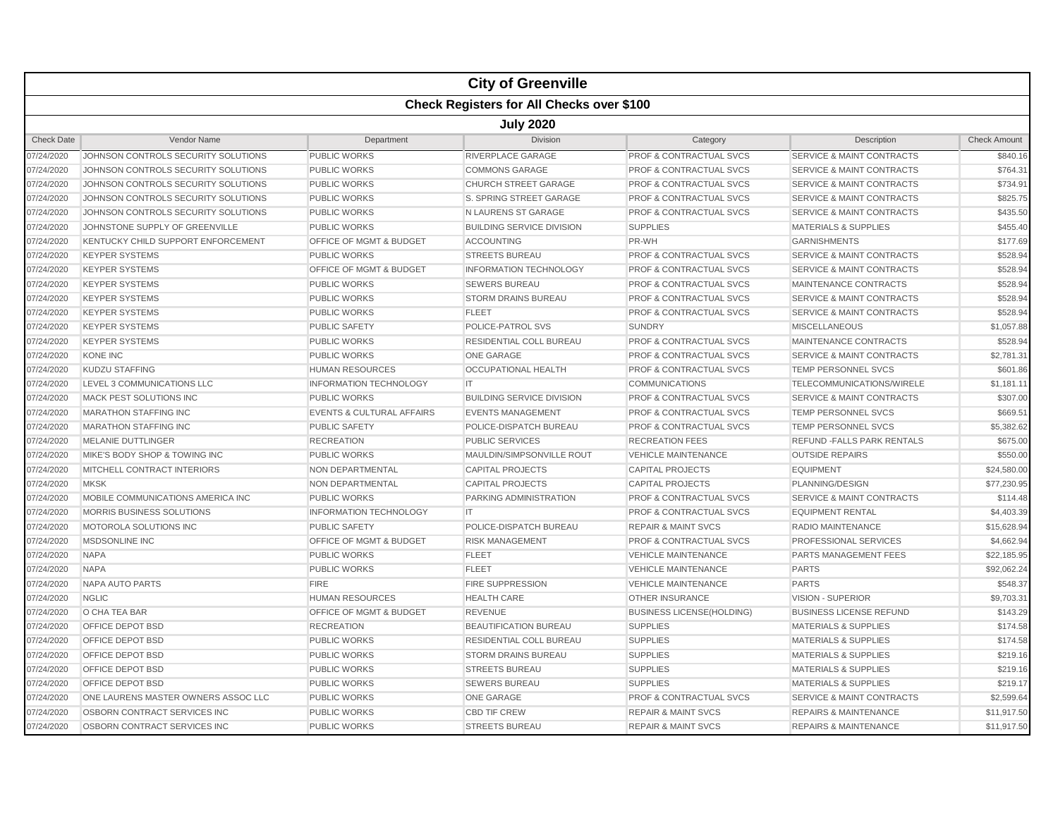|                   |                                                  |                                      | <b>City of Greenville</b>        |                                    |                                      |                     |  |  |  |  |
|-------------------|--------------------------------------------------|--------------------------------------|----------------------------------|------------------------------------|--------------------------------------|---------------------|--|--|--|--|
|                   | <b>Check Registers for All Checks over \$100</b> |                                      |                                  |                                    |                                      |                     |  |  |  |  |
|                   | <b>July 2020</b>                                 |                                      |                                  |                                    |                                      |                     |  |  |  |  |
| <b>Check Date</b> | Vendor Name                                      | Department                           | Division                         | Category                           | Description                          | <b>Check Amount</b> |  |  |  |  |
| 07/24/2020        | JOHNSON CONTROLS SECURITY SOLUTIONS              | <b>PUBLIC WORKS</b>                  | RIVERPLACE GARAGE                | <b>PROF &amp; CONTRACTUAL SVCS</b> | <b>SERVICE &amp; MAINT CONTRACTS</b> | \$840.16            |  |  |  |  |
| 07/24/2020        | JOHNSON CONTROLS SECURITY SOLUTIONS              | <b>PUBLIC WORKS</b>                  | <b>COMMONS GARAGE</b>            | <b>PROF &amp; CONTRACTUAL SVCS</b> | <b>SERVICE &amp; MAINT CONTRACTS</b> | \$764.31            |  |  |  |  |
| 07/24/2020        | JOHNSON CONTROLS SECURITY SOLUTIONS              | <b>PUBLIC WORKS</b>                  | <b>CHURCH STREET GARAGE</b>      | <b>PROF &amp; CONTRACTUAL SVCS</b> | <b>SERVICE &amp; MAINT CONTRACTS</b> | \$734.91            |  |  |  |  |
| 07/24/2020        | JOHNSON CONTROLS SECURITY SOLUTIONS              | <b>PUBLIC WORKS</b>                  | S. SPRING STREET GARAGE          | <b>PROF &amp; CONTRACTUAL SVCS</b> | <b>SERVICE &amp; MAINT CONTRACTS</b> | \$825.75            |  |  |  |  |
| 07/24/2020        | JOHNSON CONTROLS SECURITY SOLUTIONS              | <b>PUBLIC WORKS</b>                  | N LAURENS ST GARAGE              | PROF & CONTRACTUAL SVCS            | <b>SERVICE &amp; MAINT CONTRACTS</b> | \$435.50            |  |  |  |  |
| 07/24/2020        | JOHNSTONE SUPPLY OF GREENVILLE                   | <b>PUBLIC WORKS</b>                  | <b>BUILDING SERVICE DIVISION</b> | <b>SUPPLIES</b>                    | MATERIALS & SUPPLIES                 | \$455.40            |  |  |  |  |
| 07/24/2020        | KENTUCKY CHILD SUPPORT ENFORCEMENT               | OFFICE OF MGMT & BUDGET              | <b>ACCOUNTING</b>                | PR-WH                              | <b>GARNISHMENTS</b>                  | \$177.69            |  |  |  |  |
| 07/24/2020        | <b>KEYPER SYSTEMS</b>                            | <b>PUBLIC WORKS</b>                  | <b>STREETS BUREAU</b>            | <b>PROF &amp; CONTRACTUAL SVCS</b> | <b>SERVICE &amp; MAINT CONTRACTS</b> | \$528.94            |  |  |  |  |
| 07/24/2020        | <b>KEYPER SYSTEMS</b>                            | <b>OFFICE OF MGMT &amp; BUDGET</b>   | <b>INFORMATION TECHNOLOGY</b>    | <b>PROF &amp; CONTRACTUAL SVCS</b> | <b>SERVICE &amp; MAINT CONTRACTS</b> | \$528.94            |  |  |  |  |
| 07/24/2020        | <b>KEYPER SYSTEMS</b>                            | <b>PUBLIC WORKS</b>                  | <b>SEWERS BUREAU</b>             | PROF & CONTRACTUAL SVCS            | MAINTENANCE CONTRACTS                | \$528.94            |  |  |  |  |
| 07/24/2020        | <b>KEYPER SYSTEMS</b>                            | <b>PUBLIC WORKS</b>                  | <b>STORM DRAINS BUREAU</b>       | <b>PROF &amp; CONTRACTUAL SVCS</b> | <b>SERVICE &amp; MAINT CONTRACTS</b> | \$528.94            |  |  |  |  |
| 07/24/2020        | <b>KEYPER SYSTEMS</b>                            | <b>PUBLIC WORKS</b>                  | <b>FLEET</b>                     | <b>PROF &amp; CONTRACTUAL SVCS</b> | <b>SERVICE &amp; MAINT CONTRACTS</b> | \$528.94            |  |  |  |  |
| 07/24/2020        | <b>KEYPER SYSTEMS</b>                            | <b>PUBLIC SAFETY</b>                 | POLICE-PATROL SVS                | <b>SUNDRY</b>                      | <b>MISCELLANEOUS</b>                 | \$1,057.88          |  |  |  |  |
| 07/24/2020        | <b>KEYPER SYSTEMS</b>                            | <b>PUBLIC WORKS</b>                  | <b>RESIDENTIAL COLL BUREAU</b>   | <b>PROF &amp; CONTRACTUAL SVCS</b> | MAINTENANCE CONTRACTS                | \$528.94            |  |  |  |  |
| 07/24/2020        | <b>KONE INC</b>                                  | <b>PUBLIC WORKS</b>                  | <b>ONE GARAGE</b>                | <b>PROF &amp; CONTRACTUAL SVCS</b> | <b>SERVICE &amp; MAINT CONTRACTS</b> | \$2,781.31          |  |  |  |  |
| 07/24/2020        | <b>KUDZU STAFFING</b>                            | <b>HUMAN RESOURCES</b>               | <b>OCCUPATIONAL HEALTH</b>       | <b>PROF &amp; CONTRACTUAL SVCS</b> | <b>TEMP PERSONNEL SVCS</b>           | \$601.86            |  |  |  |  |
| 07/24/2020        | LEVEL 3 COMMUNICATIONS LLC                       | <b>INFORMATION TECHNOLOGY</b>        | <b>IT</b>                        | <b>COMMUNICATIONS</b>              | TELECOMMUNICATIONS/WIRELE            | \$1,181.11          |  |  |  |  |
| 07/24/2020        | MACK PEST SOLUTIONS INC                          | <b>PUBLIC WORKS</b>                  | <b>BUILDING SERVICE DIVISION</b> | <b>PROF &amp; CONTRACTUAL SVCS</b> | <b>SERVICE &amp; MAINT CONTRACTS</b> | \$307.00            |  |  |  |  |
| 07/24/2020        | <b>MARATHON STAFFING INC</b>                     | <b>EVENTS &amp; CULTURAL AFFAIRS</b> | <b>EVENTS MANAGEMENT</b>         | <b>PROF &amp; CONTRACTUAL SVCS</b> | <b>TEMP PERSONNEL SVCS</b>           | \$669.51            |  |  |  |  |
| 07/24/2020        | <b>MARATHON STAFFING INC</b>                     | <b>PUBLIC SAFETY</b>                 | POLICE-DISPATCH BUREAU           | <b>PROF &amp; CONTRACTUAL SVCS</b> | <b>TEMP PERSONNEL SVCS</b>           | \$5,382.62          |  |  |  |  |
| 07/24/2020        | <b>MELANIE DUTTLINGER</b>                        | <b>RECREATION</b>                    | <b>PUBLIC SERVICES</b>           | <b>RECREATION FEES</b>             | <b>REFUND - FALLS PARK RENTALS</b>   | \$675.00            |  |  |  |  |
| 07/24/2020        | MIKE'S BODY SHOP & TOWING INC                    | <b>PUBLIC WORKS</b>                  | MAULDIN/SIMPSONVILLE ROUT        | <b>VEHICLE MAINTENANCE</b>         | <b>OUTSIDE REPAIRS</b>               | \$550.00            |  |  |  |  |
| 07/24/2020        | MITCHELL CONTRACT INTERIORS                      | NON DEPARTMENTAL                     | <b>CAPITAL PROJECTS</b>          | <b>CAPITAL PROJECTS</b>            | <b>EQUIPMENT</b>                     | \$24,580.00         |  |  |  |  |
| 07/24/2020        | <b>MKSK</b>                                      | NON DEPARTMENTAL                     | <b>CAPITAL PROJECTS</b>          | <b>CAPITAL PROJECTS</b>            | PLANNING/DESIGN                      | \$77,230.95         |  |  |  |  |
| 07/24/2020        | MOBILE COMMUNICATIONS AMERICA INC                | <b>PUBLIC WORKS</b>                  | PARKING ADMINISTRATION           | <b>PROF &amp; CONTRACTUAL SVCS</b> | <b>SERVICE &amp; MAINT CONTRACTS</b> | \$114.48            |  |  |  |  |
| 07/24/2020        | MORRIS BUSINESS SOLUTIONS                        | <b>INFORMATION TECHNOLOGY</b>        | $\mathsf{I}\mathsf{T}$           | <b>PROF &amp; CONTRACTUAL SVCS</b> | <b>EQUIPMENT RENTAL</b>              | \$4,403.39          |  |  |  |  |
| 07/24/2020        | MOTOROLA SOLUTIONS INC                           | <b>PUBLIC SAFETY</b>                 | POLICE-DISPATCH BUREAU           | <b>REPAIR &amp; MAINT SVCS</b>     | RADIO MAINTENANCE                    | \$15,628.94         |  |  |  |  |
| 07/24/2020        | <b>MSDSONLINE INC</b>                            | <b>OFFICE OF MGMT &amp; BUDGET</b>   | <b>RISK MANAGEMENT</b>           | <b>PROF &amp; CONTRACTUAL SVCS</b> | <b>PROFESSIONAL SERVICES</b>         | \$4,662.94          |  |  |  |  |
| 07/24/2020        | <b>NAPA</b>                                      | <b>PUBLIC WORKS</b>                  | <b>FLEET</b>                     | <b>VEHICLE MAINTENANCE</b>         | <b>PARTS MANAGEMENT FEES</b>         | \$22,185.95         |  |  |  |  |
| 07/24/2020        | <b>NAPA</b>                                      | <b>PUBLIC WORKS</b>                  | <b>FLEET</b>                     | <b>VEHICLE MAINTENANCE</b>         | <b>PARTS</b>                         | \$92,062.24         |  |  |  |  |
| 07/24/2020        | <b>NAPA AUTO PARTS</b>                           | <b>FIRE</b>                          | <b>FIRE SUPPRESSION</b>          | <b>VEHICLE MAINTENANCE</b>         | <b>PARTS</b>                         | \$548.37            |  |  |  |  |
| 07/24/2020        | <b>NGLIC</b>                                     | <b>HUMAN RESOURCES</b>               | <b>HEALTH CARE</b>               | <b>OTHER INSURANCE</b>             | <b>VISION - SUPERIOR</b>             | \$9,703.31          |  |  |  |  |
| 07/24/2020        | O CHA TEA BAR                                    | <b>OFFICE OF MGMT &amp; BUDGET</b>   | <b>REVENUE</b>                   | <b>BUSINESS LICENSE(HOLDING)</b>   | <b>BUSINESS LICENSE REFUND</b>       | \$143.29            |  |  |  |  |
| 07/24/2020        | <b>OFFICE DEPOT BSD</b>                          | <b>RECREATION</b>                    | <b>BEAUTIFICATION BUREAU</b>     | <b>SUPPLIES</b>                    | <b>MATERIALS &amp; SUPPLIES</b>      | \$174.58            |  |  |  |  |
| 07/24/2020        | OFFICE DEPOT BSD                                 | <b>PUBLIC WORKS</b>                  | <b>RESIDENTIAL COLL BUREAU</b>   | <b>SUPPLIES</b>                    | <b>MATERIALS &amp; SUPPLIES</b>      | \$174.58            |  |  |  |  |
| 07/24/2020        | OFFICE DEPOT BSD                                 | <b>PUBLIC WORKS</b>                  | <b>STORM DRAINS BUREAU</b>       | <b>SUPPLIES</b>                    | <b>MATERIALS &amp; SUPPLIES</b>      | \$219.16            |  |  |  |  |
| 07/24/2020        | OFFICE DEPOT BSD                                 | <b>PUBLIC WORKS</b>                  | <b>STREETS BUREAU</b>            | <b>SUPPLIES</b>                    | <b>MATERIALS &amp; SUPPLIES</b>      | \$219.16            |  |  |  |  |
| 07/24/2020        | OFFICE DEPOT BSD                                 | <b>PUBLIC WORKS</b>                  | <b>SEWERS BUREAU</b>             | <b>SUPPLIES</b>                    | <b>MATERIALS &amp; SUPPLIES</b>      | \$219.17            |  |  |  |  |
| 07/24/2020        | ONE LAURENS MASTER OWNERS ASSOC LLC              | <b>PUBLIC WORKS</b>                  | <b>ONE GARAGE</b>                | <b>PROF &amp; CONTRACTUAL SVCS</b> | <b>SERVICE &amp; MAINT CONTRACTS</b> | \$2,599.64          |  |  |  |  |
| 07/24/2020        | OSBORN CONTRACT SERVICES INC                     | <b>PUBLIC WORKS</b>                  | <b>CBD TIF CREW</b>              | <b>REPAIR &amp; MAINT SVCS</b>     | <b>REPAIRS &amp; MAINTENANCE</b>     | \$11,917.50         |  |  |  |  |
| 07/24/2020        | OSBORN CONTRACT SERVICES INC                     | <b>PUBLIC WORKS</b>                  | <b>STREETS BUREAU</b>            | <b>REPAIR &amp; MAINT SVCS</b>     | <b>REPAIRS &amp; MAINTENANCE</b>     | \$11.917.50         |  |  |  |  |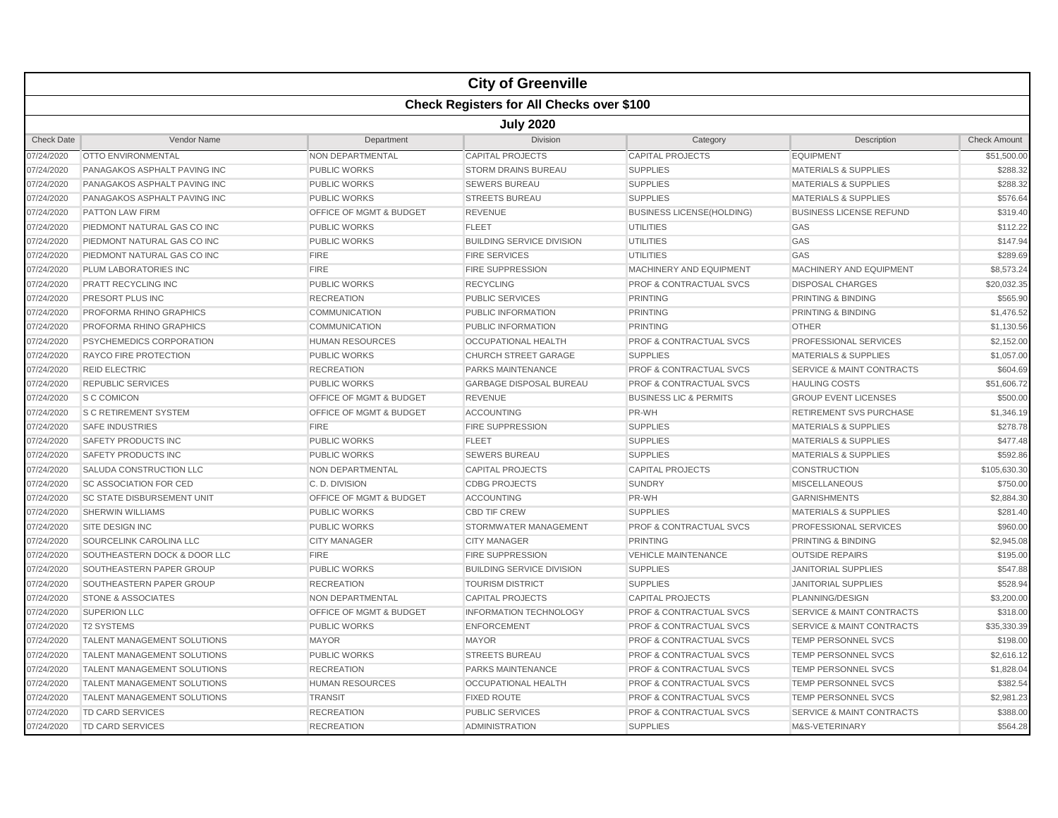|                   |                                                  |                                    | <b>City of Greenville</b>        |                                    |                                      |                     |  |  |  |  |
|-------------------|--------------------------------------------------|------------------------------------|----------------------------------|------------------------------------|--------------------------------------|---------------------|--|--|--|--|
|                   | <b>Check Registers for All Checks over \$100</b> |                                    |                                  |                                    |                                      |                     |  |  |  |  |
|                   | <b>July 2020</b>                                 |                                    |                                  |                                    |                                      |                     |  |  |  |  |
| <b>Check Date</b> | Vendor Name                                      | Department                         | <b>Division</b>                  | Category                           | Description                          | <b>Check Amount</b> |  |  |  |  |
| 07/24/2020        | <b>OTTO ENVIRONMENTAL</b>                        | <b>NON DEPARTMENTAL</b>            | <b>CAPITAL PROJECTS</b>          | <b>CAPITAL PROJECTS</b>            | <b>EQUIPMENT</b>                     | \$51,500.00         |  |  |  |  |
| 07/24/2020        | PANAGAKOS ASPHALT PAVING INC                     | <b>PUBLIC WORKS</b>                | <b>STORM DRAINS BUREAU</b>       | <b>SUPPLIES</b>                    | <b>MATERIALS &amp; SUPPLIES</b>      | \$288.32            |  |  |  |  |
| 07/24/2020        | PANAGAKOS ASPHALT PAVING INC                     | <b>PUBLIC WORKS</b>                | <b>SEWERS BUREAU</b>             | <b>SUPPLIES</b>                    | <b>MATERIALS &amp; SUPPLIES</b>      | \$288.32            |  |  |  |  |
| 07/24/2020        | PANAGAKOS ASPHALT PAVING INC                     | <b>PUBLIC WORKS</b>                | <b>STREETS BUREAU</b>            | <b>SUPPLIES</b>                    | <b>MATERIALS &amp; SUPPLIES</b>      | \$576.64            |  |  |  |  |
| 07/24/2020        | <b>PATTON LAW FIRM</b>                           | OFFICE OF MGMT & BUDGET            | <b>REVENUE</b>                   | <b>BUSINESS LICENSE(HOLDING)</b>   | <b>BUSINESS LICENSE REFUND</b>       | \$319.40            |  |  |  |  |
| 07/24/2020        | PIEDMONT NATURAL GAS CO INC                      | <b>PUBLIC WORKS</b>                | <b>FLEET</b>                     | <b>UTILITIES</b>                   | GAS                                  | \$112.22            |  |  |  |  |
| 07/24/2020        | PIEDMONT NATURAL GAS CO INC                      | <b>PUBLIC WORKS</b>                | <b>BUILDING SERVICE DIVISION</b> | <b>UTILITIES</b>                   | GAS                                  | \$147.94            |  |  |  |  |
| 07/24/2020        | PIEDMONT NATURAL GAS CO INC                      | <b>FIRE</b>                        | <b>FIRE SERVICES</b>             | <b>UTILITIES</b>                   | GAS                                  | \$289.69            |  |  |  |  |
| 07/24/2020        | <b>PLUM LABORATORIES INC</b>                     | <b>FIRE</b>                        | <b>FIRE SUPPRESSION</b>          | MACHINERY AND EQUIPMENT            | <b>MACHINERY AND EQUIPMENT</b>       | \$8,573.24          |  |  |  |  |
| 07/24/2020        | PRATT RECYCLING INC                              | <b>PUBLIC WORKS</b>                | <b>RECYCLING</b>                 | <b>PROF &amp; CONTRACTUAL SVCS</b> | <b>DISPOSAL CHARGES</b>              | \$20,032.35         |  |  |  |  |
| 07/24/2020        | PRESORT PLUS INC                                 | <b>RECREATION</b>                  | <b>PUBLIC SERVICES</b>           | <b>PRINTING</b>                    | PRINTING & BINDING                   | \$565.90            |  |  |  |  |
| 07/24/2020        | PROFORMA RHINO GRAPHICS                          | <b>COMMUNICATION</b>               | PUBLIC INFORMATION               | <b>PRINTING</b>                    | PRINTING & BINDING                   | \$1,476.52          |  |  |  |  |
| 07/24/2020        | PROFORMA RHINO GRAPHICS                          | <b>COMMUNICATION</b>               | PUBLIC INFORMATION               | <b>PRINTING</b>                    | <b>OTHER</b>                         | \$1,130.56          |  |  |  |  |
| 07/24/2020        | PSYCHEMEDICS CORPORATION                         | <b>HUMAN RESOURCES</b>             | OCCUPATIONAL HEALTH              | <b>PROF &amp; CONTRACTUAL SVCS</b> | PROFESSIONAL SERVICES                | \$2,152.00          |  |  |  |  |
| 07/24/2020        | <b>RAYCO FIRE PROTECTION</b>                     | <b>PUBLIC WORKS</b>                | <b>CHURCH STREET GARAGE</b>      | <b>SUPPLIES</b>                    | <b>MATERIALS &amp; SUPPLIES</b>      | \$1,057.00          |  |  |  |  |
| 07/24/2020        | <b>REID ELECTRIC</b>                             | <b>RECREATION</b>                  | <b>PARKS MAINTENANCE</b>         | PROF & CONTRACTUAL SVCS            | <b>SERVICE &amp; MAINT CONTRACTS</b> | \$604.69            |  |  |  |  |
| 07/24/2020        | <b>REPUBLIC SERVICES</b>                         | <b>PUBLIC WORKS</b>                | <b>GARBAGE DISPOSAL BUREAU</b>   | <b>PROF &amp; CONTRACTUAL SVCS</b> | <b>HAULING COSTS</b>                 | \$51,606.72         |  |  |  |  |
| 07/24/2020        | <b>S C COMICON</b>                               | <b>OFFICE OF MGMT &amp; BUDGET</b> | <b>REVENUE</b>                   | <b>BUSINESS LIC &amp; PERMITS</b>  | <b>GROUP EVENT LICENSES</b>          | \$500.00            |  |  |  |  |
| 07/24/2020        | <b>S C RETIREMENT SYSTEM</b>                     | <b>OFFICE OF MGMT &amp; BUDGET</b> | <b>ACCOUNTING</b>                | PR-WH                              | <b>RETIREMENT SVS PURCHASE</b>       | \$1,346.19          |  |  |  |  |
| 07/24/2020        | <b>SAFE INDUSTRIES</b>                           | <b>FIRE</b>                        | <b>FIRE SUPPRESSION</b>          | <b>SUPPLIES</b>                    | <b>MATERIALS &amp; SUPPLIES</b>      | \$278.78            |  |  |  |  |
| 07/24/2020        | <b>SAFETY PRODUCTS INC</b>                       | <b>PUBLIC WORKS</b>                | <b>FLEET</b>                     | <b>SUPPLIES</b>                    | <b>MATERIALS &amp; SUPPLIES</b>      | \$477.48            |  |  |  |  |
| 07/24/2020        | <b>SAFETY PRODUCTS INC</b>                       | PUBLIC WORKS                       | <b>SEWERS BUREAU</b>             | <b>SUPPLIES</b>                    | <b>MATERIALS &amp; SUPPLIES</b>      | \$592.86            |  |  |  |  |
| 07/24/2020        | SALUDA CONSTRUCTION LLC                          | NON DEPARTMENTAL                   | <b>CAPITAL PROJECTS</b>          | CAPITAL PROJECTS                   | <b>CONSTRUCTION</b>                  | \$105,630.30        |  |  |  |  |
| 07/24/2020        | <b>SC ASSOCIATION FOR CED</b>                    | C.D. DIVISION                      | <b>CDBG PROJECTS</b>             | <b>SUNDRY</b>                      | <b>MISCELLANEOUS</b>                 | \$750.00            |  |  |  |  |
| 07/24/2020        | <b>SC STATE DISBURSEMENT UNIT</b>                | <b>OFFICE OF MGMT &amp; BUDGET</b> | <b>ACCOUNTING</b>                | PR-WH                              | <b>GARNISHMENTS</b>                  | \$2,884.30          |  |  |  |  |
| 07/24/2020        | <b>SHERWIN WILLIAMS</b>                          | <b>PUBLIC WORKS</b>                | <b>CBD TIF CREW</b>              | <b>SUPPLIES</b>                    | MATERIALS & SUPPLIES                 | \$281.40            |  |  |  |  |
| 07/24/2020        | <b>SITE DESIGN INC</b>                           | <b>PUBLIC WORKS</b>                | STORMWATER MANAGEMENT            | PROF & CONTRACTUAL SVCS            | <b>PROFESSIONAL SERVICES</b>         | \$960.00            |  |  |  |  |
| 07/24/2020        | SOURCELINK CAROLINA LLC                          | <b>CITY MANAGER</b>                | <b>CITY MANAGER</b>              | <b>PRINTING</b>                    | PRINTING & BINDING                   | \$2,945.08          |  |  |  |  |
| 07/24/2020        | SOUTHEASTERN DOCK & DOOR LLC                     | <b>FIRE</b>                        | <b>FIRE SUPPRESSION</b>          | <b>VEHICLE MAINTENANCE</b>         | <b>OUTSIDE REPAIRS</b>               | \$195.00            |  |  |  |  |
| 07/24/2020        | SOUTHEASTERN PAPER GROUP                         | <b>PUBLIC WORKS</b>                | <b>BUILDING SERVICE DIVISION</b> | <b>SUPPLIES</b>                    | <b>JANITORIAL SUPPLIES</b>           | \$547.88            |  |  |  |  |
| 07/24/2020        | SOUTHEASTERN PAPER GROUP                         | <b>RECREATION</b>                  | <b>TOURISM DISTRICT</b>          | <b>SUPPLIES</b>                    | <b>JANITORIAL SUPPLIES</b>           | \$528.94            |  |  |  |  |
| 07/24/2020        | <b>STONE &amp; ASSOCIATES</b>                    | NON DEPARTMENTAL                   | <b>CAPITAL PROJECTS</b>          | <b>CAPITAL PROJECTS</b>            | PLANNING/DESIGN                      | \$3,200.00          |  |  |  |  |
| 07/24/2020        | <b>SUPERION LLC</b>                              | OFFICE OF MGMT & BUDGET            | <b>INFORMATION TECHNOLOGY</b>    | <b>PROF &amp; CONTRACTUAL SVCS</b> | <b>SERVICE &amp; MAINT CONTRACTS</b> | \$318.00            |  |  |  |  |
| 07/24/2020        | <b>T2 SYSTEMS</b>                                | <b>PUBLIC WORKS</b>                | <b>ENFORCEMENT</b>               | <b>PROF &amp; CONTRACTUAL SVCS</b> | <b>SERVICE &amp; MAINT CONTRACTS</b> | \$35,330.39         |  |  |  |  |
| 07/24/2020        | <b>TALENT MANAGEMENT SOLUTIONS</b>               | <b>MAYOR</b>                       | <b>MAYOR</b>                     | <b>PROF &amp; CONTRACTUAL SVCS</b> | <b>TEMP PERSONNEL SVCS</b>           | \$198.00            |  |  |  |  |
| 07/24/2020        | TALENT MANAGEMENT SOLUTIONS                      | <b>PUBLIC WORKS</b>                | <b>STREETS BUREAU</b>            | <b>PROF &amp; CONTRACTUAL SVCS</b> | <b>TEMP PERSONNEL SVCS</b>           | \$2,616.12          |  |  |  |  |
| 07/24/2020        | TALENT MANAGEMENT SOLUTIONS                      | <b>RECREATION</b>                  | <b>PARKS MAINTENANCE</b>         | PROF & CONTRACTUAL SVCS            | <b>TEMP PERSONNEL SVCS</b>           | \$1,828.04          |  |  |  |  |
| 07/24/2020        | TALENT MANAGEMENT SOLUTIONS                      | <b>HUMAN RESOURCES</b>             | <b>OCCUPATIONAL HEALTH</b>       | <b>PROF &amp; CONTRACTUAL SVCS</b> | <b>TEMP PERSONNEL SVCS</b>           | \$382.54            |  |  |  |  |
| 07/24/2020        | TALENT MANAGEMENT SOLUTIONS                      | <b>TRANSIT</b>                     | <b>FIXED ROUTE</b>               | <b>PROF &amp; CONTRACTUAL SVCS</b> | TEMP PERSONNEL SVCS                  | \$2,981.23          |  |  |  |  |
| 07/24/2020        | <b>TD CARD SERVICES</b>                          | <b>RECREATION</b>                  | PUBLIC SERVICES                  | <b>PROF &amp; CONTRACTUAL SVCS</b> | <b>SERVICE &amp; MAINT CONTRACTS</b> | \$388.00            |  |  |  |  |
| 07/24/2020        | <b>TD CARD SERVICES</b>                          | <b>RECREATION</b>                  | ADMINISTRATION                   | <b>SUPPLIES</b>                    | M&S-VETERINARY                       | \$564.28            |  |  |  |  |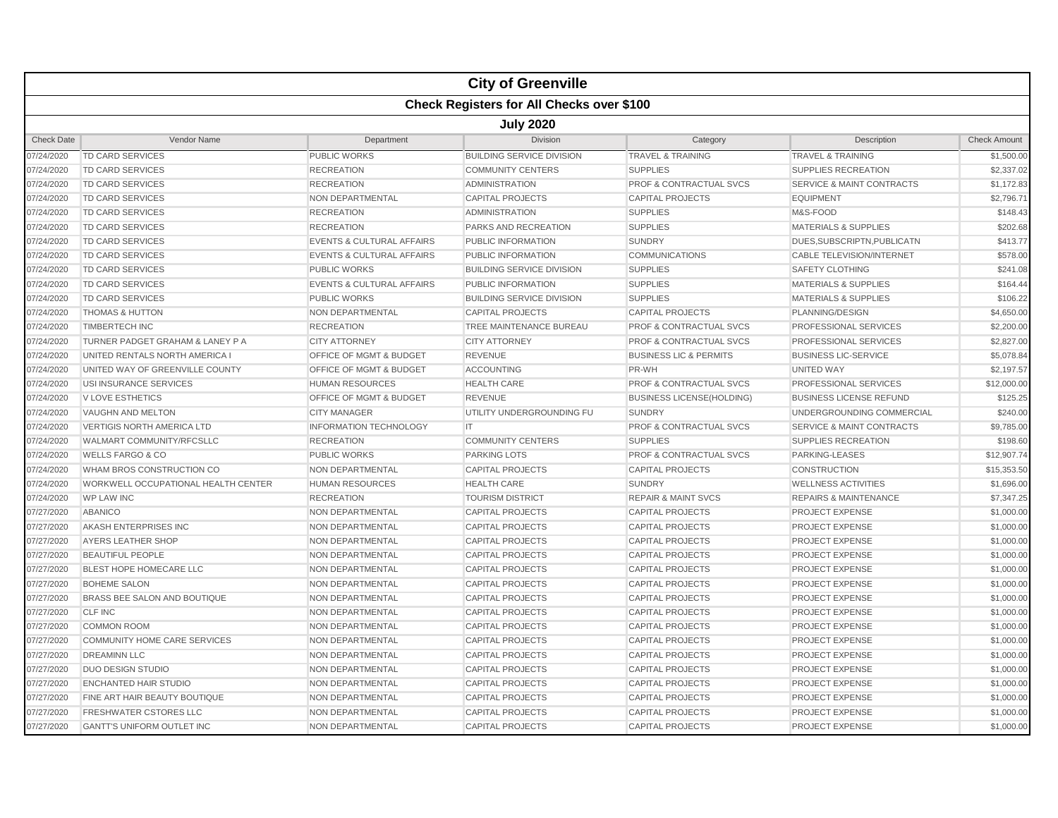|                   |                                                  |                                      | <b>City of Greenville</b>        |                                    |                                      |                     |  |  |  |  |
|-------------------|--------------------------------------------------|--------------------------------------|----------------------------------|------------------------------------|--------------------------------------|---------------------|--|--|--|--|
|                   | <b>Check Registers for All Checks over \$100</b> |                                      |                                  |                                    |                                      |                     |  |  |  |  |
|                   | <b>July 2020</b>                                 |                                      |                                  |                                    |                                      |                     |  |  |  |  |
| <b>Check Date</b> | Vendor Name                                      | Department                           | <b>Division</b>                  | Category                           | Description                          | <b>Check Amount</b> |  |  |  |  |
| 07/24/2020        | <b>TD CARD SERVICES</b>                          | <b>PUBLIC WORKS</b>                  | <b>BUILDING SERVICE DIVISION</b> | <b>TRAVEL &amp; TRAINING</b>       | <b>TRAVEL &amp; TRAINING</b>         | \$1,500.00          |  |  |  |  |
| 07/24/2020        | TD CARD SERVICES                                 | <b>RECREATION</b>                    | <b>COMMUNITY CENTERS</b>         | <b>SUPPLIES</b>                    | SUPPLIES RECREATION                  | \$2,337.02          |  |  |  |  |
| 07/24/2020        | <b>TD CARD SERVICES</b>                          | <b>RECREATION</b>                    | <b>ADMINISTRATION</b>            | <b>PROF &amp; CONTRACTUAL SVCS</b> | <b>SERVICE &amp; MAINT CONTRACTS</b> | \$1,172.83          |  |  |  |  |
| 07/24/2020        | TD CARD SERVICES                                 | NON DEPARTMENTAL                     | <b>CAPITAL PROJECTS</b>          | <b>CAPITAL PROJECTS</b>            | <b>EQUIPMENT</b>                     | \$2,796.71          |  |  |  |  |
| 07/24/2020        | <b>TD CARD SERVICES</b>                          | <b>RECREATION</b>                    | <b>ADMINISTRATION</b>            | <b>SUPPLIES</b>                    | M&S-FOOD                             | \$148.43            |  |  |  |  |
| 07/24/2020        | <b>TD CARD SERVICES</b>                          | <b>RECREATION</b>                    | PARKS AND RECREATION             | <b>SUPPLIES</b>                    | <b>MATERIALS &amp; SUPPLIES</b>      | \$202.68            |  |  |  |  |
| 07/24/2020        | <b>TD CARD SERVICES</b>                          | <b>EVENTS &amp; CULTURAL AFFAIRS</b> | PUBLIC INFORMATION               | <b>SUNDRY</b>                      | DUES.SUBSCRIPTN.PUBLICATN            | \$413.77            |  |  |  |  |
| 07/24/2020        | <b>TD CARD SERVICES</b>                          | <b>EVENTS &amp; CULTURAL AFFAIRS</b> | PUBLIC INFORMATION               | <b>COMMUNICATIONS</b>              | <b>CABLE TELEVISION/INTERNET</b>     | \$578.00            |  |  |  |  |
| 07/24/2020        | <b>TD CARD SERVICES</b>                          | <b>PUBLIC WORKS</b>                  | <b>BUILDING SERVICE DIVISION</b> | <b>SUPPLIES</b>                    | <b>SAFETY CLOTHING</b>               | \$241.08            |  |  |  |  |
| 07/24/2020        | <b>TD CARD SERVICES</b>                          | <b>EVENTS &amp; CULTURAL AFFAIRS</b> | PUBLIC INFORMATION               | <b>SUPPLIES</b>                    | <b>MATERIALS &amp; SUPPLIES</b>      | \$164.44            |  |  |  |  |
| 07/24/2020        | <b>TD CARD SERVICES</b>                          | <b>PUBLIC WORKS</b>                  | <b>BUILDING SERVICE DIVISION</b> | <b>SUPPLIES</b>                    | <b>MATERIALS &amp; SUPPLIES</b>      | \$106.22            |  |  |  |  |
| 07/24/2020        | <b>THOMAS &amp; HUTTON</b>                       | <b>NON DEPARTMENTAL</b>              | <b>CAPITAL PROJECTS</b>          | <b>CAPITAL PROJECTS</b>            | <b>PLANNING/DESIGN</b>               | \$4,650,00          |  |  |  |  |
| 07/24/2020        | <b>TIMBERTECH INC</b>                            | <b>RECREATION</b>                    | TREE MAINTENANCE BUREAU          | <b>PROF &amp; CONTRACTUAL SVCS</b> | PROFESSIONAL SERVICES                | \$2,200.00          |  |  |  |  |
| 07/24/2020        | TURNER PADGET GRAHAM & LANEY P A                 | <b>CITY ATTORNEY</b>                 | <b>CITY ATTORNEY</b>             | <b>PROF &amp; CONTRACTUAL SVCS</b> | PROFESSIONAL SERVICES                | \$2,827.00          |  |  |  |  |
| 07/24/2020        | UNITED RENTALS NORTH AMERICA I                   | <b>OFFICE OF MGMT &amp; BUDGET</b>   | <b>REVENUE</b>                   | <b>BUSINESS LIC &amp; PERMITS</b>  | <b>BUSINESS LIC-SERVICE</b>          | \$5,078.84          |  |  |  |  |
| 07/24/2020        | UNITED WAY OF GREENVILLE COUNTY                  | OFFICE OF MGMT & BUDGET              | <b>ACCOUNTING</b>                | PR-WH                              | <b>UNITED WAY</b>                    | \$2,197.57          |  |  |  |  |
| 07/24/2020        | USI INSURANCE SERVICES                           | <b>HUMAN RESOURCES</b>               | <b>HEALTH CARE</b>               | <b>PROF &amp; CONTRACTUAL SVCS</b> | PROFESSIONAL SERVICES                | \$12,000.00         |  |  |  |  |
| 07/24/2020        | <b>V LOVE ESTHETICS</b>                          | OFFICE OF MGMT & BUDGET              | <b>REVENUE</b>                   | <b>BUSINESS LICENSE(HOLDING)</b>   | <b>BUSINESS LICENSE REFUND</b>       | \$125.25            |  |  |  |  |
| 07/24/2020        | <b>VAUGHN AND MELTON</b>                         | <b>CITY MANAGER</b>                  | UTILITY UNDERGROUNDING FU        | <b>SUNDRY</b>                      | UNDERGROUNDING COMMERCIAL            | \$240.00            |  |  |  |  |
| 07/24/2020        | <b>VERTIGIS NORTH AMERICA LTD</b>                | <b>INFORMATION TECHNOLOGY</b>        | <b>IT</b>                        | <b>PROF &amp; CONTRACTUAL SVCS</b> | <b>SERVICE &amp; MAINT CONTRACTS</b> | \$9,785.00          |  |  |  |  |
| 07/24/2020        | WALMART COMMUNITY/RFCSLLC                        | <b>RECREATION</b>                    | <b>COMMUNITY CENTERS</b>         | <b>SUPPLIES</b>                    | <b>SUPPLIES RECREATION</b>           | \$198.60            |  |  |  |  |
| 07/24/2020        | <b>WELLS FARGO &amp; CO</b>                      | <b>PUBLIC WORKS</b>                  | <b>PARKING LOTS</b>              | <b>PROF &amp; CONTRACTUAL SVCS</b> | <b>PARKING-LEASES</b>                | \$12,907.74         |  |  |  |  |
| 07/24/2020        | WHAM BROS CONSTRUCTION CO                        | NON DEPARTMENTAL                     | <b>CAPITAL PROJECTS</b>          | <b>CAPITAL PROJECTS</b>            | <b>CONSTRUCTION</b>                  | \$15,353.50         |  |  |  |  |
| 07/24/2020        | WORKWELL OCCUPATIONAL HEALTH CENTER              | <b>HUMAN RESOURCES</b>               | <b>HEALTH CARE</b>               | <b>SUNDRY</b>                      | <b>WELLNESS ACTIVITIES</b>           | \$1,696.00          |  |  |  |  |
| 07/24/2020        | <b>WP LAW INC</b>                                | <b>RECREATION</b>                    | <b>TOURISM DISTRICT</b>          | <b>REPAIR &amp; MAINT SVCS</b>     | <b>REPAIRS &amp; MAINTENANCE</b>     | \$7,347.25          |  |  |  |  |
| 07/27/2020        | <b>ABANICO</b>                                   | NON DEPARTMENTAL                     | <b>CAPITAL PROJECTS</b>          | <b>CAPITAL PROJECTS</b>            | <b>PROJECT EXPENSE</b>               | \$1,000.00          |  |  |  |  |
| 07/27/2020        | AKASH ENTERPRISES INC                            | <b>NON DEPARTMENTAL</b>              | <b>CAPITAL PROJECTS</b>          | <b>CAPITAL PROJECTS</b>            | <b>PROJECT EXPENSE</b>               | \$1,000.00          |  |  |  |  |
| 07/27/2020        | <b>AYERS LEATHER SHOP</b>                        | NON DEPARTMENTAL                     | <b>CAPITAL PROJECTS</b>          | <b>CAPITAL PROJECTS</b>            | <b>PROJECT EXPENSE</b>               | \$1,000.00          |  |  |  |  |
| 07/27/2020        | <b>BEAUTIFUL PEOPLE</b>                          | NON DEPARTMENTAL                     | <b>CAPITAL PROJECTS</b>          | <b>CAPITAL PROJECTS</b>            | <b>PROJECT EXPENSE</b>               | \$1,000.00          |  |  |  |  |
| 07/27/2020        | BLEST HOPE HOMECARE LLC                          | <b>NON DEPARTMENTAL</b>              | <b>CAPITAL PROJECTS</b>          | <b>CAPITAL PROJECTS</b>            | <b>PROJECT EXPENSE</b>               | \$1,000.00          |  |  |  |  |
| 07/27/2020        | <b>BOHEME SALON</b>                              | <b>NON DEPARTMENTAL</b>              | <b>CAPITAL PROJECTS</b>          | <b>CAPITAL PROJECTS</b>            | <b>PROJECT EXPENSE</b>               | \$1,000.00          |  |  |  |  |
| 07/27/2020        | BRASS BEE SALON AND BOUTIQUE                     | NON DEPARTMENTAL                     | <b>CAPITAL PROJECTS</b>          | <b>CAPITAL PROJECTS</b>            | <b>PROJECT EXPENSE</b>               | \$1,000.00          |  |  |  |  |
| 07/27/2020        | <b>CLF INC</b>                                   | <b>NON DEPARTMENTAL</b>              | <b>CAPITAL PROJECTS</b>          | <b>CAPITAL PROJECTS</b>            | <b>PROJECT EXPENSE</b>               | \$1,000.00          |  |  |  |  |
| 07/27/2020        | <b>COMMON ROOM</b>                               | NON DEPARTMENTAL                     | <b>CAPITAL PROJECTS</b>          | <b>CAPITAL PROJECTS</b>            | <b>PROJECT EXPENSE</b>               | \$1,000.00          |  |  |  |  |
| 07/27/2020        | <b>COMMUNITY HOME CARE SERVICES</b>              | <b>NON DEPARTMENTAL</b>              | <b>CAPITAL PROJECTS</b>          | <b>CAPITAL PROJECTS</b>            | <b>PROJECT EXPENSE</b>               | \$1,000.00          |  |  |  |  |
| 07/27/2020        | <b>DREAMINN LLC</b>                              | <b>NON DEPARTMENTAL</b>              | <b>CAPITAL PROJECTS</b>          | <b>CAPITAL PROJECTS</b>            | <b>PROJECT EXPENSE</b>               | \$1,000.00          |  |  |  |  |
| 07/27/2020        | <b>DUO DESIGN STUDIO</b>                         | NON DEPARTMENTAL                     | <b>CAPITAL PROJECTS</b>          | <b>CAPITAL PROJECTS</b>            | <b>PROJECT EXPENSE</b>               | \$1,000.00          |  |  |  |  |
| 07/27/2020        | <b>ENCHANTED HAIR STUDIO</b>                     | <b>NON DEPARTMENTAL</b>              | <b>CAPITAL PROJECTS</b>          | <b>CAPITAL PROJECTS</b>            | <b>PROJECT EXPENSE</b>               | \$1,000.00          |  |  |  |  |
| 07/27/2020        | FINE ART HAIR BEAUTY BOUTIQUE                    | NON DEPARTMENTAL                     | <b>CAPITAL PROJECTS</b>          | <b>CAPITAL PROJECTS</b>            | <b>PROJECT EXPENSE</b>               | \$1,000.00          |  |  |  |  |
| 07/27/2020        | FRESHWATER CSTORES LLC                           | NON DEPARTMENTAL                     | <b>CAPITAL PROJECTS</b>          | <b>CAPITAL PROJECTS</b>            | PROJECT EXPENSE                      | \$1,000.00          |  |  |  |  |
| 07/27/2020        | <b>GANTT'S UNIFORM OUTLET INC</b>                | NON DEPARTMENTAL                     | <b>CAPITAL PROJECTS</b>          | <b>CAPITAL PROJECTS</b>            | <b>PROJECT EXPENSE</b>               | \$1,000.00          |  |  |  |  |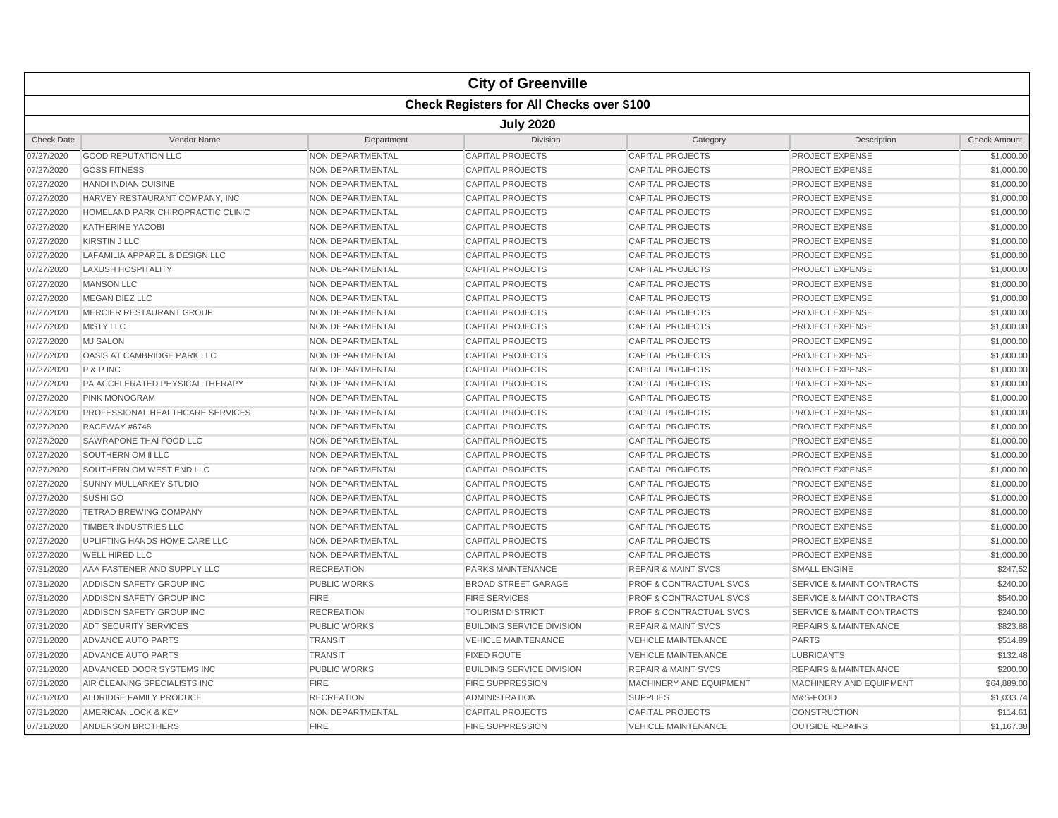|                   |                                                  |                         | <b>City of Greenville</b>        |                                    |                                      |                     |  |  |  |  |
|-------------------|--------------------------------------------------|-------------------------|----------------------------------|------------------------------------|--------------------------------------|---------------------|--|--|--|--|
|                   | <b>Check Registers for All Checks over \$100</b> |                         |                                  |                                    |                                      |                     |  |  |  |  |
|                   | <b>July 2020</b>                                 |                         |                                  |                                    |                                      |                     |  |  |  |  |
| <b>Check Date</b> | <b>Vendor Name</b>                               | Department              | Division                         | Category                           | Description                          | <b>Check Amount</b> |  |  |  |  |
| 07/27/2020        | <b>GOOD REPUTATION LLC</b>                       | <b>NON DEPARTMENTAL</b> | <b>CAPITAL PROJECTS</b>          | <b>CAPITAL PROJECTS</b>            | PROJECT EXPENSE                      | \$1,000.00          |  |  |  |  |
| 07/27/2020        | <b>GOSS FITNESS</b>                              | <b>NON DEPARTMENTAL</b> | <b>CAPITAL PROJECTS</b>          | <b>CAPITAL PROJECTS</b>            | <b>PROJECT EXPENSE</b>               | \$1,000.00          |  |  |  |  |
| 07/27/2020        | <b>HANDI INDIAN CUISINE</b>                      | <b>NON DEPARTMENTAL</b> | <b>CAPITAL PROJECTS</b>          | <b>CAPITAL PROJECTS</b>            | <b>PROJECT EXPENSE</b>               | \$1,000.00          |  |  |  |  |
| 07/27/2020        | HARVEY RESTAURANT COMPANY, INC                   | NON DEPARTMENTAL        | <b>CAPITAL PROJECTS</b>          | <b>CAPITAL PROJECTS</b>            | <b>PROJECT EXPENSE</b>               | \$1,000.00          |  |  |  |  |
| 07/27/2020        | HOMELAND PARK CHIROPRACTIC CLINIC                | NON DEPARTMENTAL        | <b>CAPITAL PROJECTS</b>          | <b>CAPITAL PROJECTS</b>            | PROJECT EXPENSE                      | \$1,000.00          |  |  |  |  |
| 07/27/2020        | <b>KATHERINE YACOBI</b>                          | NON DEPARTMENTAL        | <b>CAPITAL PROJECTS</b>          | <b>CAPITAL PROJECTS</b>            | <b>PROJECT EXPENSE</b>               | \$1,000.00          |  |  |  |  |
| 07/27/2020        | <b>KIRSTIN J LLC</b>                             | NON DEPARTMENTAL        | <b>CAPITAL PROJECTS</b>          | <b>CAPITAL PROJECTS</b>            | <b>PROJECT EXPENSE</b>               | \$1,000.00          |  |  |  |  |
| 07/27/2020        | LAFAMILIA APPAREL & DESIGN LLC                   | NON DEPARTMENTAL        | <b>CAPITAL PROJECTS</b>          | <b>CAPITAL PROJECTS</b>            | <b>PROJECT EXPENSE</b>               | \$1,000.00          |  |  |  |  |
| 07/27/2020        | <b>LAXUSH HOSPITALITY</b>                        | NON DEPARTMENTAL        | <b>CAPITAL PROJECTS</b>          | <b>CAPITAL PROJECTS</b>            | <b>PROJECT EXPENSE</b>               | \$1,000.00          |  |  |  |  |
| 07/27/2020        | <b>MANSON LLC</b>                                | <b>NON DEPARTMENTAL</b> | <b>CAPITAL PROJECTS</b>          | <b>CAPITAL PROJECTS</b>            | <b>PROJECT EXPENSE</b>               | \$1,000.00          |  |  |  |  |
| 07/27/2020        | <b>MEGAN DIEZ LLC</b>                            | <b>NON DEPARTMENTAL</b> | <b>CAPITAL PROJECTS</b>          | <b>CAPITAL PROJECTS</b>            | <b>PROJECT EXPENSE</b>               | \$1,000.00          |  |  |  |  |
| 07/27/2020        | MERCIER RESTAURANT GROUP                         | NON DEPARTMENTAL        | <b>CAPITAL PROJECTS</b>          | <b>CAPITAL PROJECTS</b>            | <b>PROJECT EXPENSE</b>               | \$1,000.00          |  |  |  |  |
| 07/27/2020        | <b>MISTY LLC</b>                                 | <b>NON DEPARTMENTAL</b> | <b>CAPITAL PROJECTS</b>          | <b>CAPITAL PROJECTS</b>            | <b>PROJECT EXPENSE</b>               | \$1,000.00          |  |  |  |  |
| 07/27/2020        | <b>MJ SALON</b>                                  | NON DEPARTMENTAL        | <b>CAPITAL PROJECTS</b>          | <b>CAPITAL PROJECTS</b>            | <b>PROJECT EXPENSE</b>               | \$1,000.00          |  |  |  |  |
| 07/27/2020        | OASIS AT CAMBRIDGE PARK LLC                      | NON DEPARTMENTAL        | <b>CAPITAL PROJECTS</b>          | <b>CAPITAL PROJECTS</b>            | PROJECT EXPENSE                      | \$1,000.00          |  |  |  |  |
| 07/27/2020        | P&PINC                                           | <b>NON DEPARTMENTAL</b> | <b>CAPITAL PROJECTS</b>          | <b>CAPITAL PROJECTS</b>            | <b>PROJECT EXPENSE</b>               | \$1,000.00          |  |  |  |  |
| 07/27/2020        | PA ACCELERATED PHYSICAL THERAPY                  | NON DEPARTMENTAL        | <b>CAPITAL PROJECTS</b>          | <b>CAPITAL PROJECTS</b>            | <b>PROJECT EXPENSE</b>               | \$1,000.00          |  |  |  |  |
| 07/27/2020        | <b>PINK MONOGRAM</b>                             | <b>NON DEPARTMENTAL</b> | <b>CAPITAL PROJECTS</b>          | <b>CAPITAL PROJECTS</b>            | <b>PROJECT EXPENSE</b>               | \$1,000.00          |  |  |  |  |
| 07/27/2020        | PROFESSIONAL HEALTHCARE SERVICES                 | NON DEPARTMENTAL        | <b>CAPITAL PROJECTS</b>          | <b>CAPITAL PROJECTS</b>            | <b>PROJECT EXPENSE</b>               | \$1,000.00          |  |  |  |  |
| 07/27/2020        | RACEWAY #6748                                    | <b>NON DEPARTMENTAL</b> | <b>CAPITAL PROJECTS</b>          | <b>CAPITAL PROJECTS</b>            | <b>PROJECT EXPENSE</b>               | \$1,000.00          |  |  |  |  |
| 07/27/2020        | SAWRAPONE THAI FOOD LLC                          | <b>NON DEPARTMENTAL</b> | <b>CAPITAL PROJECTS</b>          | <b>CAPITAL PROJECTS</b>            | <b>PROJECT EXPENSE</b>               | \$1,000.00          |  |  |  |  |
| 07/27/2020        | SOUTHERN OM II LLC                               | NON DEPARTMENTAL        | <b>CAPITAL PROJECTS</b>          | <b>CAPITAL PROJECTS</b>            | <b>PROJECT EXPENSE</b>               | \$1,000.00          |  |  |  |  |
| 07/27/2020        | SOUTHERN OM WEST END LLC                         | NON DEPARTMENTAL        | <b>CAPITAL PROJECTS</b>          | <b>CAPITAL PROJECTS</b>            | <b>PROJECT EXPENSE</b>               | \$1,000.00          |  |  |  |  |
| 07/27/2020        | <b>SUNNY MULLARKEY STUDIO</b>                    | NON DEPARTMENTAL        | <b>CAPITAL PROJECTS</b>          | <b>CAPITAL PROJECTS</b>            | <b>PROJECT EXPENSE</b>               | \$1,000.00          |  |  |  |  |
| 07/27/2020        | <b>SUSHI GO</b>                                  | <b>NON DEPARTMENTAL</b> | <b>CAPITAL PROJECTS</b>          | <b>CAPITAL PROJECTS</b>            | <b>PROJECT EXPENSE</b>               | \$1,000.00          |  |  |  |  |
| 07/27/2020        | <b>TETRAD BREWING COMPANY</b>                    | <b>NON DEPARTMENTAL</b> | <b>CAPITAL PROJECTS</b>          | <b>CAPITAL PROJECTS</b>            | <b>PROJECT EXPENSE</b>               | \$1,000.00          |  |  |  |  |
| 07/27/2020        | <b>TIMBER INDUSTRIES LLC</b>                     | NON DEPARTMENTAL        | <b>CAPITAL PROJECTS</b>          | <b>CAPITAL PROJECTS</b>            | <b>PROJECT EXPENSE</b>               | \$1,000.00          |  |  |  |  |
| 07/27/2020        | UPLIFTING HANDS HOME CARE LLC                    | <b>NON DEPARTMENTAL</b> | <b>CAPITAL PROJECTS</b>          | <b>CAPITAL PROJECTS</b>            | <b>PROJECT EXPENSE</b>               | \$1,000.00          |  |  |  |  |
| 07/27/2020        | <b>WELL HIRED LLC</b>                            | NON DEPARTMENTAL        | <b>CAPITAL PROJECTS</b>          | <b>CAPITAL PROJECTS</b>            | <b>PROJECT EXPENSE</b>               | \$1,000.00          |  |  |  |  |
| 07/31/2020        | AAA FASTENER AND SUPPLY LLC                      | <b>RECREATION</b>       | PARKS MAINTENANCE                | <b>REPAIR &amp; MAINT SVCS</b>     | <b>SMALL ENGINE</b>                  | \$247.52            |  |  |  |  |
| 07/31/2020        | ADDISON SAFETY GROUP INC                         | PUBLIC WORKS            | <b>BROAD STREET GARAGE</b>       | <b>PROF &amp; CONTRACTUAL SVCS</b> | <b>SERVICE &amp; MAINT CONTRACTS</b> | \$240.00            |  |  |  |  |
| 07/31/2020        | ADDISON SAFETY GROUP INC                         | <b>FIRE</b>             | <b>FIRE SERVICES</b>             | <b>PROF &amp; CONTRACTUAL SVCS</b> | <b>SERVICE &amp; MAINT CONTRACTS</b> | \$540.00            |  |  |  |  |
| 07/31/2020        | ADDISON SAFETY GROUP INC                         | <b>RECREATION</b>       | <b>TOURISM DISTRICT</b>          | <b>PROF &amp; CONTRACTUAL SVCS</b> | <b>SERVICE &amp; MAINT CONTRACTS</b> | \$240.00            |  |  |  |  |
| 07/31/2020        | ADT SECURITY SERVICES                            | PUBLIC WORKS            | <b>BUILDING SERVICE DIVISION</b> | <b>REPAIR &amp; MAINT SVCS</b>     | <b>REPAIRS &amp; MAINTENANCE</b>     | \$823.88            |  |  |  |  |
| 07/31/2020        | ADVANCE AUTO PARTS                               | <b>TRANSIT</b>          | <b>VEHICLE MAINTENANCE</b>       | <b>VEHICLE MAINTENANCE</b>         | <b>PARTS</b>                         | \$514.89            |  |  |  |  |
| 07/31/2020        | ADVANCE AUTO PARTS                               | <b>TRANSIT</b>          | <b>FIXED ROUTE</b>               | <b>VEHICLE MAINTENANCE</b>         | <b>LUBRICANTS</b>                    | \$132.48            |  |  |  |  |
| 07/31/2020        | ADVANCED DOOR SYSTEMS INC                        | <b>PUBLIC WORKS</b>     | <b>BUILDING SERVICE DIVISION</b> | <b>REPAIR &amp; MAINT SVCS</b>     | <b>REPAIRS &amp; MAINTENANCE</b>     | \$200.00            |  |  |  |  |
| 07/31/2020        | AIR CLEANING SPECIALISTS INC                     | <b>FIRE</b>             | <b>FIRE SUPPRESSION</b>          | MACHINERY AND EQUIPMENT            | MACHINERY AND EQUIPMENT              | \$64,889.00         |  |  |  |  |
| 07/31/2020        | ALDRIDGE FAMILY PRODUCE                          | <b>RECREATION</b>       | <b>ADMINISTRATION</b>            | <b>SUPPLIES</b>                    | M&S-FOOD                             | \$1,033.74          |  |  |  |  |
| 07/31/2020        | AMERICAN LOCK & KEY                              | NON DEPARTMENTAL        | <b>CAPITAL PROJECTS</b>          | <b>CAPITAL PROJECTS</b>            | <b>CONSTRUCTION</b>                  | \$114.61            |  |  |  |  |
| 07/31/2020        | ANDERSON BROTHERS                                | <b>FIRE</b>             | <b>FIRE SUPPRESSION</b>          | <b>VEHICLE MAINTENANCE</b>         | <b>OUTSIDE REPAIRS</b>               | \$1,167.38          |  |  |  |  |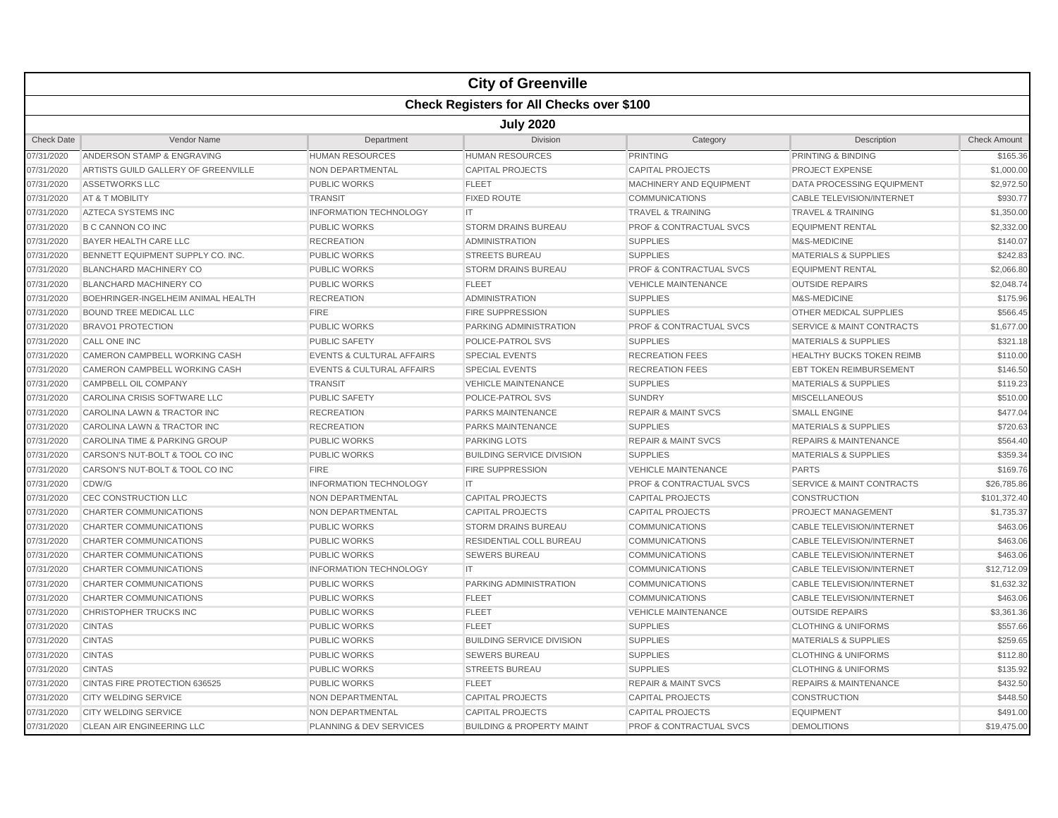|                                                  |                                     |                                      | <b>City of Greenville</b>            |                                    |                                      |                     |  |
|--------------------------------------------------|-------------------------------------|--------------------------------------|--------------------------------------|------------------------------------|--------------------------------------|---------------------|--|
| <b>Check Registers for All Checks over \$100</b> |                                     |                                      |                                      |                                    |                                      |                     |  |
| <b>July 2020</b>                                 |                                     |                                      |                                      |                                    |                                      |                     |  |
| <b>Check Date</b>                                | Vendor Name                         | Department                           | Division                             | Category                           | Description                          | <b>Check Amount</b> |  |
| 07/31/2020                                       | ANDERSON STAMP & ENGRAVING          | <b>HUMAN RESOURCES</b>               | <b>HUMAN RESOURCES</b>               | <b>PRINTING</b>                    | PRINTING & BINDING                   | \$165.36            |  |
| 07/31/2020                                       | ARTISTS GUILD GALLERY OF GREENVILLE | NON DEPARTMENTAL                     | <b>CAPITAL PROJECTS</b>              | <b>CAPITAL PROJECTS</b>            | <b>PROJECT EXPENSE</b>               | \$1,000.00          |  |
| 07/31/2020                                       | <b>ASSETWORKS LLC</b>               | PUBLIC WORKS                         | <b>FLEET</b>                         | MACHINERY AND EQUIPMENT            | DATA PROCESSING EQUIPMENT            | \$2,972.50          |  |
| 07/31/2020                                       | AT & T MOBILITY                     | <b>TRANSIT</b>                       | <b>FIXED ROUTE</b>                   | <b>COMMUNICATIONS</b>              | <b>CABLE TELEVISION/INTERNET</b>     | \$930.77            |  |
| 07/31/2020                                       | <b>AZTECA SYSTEMS INC</b>           | <b>INFORMATION TECHNOLOGY</b>        | IT.                                  | <b>TRAVEL &amp; TRAINING</b>       | <b>TRAVEL &amp; TRAINING</b>         | \$1,350.00          |  |
| 07/31/2020                                       | <b>B C CANNON CO INC</b>            | <b>PUBLIC WORKS</b>                  | <b>STORM DRAINS BUREAU</b>           | <b>PROF &amp; CONTRACTUAL SVCS</b> | <b>EQUIPMENT RENTAL</b>              | \$2,332.00          |  |
| 07/31/2020                                       | BAYER HEALTH CARE LLC               | <b>RECREATION</b>                    | <b>ADMINISTRATION</b>                | <b>SUPPLIES</b>                    | M&S-MEDICINE                         | \$140.07            |  |
| 07/31/2020                                       | BENNETT EQUIPMENT SUPPLY CO. INC.   | <b>PUBLIC WORKS</b>                  | <b>STREETS BUREAU</b>                | <b>SUPPLIES</b>                    | <b>MATERIALS &amp; SUPPLIES</b>      | \$242.83            |  |
| 07/31/2020                                       | <b>BLANCHARD MACHINERY CO</b>       | <b>PUBLIC WORKS</b>                  | <b>STORM DRAINS BUREAU</b>           | PROF & CONTRACTUAL SVCS            | <b>EQUIPMENT RENTAL</b>              | \$2,066.80          |  |
| 07/31/2020                                       | <b>BLANCHARD MACHINERY CO</b>       | <b>PUBLIC WORKS</b>                  | <b>FLEET</b>                         | <b>VEHICLE MAINTENANCE</b>         | <b>OUTSIDE REPAIRS</b>               | \$2,048.74          |  |
| 07/31/2020                                       | BOEHRINGER-INGELHEIM ANIMAL HEALTH  | <b>RECREATION</b>                    | <b>ADMINISTRATION</b>                | <b>SUPPLIES</b>                    | M&S-MEDICINE                         | \$175.96            |  |
| 07/31/2020                                       | <b>BOUND TREE MEDICAL LLC</b>       | <b>FIRE</b>                          | <b>FIRE SUPPRESSION</b>              | <b>SUPPLIES</b>                    | <b>OTHER MEDICAL SUPPLIES</b>        | \$566.45            |  |
| 07/31/2020                                       | <b>BRAVO1 PROTECTION</b>            | <b>PUBLIC WORKS</b>                  | PARKING ADMINISTRATION               | <b>PROF &amp; CONTRACTUAL SVCS</b> | <b>SERVICE &amp; MAINT CONTRACTS</b> | \$1,677.00          |  |
| 07/31/2020                                       | <b>CALL ONE INC</b>                 | <b>PUBLIC SAFETY</b>                 | POLICE-PATROL SVS                    | <b>SUPPLIES</b>                    | <b>MATERIALS &amp; SUPPLIES</b>      | \$321.18            |  |
| 07/31/2020                                       | CAMERON CAMPBELL WORKING CASH       | <b>EVENTS &amp; CULTURAL AFFAIRS</b> | <b>SPECIAL EVENTS</b>                | <b>RECREATION FEES</b>             | <b>HEALTHY BUCKS TOKEN REIMB</b>     | \$110.00            |  |
| 07/31/2020                                       | CAMERON CAMPBELL WORKING CASH       | <b>EVENTS &amp; CULTURAL AFFAIRS</b> | <b>SPECIAL EVENTS</b>                | <b>RECREATION FEES</b>             | <b>EBT TOKEN REIMBURSEMENT</b>       | \$146.50            |  |
| 07/31/2020                                       | CAMPBELL OIL COMPANY                | <b>TRANSIT</b>                       | <b>VEHICLE MAINTENANCE</b>           | <b>SUPPLIES</b>                    | <b>MATERIALS &amp; SUPPLIES</b>      | \$119.23            |  |
| 07/31/2020                                       | CAROLINA CRISIS SOFTWARE LLC        | PUBLIC SAFETY                        | POLICE-PATROL SVS                    | <b>SUNDRY</b>                      | <b>MISCELLANEOUS</b>                 | \$510.00            |  |
| 07/31/2020                                       | CAROLINA LAWN & TRACTOR INC         | <b>RECREATION</b>                    | <b>PARKS MAINTENANCE</b>             | <b>REPAIR &amp; MAINT SVCS</b>     | <b>SMALL ENGINE</b>                  | \$477.04            |  |
| 07/31/2020                                       | CAROLINA LAWN & TRACTOR INC         | <b>RECREATION</b>                    | <b>PARKS MAINTENANCE</b>             | <b>SUPPLIES</b>                    | <b>MATERIALS &amp; SUPPLIES</b>      | \$720.63            |  |
| 07/31/2020                                       | CAROLINA TIME & PARKING GROUP       | <b>PUBLIC WORKS</b>                  | <b>PARKING LOTS</b>                  | <b>REPAIR &amp; MAINT SVCS</b>     | <b>REPAIRS &amp; MAINTENANCE</b>     | \$564.40            |  |
| 07/31/2020                                       | CARSON'S NUT-BOLT & TOOL CO INC     | <b>PUBLIC WORKS</b>                  | <b>BUILDING SERVICE DIVISION</b>     | <b>SUPPLIES</b>                    | <b>MATERIALS &amp; SUPPLIES</b>      | \$359.34            |  |
| 07/31/2020                                       | CARSON'S NUT-BOLT & TOOL CO INC     | <b>FIRE</b>                          | <b>FIRE SUPPRESSION</b>              | <b>VEHICLE MAINTENANCE</b>         | <b>PARTS</b>                         | \$169.76            |  |
| 07/31/2020                                       | CDW/G                               | <b>INFORMATION TECHNOLOGY</b>        | IT.                                  | PROF & CONTRACTUAL SVCS            | <b>SERVICE &amp; MAINT CONTRACTS</b> | \$26,785.86         |  |
| 07/31/2020                                       | CEC CONSTRUCTION LLC                | NON DEPARTMENTAL                     | <b>CAPITAL PROJECTS</b>              | <b>CAPITAL PROJECTS</b>            | <b>CONSTRUCTION</b>                  | \$101,372.40        |  |
| 07/31/2020                                       | CHARTER COMMUNICATIONS              | NON DEPARTMENTAL                     | <b>CAPITAL PROJECTS</b>              | <b>CAPITAL PROJECTS</b>            | <b>PROJECT MANAGEMENT</b>            | \$1,735.37          |  |
| 07/31/2020                                       | CHARTER COMMUNICATIONS              | <b>PUBLIC WORKS</b>                  | <b>STORM DRAINS BUREAU</b>           | <b>COMMUNICATIONS</b>              | <b>CABLE TELEVISION/INTERNET</b>     | \$463.06            |  |
| 07/31/2020                                       | CHARTER COMMUNICATIONS              | <b>PUBLIC WORKS</b>                  | RESIDENTIAL COLL BUREAU              | <b>COMMUNICATIONS</b>              | <b>CABLE TELEVISION/INTERNET</b>     | \$463.06            |  |
| 07/31/2020                                       | CHARTER COMMUNICATIONS              | <b>PUBLIC WORKS</b>                  | <b>SEWERS BUREAU</b>                 | <b>COMMUNICATIONS</b>              | <b>CABLE TELEVISION/INTERNET</b>     | \$463.06            |  |
| 07/31/2020                                       | CHARTER COMMUNICATIONS              | <b>INFORMATION TECHNOLOGY</b>        | IT                                   | <b>COMMUNICATIONS</b>              | <b>CABLE TELEVISION/INTERNET</b>     | \$12,712.09         |  |
| 07/31/2020                                       | <b>CHARTER COMMUNICATIONS</b>       | <b>PUBLIC WORKS</b>                  | <b>PARKING ADMINISTRATION</b>        | <b>COMMUNICATIONS</b>              | <b>CABLE TELEVISION/INTERNET</b>     | \$1,632.32          |  |
| 07/31/2020                                       | CHARTER COMMUNICATIONS              | <b>PUBLIC WORKS</b>                  | <b>FLEET</b>                         | <b>COMMUNICATIONS</b>              | <b>CABLE TELEVISION/INTERNET</b>     | \$463.06            |  |
| 07/31/2020                                       | CHRISTOPHER TRUCKS INC              | <b>PUBLIC WORKS</b>                  | <b>FLEET</b>                         | <b>VEHICLE MAINTENANCE</b>         | <b>OUTSIDE REPAIRS</b>               | \$3,361.36          |  |
| 07/31/2020                                       | <b>CINTAS</b>                       | <b>PUBLIC WORKS</b>                  | <b>FLEET</b>                         | <b>SUPPLIES</b>                    | <b>CLOTHING &amp; UNIFORMS</b>       | \$557.66            |  |
| 07/31/2020                                       | <b>CINTAS</b>                       | <b>PUBLIC WORKS</b>                  | <b>BUILDING SERVICE DIVISION</b>     | <b>SUPPLIES</b>                    | <b>MATERIALS &amp; SUPPLIES</b>      | \$259.65            |  |
| 07/31/2020                                       | <b>CINTAS</b>                       | <b>PUBLIC WORKS</b>                  | <b>SEWERS BUREAU</b>                 | <b>SUPPLIES</b>                    | <b>CLOTHING &amp; UNIFORMS</b>       | \$112.80            |  |
| 07/31/2020                                       | <b>CINTAS</b>                       | <b>PUBLIC WORKS</b>                  | <b>STREETS BUREAU</b>                | <b>SUPPLIES</b>                    | <b>CLOTHING &amp; UNIFORMS</b>       | \$135.92            |  |
| 07/31/2020                                       | CINTAS FIRE PROTECTION 636525       | <b>PUBLIC WORKS</b>                  | <b>FLEET</b>                         | <b>REPAIR &amp; MAINT SVCS</b>     | <b>REPAIRS &amp; MAINTENANCE</b>     | \$432.50            |  |
| 07/31/2020                                       | <b>CITY WELDING SERVICE</b>         | NON DEPARTMENTAL                     | <b>CAPITAL PROJECTS</b>              | <b>CAPITAL PROJECTS</b>            | <b>CONSTRUCTION</b>                  | \$448.50            |  |
| 07/31/2020                                       | <b>CITY WELDING SERVICE</b>         | NON DEPARTMENTAL                     | <b>CAPITAL PROJECTS</b>              | <b>CAPITAL PROJECTS</b>            | <b>EQUIPMENT</b>                     | \$491.00            |  |
| 07/31/2020                                       | <b>CLEAN AIR ENGINEERING LLC</b>    | <b>PLANNING &amp; DEV SERVICES</b>   | <b>BUILDING &amp; PROPERTY MAINT</b> | <b>PROF &amp; CONTRACTUAL SVCS</b> | <b>DEMOLITIONS</b>                   | \$19,475.00         |  |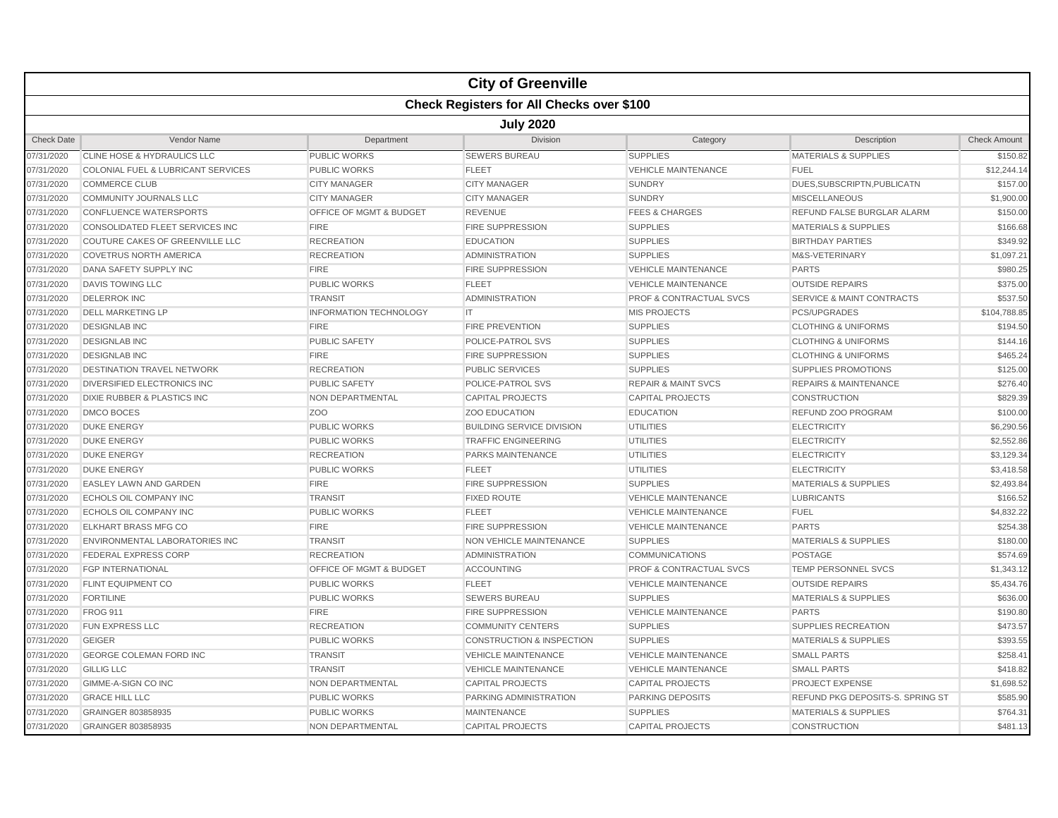|                                                  |                                        |                               | <b>City of Greenville</b>            |                                    |                                      |                     |  |  |
|--------------------------------------------------|----------------------------------------|-------------------------------|--------------------------------------|------------------------------------|--------------------------------------|---------------------|--|--|
| <b>Check Registers for All Checks over \$100</b> |                                        |                               |                                      |                                    |                                      |                     |  |  |
|                                                  | <b>July 2020</b>                       |                               |                                      |                                    |                                      |                     |  |  |
| <b>Check Date</b>                                | Vendor Name                            | Department                    | Division                             | Category                           | Description                          | <b>Check Amount</b> |  |  |
| 07/31/2020                                       | CLINE HOSE & HYDRAULICS LLC            | PUBLIC WORKS                  | <b>SEWERS BUREAU</b>                 | <b>SUPPLIES</b>                    | <b>MATERIALS &amp; SUPPLIES</b>      | \$150.82            |  |  |
| 07/31/2020                                       | COLONIAL FUEL & LUBRICANT SERVICES     | <b>PUBLIC WORKS</b>           | <b>FLEET</b>                         | <b>VEHICLE MAINTENANCE</b>         | <b>FUEL</b>                          | \$12,244.14         |  |  |
| 07/31/2020                                       | <b>COMMERCE CLUB</b>                   | <b>CITY MANAGER</b>           | <b>CITY MANAGER</b>                  | <b>SUNDRY</b>                      | DUES.SUBSCRIPTN.PUBLICATN            | \$157.00            |  |  |
| 07/31/2020                                       | COMMUNITY JOURNALS LLC                 | <b>CITY MANAGER</b>           | <b>CITY MANAGER</b>                  | <b>SUNDRY</b>                      | <b>MISCELLANEOUS</b>                 | \$1,900.00          |  |  |
| 07/31/2020                                       | <b>CONFLUENCE WATERSPORTS</b>          | OFFICE OF MGMT & BUDGET       | <b>REVENUE</b>                       | <b>FEES &amp; CHARGES</b>          | REFUND FALSE BURGLAR ALARM           | \$150.00            |  |  |
| 07/31/2020                                       | CONSOLIDATED FLEET SERVICES INC        | <b>FIRE</b>                   | <b>FIRE SUPPRESSION</b>              | <b>SUPPLIES</b>                    | <b>MATERIALS &amp; SUPPLIES</b>      | \$166.68            |  |  |
| 07/31/2020                                       | COUTURE CAKES OF GREENVILLE LLC        | <b>RECREATION</b>             | <b>EDUCATION</b>                     | <b>SUPPLIES</b>                    | <b>BIRTHDAY PARTIES</b>              | \$349.92            |  |  |
| 07/31/2020                                       | <b>COVETRUS NORTH AMERICA</b>          | <b>RECREATION</b>             | <b>ADMINISTRATION</b>                | <b>SUPPLIES</b>                    | M&S-VETERINARY                       | \$1,097.21          |  |  |
| 07/31/2020                                       | <b>DANA SAFETY SUPPLY INC</b>          | <b>FIRE</b>                   | <b>FIRE SUPPRESSION</b>              | <b>VEHICLE MAINTENANCE</b>         | <b>PARTS</b>                         | \$980.25            |  |  |
| 07/31/2020                                       | <b>DAVIS TOWING LLC</b>                | <b>PUBLIC WORKS</b>           | <b>FLEET</b>                         | <b>VEHICLE MAINTENANCE</b>         | <b>OUTSIDE REPAIRS</b>               | \$375.00            |  |  |
| 07/31/2020                                       | <b>DELERROK INC</b>                    | <b>TRANSIT</b>                | <b>ADMINISTRATION</b>                | <b>PROF &amp; CONTRACTUAL SVCS</b> | <b>SERVICE &amp; MAINT CONTRACTS</b> | \$537.50            |  |  |
| 07/31/2020                                       | <b>DELL MARKETING LP</b>               | <b>INFORMATION TECHNOLOGY</b> | IT                                   | <b>MIS PROJECTS</b>                | <b>PCS/UPGRADES</b>                  | \$104,788.85        |  |  |
| 07/31/2020                                       | <b>DESIGNLAB INC</b>                   | <b>FIRE</b>                   | <b>FIRE PREVENTION</b>               | <b>SUPPLIES</b>                    | <b>CLOTHING &amp; UNIFORMS</b>       | \$194.50            |  |  |
| 07/31/2020                                       | <b>DESIGNLAB INC</b>                   | <b>PUBLIC SAFETY</b>          | POLICE-PATROL SVS                    | <b>SUPPLIES</b>                    | <b>CLOTHING &amp; UNIFORMS</b>       | \$144.16            |  |  |
| 07/31/2020                                       | <b>DESIGNLAB INC</b>                   | <b>FIRE</b>                   | FIRE SUPPRESSION                     | <b>SUPPLIES</b>                    | <b>CLOTHING &amp; UNIFORMS</b>       | \$465.24            |  |  |
| 07/31/2020                                       | <b>DESTINATION TRAVEL NETWORK</b>      | <b>RECREATION</b>             | <b>PUBLIC SERVICES</b>               | <b>SUPPLIES</b>                    | <b>SUPPLIES PROMOTIONS</b>           | \$125.00            |  |  |
| 07/31/2020                                       | DIVERSIFIED ELECTRONICS INC            | <b>PUBLIC SAFETY</b>          | POLICE-PATROL SVS                    | <b>REPAIR &amp; MAINT SVCS</b>     | <b>REPAIRS &amp; MAINTENANCE</b>     | \$276.40            |  |  |
| 07/31/2020                                       | <b>DIXIE RUBBER &amp; PLASTICS INC</b> | NON DEPARTMENTAL              | <b>CAPITAL PROJECTS</b>              | <b>CAPITAL PROJECTS</b>            | <b>CONSTRUCTION</b>                  | \$829.39            |  |  |
| 07/31/2020                                       | DMCO BOCES                             | Z <sub>O</sub> O              | <b>ZOO EDUCATION</b>                 | <b>EDUCATION</b>                   | REFUND ZOO PROGRAM                   | \$100.00            |  |  |
| 07/31/2020                                       | <b>DUKE ENERGY</b>                     | PUBLIC WORKS                  | <b>BUILDING SERVICE DIVISION</b>     | <b>UTILITIES</b>                   | <b>ELECTRICITY</b>                   | \$6,290.56          |  |  |
| 07/31/2020                                       | <b>DUKE ENERGY</b>                     | <b>PUBLIC WORKS</b>           | <b>TRAFFIC ENGINEERING</b>           | <b>UTILITIES</b>                   | <b>ELECTRICITY</b>                   | \$2,552.86          |  |  |
| 07/31/2020                                       | <b>DUKE ENERGY</b>                     | <b>RECREATION</b>             | <b>PARKS MAINTENANCE</b>             | <b>UTILITIES</b>                   | <b>ELECTRICITY</b>                   | \$3,129.34          |  |  |
| 07/31/2020                                       | <b>DUKE ENERGY</b>                     | <b>PUBLIC WORKS</b>           | <b>FLEET</b>                         | <b>UTILITIES</b>                   | <b>ELECTRICITY</b>                   | \$3,418.58          |  |  |
| 07/31/2020                                       | <b>EASLEY LAWN AND GARDEN</b>          | <b>FIRE</b>                   | <b>FIRE SUPPRESSION</b>              | <b>SUPPLIES</b>                    | <b>MATERIALS &amp; SUPPLIES</b>      | \$2,493.84          |  |  |
| 07/31/2020                                       | <b>ECHOLS OIL COMPANY INC</b>          | <b>TRANSIT</b>                | <b>FIXED ROUTE</b>                   | <b>VEHICLE MAINTENANCE</b>         | <b>LUBRICANTS</b>                    | \$166.52            |  |  |
| 07/31/2020                                       | <b>ECHOLS OIL COMPANY INC</b>          | <b>PUBLIC WORKS</b>           | <b>FLEET</b>                         | <b>VEHICLE MAINTENANCE</b>         | <b>FUEL</b>                          | \$4,832.22          |  |  |
| 07/31/2020                                       | ELKHART BRASS MFG CO                   | <b>FIRE</b>                   | <b>FIRE SUPPRESSION</b>              | <b>VEHICLE MAINTENANCE</b>         | <b>PARTS</b>                         | \$254.38            |  |  |
| 07/31/2020                                       | ENVIRONMENTAL LABORATORIES INC         | <b>TRANSIT</b>                | <b>NON VEHICLE MAINTENANCE</b>       | <b>SUPPLIES</b>                    | <b>MATERIALS &amp; SUPPLIES</b>      | \$180.00            |  |  |
| 07/31/2020                                       | <b>FEDERAL EXPRESS CORP</b>            | <b>RECREATION</b>             | <b>ADMINISTRATION</b>                | <b>COMMUNICATIONS</b>              | <b>POSTAGE</b>                       | \$574.69            |  |  |
| 07/31/2020                                       | <b>FGP INTERNATIONAL</b>               | OFFICE OF MGMT & BUDGET       | <b>ACCOUNTING</b>                    | <b>PROF &amp; CONTRACTUAL SVCS</b> | <b>TEMP PERSONNEL SVCS</b>           | \$1,343.12          |  |  |
| 07/31/2020                                       | <b>FLINT EQUIPMENT CO</b>              | <b>PUBLIC WORKS</b>           | <b>FLEET</b>                         | <b>VEHICLE MAINTENANCE</b>         | <b>OUTSIDE REPAIRS</b>               | \$5,434.76          |  |  |
| 07/31/2020                                       | <b>FORTILINE</b>                       | <b>PUBLIC WORKS</b>           | <b>SEWERS BUREAU</b>                 | <b>SUPPLIES</b>                    | <b>MATERIALS &amp; SUPPLIES</b>      | \$636.00            |  |  |
| 07/31/2020                                       | <b>FROG 911</b>                        | <b>FIRE</b>                   | <b>FIRE SUPPRESSION</b>              | <b>VEHICLE MAINTENANCE</b>         | <b>PARTS</b>                         | \$190.80            |  |  |
| 07/31/2020                                       | <b>FUN EXPRESS LLC</b>                 | <b>RECREATION</b>             | <b>COMMUNITY CENTERS</b>             | <b>SUPPLIES</b>                    | SUPPLIES RECREATION                  | \$473.57            |  |  |
| 07/31/2020                                       | <b>GEIGER</b>                          | <b>PUBLIC WORKS</b>           | <b>CONSTRUCTION &amp; INSPECTION</b> | <b>SUPPLIES</b>                    | <b>MATERIALS &amp; SUPPLIES</b>      | \$393.55            |  |  |
| 07/31/2020                                       | <b>GEORGE COLEMAN FORD INC</b>         | <b>TRANSIT</b>                | <b>VEHICLE MAINTENANCE</b>           | <b>VEHICLE MAINTENANCE</b>         | <b>SMALL PARTS</b>                   | \$258.41            |  |  |
| 07/31/2020                                       | <b>GILLIG LLC</b>                      | <b>TRANSIT</b>                | <b>VEHICLE MAINTENANCE</b>           | <b>VEHICLE MAINTENANCE</b>         | <b>SMALL PARTS</b>                   | \$418.82            |  |  |
| 07/31/2020                                       | GIMME-A-SIGN CO INC                    | NON DEPARTMENTAL              | <b>CAPITAL PROJECTS</b>              | <b>CAPITAL PROJECTS</b>            | PROJECT EXPENSE                      | \$1,698.52          |  |  |
| 07/31/2020                                       | <b>GRACE HILL LLC</b>                  | <b>PUBLIC WORKS</b>           | PARKING ADMINISTRATION               | <b>PARKING DEPOSITS</b>            | REFUND PKG DEPOSITS-S. SPRING ST     | \$585.90            |  |  |
| 07/31/2020                                       | GRAINGER 803858935                     | <b>PUBLIC WORKS</b>           | <b>MAINTENANCE</b>                   | <b>SUPPLIES</b>                    | <b>MATERIALS &amp; SUPPLIES</b>      | \$764.31            |  |  |
| 07/31/2020                                       | GRAINGER 803858935                     | <b>NON DEPARTMENTAL</b>       | <b>CAPITAL PROJECTS</b>              | <b>CAPITAL PROJECTS</b>            | <b>CONSTRUCTION</b>                  | \$481.13            |  |  |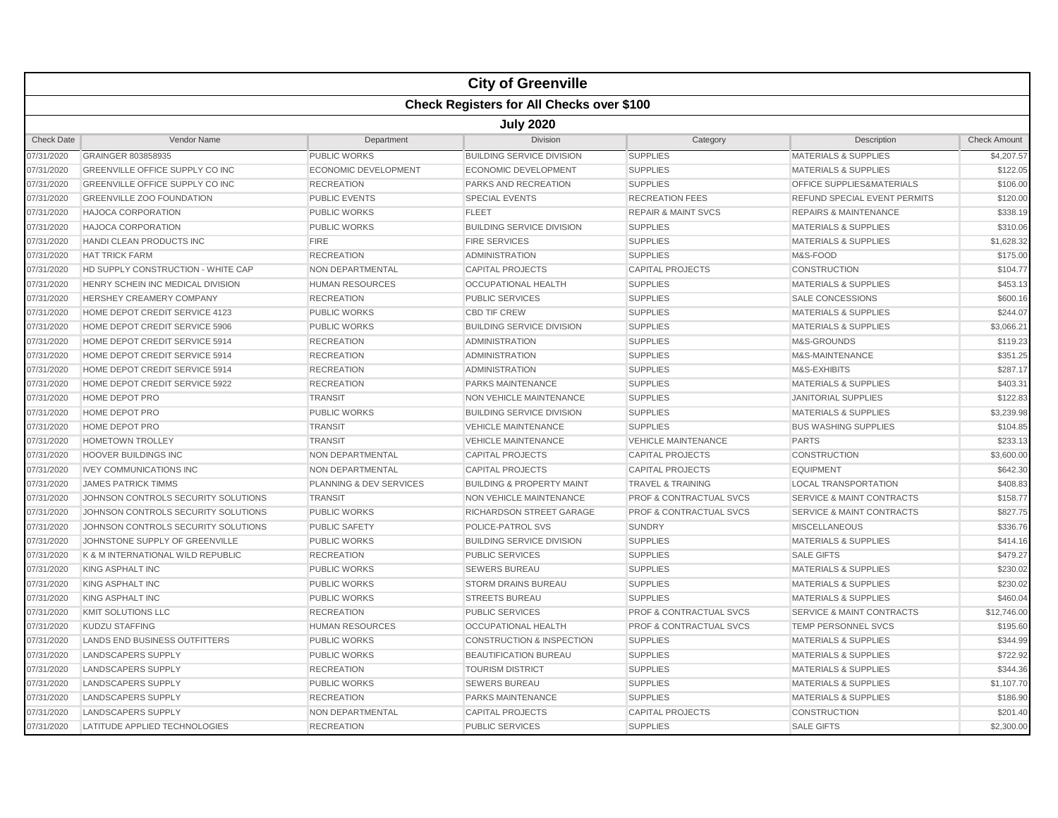|                                                  |                                        |                         | <b>City of Greenville</b>            |                                    |                                      |                     |  |  |
|--------------------------------------------------|----------------------------------------|-------------------------|--------------------------------------|------------------------------------|--------------------------------------|---------------------|--|--|
| <b>Check Registers for All Checks over \$100</b> |                                        |                         |                                      |                                    |                                      |                     |  |  |
| <b>July 2020</b>                                 |                                        |                         |                                      |                                    |                                      |                     |  |  |
| <b>Check Date</b>                                | Vendor Name                            | Department              | <b>Division</b>                      | Category                           | Description                          | <b>Check Amount</b> |  |  |
| 07/31/2020                                       | GRAINGER 803858935                     | <b>PUBLIC WORKS</b>     | <b>BUILDING SERVICE DIVISION</b>     | <b>SUPPLIES</b>                    | <b>MATERIALS &amp; SUPPLIES</b>      | \$4,207.57          |  |  |
| 07/31/2020                                       | <b>GREENVILLE OFFICE SUPPLY CO INC</b> | ECONOMIC DEVELOPMENT    | <b>ECONOMIC DEVELOPMENT</b>          | <b>SUPPLIES</b>                    | <b>MATERIALS &amp; SUPPLIES</b>      | \$122.05            |  |  |
| 07/31/2020                                       | GREENVILLE OFFICE SUPPLY CO INC        | <b>RECREATION</b>       | PARKS AND RECREATION                 | <b>SUPPLIES</b>                    | OFFICE SUPPLIES&MATERIALS            | \$106.00            |  |  |
| 07/31/2020                                       | <b>GREENVILLE ZOO FOUNDATION</b>       | <b>PUBLIC EVENTS</b>    | <b>SPECIAL EVENTS</b>                | <b>RECREATION FEES</b>             | REFUND SPECIAL EVENT PERMITS         | \$120.00            |  |  |
| 07/31/2020                                       | HAJOCA CORPORATION                     | <b>PUBLIC WORKS</b>     | <b>FLEET</b>                         | <b>REPAIR &amp; MAINT SVCS</b>     | <b>REPAIRS &amp; MAINTENANCE</b>     | \$338.19            |  |  |
| 07/31/2020                                       | <b>HAJOCA CORPORATION</b>              | <b>PUBLIC WORKS</b>     | <b>BUILDING SERVICE DIVISION</b>     | <b>SUPPLIES</b>                    | <b>MATERIALS &amp; SUPPLIES</b>      | \$310.06            |  |  |
| 07/31/2020                                       | <b>HANDI CLEAN PRODUCTS INC</b>        | <b>FIRE</b>             | <b>FIRE SERVICES</b>                 | <b>SUPPLIES</b>                    | <b>MATERIALS &amp; SUPPLIES</b>      | \$1,628.32          |  |  |
| 07/31/2020                                       | <b>HAT TRICK FARM</b>                  | <b>RECREATION</b>       | <b>ADMINISTRATION</b>                | <b>SUPPLIES</b>                    | M&S-FOOD                             | \$175.00            |  |  |
| 07/31/2020                                       | HD SUPPLY CONSTRUCTION - WHITE CAP     | <b>NON DEPARTMENTAL</b> | <b>CAPITAL PROJECTS</b>              | <b>CAPITAL PROJECTS</b>            | <b>CONSTRUCTION</b>                  | \$104.77            |  |  |
| 07/31/2020                                       | HENRY SCHEIN INC MEDICAL DIVISION      | <b>HUMAN RESOURCES</b>  | <b>OCCUPATIONAL HEALTH</b>           | <b>SUPPLIES</b>                    | <b>MATERIALS &amp; SUPPLIES</b>      | \$453.13            |  |  |
| 07/31/2020                                       | HERSHEY CREAMERY COMPANY               | <b>RECREATION</b>       | <b>PUBLIC SERVICES</b>               | <b>SUPPLIES</b>                    | <b>SALE CONCESSIONS</b>              | \$600.16            |  |  |
| 07/31/2020                                       | HOME DEPOT CREDIT SERVICE 4123         | <b>PUBLIC WORKS</b>     | <b>CBD TIF CREW</b>                  | <b>SUPPLIES</b>                    | <b>MATERIALS &amp; SUPPLIES</b>      | \$244.07            |  |  |
| 07/31/2020                                       | HOME DEPOT CREDIT SERVICE 5906         | <b>PUBLIC WORKS</b>     | <b>BUILDING SERVICE DIVISION</b>     | <b>SUPPLIES</b>                    | <b>MATERIALS &amp; SUPPLIES</b>      | \$3,066.21          |  |  |
| 07/31/2020                                       | HOME DEPOT CREDIT SERVICE 5914         | <b>RECREATION</b>       | <b>ADMINISTRATION</b>                | <b>SUPPLIES</b>                    | M&S-GROUNDS                          | \$119.23            |  |  |
| 07/31/2020                                       | HOME DEPOT CREDIT SERVICE 5914         | <b>RECREATION</b>       | <b>ADMINISTRATION</b>                | <b>SUPPLIES</b>                    | M&S-MAINTENANCE                      | \$351.25            |  |  |
| 07/31/2020                                       | HOME DEPOT CREDIT SERVICE 5914         | <b>RECREATION</b>       | ADMINISTRATION                       | <b>SUPPLIES</b>                    | M&S-EXHIBITS                         | \$287.17            |  |  |
| 07/31/2020                                       | HOME DEPOT CREDIT SERVICE 5922         | <b>RECREATION</b>       | <b>PARKS MAINTENANCE</b>             | <b>SUPPLIES</b>                    | <b>MATERIALS &amp; SUPPLIES</b>      | \$403.31            |  |  |
| 07/31/2020                                       | HOME DEPOT PRO                         | <b>TRANSIT</b>          | <b>NON VEHICLE MAINTENANCE</b>       | <b>SUPPLIES</b>                    | <b>JANITORIAL SUPPLIES</b>           | \$122.83            |  |  |
| 07/31/2020                                       | HOME DEPOT PRO                         | <b>PUBLIC WORKS</b>     | <b>BUILDING SERVICE DIVISION</b>     | <b>SUPPLIES</b>                    | <b>MATERIALS &amp; SUPPLIES</b>      | \$3,239.98          |  |  |
| 07/31/2020                                       | HOME DEPOT PRO                         | <b>TRANSIT</b>          | <b>VEHICLE MAINTENANCE</b>           | <b>SUPPLIES</b>                    | <b>BUS WASHING SUPPLIES</b>          | \$104.85            |  |  |
| 07/31/2020                                       | <b>HOMETOWN TROLLEY</b>                | <b>TRANSIT</b>          | <b>VEHICLE MAINTENANCE</b>           | <b>VEHICLE MAINTENANCE</b>         | <b>PARTS</b>                         | \$233.13            |  |  |
| 07/31/2020                                       | <b>HOOVER BUILDINGS INC</b>            | NON DEPARTMENTAL        | <b>CAPITAL PROJECTS</b>              | <b>CAPITAL PROJECTS</b>            | <b>CONSTRUCTION</b>                  | \$3,600.00          |  |  |
| 07/31/2020                                       | <b>IVEY COMMUNICATIONS INC</b>         | NON DEPARTMENTAL        | <b>CAPITAL PROJECTS</b>              | <b>CAPITAL PROJECTS</b>            | <b>EQUIPMENT</b>                     | \$642.30            |  |  |
| 07/31/2020                                       | <b>JAMES PATRICK TIMMS</b>             | PLANNING & DEV SERVICES | <b>BUILDING &amp; PROPERTY MAINT</b> | <b>TRAVEL &amp; TRAINING</b>       | <b>LOCAL TRANSPORTATION</b>          | \$408.83            |  |  |
| 07/31/2020                                       | JOHNSON CONTROLS SECURITY SOLUTIONS    | <b>TRANSIT</b>          | NON VEHICLE MAINTENANCE              | <b>PROF &amp; CONTRACTUAL SVCS</b> | <b>SERVICE &amp; MAINT CONTRACTS</b> | \$158.77            |  |  |
| 07/31/2020                                       | JOHNSON CONTROLS SECURITY SOLUTIONS    | <b>PUBLIC WORKS</b>     | RICHARDSON STREET GARAGE             | <b>PROF &amp; CONTRACTUAL SVCS</b> | <b>SERVICE &amp; MAINT CONTRACTS</b> | \$827.75            |  |  |
| 07/31/2020                                       | JOHNSON CONTROLS SECURITY SOLUTIONS    | <b>PUBLIC SAFETY</b>    | POLICE-PATROL SVS                    | <b>SUNDRY</b>                      | <b>MISCELLANEOUS</b>                 | \$336.76            |  |  |
| 07/31/2020                                       | JOHNSTONE SUPPLY OF GREENVILLE         | <b>PUBLIC WORKS</b>     | <b>BUILDING SERVICE DIVISION</b>     | <b>SUPPLIES</b>                    | <b>MATERIALS &amp; SUPPLIES</b>      | \$414.16            |  |  |
| 07/31/2020                                       | K & M INTERNATIONAL WILD REPUBLIC      | <b>RECREATION</b>       | <b>PUBLIC SERVICES</b>               | <b>SUPPLIES</b>                    | <b>SALE GIFTS</b>                    | \$479.27            |  |  |
| 07/31/2020                                       | KING ASPHALT INC                       | <b>PUBLIC WORKS</b>     | <b>SEWERS BUREAU</b>                 | <b>SUPPLIES</b>                    | <b>MATERIALS &amp; SUPPLIES</b>      | \$230.02            |  |  |
| 07/31/2020                                       | <b>KING ASPHALT INC</b>                | <b>PUBLIC WORKS</b>     | <b>STORM DRAINS BUREAU</b>           | <b>SUPPLIES</b>                    | <b>MATERIALS &amp; SUPPLIES</b>      | \$230.02            |  |  |
| 07/31/2020                                       | KING ASPHALT INC                       | <b>PUBLIC WORKS</b>     | <b>STREETS BUREAU</b>                | <b>SUPPLIES</b>                    | <b>MATERIALS &amp; SUPPLIES</b>      | \$460.04            |  |  |
| 07/31/2020                                       | KMIT SOLUTIONS LLC                     | <b>RECREATION</b>       | <b>PUBLIC SERVICES</b>               | <b>PROF &amp; CONTRACTUAL SVCS</b> | <b>SERVICE &amp; MAINT CONTRACTS</b> | \$12,746.00         |  |  |
| 07/31/2020                                       | <b>KUDZU STAFFING</b>                  | <b>HUMAN RESOURCES</b>  | <b>OCCUPATIONAL HEALTH</b>           | <b>PROF &amp; CONTRACTUAL SVCS</b> | <b>TEMP PERSONNEL SVCS</b>           | \$195.60            |  |  |
| 07/31/2020                                       | <b>LANDS END BUSINESS OUTFITTERS</b>   | <b>PUBLIC WORKS</b>     | <b>CONSTRUCTION &amp; INSPECTION</b> | <b>SUPPLIES</b>                    | <b>MATERIALS &amp; SUPPLIES</b>      | \$344.99            |  |  |
| 07/31/2020                                       | LANDSCAPERS SUPPLY                     | <b>PUBLIC WORKS</b>     | <b>BEAUTIFICATION BUREAU</b>         | <b>SUPPLIES</b>                    | <b>MATERIALS &amp; SUPPLIES</b>      | \$722.92            |  |  |
| 07/31/2020                                       | LANDSCAPERS SUPPLY                     | <b>RECREATION</b>       | <b>TOURISM DISTRICT</b>              | <b>SUPPLIES</b>                    | <b>MATERIALS &amp; SUPPLIES</b>      | \$344.36            |  |  |
| 07/31/2020                                       | <b>LANDSCAPERS SUPPLY</b>              | <b>PUBLIC WORKS</b>     | <b>SEWERS BUREAU</b>                 | <b>SUPPLIES</b>                    | <b>MATERIALS &amp; SUPPLIES</b>      | \$1,107.70          |  |  |
| 07/31/2020                                       | <b>LANDSCAPERS SUPPLY</b>              | <b>RECREATION</b>       | <b>PARKS MAINTENANCE</b>             | <b>SUPPLIES</b>                    | <b>MATERIALS &amp; SUPPLIES</b>      | \$186.90            |  |  |
| 07/31/2020                                       | <b>LANDSCAPERS SUPPLY</b>              | NON DEPARTMENTAL        | <b>CAPITAL PROJECTS</b>              | <b>CAPITAL PROJECTS</b>            | <b>CONSTRUCTION</b>                  | \$201.40            |  |  |
| 07/31/2020                                       | LATITUDE APPLIED TECHNOLOGIES          | <b>RECREATION</b>       | <b>PUBLIC SERVICES</b>               | <b>SUPPLIES</b>                    | <b>SALE GIFTS</b>                    | \$2,300.00          |  |  |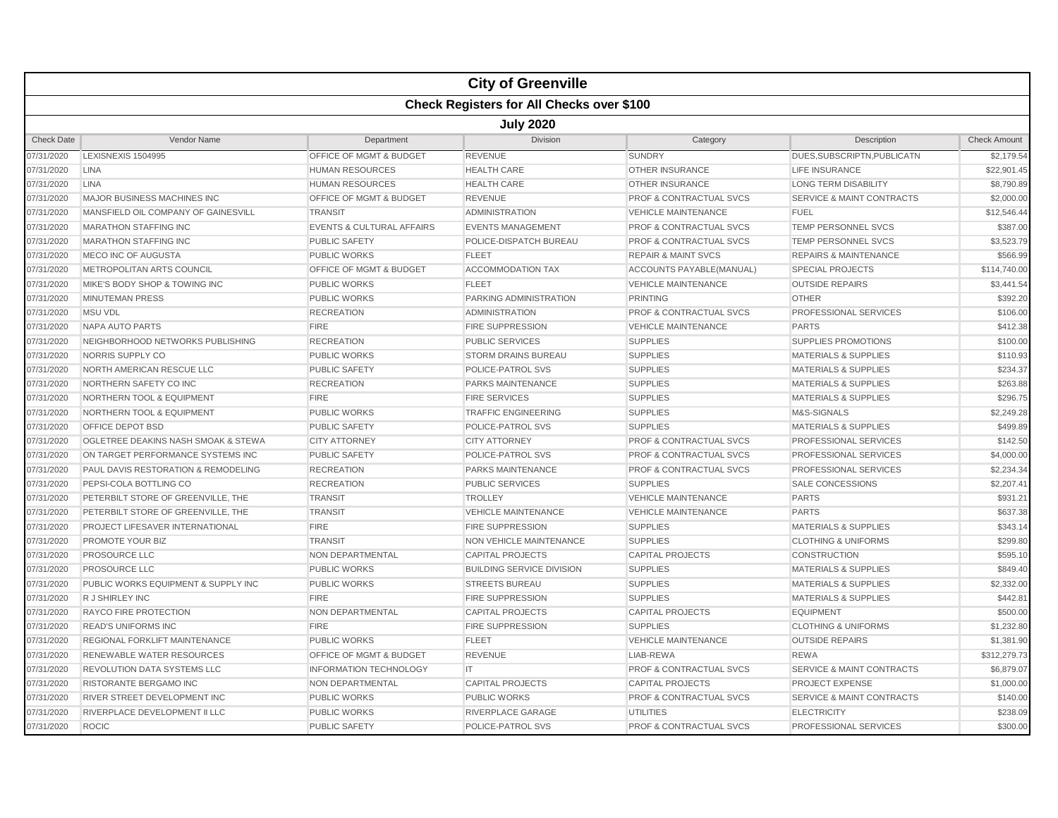|                                                  |                                      |                                      | <b>City of Greenville</b>        |                                    |                                      |                     |  |  |
|--------------------------------------------------|--------------------------------------|--------------------------------------|----------------------------------|------------------------------------|--------------------------------------|---------------------|--|--|
| <b>Check Registers for All Checks over \$100</b> |                                      |                                      |                                  |                                    |                                      |                     |  |  |
|                                                  | <b>July 2020</b>                     |                                      |                                  |                                    |                                      |                     |  |  |
| <b>Check Date</b>                                | Vendor Name                          | Department                           | <b>Division</b>                  | Category                           | Description                          | <b>Check Amount</b> |  |  |
| 07/31/2020                                       | LEXISNEXIS 1504995                   | OFFICE OF MGMT & BUDGET              | <b>REVENUE</b>                   | <b>SUNDRY</b>                      | DUES, SUBSCRIPTN, PUBLICATN          | \$2,179.54          |  |  |
| 07/31/2020                                       | <b>LINA</b>                          | <b>HUMAN RESOURCES</b>               | <b>HEALTH CARE</b>               | <b>OTHER INSURANCE</b>             | <b>LIFE INSURANCE</b>                | \$22,901.45         |  |  |
| 07/31/2020                                       | <b>LINA</b>                          | <b>HUMAN RESOURCES</b>               | <b>HEALTH CARE</b>               | <b>OTHER INSURANCE</b>             | <b>LONG TERM DISABILITY</b>          | \$8,790.89          |  |  |
| 07/31/2020                                       | MAJOR BUSINESS MACHINES INC          | OFFICE OF MGMT & BUDGET              | <b>REVENUE</b>                   | <b>PROF &amp; CONTRACTUAL SVCS</b> | <b>SERVICE &amp; MAINT CONTRACTS</b> | \$2,000.00          |  |  |
| 07/31/2020                                       | MANSFIELD OIL COMPANY OF GAINESVILL  | <b>TRANSIT</b>                       | <b>ADMINISTRATION</b>            | <b>VEHICLE MAINTENANCE</b>         | <b>FUEL</b>                          | \$12,546.44         |  |  |
| 07/31/2020                                       | <b>MARATHON STAFFING INC</b>         | <b>EVENTS &amp; CULTURAL AFFAIRS</b> | <b>EVENTS MANAGEMENT</b>         | <b>PROF &amp; CONTRACTUAL SVCS</b> | <b>TEMP PERSONNEL SVCS</b>           | \$387.00            |  |  |
| 07/31/2020                                       | <b>MARATHON STAFFING INC</b>         | <b>PUBLIC SAFETY</b>                 | POLICE-DISPATCH BUREAU           | <b>PROF &amp; CONTRACTUAL SVCS</b> | <b>TEMP PERSONNEL SVCS</b>           | \$3,523.79          |  |  |
| 07/31/2020                                       | MECO INC OF AUGUSTA                  | <b>PUBLIC WORKS</b>                  | <b>FLEET</b>                     | <b>REPAIR &amp; MAINT SVCS</b>     | <b>REPAIRS &amp; MAINTENANCE</b>     | \$566.99            |  |  |
| 07/31/2020                                       | METROPOLITAN ARTS COUNCIL            | <b>OFFICE OF MGMT &amp; BUDGET</b>   | <b>ACCOMMODATION TAX</b>         | ACCOUNTS PAYABLE(MANUAL)           | <b>SPECIAL PROJECTS</b>              | \$114,740.00        |  |  |
| 07/31/2020                                       | MIKE'S BODY SHOP & TOWING INC        | <b>PUBLIC WORKS</b>                  | <b>FLEET</b>                     | <b>VEHICLE MAINTENANCE</b>         | <b>OUTSIDE REPAIRS</b>               | \$3,441.54          |  |  |
| 07/31/2020                                       | <b>MINUTEMAN PRESS</b>               | <b>PUBLIC WORKS</b>                  | PARKING ADMINISTRATION           | <b>PRINTING</b>                    | <b>OTHER</b>                         | \$392.20            |  |  |
| 07/31/2020                                       | <b>MSU VDL</b>                       | <b>RECREATION</b>                    | <b>ADMINISTRATION</b>            | <b>PROF &amp; CONTRACTUAL SVCS</b> | <b>PROFESSIONAL SERVICES</b>         | \$106.00            |  |  |
| 07/31/2020                                       | NAPA AUTO PARTS                      | <b>FIRE</b>                          | <b>FIRE SUPPRESSION</b>          | <b>VEHICLE MAINTENANCE</b>         | <b>PARTS</b>                         | \$412.38            |  |  |
| 07/31/2020                                       | NEIGHBORHOOD NETWORKS PUBLISHING     | <b>RECREATION</b>                    | <b>PUBLIC SERVICES</b>           | <b>SUPPLIES</b>                    | <b>SUPPLIES PROMOTIONS</b>           | \$100.00            |  |  |
| 07/31/2020                                       | NORRIS SUPPLY CO                     | <b>PUBLIC WORKS</b>                  | <b>STORM DRAINS BUREAU</b>       | <b>SUPPLIES</b>                    | <b>MATERIALS &amp; SUPPLIES</b>      | \$110.93            |  |  |
| 07/31/2020                                       | NORTH AMERICAN RESCUE LLC            | <b>PUBLIC SAFETY</b>                 | POLICE-PATROL SVS                | <b>SUPPLIES</b>                    | <b>MATERIALS &amp; SUPPLIES</b>      | \$234.37            |  |  |
| 07/31/2020                                       | NORTHERN SAFETY CO INC               | <b>RECREATION</b>                    | <b>PARKS MAINTENANCE</b>         | <b>SUPPLIES</b>                    | <b>MATERIALS &amp; SUPPLIES</b>      | \$263.88            |  |  |
| 07/31/2020                                       | NORTHERN TOOL & EQUIPMENT            | <b>FIRE</b>                          | <b>FIRE SERVICES</b>             | <b>SUPPLIES</b>                    | <b>MATERIALS &amp; SUPPLIES</b>      | \$296.75            |  |  |
| 07/31/2020                                       | <b>NORTHERN TOOL &amp; EQUIPMENT</b> | <b>PUBLIC WORKS</b>                  | <b>TRAFFIC ENGINEERING</b>       | <b>SUPPLIES</b>                    | M&S-SIGNALS                          | \$2,249.28          |  |  |
| 07/31/2020                                       | <b>OFFICE DEPOT BSD</b>              | <b>PUBLIC SAFETY</b>                 | POLICE-PATROL SVS                | <b>SUPPLIES</b>                    | <b>MATERIALS &amp; SUPPLIES</b>      | \$499.89            |  |  |
| 07/31/2020                                       | OGLETREE DEAKINS NASH SMOAK & STEWA  | <b>CITY ATTORNEY</b>                 | <b>CITY ATTORNEY</b>             | <b>PROF &amp; CONTRACTUAL SVCS</b> | PROFESSIONAL SERVICES                | \$142.50            |  |  |
| 07/31/2020                                       | ON TARGET PERFORMANCE SYSTEMS INC    | <b>PUBLIC SAFETY</b>                 | POLICE-PATROL SVS                | <b>PROF &amp; CONTRACTUAL SVCS</b> | PROFESSIONAL SERVICES                | \$4,000.00          |  |  |
| 07/31/2020                                       | PAUL DAVIS RESTORATION & REMODELING  | <b>RECREATION</b>                    | PARKS MAINTENANCE                | <b>PROF &amp; CONTRACTUAL SVCS</b> | PROFESSIONAL SERVICES                | \$2,234.34          |  |  |
| 07/31/2020                                       | PEPSI-COLA BOTTLING CO               | <b>RECREATION</b>                    | <b>PUBLIC SERVICES</b>           | <b>SUPPLIES</b>                    | <b>SALE CONCESSIONS</b>              | \$2,207.41          |  |  |
| 07/31/2020                                       | PETERBILT STORE OF GREENVILLE, THE   | <b>TRANSIT</b>                       | <b>TROLLEY</b>                   | <b>VEHICLE MAINTENANCE</b>         | <b>PARTS</b>                         | \$931.21            |  |  |
| 07/31/2020                                       | PETERBILT STORE OF GREENVILLE, THE   | <b>TRANSIT</b>                       | <b>VEHICLE MAINTENANCE</b>       | <b>VEHICLE MAINTENANCE</b>         | <b>PARTS</b>                         | \$637.38            |  |  |
| 07/31/2020                                       | PROJECT LIFESAVER INTERNATIONAL      | <b>FIRE</b>                          | <b>FIRE SUPPRESSION</b>          | <b>SUPPLIES</b>                    | <b>MATERIALS &amp; SUPPLIES</b>      | \$343.14            |  |  |
| 07/31/2020                                       | <b>PROMOTE YOUR BIZ</b>              | <b>TRANSIT</b>                       | <b>NON VEHICLE MAINTENANCE</b>   | <b>SUPPLIES</b>                    | <b>CLOTHING &amp; UNIFORMS</b>       | \$299.80            |  |  |
| 07/31/2020                                       | <b>PROSOURCE LLC</b>                 | <b>NON DEPARTMENTAL</b>              | <b>CAPITAL PROJECTS</b>          | <b>CAPITAL PROJECTS</b>            | <b>CONSTRUCTION</b>                  | \$595.10            |  |  |
| 07/31/2020                                       | PROSOURCE LLC                        | <b>PUBLIC WORKS</b>                  | <b>BUILDING SERVICE DIVISION</b> | <b>SUPPLIES</b>                    | <b>MATERIALS &amp; SUPPLIES</b>      | \$849.40            |  |  |
| 07/31/2020                                       | PUBLIC WORKS EQUIPMENT & SUPPLY INC  | <b>PUBLIC WORKS</b>                  | <b>STREETS BUREAU</b>            | <b>SUPPLIES</b>                    | <b>MATERIALS &amp; SUPPLIES</b>      | \$2,332.00          |  |  |
| 07/31/2020                                       | R J SHIRLEY INC                      | <b>FIRE</b>                          | <b>FIRE SUPPRESSION</b>          | <b>SUPPLIES</b>                    | <b>MATERIALS &amp; SUPPLIES</b>      | \$442.81            |  |  |
| 07/31/2020                                       | <b>RAYCO FIRE PROTECTION</b>         | NON DEPARTMENTAL                     | <b>CAPITAL PROJECTS</b>          | <b>CAPITAL PROJECTS</b>            | <b>EQUIPMENT</b>                     | \$500.00            |  |  |
| 07/31/2020                                       | <b>READ'S UNIFORMS INC</b>           | <b>FIRE</b>                          | <b>FIRE SUPPRESSION</b>          | <b>SUPPLIES</b>                    | <b>CLOTHING &amp; UNIFORMS</b>       | \$1,232.80          |  |  |
| 07/31/2020                                       | <b>REGIONAL FORKLIFT MAINTENANCE</b> | <b>PUBLIC WORKS</b>                  | <b>FLEET</b>                     | <b>VEHICLE MAINTENANCE</b>         | <b>OUTSIDE REPAIRS</b>               | \$1,381.90          |  |  |
| 07/31/2020                                       | <b>RENEWABLE WATER RESOURCES</b>     | OFFICE OF MGMT & BUDGET              | <b>REVENUE</b>                   | LIAB-REWA                          | <b>REWA</b>                          | \$312,279.73        |  |  |
| 07/31/2020                                       | REVOLUTION DATA SYSTEMS LLC          | <b>INFORMATION TECHNOLOGY</b>        | IT                               | <b>PROF &amp; CONTRACTUAL SVCS</b> | <b>SERVICE &amp; MAINT CONTRACTS</b> | \$6,879.07          |  |  |
| 07/31/2020                                       | RISTORANTE BERGAMO INC               | NON DEPARTMENTAL                     | <b>CAPITAL PROJECTS</b>          | <b>CAPITAL PROJECTS</b>            | <b>PROJECT EXPENSE</b>               | \$1,000.00          |  |  |
| 07/31/2020                                       | RIVER STREET DEVELOPMENT INC         | <b>PUBLIC WORKS</b>                  | <b>PUBLIC WORKS</b>              | <b>PROF &amp; CONTRACTUAL SVCS</b> | <b>SERVICE &amp; MAINT CONTRACTS</b> | \$140.00            |  |  |
| 07/31/2020                                       | RIVERPLACE DEVELOPMENT II LLC        | <b>PUBLIC WORKS</b>                  | RIVERPLACE GARAGE                | <b>UTILITIES</b>                   | <b>ELECTRICITY</b>                   | \$238.09            |  |  |
| 07/31/2020                                       | <b>ROCIC</b>                         | <b>PUBLIC SAFETY</b>                 | POLICE-PATROL SVS                | <b>PROF &amp; CONTRACTUAL SVCS</b> | PROFESSIONAL SERVICES                | \$300.00            |  |  |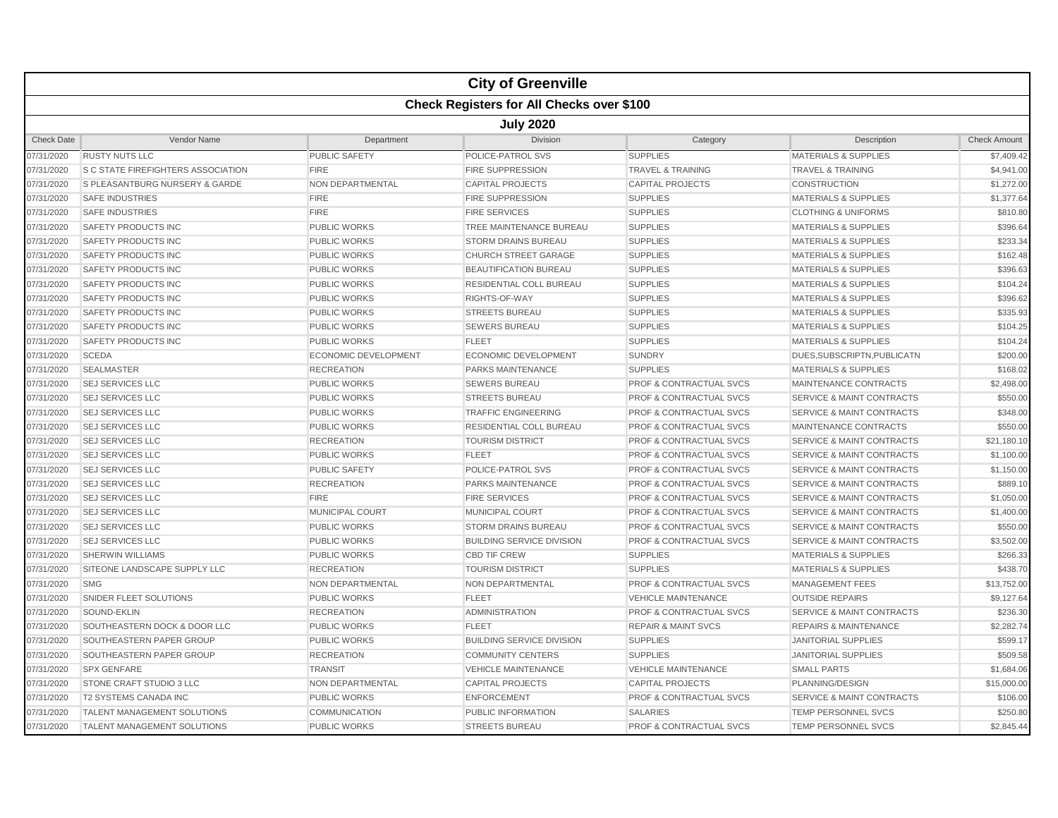|                                                  |                                           |                             | <b>City of Greenville</b>        |                                    |                                      |                     |  |  |  |
|--------------------------------------------------|-------------------------------------------|-----------------------------|----------------------------------|------------------------------------|--------------------------------------|---------------------|--|--|--|
| <b>Check Registers for All Checks over \$100</b> |                                           |                             |                                  |                                    |                                      |                     |  |  |  |
|                                                  | <b>July 2020</b>                          |                             |                                  |                                    |                                      |                     |  |  |  |
| <b>Check Date</b>                                | Vendor Name                               | Department                  | <b>Division</b>                  | Category                           | Description                          | <b>Check Amount</b> |  |  |  |
| 07/31/2020                                       | <b>RUSTY NUTS LLC</b>                     | <b>PUBLIC SAFETY</b>        | POLICE-PATROL SVS                | <b>SUPPLIES</b>                    | <b>MATERIALS &amp; SUPPLIES</b>      | \$7,409.42          |  |  |  |
| 07/31/2020                                       | <b>S C STATE FIREFIGHTERS ASSOCIATION</b> | <b>FIRE</b>                 | <b>FIRE SUPPRESSION</b>          | <b>TRAVEL &amp; TRAINING</b>       | <b>TRAVEL &amp; TRAINING</b>         | \$4,941.00          |  |  |  |
| 07/31/2020                                       | S PLEASANTBURG NURSERY & GARDE            | <b>NON DEPARTMENTAL</b>     | <b>CAPITAL PROJECTS</b>          | <b>CAPITAL PROJECTS</b>            | <b>CONSTRUCTION</b>                  | \$1,272.00          |  |  |  |
| 07/31/2020                                       | <b>SAFE INDUSTRIES</b>                    | <b>FIRE</b>                 | <b>FIRE SUPPRESSION</b>          | <b>SUPPLIES</b>                    | <b>MATERIALS &amp; SUPPLIES</b>      | \$1,377.64          |  |  |  |
| 07/31/2020                                       | <b>SAFE INDUSTRIES</b>                    | <b>FIRE</b>                 | <b>FIRE SERVICES</b>             | <b>SUPPLIES</b>                    | <b>CLOTHING &amp; UNIFORMS</b>       | \$810.80            |  |  |  |
| 07/31/2020                                       | <b>SAFETY PRODUCTS INC</b>                | <b>PUBLIC WORKS</b>         | TREE MAINTENANCE BUREAU          | <b>SUPPLIES</b>                    | MATERIALS & SUPPLIES                 | \$396.64            |  |  |  |
| 07/31/2020                                       | <b>SAFETY PRODUCTS INC</b>                | <b>PUBLIC WORKS</b>         | <b>STORM DRAINS BUREAU</b>       | <b>SUPPLIES</b>                    | <b>MATERIALS &amp; SUPPLIES</b>      | \$233.34            |  |  |  |
| 07/31/2020                                       | <b>SAFETY PRODUCTS INC</b>                | <b>PUBLIC WORKS</b>         | <b>CHURCH STREET GARAGE</b>      | <b>SUPPLIES</b>                    | <b>MATERIALS &amp; SUPPLIES</b>      | \$162.48            |  |  |  |
| 07/31/2020                                       | <b>SAFETY PRODUCTS INC</b>                | <b>PUBLIC WORKS</b>         | <b>BEAUTIFICATION BUREAU</b>     | <b>SUPPLIES</b>                    | <b>MATERIALS &amp; SUPPLIES</b>      | \$396.63            |  |  |  |
| 07/31/2020                                       | SAFETY PRODUCTS INC                       | <b>PUBLIC WORKS</b>         | RESIDENTIAL COLL BUREAU          | <b>SUPPLIES</b>                    | <b>MATERIALS &amp; SUPPLIES</b>      | \$104.24            |  |  |  |
| 07/31/2020                                       | SAFETY PRODUCTS INC                       | <b>PUBLIC WORKS</b>         | RIGHTS-OF-WAY                    | <b>SUPPLIES</b>                    | <b>MATERIALS &amp; SUPPLIES</b>      | \$396.62            |  |  |  |
| 07/31/2020                                       | <b>SAFETY PRODUCTS INC</b>                | <b>PUBLIC WORKS</b>         | <b>STREETS BUREAU</b>            | <b>SUPPLIES</b>                    | <b>MATERIALS &amp; SUPPLIES</b>      | \$335.93            |  |  |  |
| 07/31/2020                                       | <b>SAFETY PRODUCTS INC</b>                | <b>PUBLIC WORKS</b>         | <b>SEWERS BUREAU</b>             | <b>SUPPLIES</b>                    | <b>MATERIALS &amp; SUPPLIES</b>      | \$104.25            |  |  |  |
| 07/31/2020                                       | <b>SAFETY PRODUCTS INC</b>                | <b>PUBLIC WORKS</b>         | <b>FLEET</b>                     | <b>SUPPLIES</b>                    | <b>MATERIALS &amp; SUPPLIES</b>      | \$104.24            |  |  |  |
| 07/31/2020                                       | <b>SCEDA</b>                              | <b>ECONOMIC DEVELOPMENT</b> | <b>ECONOMIC DEVELOPMENT</b>      | <b>SUNDRY</b>                      | DUES.SUBSCRIPTN.PUBLICATN            | \$200.00            |  |  |  |
| 07/31/2020                                       | <b>SEALMASTER</b>                         | <b>RECREATION</b>           | <b>PARKS MAINTENANCE</b>         | <b>SUPPLIES</b>                    | MATERIALS & SUPPLIES                 | \$168.02            |  |  |  |
| 07/31/2020                                       | <b>SEJ SERVICES LLC</b>                   | <b>PUBLIC WORKS</b>         | <b>SEWERS BUREAU</b>             | <b>PROF &amp; CONTRACTUAL SVCS</b> | MAINTENANCE CONTRACTS                | \$2,498.00          |  |  |  |
| 07/31/2020                                       | <b>SEJ SERVICES LLC</b>                   | <b>PUBLIC WORKS</b>         | <b>STREETS BUREAU</b>            | <b>PROF &amp; CONTRACTUAL SVCS</b> | <b>SERVICE &amp; MAINT CONTRACTS</b> | \$550.00            |  |  |  |
| 07/31/2020                                       | <b>SEJ SERVICES LLC</b>                   | <b>PUBLIC WORKS</b>         | <b>TRAFFIC ENGINEERING</b>       | <b>PROF &amp; CONTRACTUAL SVCS</b> | <b>SERVICE &amp; MAINT CONTRACTS</b> | \$348.00            |  |  |  |
| 07/31/2020                                       | <b>SEJ SERVICES LLC</b>                   | <b>PUBLIC WORKS</b>         | RESIDENTIAL COLL BUREAU          | <b>PROF &amp; CONTRACTUAL SVCS</b> | MAINTENANCE CONTRACTS                | \$550.00            |  |  |  |
| 07/31/2020                                       | <b>SEJ SERVICES LLC</b>                   | <b>RECREATION</b>           | <b>TOURISM DISTRICT</b>          | <b>PROF &amp; CONTRACTUAL SVCS</b> | <b>SERVICE &amp; MAINT CONTRACTS</b> | \$21,180.10         |  |  |  |
| 07/31/2020                                       | <b>SEJ SERVICES LLC</b>                   | <b>PUBLIC WORKS</b>         | <b>FLEET</b>                     | <b>PROF &amp; CONTRACTUAL SVCS</b> | <b>SERVICE &amp; MAINT CONTRACTS</b> | \$1,100.00          |  |  |  |
| 07/31/2020                                       | <b>SEJ SERVICES LLC</b>                   | <b>PUBLIC SAFETY</b>        | POLICE-PATROL SVS                | <b>PROF &amp; CONTRACTUAL SVCS</b> | <b>SERVICE &amp; MAINT CONTRACTS</b> | \$1,150.00          |  |  |  |
| 07/31/2020                                       | <b>SEJ SERVICES LLC</b>                   | <b>RECREATION</b>           | <b>PARKS MAINTENANCE</b>         | <b>PROF &amp; CONTRACTUAL SVCS</b> | <b>SERVICE &amp; MAINT CONTRACTS</b> | \$889.10            |  |  |  |
| 07/31/2020                                       | <b>SEJ SERVICES LLC</b>                   | <b>FIRE</b>                 | <b>FIRE SERVICES</b>             | <b>PROF &amp; CONTRACTUAL SVCS</b> | <b>SERVICE &amp; MAINT CONTRACTS</b> | \$1,050.00          |  |  |  |
| 07/31/2020                                       | <b>SEJ SERVICES LLC</b>                   | <b>MUNICIPAL COURT</b>      | MUNICIPAL COURT                  | <b>PROF &amp; CONTRACTUAL SVCS</b> | <b>SERVICE &amp; MAINT CONTRACTS</b> | \$1,400.00          |  |  |  |
| 07/31/2020                                       | <b>SEJ SERVICES LLC</b>                   | <b>PUBLIC WORKS</b>         | <b>STORM DRAINS BUREAU</b>       | <b>PROF &amp; CONTRACTUAL SVCS</b> | <b>SERVICE &amp; MAINT CONTRACTS</b> | \$550.00            |  |  |  |
| 07/31/2020                                       | <b>SEJ SERVICES LLC</b>                   | <b>PUBLIC WORKS</b>         | <b>BUILDING SERVICE DIVISION</b> | <b>PROF &amp; CONTRACTUAL SVCS</b> | <b>SERVICE &amp; MAINT CONTRACTS</b> | \$3,502.00          |  |  |  |
| 07/31/2020                                       | <b>SHERWIN WILLIAMS</b>                   | <b>PUBLIC WORKS</b>         | <b>CBD TIF CREW</b>              | <b>SUPPLIES</b>                    | <b>MATERIALS &amp; SUPPLIES</b>      | \$266.33            |  |  |  |
| 07/31/2020                                       | SITEONE LANDSCAPE SUPPLY LLC              | <b>RECREATION</b>           | <b>TOURISM DISTRICT</b>          | <b>SUPPLIES</b>                    | <b>MATERIALS &amp; SUPPLIES</b>      | \$438.70            |  |  |  |
| 07/31/2020                                       | <b>SMG</b>                                | <b>NON DEPARTMENTAL</b>     | NON DEPARTMENTAL                 | PROF & CONTRACTUAL SVCS            | <b>MANAGEMENT FEES</b>               | \$13,752.00         |  |  |  |
| 07/31/2020                                       | SNIDER FLEET SOLUTIONS                    | <b>PUBLIC WORKS</b>         | <b>FLEET</b>                     | <b>VEHICLE MAINTENANCE</b>         | <b>OUTSIDE REPAIRS</b>               | \$9,127.64          |  |  |  |
| 07/31/2020                                       | SOUND-EKLIN                               | <b>RECREATION</b>           | <b>ADMINISTRATION</b>            | <b>PROF &amp; CONTRACTUAL SVCS</b> | <b>SERVICE &amp; MAINT CONTRACTS</b> | \$236.30            |  |  |  |
| 07/31/2020                                       | SOUTHEASTERN DOCK & DOOR LLC              | <b>PUBLIC WORKS</b>         | <b>FLEET</b>                     | <b>REPAIR &amp; MAINT SVCS</b>     | <b>REPAIRS &amp; MAINTENANCE</b>     | \$2,282.74          |  |  |  |
| 07/31/2020                                       | SOUTHEASTERN PAPER GROUP                  | <b>PUBLIC WORKS</b>         | <b>BUILDING SERVICE DIVISION</b> | <b>SUPPLIES</b>                    | <b>JANITORIAL SUPPLIES</b>           | \$599.17            |  |  |  |
| 07/31/2020                                       | SOUTHEASTERN PAPER GROUP                  | <b>RECREATION</b>           | <b>COMMUNITY CENTERS</b>         | <b>SUPPLIES</b>                    | <b>JANITORIAL SUPPLIES</b>           | \$509.58            |  |  |  |
| 07/31/2020                                       | <b>SPX GENFARE</b>                        | <b>TRANSIT</b>              | <b>VEHICLE MAINTENANCE</b>       | <b>VEHICLE MAINTENANCE</b>         | <b>SMALL PARTS</b>                   | \$1,684.06          |  |  |  |
| 07/31/2020                                       | <b>STONE CRAFT STUDIO 3 LLC</b>           | <b>NON DEPARTMENTAL</b>     | <b>CAPITAL PROJECTS</b>          | <b>CAPITAL PROJECTS</b>            | PLANNING/DESIGN                      | \$15,000.00         |  |  |  |
| 07/31/2020                                       | <b>T2 SYSTEMS CANADA INC</b>              | <b>PUBLIC WORKS</b>         | <b>ENFORCEMENT</b>               | <b>PROF &amp; CONTRACTUAL SVCS</b> | <b>SERVICE &amp; MAINT CONTRACTS</b> | \$106.00            |  |  |  |
| 07/31/2020                                       | TALENT MANAGEMENT SOLUTIONS               | COMMUNICATION               | PUBLIC INFORMATION               | <b>SALARIES</b>                    | TEMP PERSONNEL SVCS                  | \$250.80            |  |  |  |
| 07/31/2020                                       | <b>TALENT MANAGEMENT SOLUTIONS</b>        | <b>PUBLIC WORKS</b>         | <b>STREETS BUREAU</b>            | <b>PROF &amp; CONTRACTUAL SVCS</b> | TEMP PERSONNEL SVCS                  | \$2,845.44          |  |  |  |